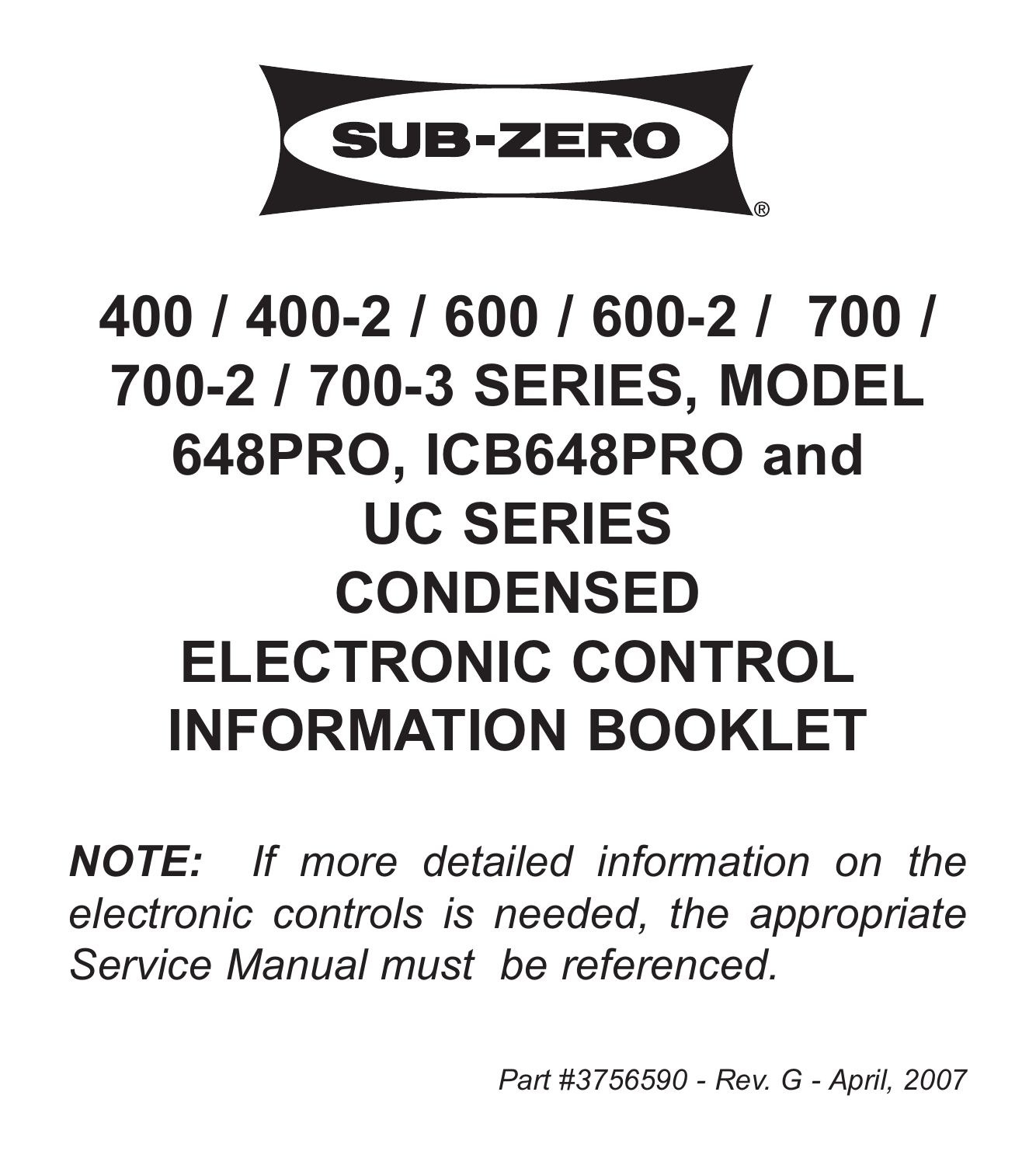

# **400 / 400-2 / 600 / 600-2 / 700 / 700-2 / 700-3 SERIES, MODEL 648PRO, ICB648PRO and UC SERIES CONDENSED ELECTRONIC CONTROL INFORMATION BOOKLET**

*NOTE: If more detailed information on the electronic controls is needed, the appropriate Service Manual must be referenced.*

*Part #3756590 - Rev. G - April, 2007*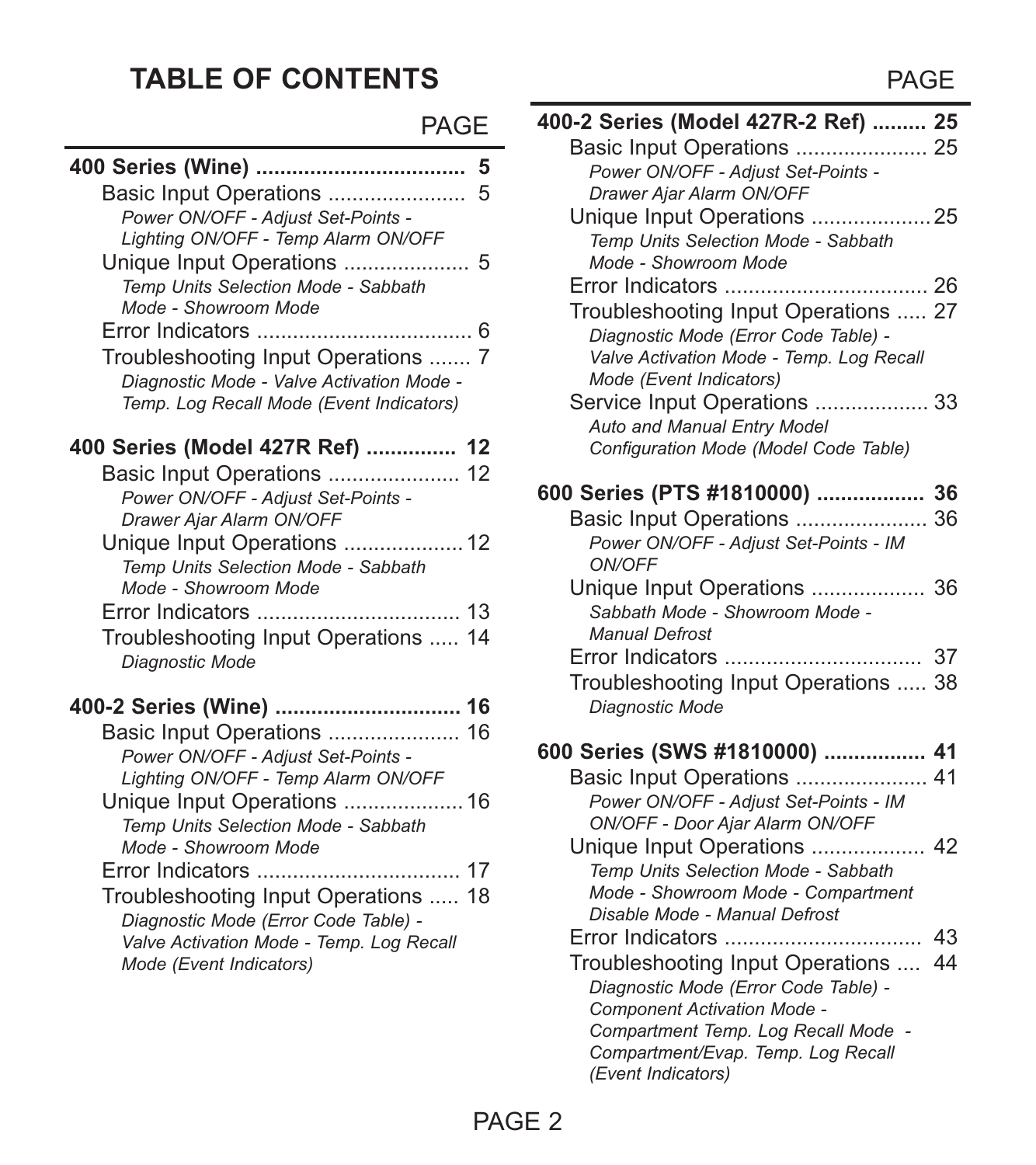#### **TABLE OF CONTENTS** PAGE

| -<br>۰,<br>M.<br>۰. |  |
|---------------------|--|
|---------------------|--|

| Basic Input Operations<br>5<br>Power ON/OFF - Adiust Set-Points -<br>Lighting ON/OFF - Temp Alarm ON/OFF                 |
|--------------------------------------------------------------------------------------------------------------------------|
| Unique Input Operations  5<br>Temp Units Selection Mode - Sabbath<br>Mode - Showroom Mode                                |
|                                                                                                                          |
| Troubleshooting Input Operations  7                                                                                      |
| Diagnostic Mode - Valve Activation Mode -<br>Temp. Log Recall Mode (Event Indicators)                                    |
| 400 Series (Model 427R Ref)  12                                                                                          |
| Basic Input Operations  12<br>Power ON/OFF - Adjust Set-Points -<br>Drawer Ajar Alarm ON/OFF                             |
| Unique Input Operations  12<br>Temp Units Selection Mode - Sabbath<br>Mode - Showroom Mode                               |
|                                                                                                                          |
| Troubleshooting Input Operations  14<br>Diagnostic Mode                                                                  |
| 400-2 Series (Wine)  16                                                                                                  |
| Power ON/OFF - Adiust Set-Points -<br>Lighting ON/OFF - Temp Alarm ON/OFF                                                |
| Unique Input Operations  16<br>Temp Units Selection Mode - Sabbath<br>Mode - Showroom Mode                               |
|                                                                                                                          |
| Troubleshooting Input Operations  18<br>Diagnostic Mode (Error Code Table) -<br>Valve Activation Mode - Temp. Log Recall |
| Mode (Event Indicators)                                                                                                  |

| 400-2 Series (Model 427R-2 Ref)  25      |    |
|------------------------------------------|----|
| Basic Input Operations  25               |    |
| Power ON/OFF - Adjust Set-Points -       |    |
| Drawer Aiar Alarm ON/OFF                 |    |
| Unique Input Operations  25              |    |
| Temp Units Selection Mode - Sabbath      |    |
| Mode - Showroom Mode                     |    |
|                                          |    |
| Troubleshooting Input Operations  27     |    |
| Diagnostic Mode (Error Code Table) -     |    |
| Valve Activation Mode - Temp. Log Recall |    |
| Mode (Event Indicators)                  |    |
| Service Input Operations  33             |    |
| Auto and Manual Entry Model              |    |
| Configuration Mode (Model Code Table)    |    |
| 600 Series (PTS #1810000)  36            |    |
| Basic Input Operations  36               |    |
| Power ON/OFF - Adjust Set-Points - IM    |    |
| ON/OFF                                   |    |
| Unique Input Operations  36              |    |
| Sabbath Mode - Showroom Mode -           |    |
| Manual Defrost                           |    |
|                                          |    |
| Troubleshooting Input Operations  38     |    |
| Diagnostic Mode                          |    |
| 600 Series (SWS #1810000)  41            |    |
| Basic Input Operations  41               |    |
| Power ON/OFF - Adjust Set-Points - IM    |    |
| ON/OFF - Door Ajar Alarm ON/OFF          |    |
| Unique Input Operations  42              |    |
| Temp Units Selection Mode - Sabbath      |    |
| Mode - Showroom Mode - Compartment       |    |
| Disable Mode - Manual Defrost            |    |
|                                          |    |
| Troubleshooting Input Operations         | 44 |
| Diagnostic Mode (Error Code Table) -     |    |
| Component Activation Mode -              |    |
| Compartment Temp. Log Recall Mode -      |    |
| Compartment/Evap. Temp. Log Recall       |    |
| (Event Indicators)                       |    |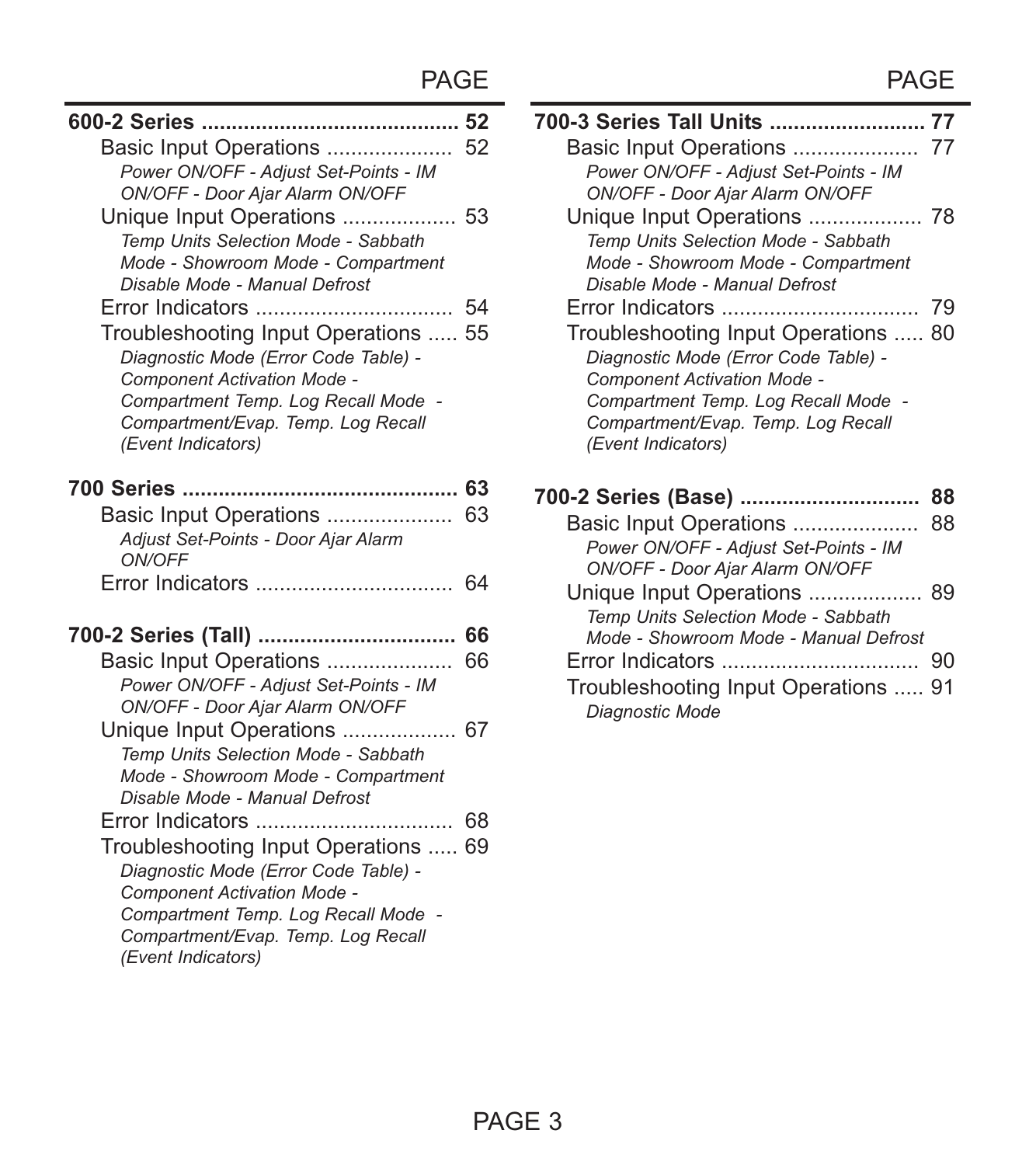| Basic Input Operations  52            |    |
|---------------------------------------|----|
| Power ON/OFF - Adjust Set-Points - IM |    |
| ON/OFF - Door Ajar Alarm ON/OFF       |    |
| Unique Input Operations  53           |    |
| Temp Units Selection Mode - Sabbath   |    |
| Mode - Showroom Mode - Compartment    |    |
| Disable Mode - Manual Defrost         |    |
| Error Indicators                      | 54 |
| Troubleshooting Input Operations  55  |    |
| Diagnostic Mode (Error Code Table) -  |    |
| Component Activation Mode -           |    |
| Compartment Temp. Log Recall Mode -   |    |
| Compartment/Evap. Temp. Log Recall    |    |
| (Event Indicators)                    |    |
|                                       |    |
|                                       |    |
| Basic Input Operations  63            |    |
| Adjust Set-Points - Door Ajar Alarm   |    |
| ON/OFF                                |    |
|                                       | 64 |
|                                       |    |
| Basic Input Operations                | 66 |
| Power ON/OFF - Adiust Set-Points - IM |    |
| ON/OFF - Door Ajar Alarm ON/OFF       |    |
| Unique Input Operations  67           |    |
| Temp Units Selection Mode - Sabbath   |    |
| Mode - Showroom Mode - Compartment    |    |
| Disable Mode - Manual Defrost         |    |
| Error Indicators                      | 68 |
| Troubleshooting Input Operations  69  |    |
| Diagnostic Mode (Error Code Table) -  |    |
| Component Activation Mode -           |    |
| Compartment Temp. Log Recall Mode -   |    |
| Compartment/Evap. Temp. Log Recall    |    |
| (Event Indicators)                    |    |

| <b>PAGE</b>          | PAGE                                                                                                                                                                                                           |  |
|----------------------|----------------------------------------------------------------------------------------------------------------------------------------------------------------------------------------------------------------|--|
| …… 52<br>. 52<br>IM  | 700-3 Series Tall Units  77<br>Power ON/OFF - Adjust Set-Points - IM<br>ON/OFF - Door Ajar Alarm ON/OFF                                                                                                        |  |
| 53<br>'n<br>nent     | Temp Units Selection Mode - Sabbath<br>Mode - Showroom Mode - Compartment<br>Disable Mode - Manual Defrost                                                                                                     |  |
| . 54                 | Error Indicators<br>79                                                                                                                                                                                         |  |
| s  55<br>$e$ -<br>aШ | Troubleshooting Input Operations  80<br>Diagnostic Mode (Error Code Table) -<br>Component Activation Mode -<br>Compartment Temp. Log Recall Mode -<br>Compartment/Evap. Temp. Log Recall<br>(Event Indicators) |  |
| . 63                 | 700-2 Series (Base)<br>88                                                                                                                                                                                      |  |
| . 63                 | Basic Input Operations<br>88<br>Power ON/OFF - Adjust Set-Points - IM<br>ON/OFF - Door Ajar Alarm ON/OFF                                                                                                       |  |
| . 64                 | Unique Input Operations  89<br>Temp Units Selection Mode - Sabbath                                                                                                                                             |  |
| 66                   | Mode - Showroom Mode - Manual Defrost                                                                                                                                                                          |  |
| 66<br>.              |                                                                                                                                                                                                                |  |
| IM                   | Troubleshooting Input Operations  91<br>Diagnostic Mode                                                                                                                                                        |  |
|                      |                                                                                                                                                                                                                |  |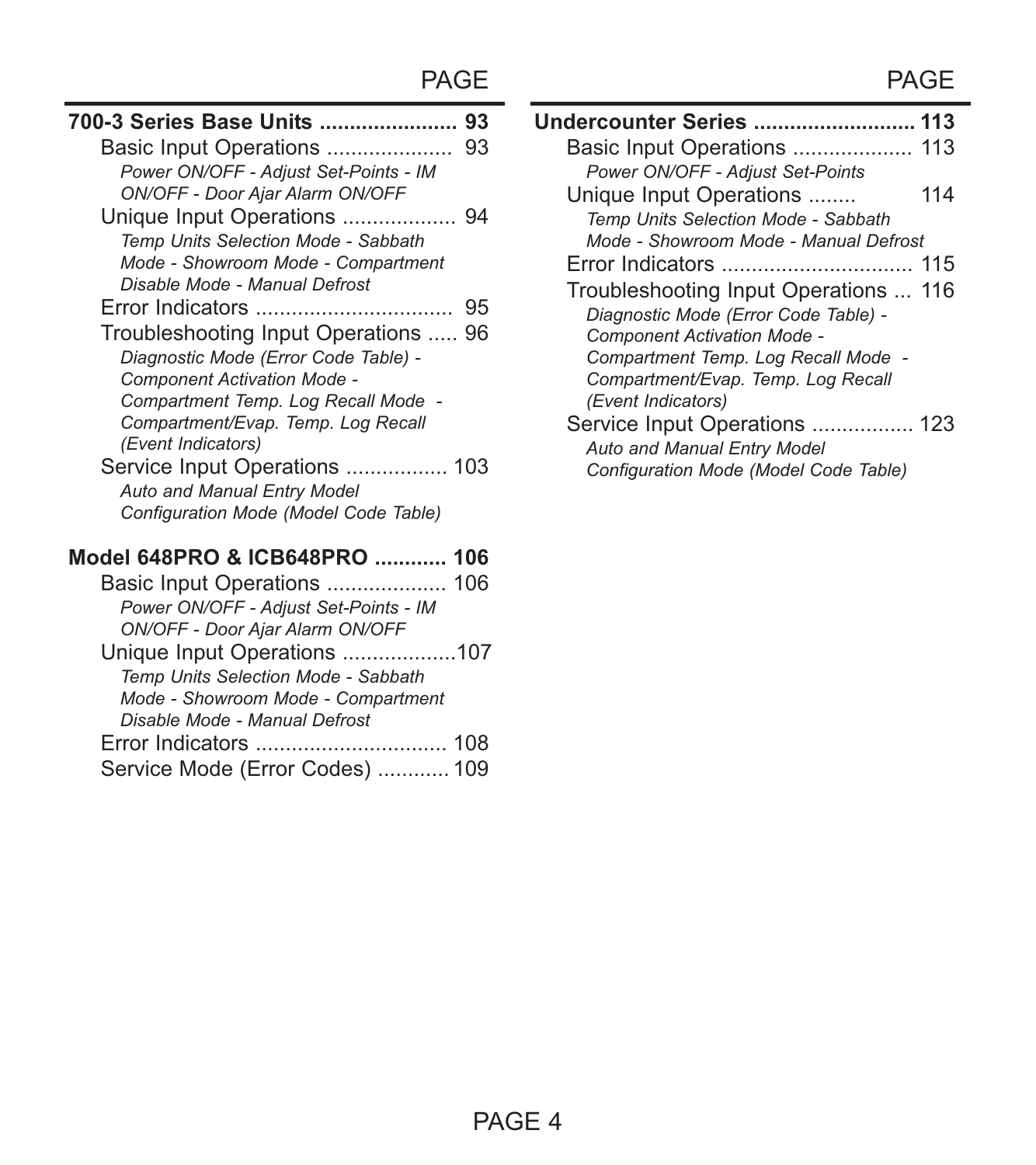| 700-3 Series Base Units<br>93         |  |
|---------------------------------------|--|
| Basic Input Operations<br>93          |  |
| Power ON/OFF - Adjust Set-Points - IM |  |
| ON/OFF - Door Ajar Alarm ON/OFF       |  |
| Unique Input Operations  94           |  |
| Temp Units Selection Mode - Sabbath   |  |
| Mode - Showroom Mode - Compartment    |  |
| Disable Mode - Manual Defrost         |  |
|                                       |  |
| Troubleshooting Input Operations  96  |  |
| Diagnostic Mode (Error Code Table) -  |  |
| Component Activation Mode -           |  |
| Compartment Temp. Log Recall Mode -   |  |
| Compartment/Evap. Temp. Log Recall    |  |
| (Event Indicators)                    |  |
| Service Input Operations  103         |  |
| Auto and Manual Entry Model           |  |
| Configuration Mode (Model Code Table) |  |
| Model 648PRO & ICB648PRO  106         |  |
| Basic Input Operations  106           |  |
| Power ON/OFF - Adjust Set-Points - IM |  |
| ON/OFF - Door Ajar Alarm ON/OFF       |  |
| Unique Input Operations 107           |  |
| Temp Units Selection Mode - Sabbath   |  |
| Mode - Showroom Mode - Compartment    |  |
| Disable Mode - Manual Defrost         |  |
|                                       |  |

|  | Service Mode (Error Codes)  109 |  |
|--|---------------------------------|--|
|--|---------------------------------|--|

| PAGE        | PAGE                                                                                                                                                                                      |
|-------------|-------------------------------------------------------------------------------------------------------------------------------------------------------------------------------------------|
| 93          | <b>Undercounter Series  113</b>                                                                                                                                                           |
| . 93        | Basic Input Operations  113                                                                                                                                                               |
| IM          | Power ON/OFF - Adjust Set-Points                                                                                                                                                          |
|             | Unique Input Operations<br>114                                                                                                                                                            |
| 94          | Temp Units Selection Mode - Sabbath                                                                                                                                                       |
| 'n          | Mode - Showroom Mode - Manual Defrost                                                                                                                                                     |
| nent        |                                                                                                                                                                                           |
| 95<br>s  96 | Troubleshooting Input Operations  116<br>Diagnostic Mode (Error Code Table) -<br>Component Activation Mode -<br>Compartment Temp. Log Recall Mode -<br>Compartment/Evap. Temp. Log Recall |
| le -        | (Event Indicators)                                                                                                                                                                        |
| эll<br>103  | Service Input Operations  123<br>Auto and Manual Entry Model<br>Configuration Mode (Model Code Table)                                                                                     |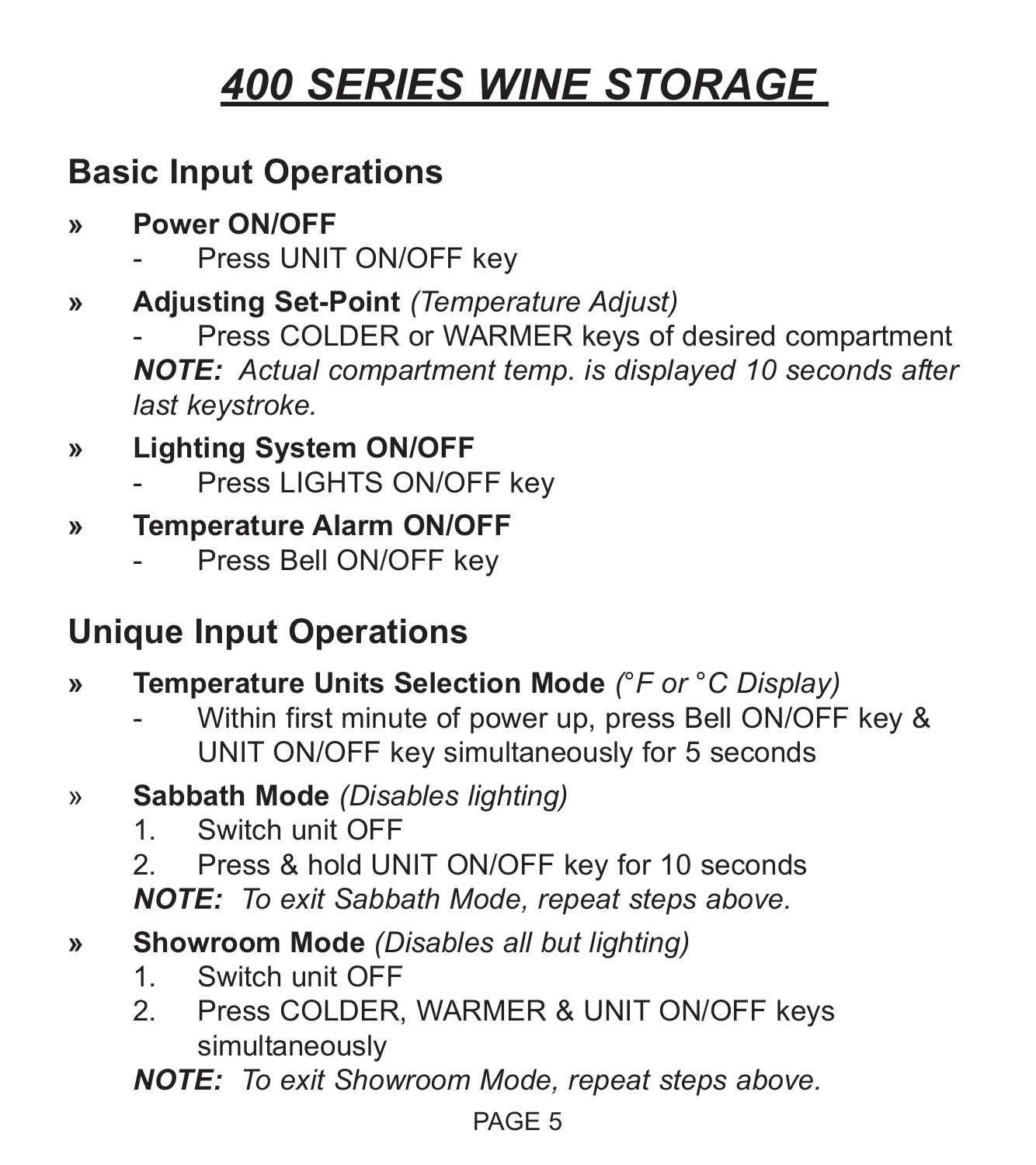### **Basic Input Operations**

- **» Power ON/OFF**
	- Press UNIT ON/OFF key
- **» Adjusting Set-Point** *(Temperature Adjust)*

Press COLDER or WARMER keys of desired compartment *NOTE: Actual compartment temp. is displayed 10 seconds after last keystroke.*

### **» Lighting System ON/OFF**

Press LIGHTS ON/OFF key

#### **» Temperature Alarm ON/OFF**

Press Bell ON/OFF key

### **Unique Input Operations**

- **» Temperature Units Selection Mode** *(°F or °C Display)*
	- Within first minute of power up, press Bell ON/OFF key & UNIT ON/OFF key simultaneously for 5 seconds
- » **Sabbath Mode** *(Disables lighting)*
	- 1. Switch unit OFF
	- 2. Press & hold UNIT ON/OFF key for 10 seconds *NOTE: To exit Sabbath Mode, repeat steps above.*

#### **» Showroom Mode** *(Disables all but lighting)*

- 1. Switch unit OFF
- 2. Press COLDER, WARMER & UNIT ON/OFF keys simultaneously

*NOTE: To exit Showroom Mode, repeat steps above.*

#### PAGE 5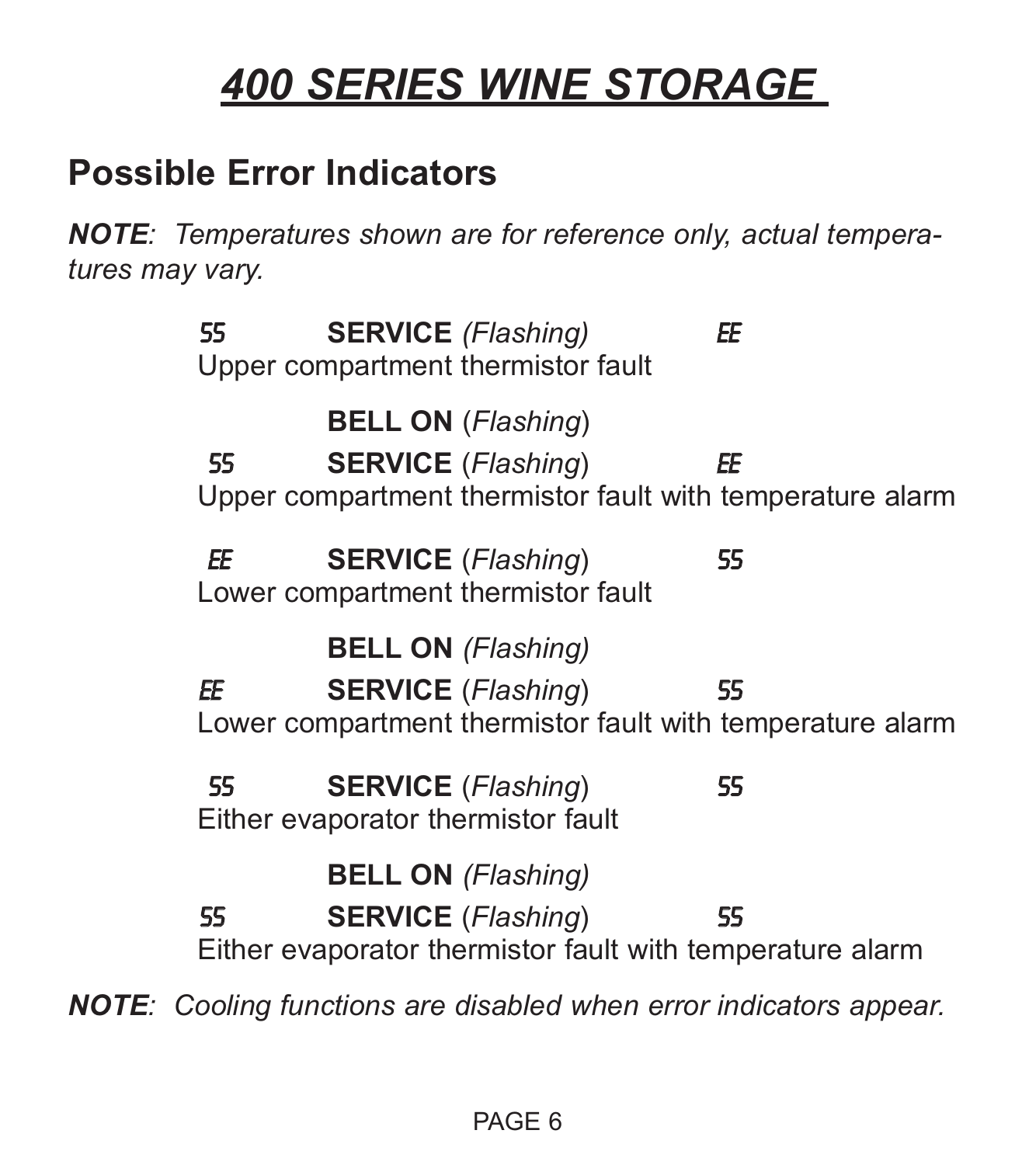### **Possible Error Indicators**

*NOTE: Temperatures shown are for reference only, actual temperatures may vary.*

55 **SERVICE** *(Flashing)* EE Upper compartment thermistor fault **BELL ON** (*Flashing*) 55 **SERVICE** (*Flashing*) EE Upper compartment thermistor fault with temperature alarm EE **SERVICE** (*Flashing*) 55 Lower compartment thermistor fault **BELL ON** *(Flashing)* EE **SERVICE** (*Flashing*) 55 Lower compartment thermistor fault with temperature alarm 55 **SERVICE** (*Flashing*) 55 Either evaporator thermistor fault **BELL ON** *(Flashing)* 55 **SERVICE** (*Flashing*) 55 Either evaporator thermistor fault with temperature alarm *NOTE: Cooling functions are disabled when error indicators appear.*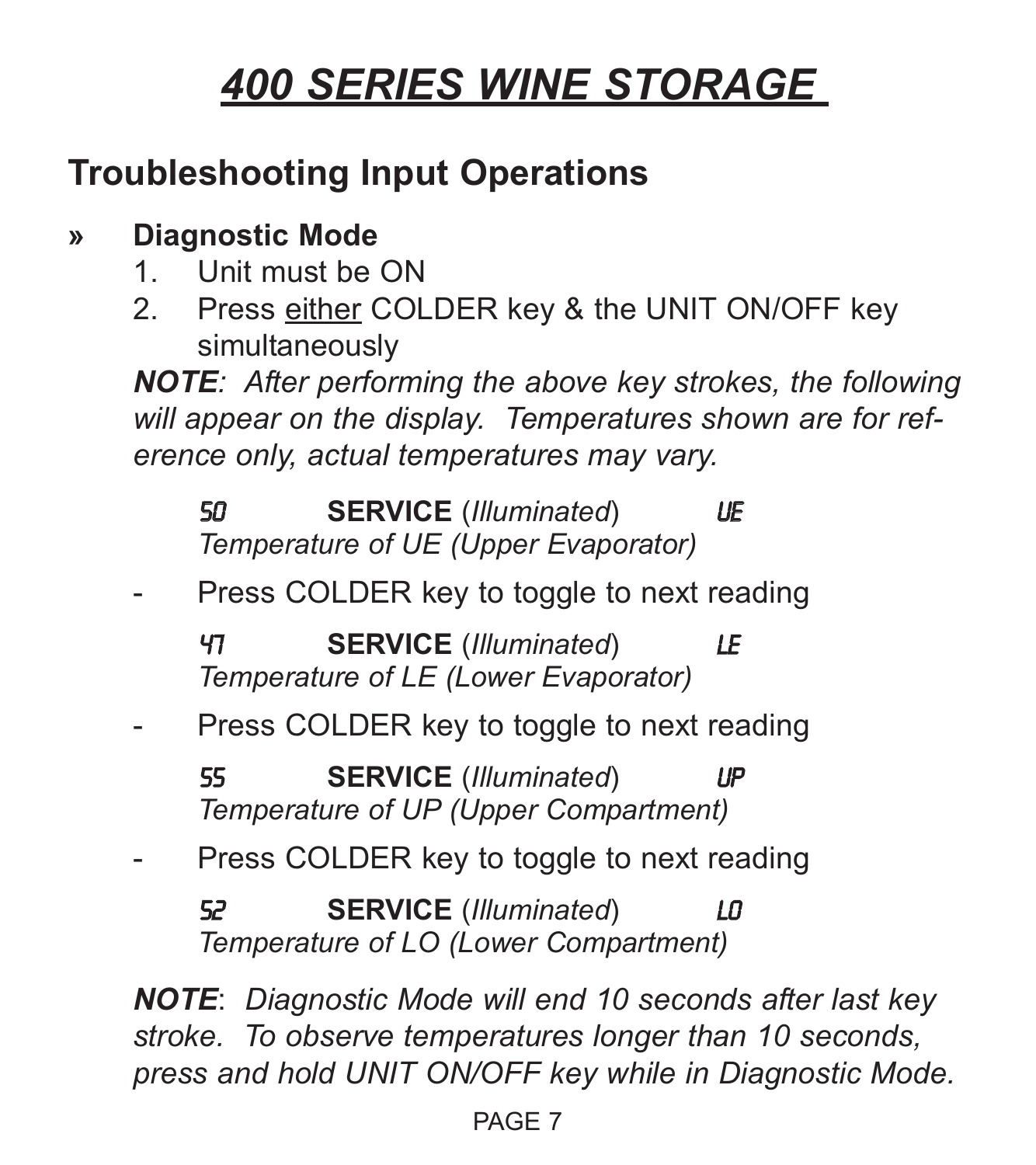### **Troubleshooting Input Operations**

#### **» Diagnostic Mode**

- 1. Unit must be ON
- 2. Press either COLDER key & the UNIT ON/OFF key simultaneously

*NOTE: After performing the above key strokes, the following will appear on the display. Temperatures shown are for reference only, actual temperatures may vary.*

50 **SERVICE** (*Illuminated*) UE *Temperature of UE (Upper Evaporator)*

Press COLDER key to toggle to next reading

47 **SERVICE** (*Illuminated*) LE *Temperature of LE (Lower Evaporator)*

- Press COLDER key to toggle to next reading

55 **SERVICE** (*Illuminated*) UP *Temperature of UP (Upper Compartment)*

Press COLDER key to toggle to next reading

52 **SERVICE** (*Illuminated*) LO *Temperature of LO (Lower Compartment)*

*NOTE*: *Diagnostic Mode will end 10 seconds after last key stroke. To observe temperatures longer than 10 seconds, press and hold UNIT ON/OFF key while in Diagnostic Mode.*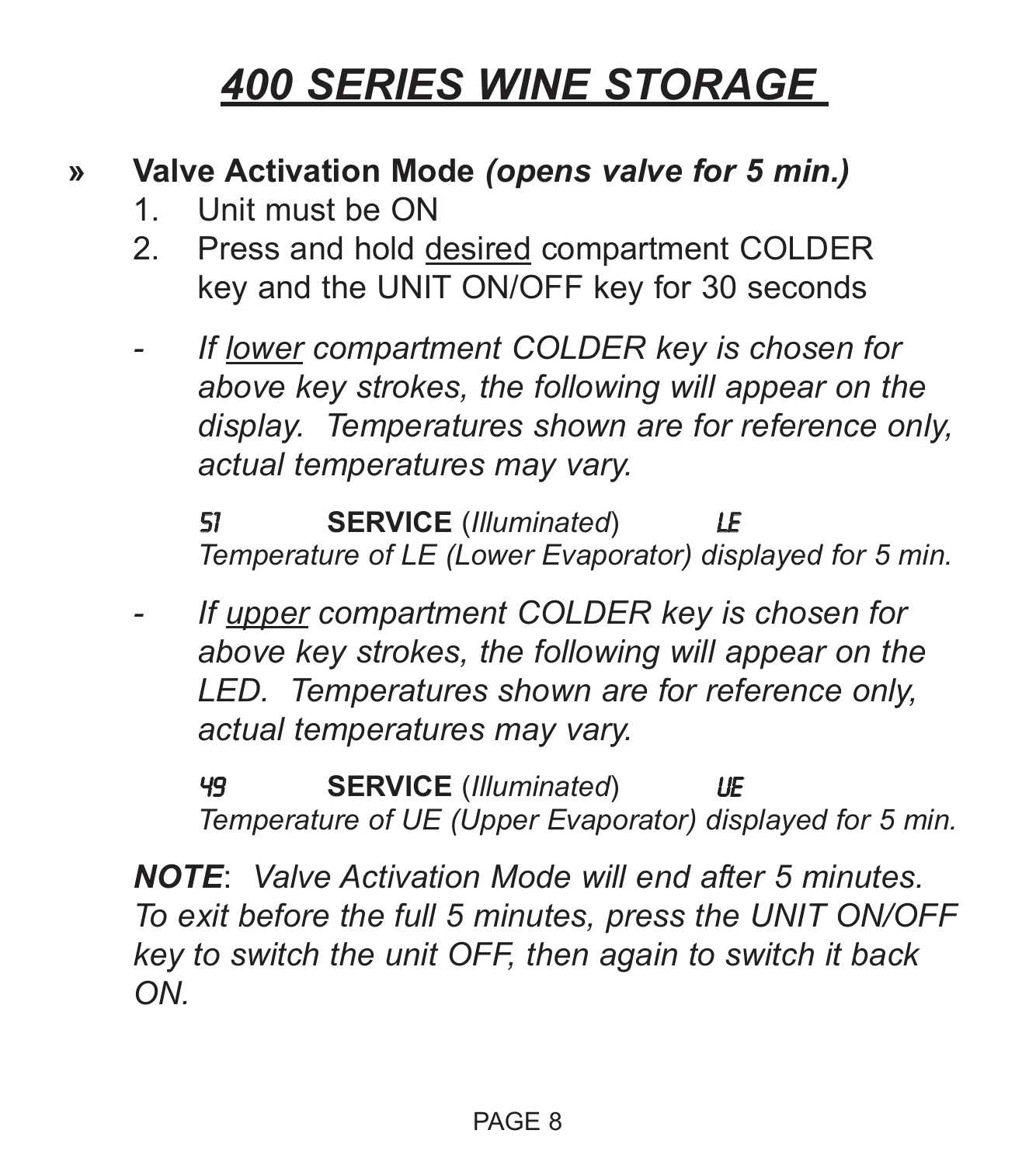#### **» Valve Activation Mode** *(opens valve for 5 min.)*

- 1. Unit must be ON
- 2. Press and hold desired compartment COLDER key and the UNIT ON/OFF key for 30 seconds
- *If lower compartment COLDER key is chosen for above key strokes, the following will appear on the display. Temperatures shown are for reference only, actual temperatures may vary.*

51 **SERVICE** (*Illuminated*) LE *Temperature of LE (Lower Evaporator) displayed for 5 min.*

*- If upper compartment COLDER key is chosen for above key strokes, the following will appear on the LED. Temperatures shown are for reference only, actual temperatures may vary.*

49 **SERVICE** (*Illuminated*) UE *Temperature of UE (Upper Evaporator) displayed for 5 min.*

*NOTE*: *Valve Activation Mode will end after 5 minutes. To exit before the full 5 minutes, press the UNIT ON/OFF key to switch the unit OFF, then again to switch it back ON.*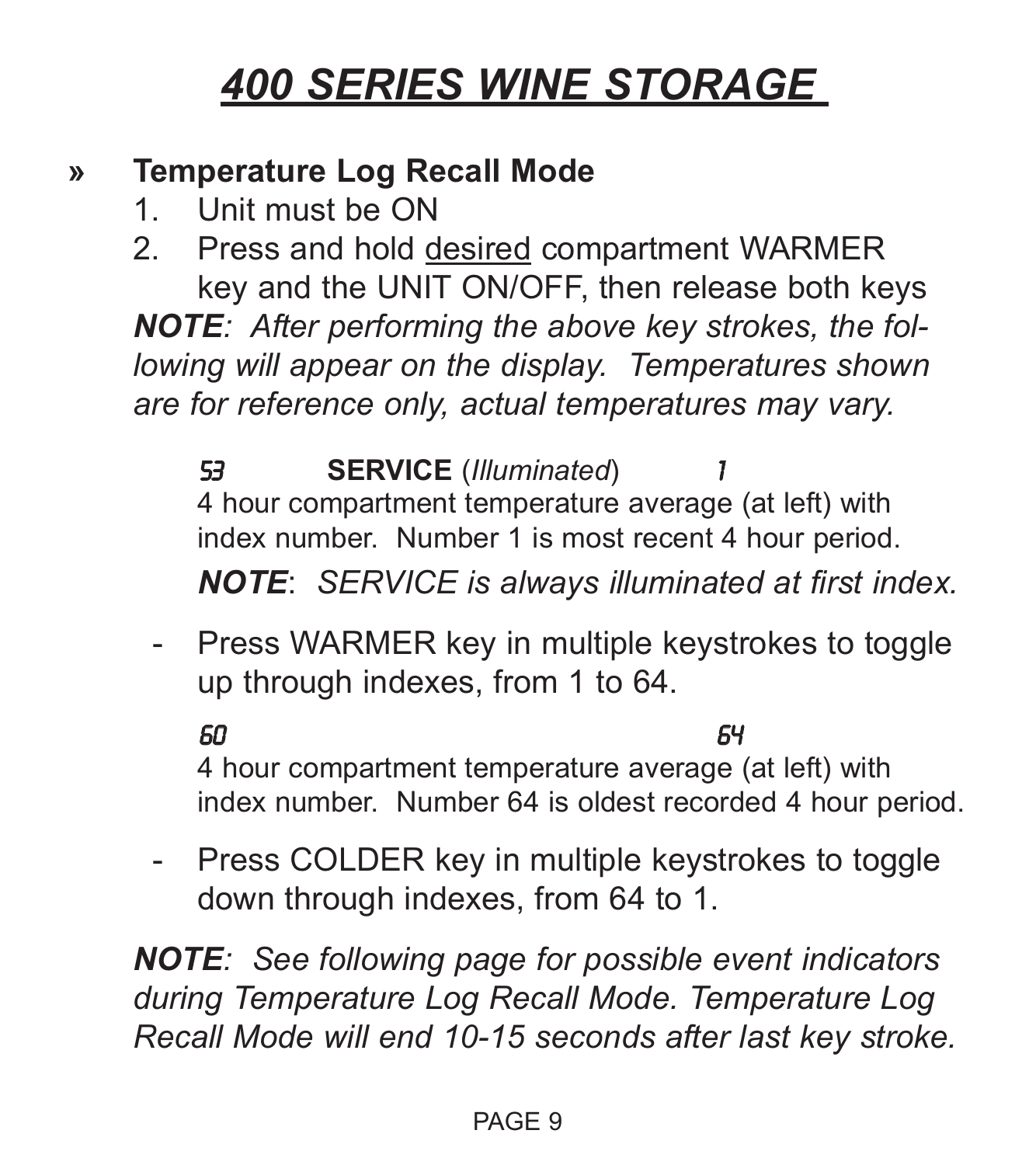#### **» Temperature Log Recall Mode**

1. Unit must be ON

2. Press and hold desired compartment WARMER key and the UNIT ON/OFF, then release both keys *NOTE: After performing the above key strokes, the following will appear on the display. Temperatures shown are for reference only, actual temperatures may vary.*

53 **SERVICE** (*Illuminated*) 1 4 hour compartment temperature average (at left) with index number. Number 1 is most recent 4 hour period. *NOTE*: *SERVICE is always illuminated at first index.*

- Press WARMER key in multiple keystrokes to toggle up through indexes, from 1 to 64.

60 64

4 hour compartment temperature average (at left) with index number. Number 64 is oldest recorded 4 hour period.

- Press COLDER key in multiple keystrokes to toggle down through indexes, from 64 to 1.

*NOTE: See following page for possible event indicators during Temperature Log Recall Mode. Temperature Log Recall Mode will end 10-15 seconds after last key stroke.*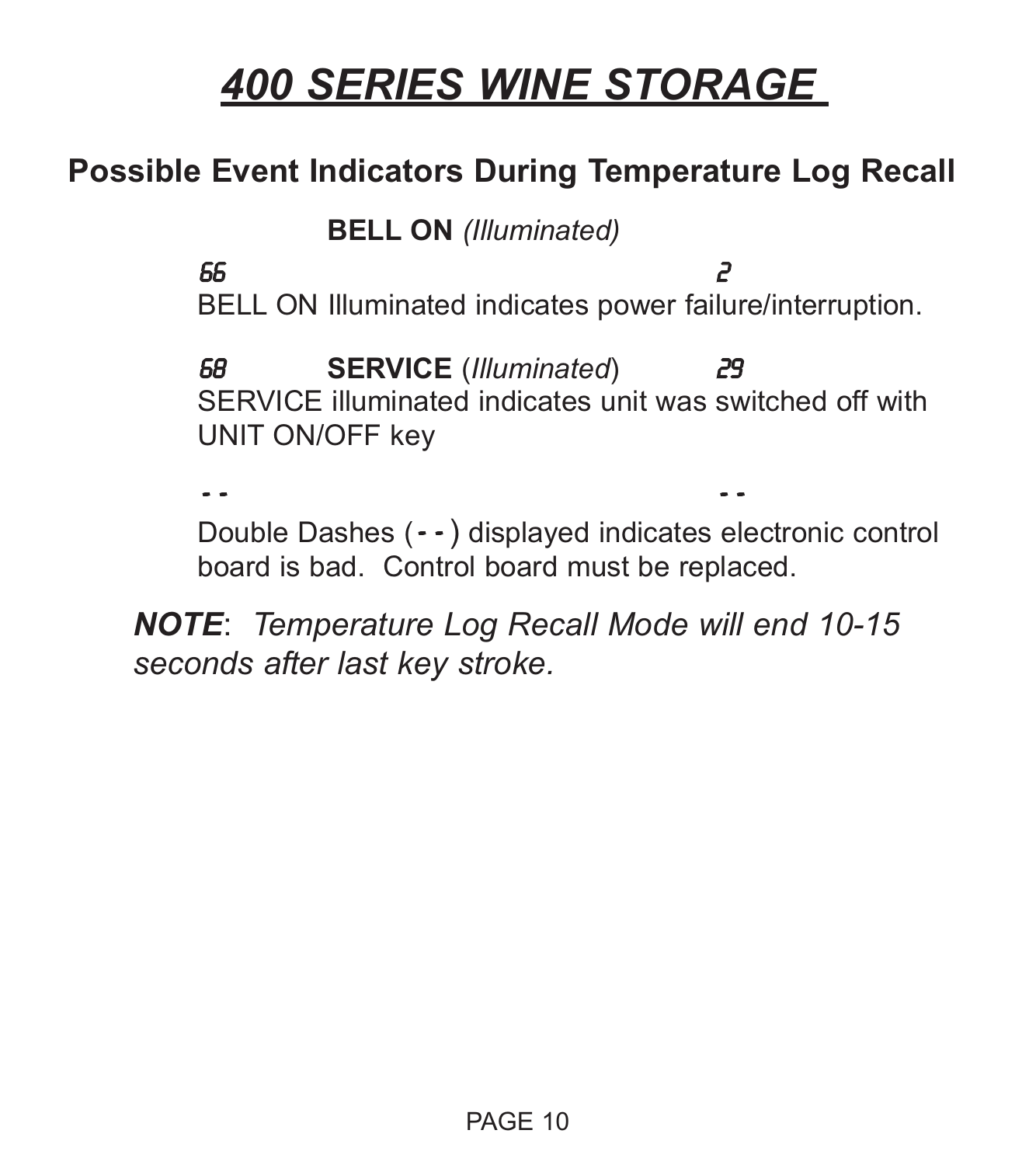### **Possible Event Indicators During Temperature Log Recall**

**BELL ON** *(Illuminated)*

66 2 BELL ON Illuminated indicates power failure/interruption.

68 **SERVICE** (*Illuminated*) 29 SERVICE illuminated indicates unit was switched off with UNIT ON/OFF key

- - - -

Double Dashes (- - ) displayed indicates electronic control board is bad. Control board must be replaced.

*NOTE*: *Temperature Log Recall Mode will end 10-15 seconds after last key stroke.*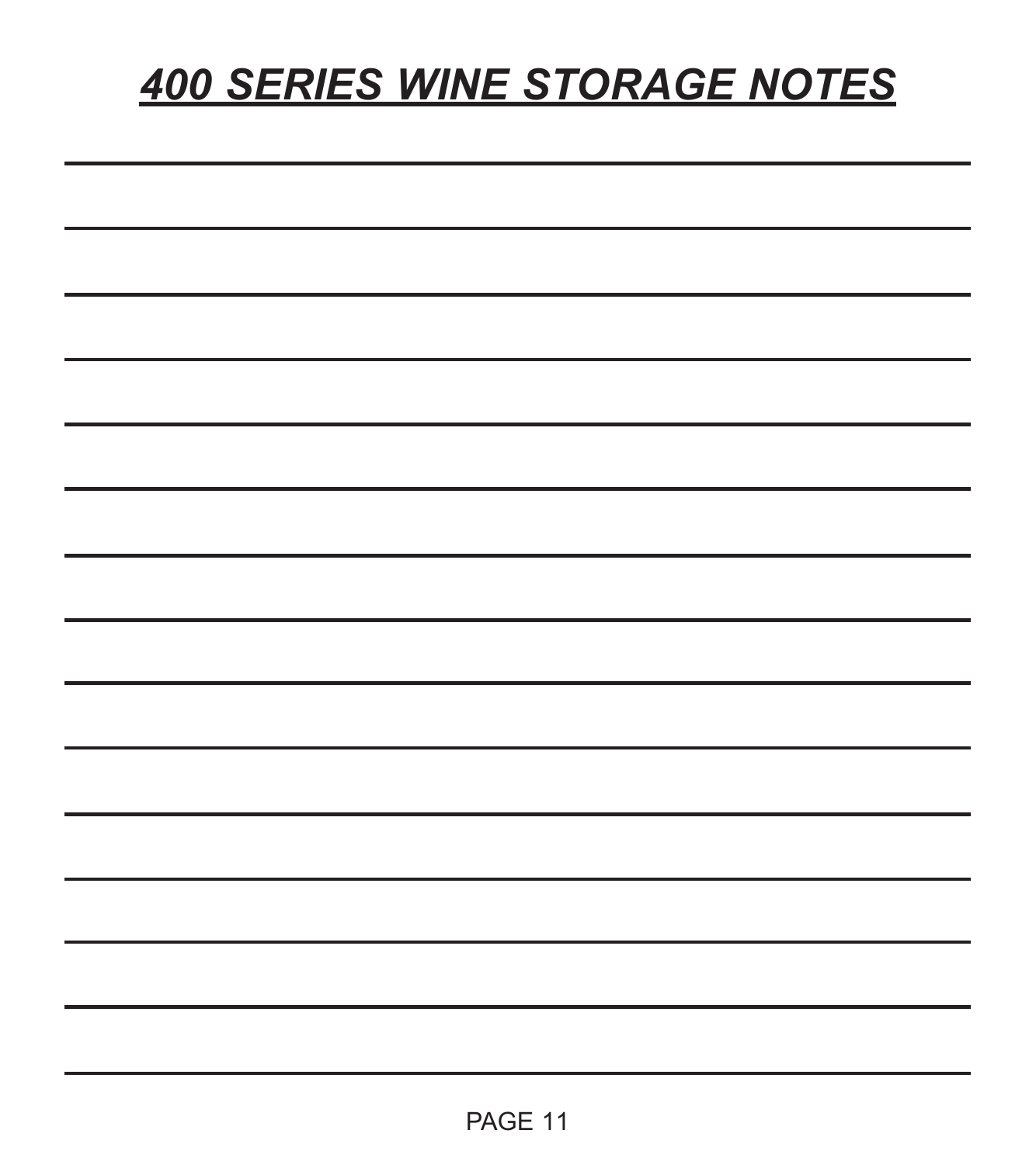## *400 SERIES WINE STORAGE NOTES*

| <u>. In the contract of the contract of the contract of the contract of the contract of the contract of the contract of the contract of the contract of the contract of the contract of the contract of the contract of the cont</u> |  |  |
|--------------------------------------------------------------------------------------------------------------------------------------------------------------------------------------------------------------------------------------|--|--|
|                                                                                                                                                                                                                                      |  |  |
|                                                                                                                                                                                                                                      |  |  |
|                                                                                                                                                                                                                                      |  |  |
| __                                                                                                                                                                                                                                   |  |  |
|                                                                                                                                                                                                                                      |  |  |
|                                                                                                                                                                                                                                      |  |  |
| ____                                                                                                                                                                                                                                 |  |  |
|                                                                                                                                                                                                                                      |  |  |
|                                                                                                                                                                                                                                      |  |  |
| ___<br>____                                                                                                                                                                                                                          |  |  |
|                                                                                                                                                                                                                                      |  |  |
|                                                                                                                                                                                                                                      |  |  |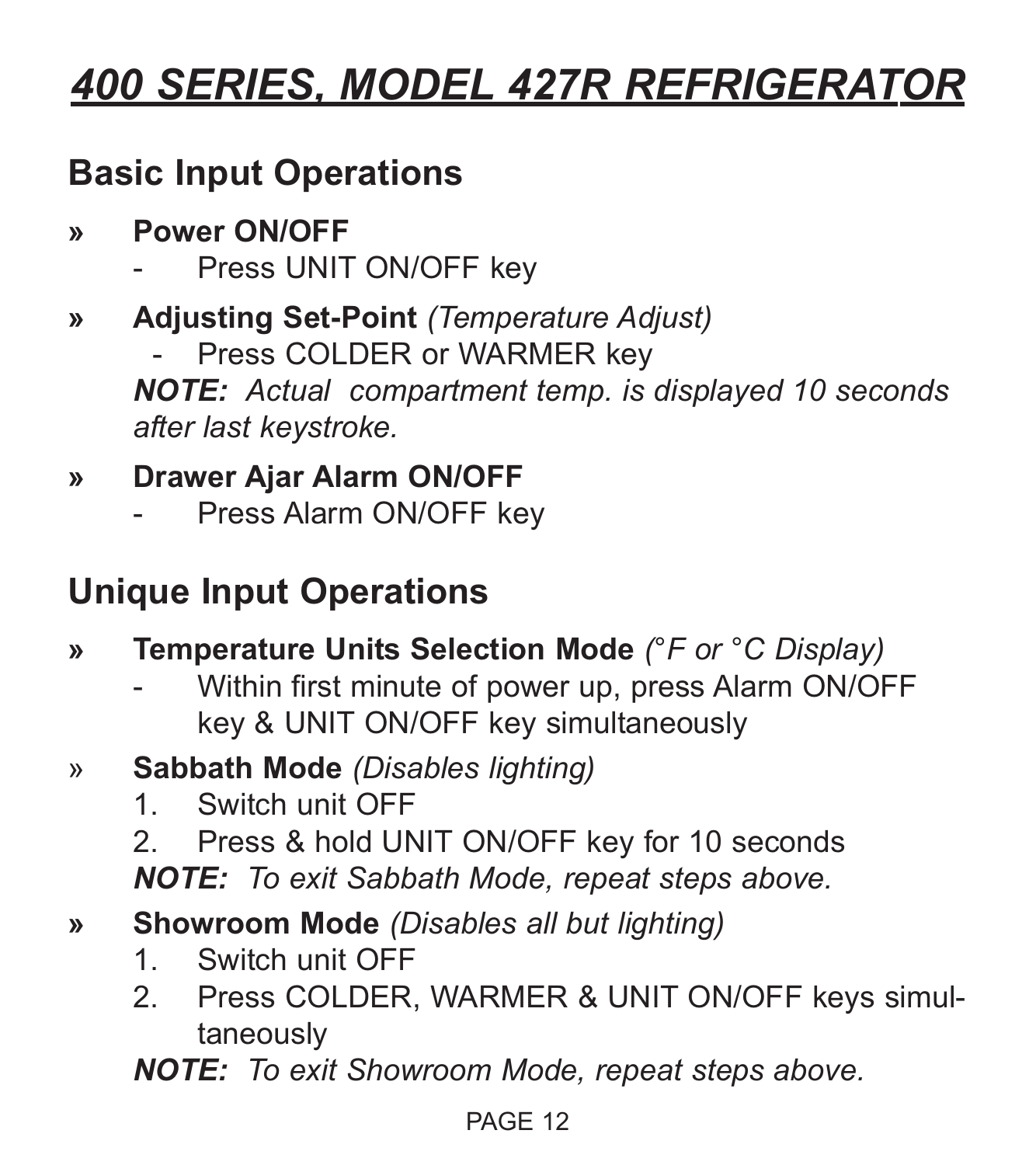## *400 SERIES, MODEL 427R REFRIGERATOR*

### **Basic Input Operations**

- **» Power ON/OFF**
	- Press UNIT ON/OFF key
- **» Adjusting Set-Point** *(Temperature Adjust)*
	- Press COLDER or WARMER key

*NOTE: Actual compartment temp. is displayed 10 seconds after last keystroke.*

### **» Drawer Ajar Alarm ON/OFF**

Press Alarm ON/OFF key

### **Unique Input Operations**

- **» Temperature Units Selection Mode** *(°F or °C Display)*
	- Within first minute of power up, press Alarm ON/OFF key & UNIT ON/OFF key simultaneously
- » **Sabbath Mode** *(Disables lighting)*
	- 1. Switch unit OFF
	- 2. Press & hold UNIT ON/OFF key for 10 seconds

*NOTE: To exit Sabbath Mode, repeat steps above.*

- **» Showroom Mode** *(Disables all but lighting)*
	- 1. Switch unit OFF
	- 2. Press COLDER, WARMER & UNIT ON/OFF keys simultaneously

*NOTE: To exit Showroom Mode, repeat steps above.*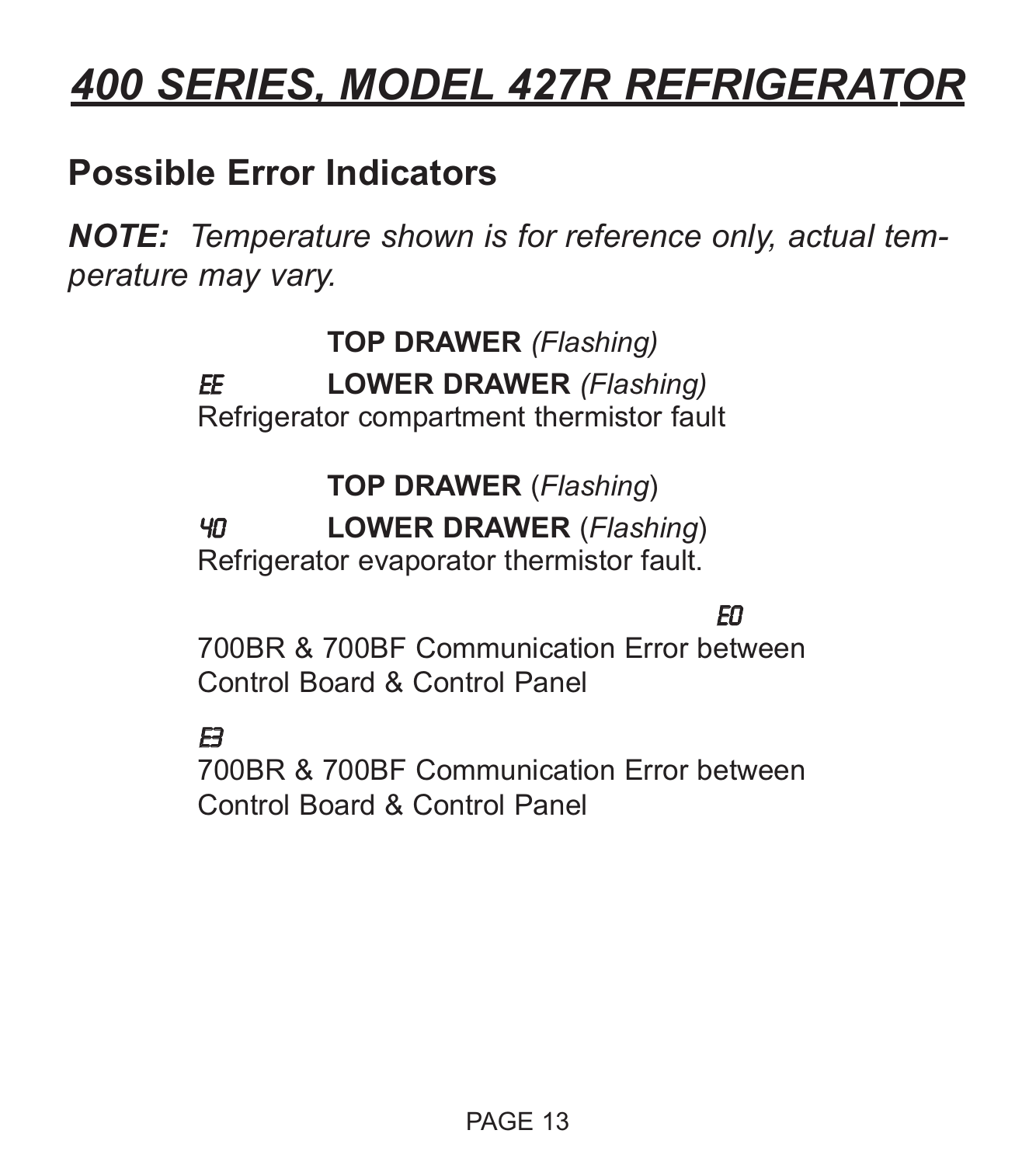## *400 SERIES, MODEL 427R REFRIGERATOR*

### **Possible Error Indicators**

*NOTE: Temperature shown is for reference only, actual temperature may vary.*

> **TOP DRAWER** *(Flashing)* EE **LOWER DRAWER** *(Flashing)* Refrigerator compartment thermistor fault

> > **TOP DRAWER** (*Flashing*)

40 **LOWER DRAWER** (*Flashing*)

Refrigerator evaporator thermistor fault.

### E0

700BR & 700BF Communication Error between Control Board & Control Panel

#### $\mathbf{E}$

700BR & 700BF Communication Error between Control Board & Control Panel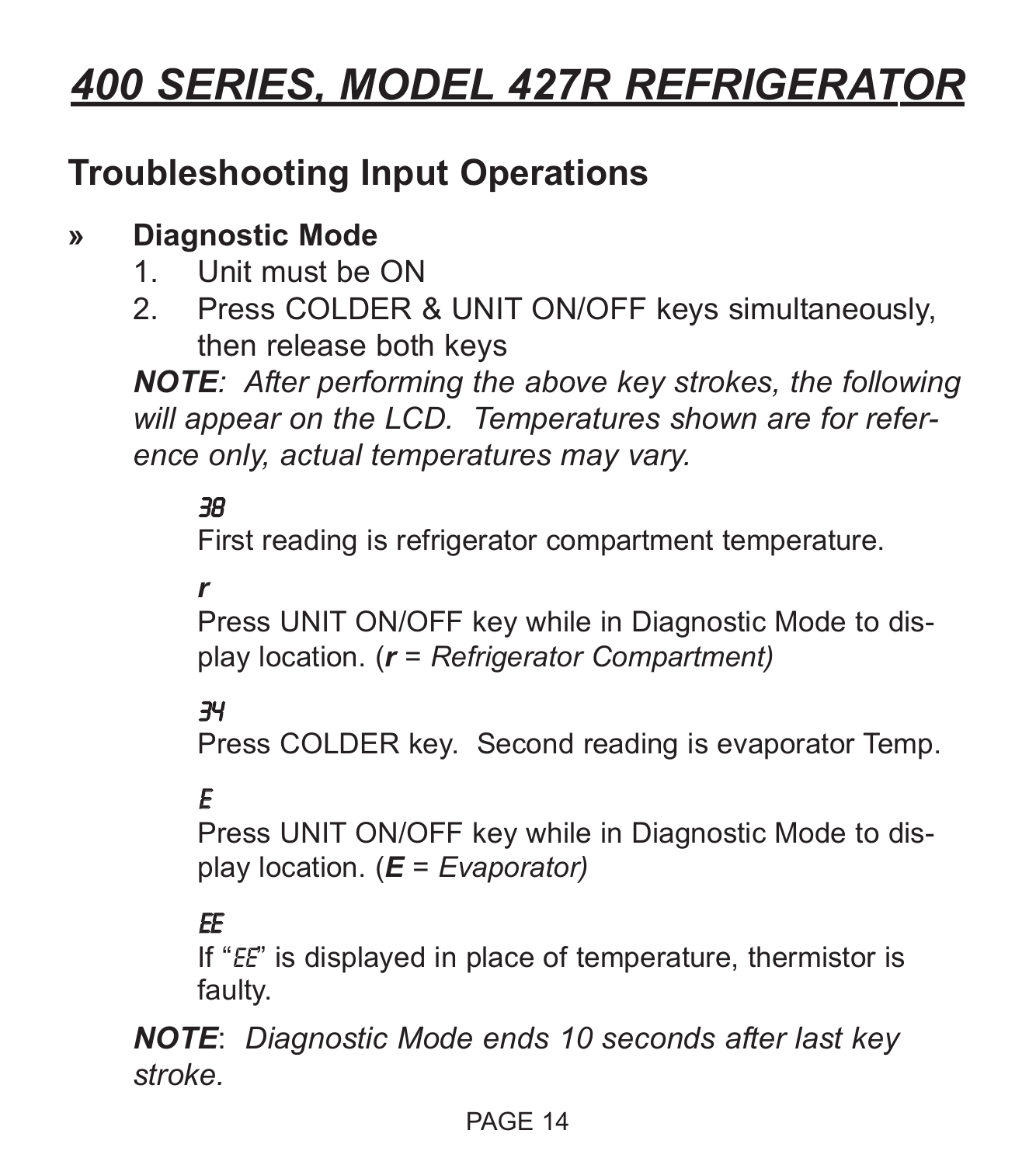## *400 SERIES, MODEL 427R REFRIGERATOR*

### **Troubleshooting Input Operations**

### **» Diagnostic Mode**

- 1. Unit must be ON
- 2. Press COLDER & UNIT ON/OFF keys simultaneously, then release both keys

*NOTE: After performing the above key strokes, the following will appear on the LCD. Temperatures shown are for reference only, actual temperatures may vary.*

#### 38

First reading is refrigerator compartment temperature.

#### *r*

Press UNIT ON/OFF key while in Diagnostic Mode to display location. (*r = Refrigerator Compartment)*

#### 34

Press COLDER key. Second reading is evaporator Temp.

#### E

Press UNIT ON/OFF key while in Diagnostic Mode to display location. (*E = Evaporator)*

#### EE

If "EE" is displayed in place of temperature, thermistor is faulty.

*NOTE*: *Diagnostic Mode ends 10 seconds after last key stroke.*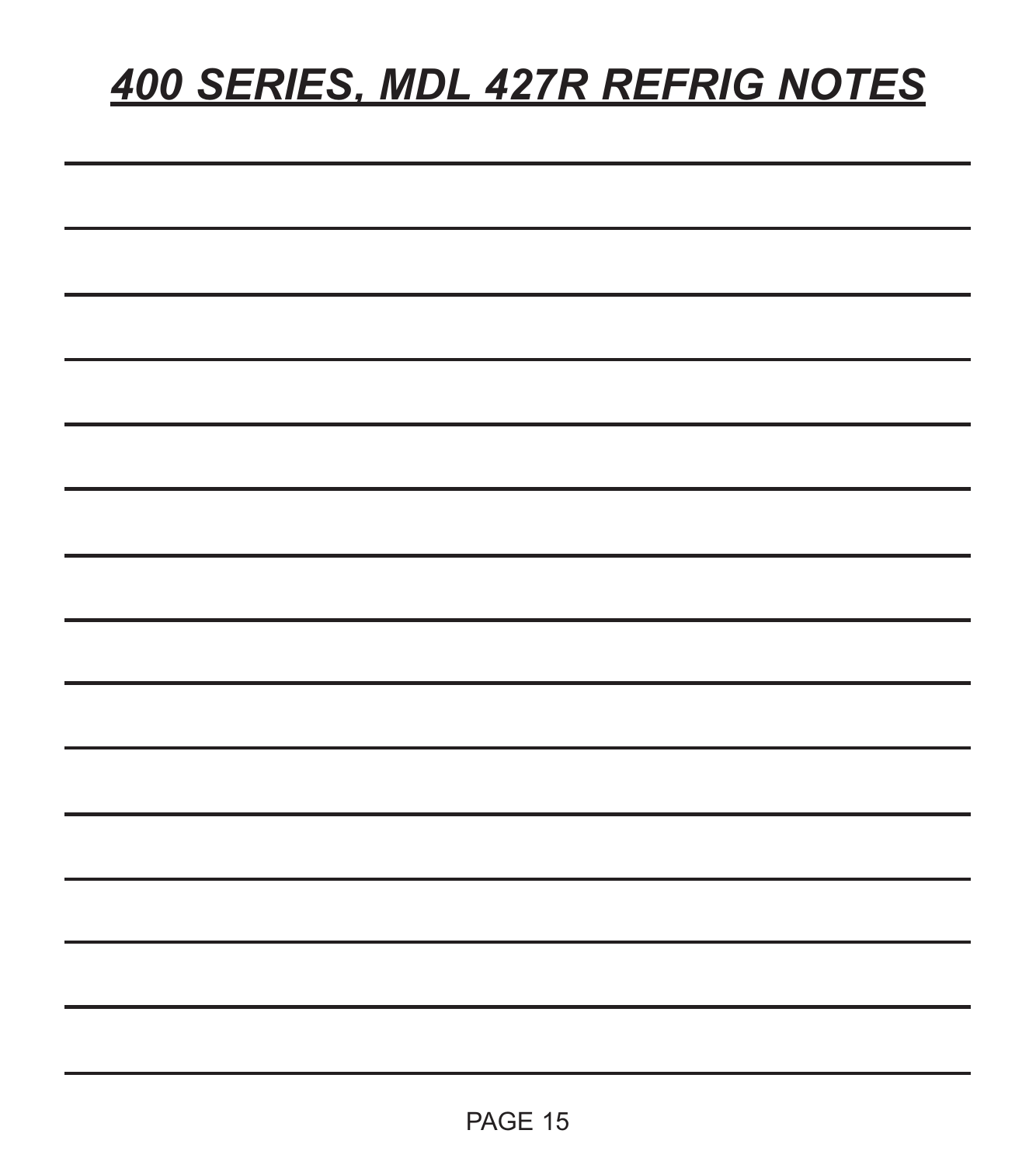## *400 SERIES, MDL 427R REFRIG NOTES*

| ۰ |  |  |
|---|--|--|
| ۰ |  |  |
| ۰ |  |  |
| ٠ |  |  |
|   |  |  |
|   |  |  |
|   |  |  |
| ٠ |  |  |
|   |  |  |
|   |  |  |
|   |  |  |
|   |  |  |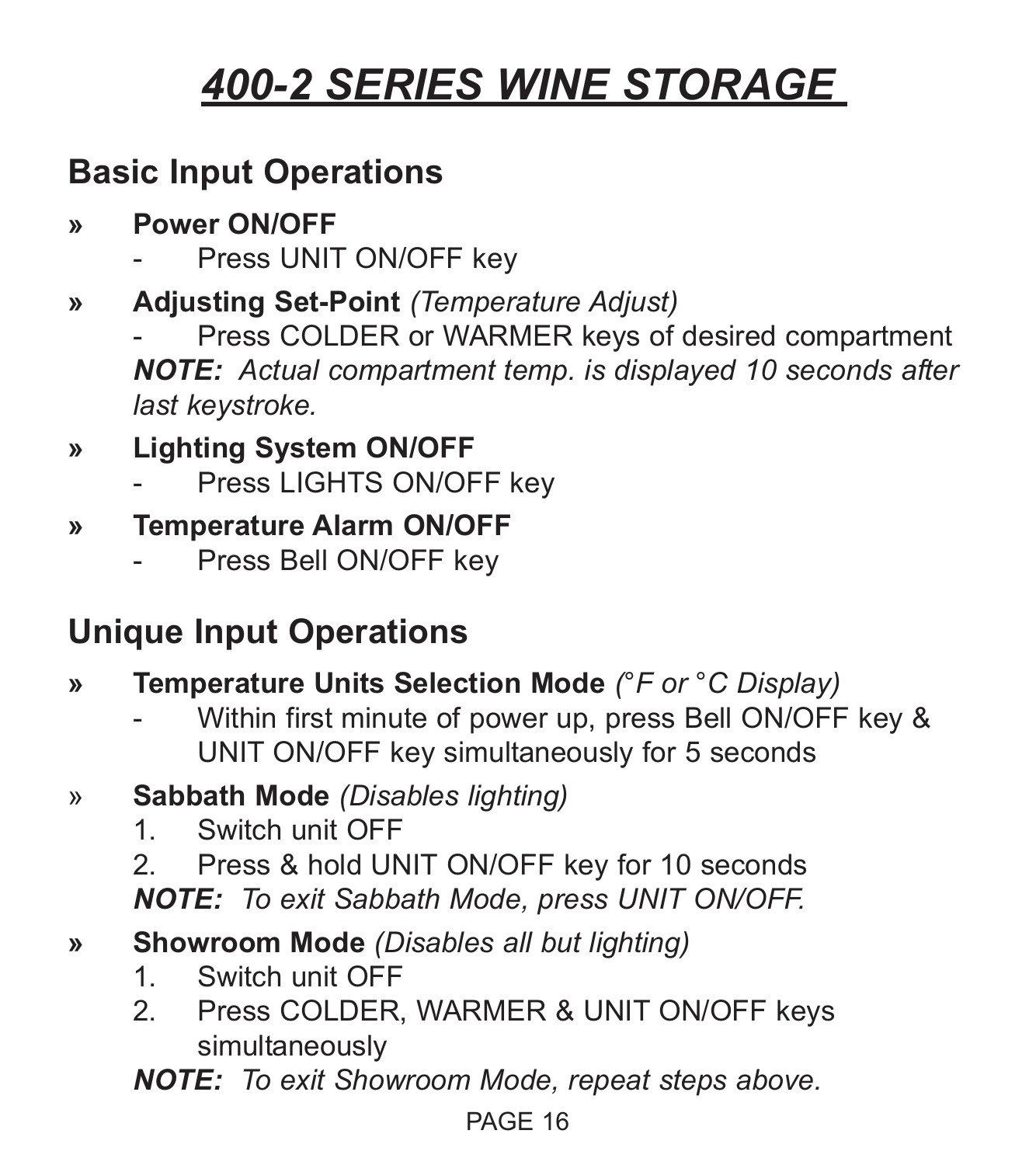### **Basic Input Operations**

- **» Power ON/OFF**
	- Press UNIT ON/OFF key
- **» Adjusting Set-Point** *(Temperature Adjust)*

Press COLDER or WARMER keys of desired compartment *NOTE: Actual compartment temp. is displayed 10 seconds after last keystroke.*

### **» Lighting System ON/OFF**

Press LIGHTS ON/OFF key

#### **» Temperature Alarm ON/OFF**

Press Bell ON/OFF key

### **Unique Input Operations**

- **» Temperature Units Selection Mode** *(°F or °C Display)*
	- Within first minute of power up, press Bell ON/OFF key & UNIT ON/OFF key simultaneously for 5 seconds
- » **Sabbath Mode** *(Disables lighting)*
	- 1. Switch unit OFF
	- 2. Press & hold UNIT ON/OFF key for 10 seconds *NOTE: To exit Sabbath Mode, press UNIT ON/OFF.*

#### **» Showroom Mode** *(Disables all but lighting)*

- 1. Switch unit OFF
- 2. Press COLDER, WARMER & UNIT ON/OFF keys simultaneously

*NOTE: To exit Showroom Mode, repeat steps above.*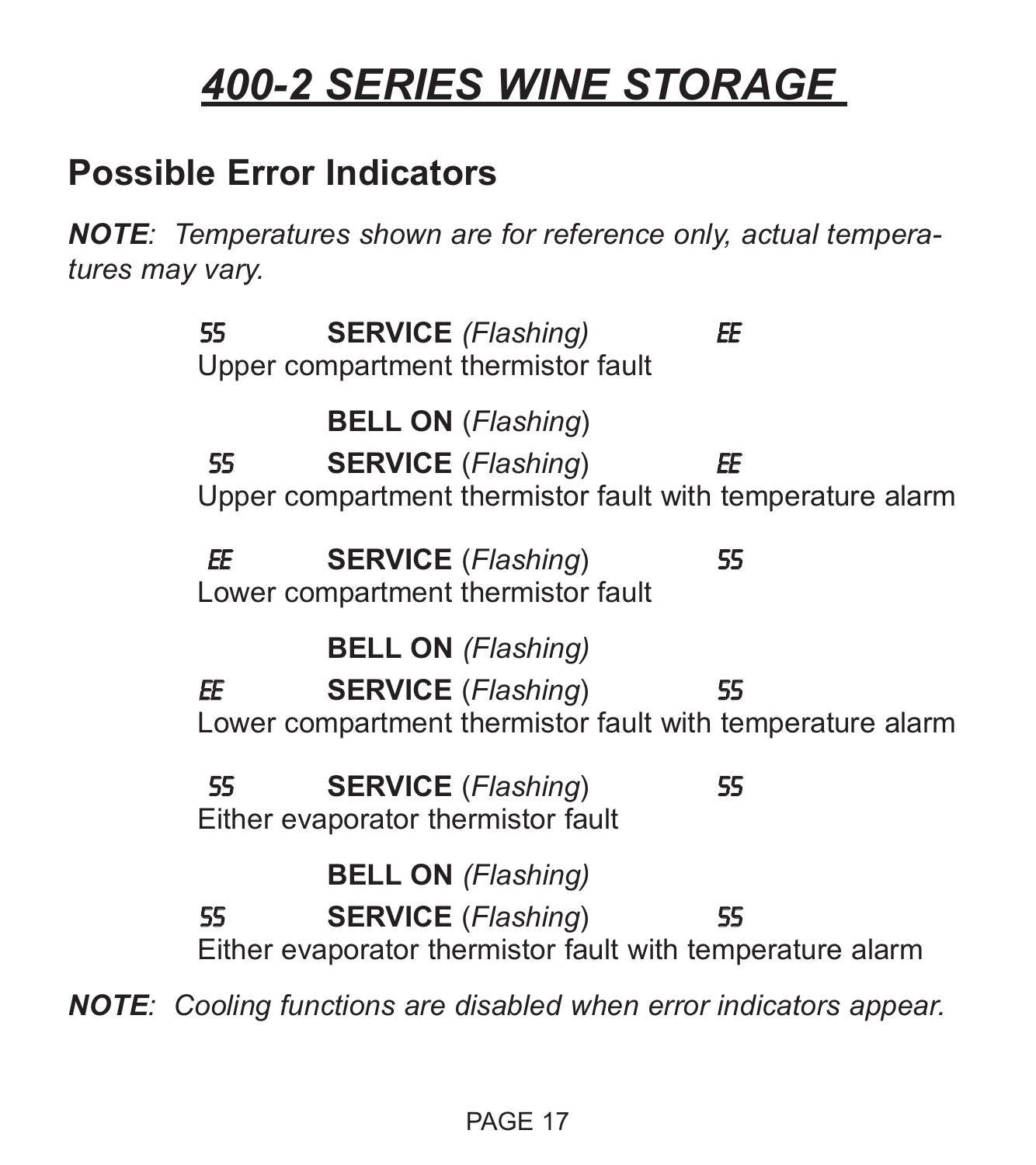### **Possible Error Indicators**

*NOTE: Temperatures shown are for reference only, actual temperatures may vary.*

55 **SERVICE** *(Flashing)* EE Upper compartment thermistor fault **BELL ON** (*Flashing*) 55 **SERVICE** (*Flashing*) EE Upper compartment thermistor fault with temperature alarm EE **SERVICE** (*Flashing*) 55 Lower compartment thermistor fault **BELL ON** *(Flashing)* EE **SERVICE** (*Flashing*) 55 Lower compartment thermistor fault with temperature alarm 55 **SERVICE** (*Flashing*) 55 Either evaporator thermistor fault **BELL ON** *(Flashing)* 55 **SERVICE** (*Flashing*) 55 Either evaporator thermistor fault with temperature alarm *NOTE: Cooling functions are disabled when error indicators appear.*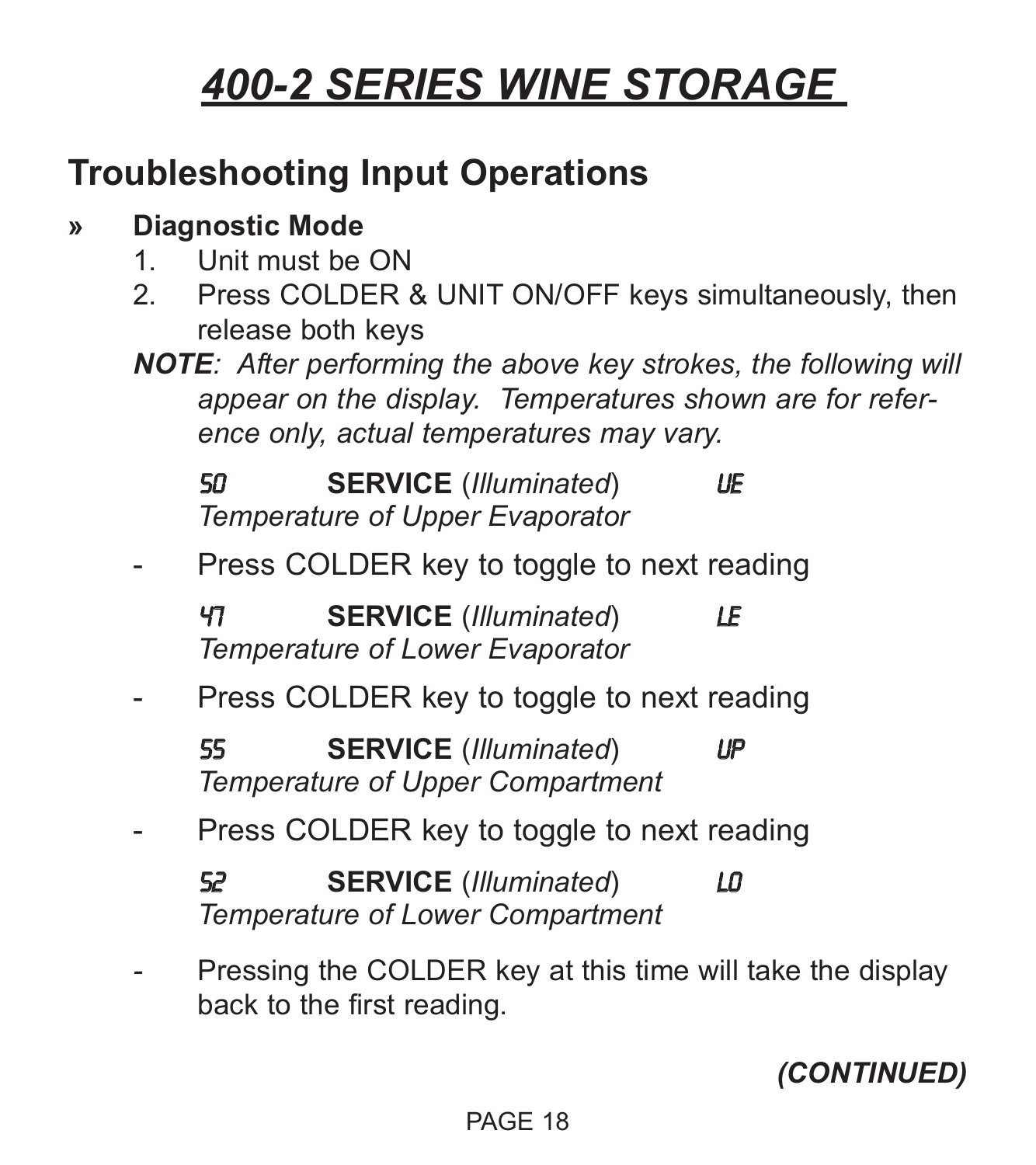### **Troubleshooting Input Operations**

#### **» Diagnostic Mode**

- 1. Unit must be ON
- 2. Press COLDER & UNIT ON/OFF keys simultaneously, then release both keys
- *NOTE: After performing the above key strokes, the following will appear on the display. Temperatures shown are for reference only, actual temperatures may vary.*

50 **SERVICE** (*Illuminated*) UE *Temperature of Upper Evaporator*

Press COLDER key to toggle to next reading

47 **SERVICE** (*Illuminated*) LE *Temperature of Lower Evaporator*

Press COLDER key to toggle to next reading

55 **SERVICE** (*Illuminated*) UP *Temperature of Upper Compartment*

- Press COLDER key to toggle to next reading

52 **SERVICE** (*Illuminated*) LO *Temperature of Lower Compartment*

Pressing the COLDER key at this time will take the display back to the first reading.

*(CONTINUED)*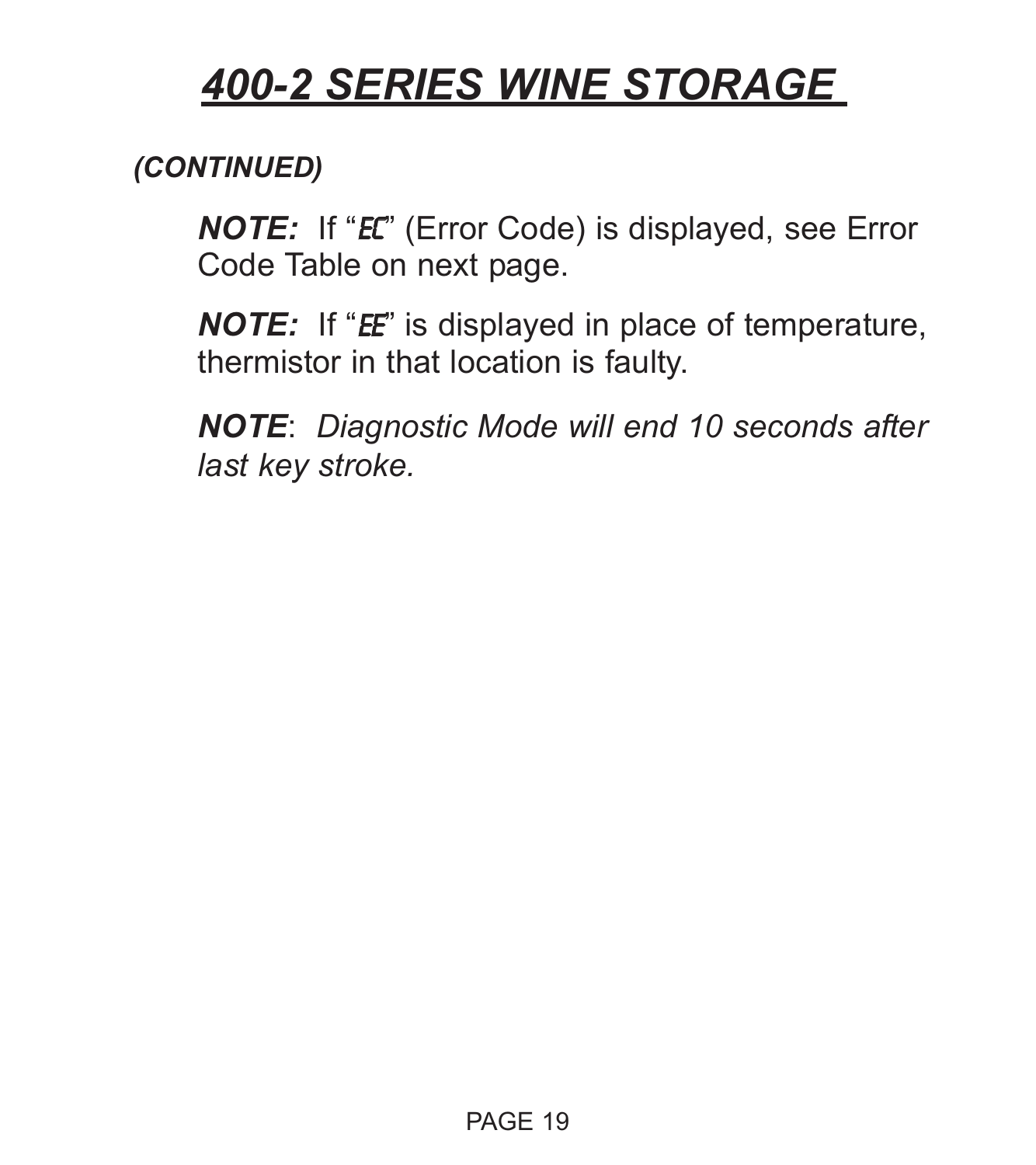#### *(CONTINUED)*

*NOTE:* If "EC" (Error Code) is displayed, see Error Code Table on next page.

*NOTE:* If "*EE*" is displayed in place of temperature, thermistor in that location is faulty.

*NOTE*: *Diagnostic Mode will end 10 seconds after last key stroke.*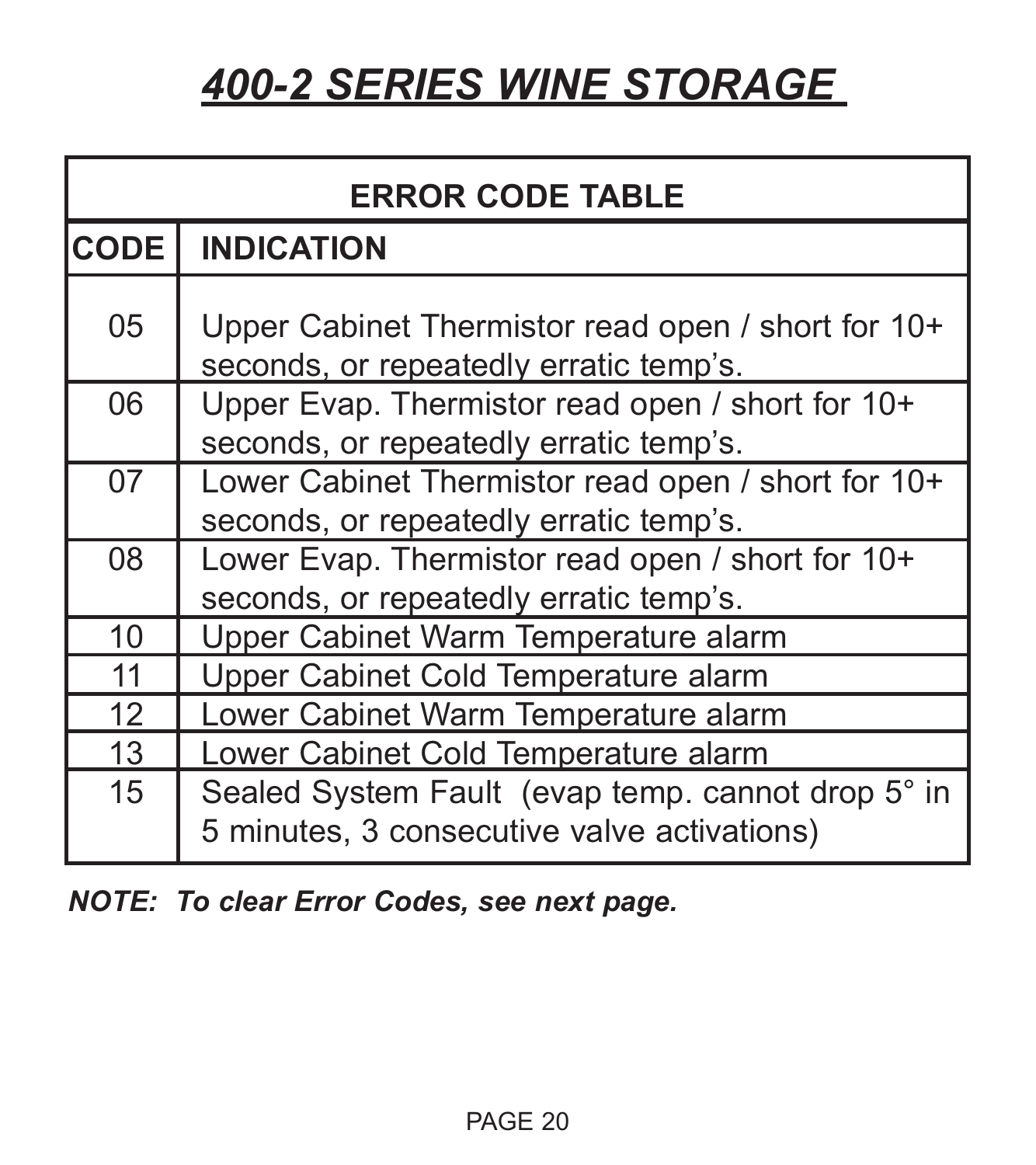| <b>ERROR CODE TABLE</b> |                                                                                                  |  |  |
|-------------------------|--------------------------------------------------------------------------------------------------|--|--|
| <b>CODE</b>             | <b>INDICATION</b>                                                                                |  |  |
| 05                      | Upper Cabinet Thermistor read open / short for 10+<br>seconds, or repeatedly erratic temp's.     |  |  |
| 06                      | Upper Evap. Thermistor read open / short for 10+<br>seconds, or repeatedly erratic temp's.       |  |  |
| 07                      | Lower Cabinet Thermistor read open / short for 10+<br>seconds, or repeatedly erratic temp's.     |  |  |
| 08                      | Lower Evap. Thermistor read open / short for 10+<br>seconds, or repeatedly erratic temp's.       |  |  |
| 10                      | Upper Cabinet Warm Temperature alarm                                                             |  |  |
| 11                      | Upper Cabinet Cold Temperature alarm                                                             |  |  |
| 12                      | Lower Cabinet Warm Temperature alarm                                                             |  |  |
| 13                      | Lower Cabinet Cold Temperature alarm                                                             |  |  |
| 15                      | Sealed System Fault (evap temp. cannot drop 5° in<br>5 minutes, 3 consecutive valve activations) |  |  |

*NOTE: To clear Error Codes, see next page.*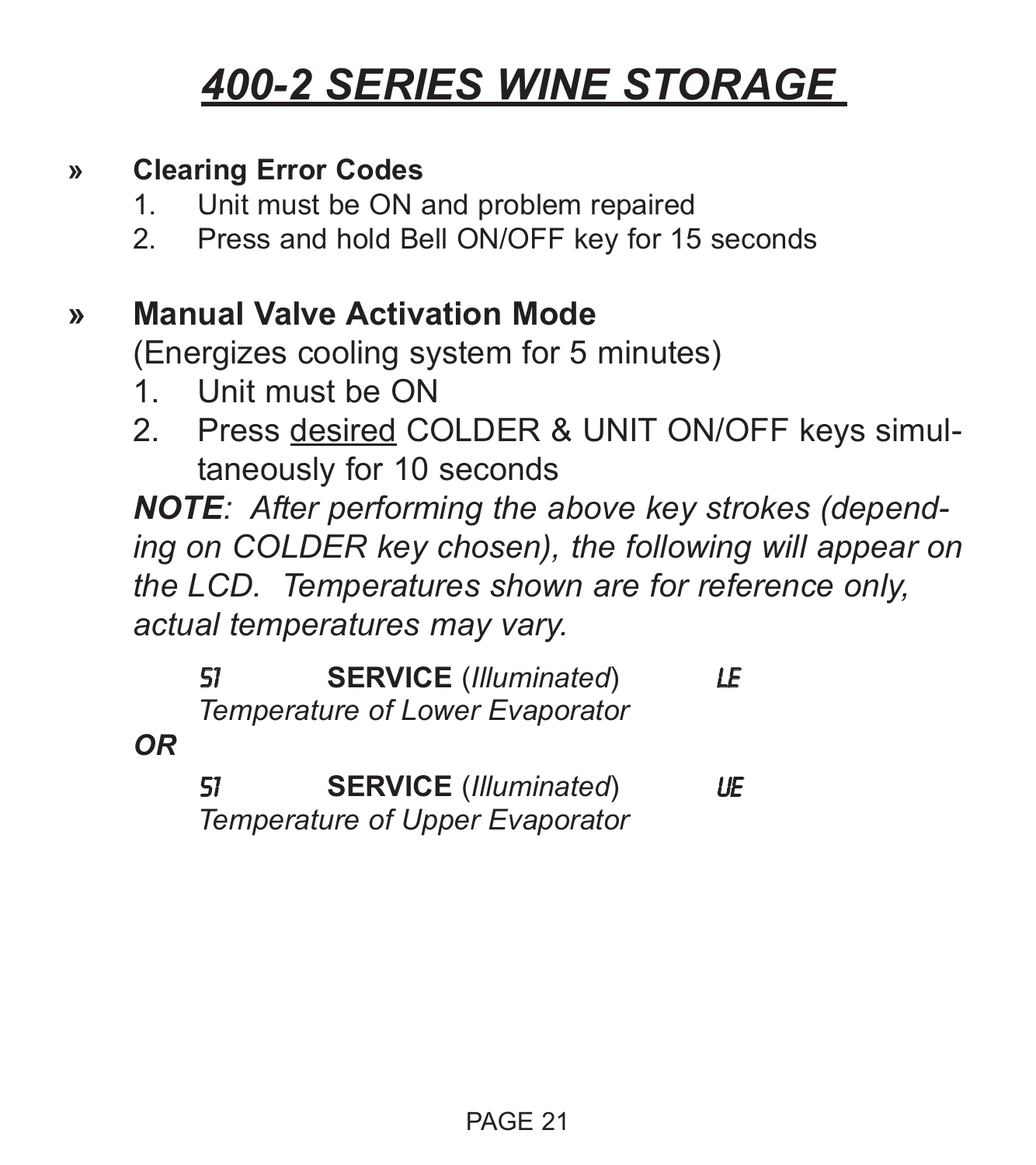#### **» Clearing Error Codes**

- 1. Unit must be ON and problem repaired
- 2. Press and hold Bell ON/OFF key for 15 seconds

### **» Manual Valve Activation Mode**

(Energizes cooling system for 5 minutes)

- 1. Unit must be ON
- 2. Press desired COLDER & UNIT ON/OFF keys simultaneously for 10 seconds

*NOTE: After performing the above key strokes (depending on COLDER key chosen), the following will appear on the LCD. Temperatures shown are for reference only, actual temperatures may vary.*

|           | 51 | <b>SERVICE</b> (Illuminated)<br>Temperature of Lower Evaporator | LE. |
|-----------|----|-----------------------------------------------------------------|-----|
| <b>OR</b> |    |                                                                 |     |
|           | 51 | <b>SERVICE</b> (Illuminated)                                    | LÆ  |

*Temperature of Upper Evaporator*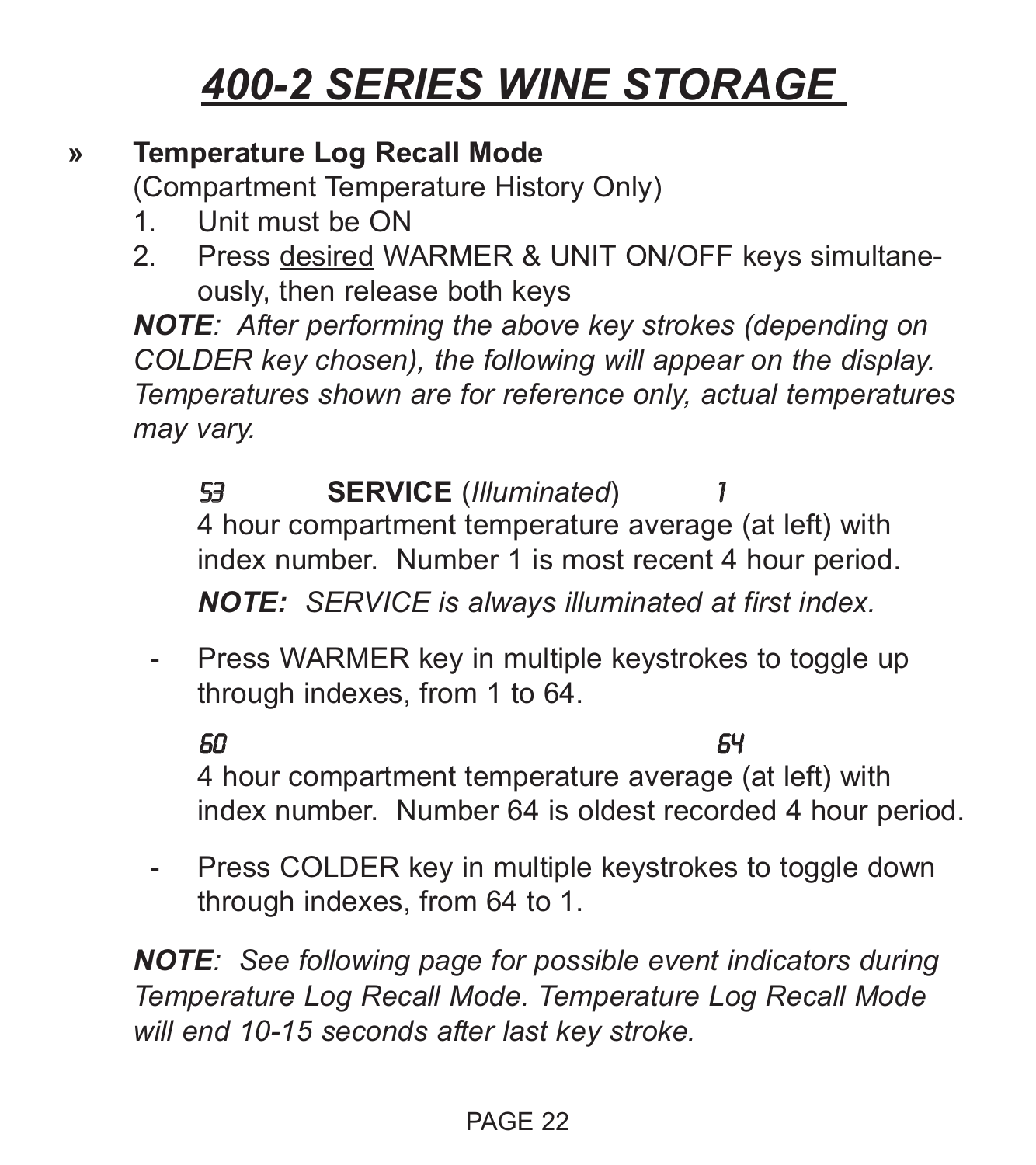#### **» Temperature Log Recall Mode**

(Compartment Temperature History Only)

- 1. Unit must be ON
- 2. Press desired WARMER & UNIT ON/OFF keys simultaneously, then release both keys

*NOTE: After performing the above key strokes (depending on COLDER key chosen), the following will appear on the display. Temperatures shown are for reference only, actual temperatures may vary.*

53 **SERVICE** (*Illuminated*) 1 4 hour compartment temperature average (at left) with index number. Number 1 is most recent 4 hour period. *NOTE: SERVICE is always illuminated at first index.*

- Press WARMER key in multiple keystrokes to toggle up through indexes, from 1 to 64.

60 64

4 hour compartment temperature average (at left) with index number. Number 64 is oldest recorded 4 hour period.

- Press COLDER key in multiple keystrokes to toggle down through indexes, from 64 to 1.

*NOTE: See following page for possible event indicators during Temperature Log Recall Mode. Temperature Log Recall Mode will end 10-15 seconds after last key stroke.*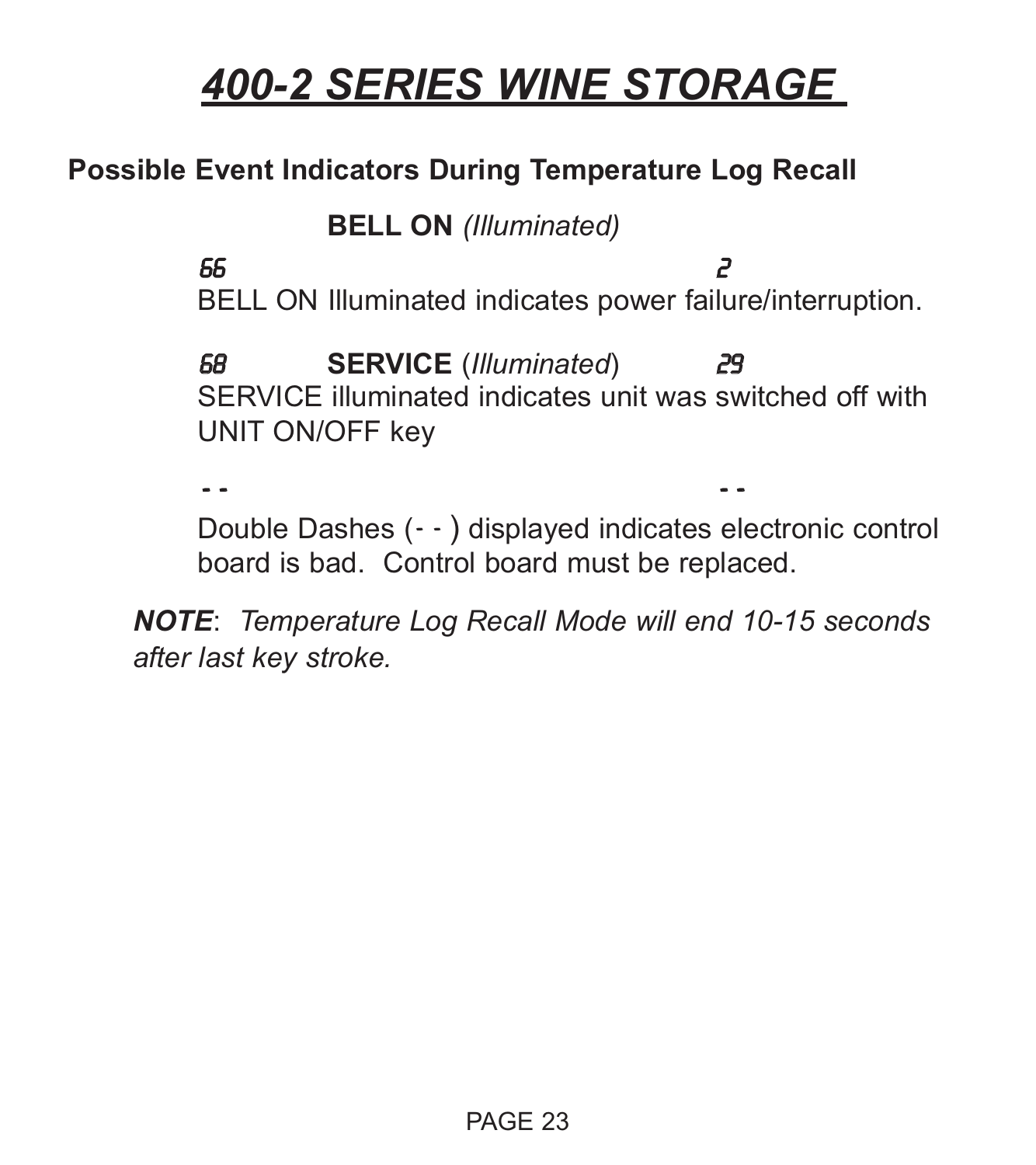#### **Possible Event Indicators During Temperature Log Recall**

**BELL ON** *(Illuminated)*

66 2 BELL ON Illuminated indicates power failure/interruption.

68 **SERVICE** (*Illuminated*) 29 SERVICE illuminated indicates unit was switched off with UNIT ON/OFF key

- - - -

Double Dashes (- - ) displayed indicates electronic control board is bad. Control board must be replaced.

*NOTE*: *Temperature Log Recall Mode will end 10-15 seconds after last key stroke.*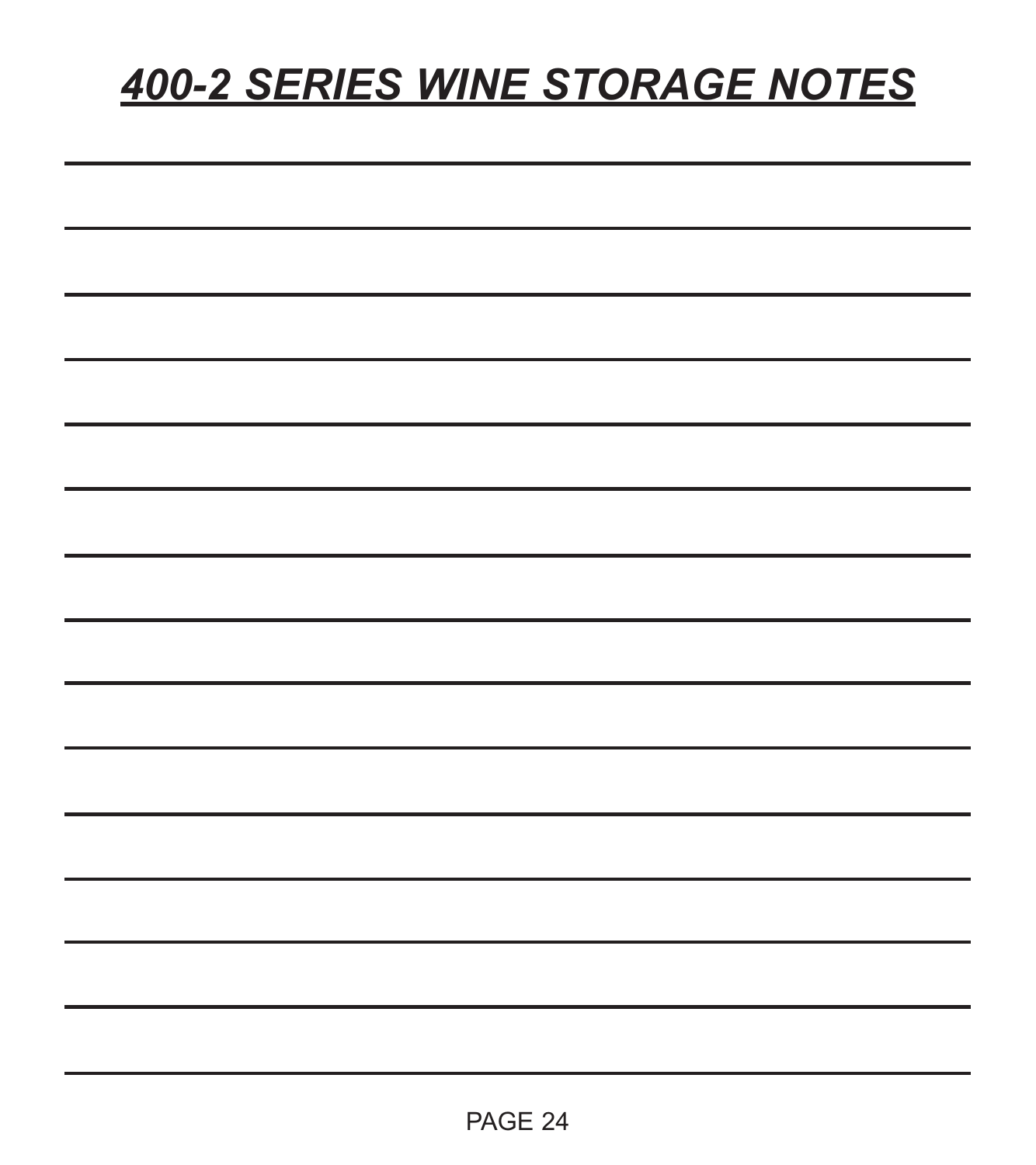## *400-2 SERIES WINE STORAGE NOTES*

| -  |  |  |  |
|----|--|--|--|
| __ |  |  |  |
| ۰  |  |  |  |
|    |  |  |  |
|    |  |  |  |
|    |  |  |  |
|    |  |  |  |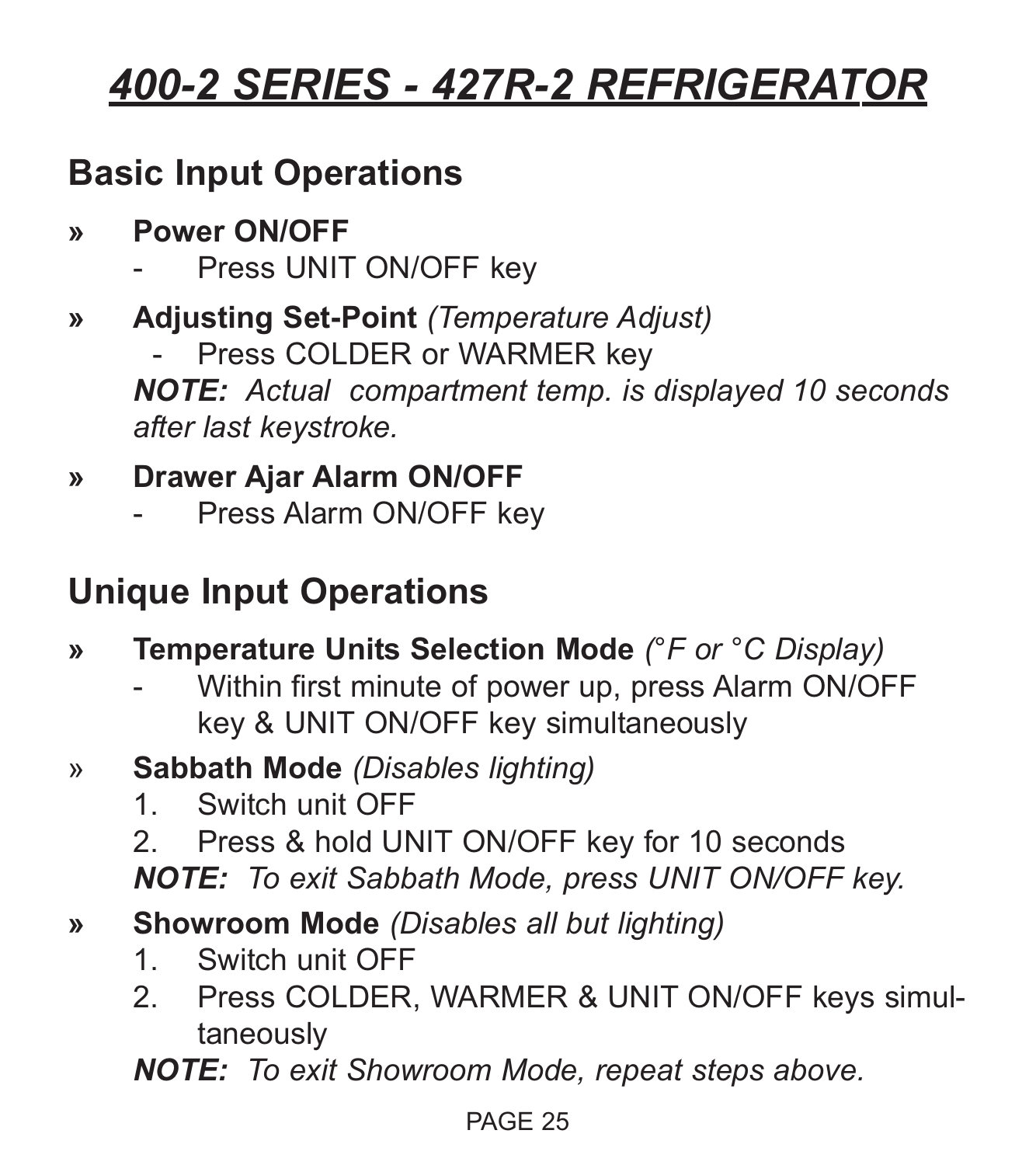### **Basic Input Operations**

- **» Power ON/OFF**
	- Press UNIT ON/OFF key
- **» Adjusting Set-Point** *(Temperature Adjust)*
	- Press COLDER or WARMER key

*NOTE: Actual compartment temp. is displayed 10 seconds after last keystroke.*

### **» Drawer Ajar Alarm ON/OFF**

Press Alarm ON/OFF key

### **Unique Input Operations**

- **» Temperature Units Selection Mode** *(°F or °C Display)*
	- Within first minute of power up, press Alarm ON/OFF key & UNIT ON/OFF key simultaneously
- » **Sabbath Mode** *(Disables lighting)*
	- 1. Switch unit OFF
	- 2. Press & hold UNIT ON/OFF key for 10 seconds *NOTE: To exit Sabbath Mode, press UNIT ON/OFF key.*
- **» Showroom Mode** *(Disables all but lighting)*
	- 1. Switch unit OFF
	- 2. Press COLDER, WARMER & UNIT ON/OFF keys simultaneously

*NOTE: To exit Showroom Mode, repeat steps above.*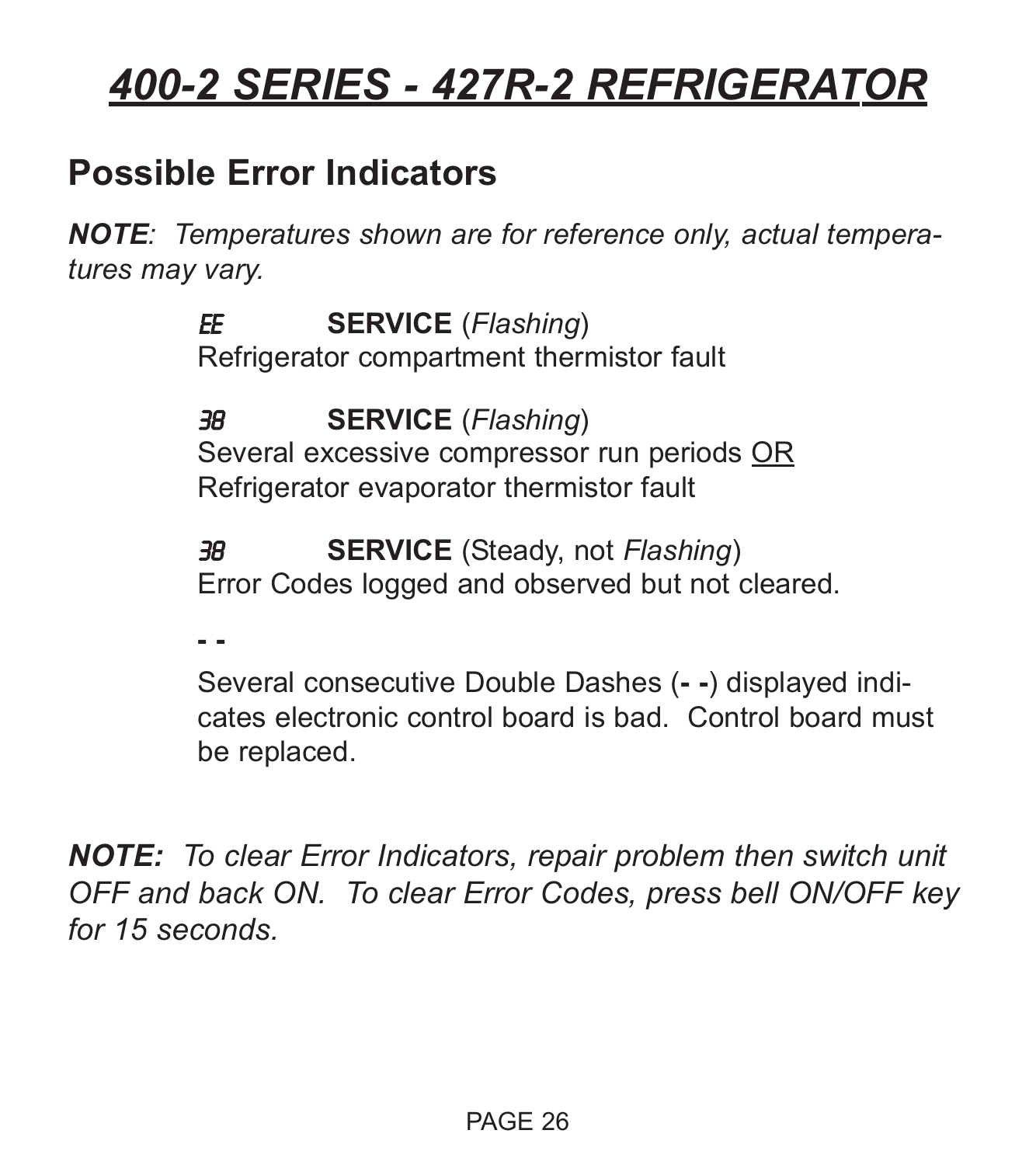### **Possible Error Indicators**

*NOTE: Temperatures shown are for reference only, actual temperatures may vary.*

> EE **SERVICE** (*Flashing*) Refrigerator compartment thermistor fault

38 **SERVICE** (*Flashing*) Several excessive compressor run periods OR Refrigerator evaporator thermistor fault

38 **SERVICE** (Steady, not *Flashing*) Error Codes logged and observed but not cleared.

**- -**

Several consecutive Double Dashes (**- -**) displayed indicates electronic control board is bad. Control board must be replaced.

*NOTE: To clear Error Indicators, repair problem then switch unit OFF and back ON. To clear Error Codes, press bell ON/OFF key for 15 seconds.*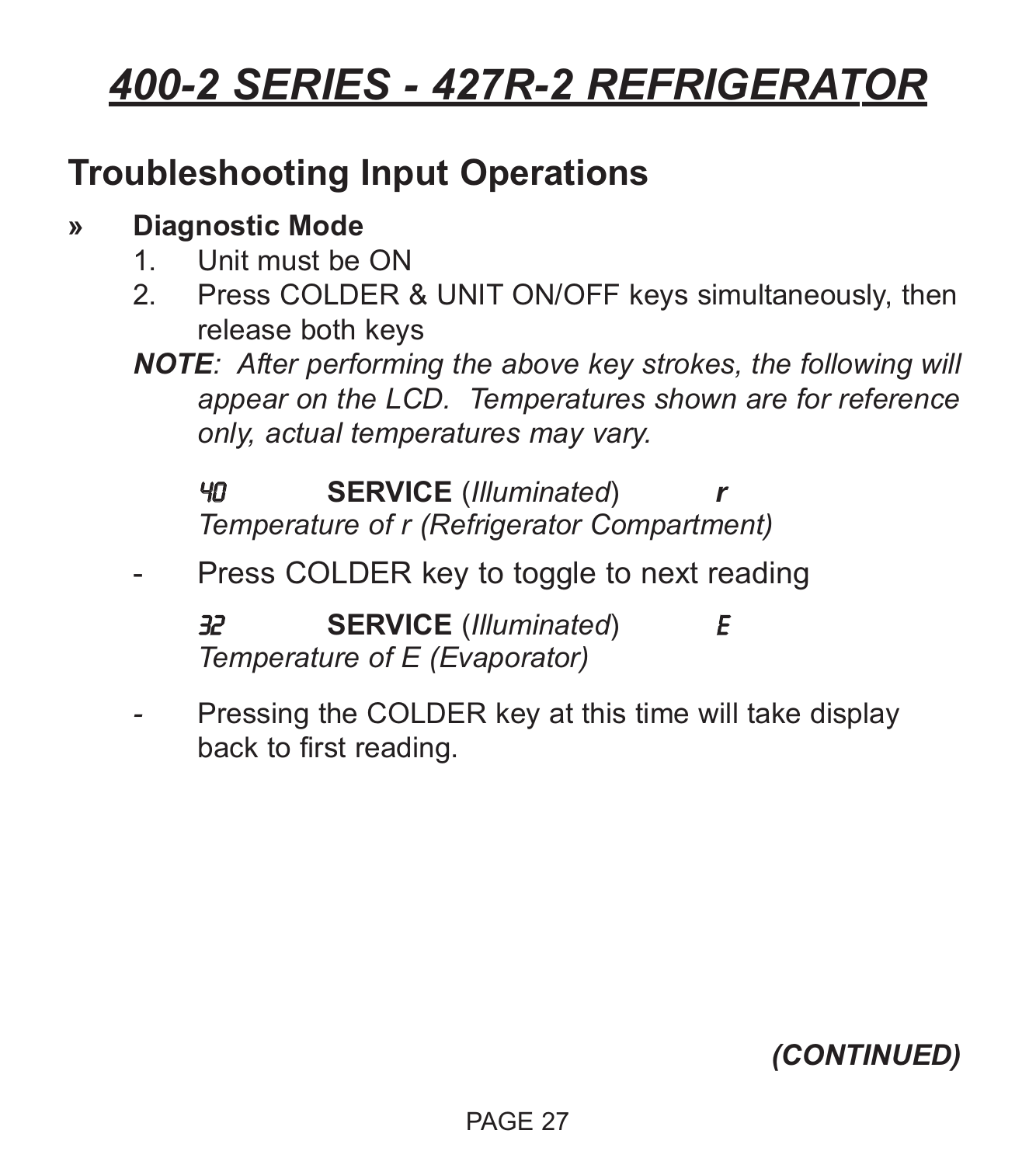### **Troubleshooting Input Operations**

#### **» Diagnostic Mode**

- 1. Unit must be ON
- 2. Press COLDER & UNIT ON/OFF keys simultaneously, then release both keys
- *NOTE: After performing the above key strokes, the following will appear on the LCD. Temperatures shown are for reference only, actual temperatures may vary.*

40 **SERVICE** (*Illuminated*) *r Temperature of r (Refrigerator Compartment)*

Press COLDER key to toggle to next reading

32 **SERVICE** (*Illuminated*) E *Temperature of E (Evaporator)*

*-* Pressing the COLDER key at this time will take display back to first reading.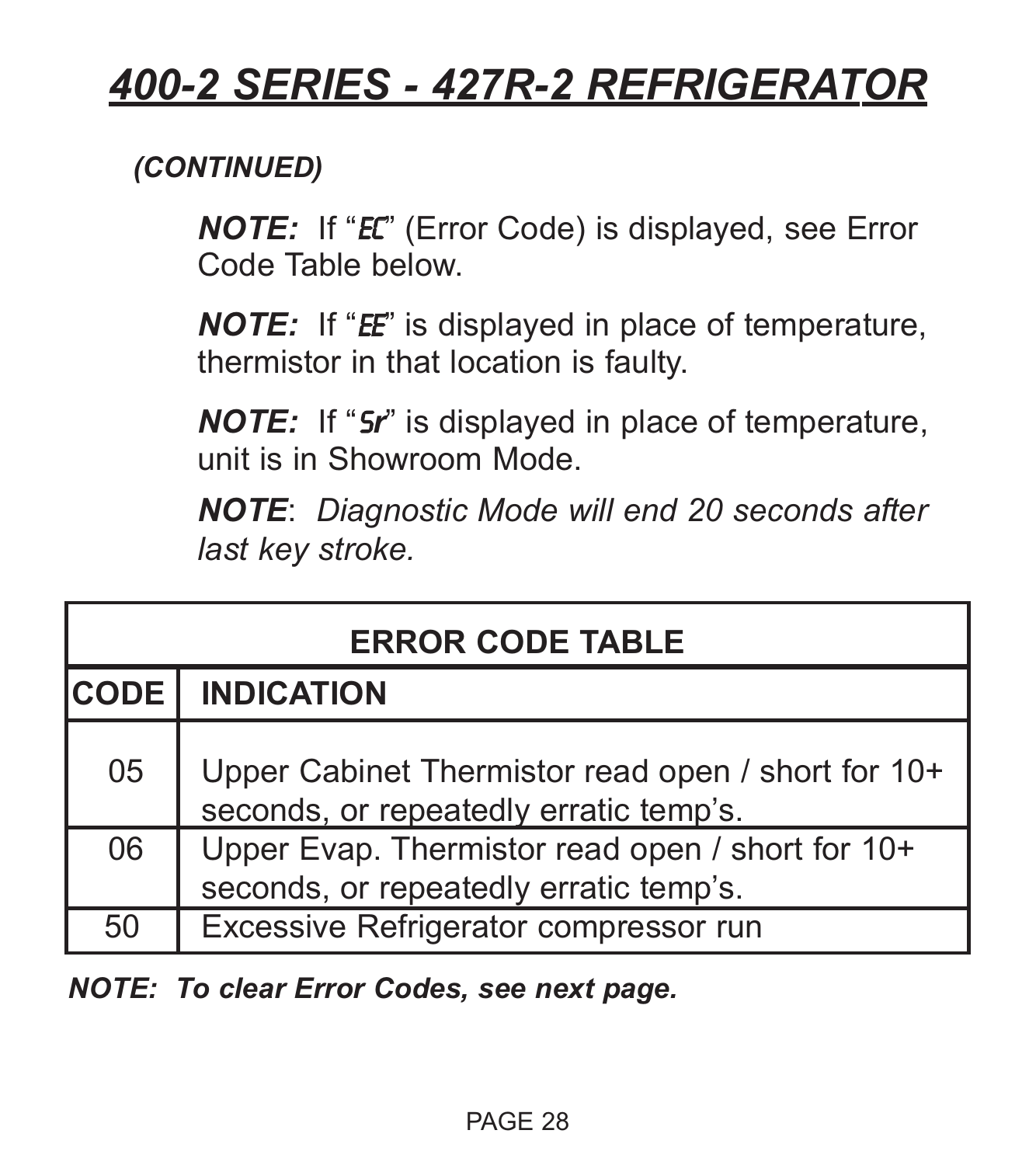#### *(CONTINUED)*

*NOTE:* If "EC" (Error Code) is displayed, see Error Code Table below.

*NOTE:* If "*EE*" is displayed in place of temperature, thermistor in that location is faulty.

*NOTE:* If "S*r*" is displayed in place of temperature, unit is in Showroom Mode.

*NOTE*: *Diagnostic Mode will end 20 seconds after last key stroke.*

| <b>ERROR CODE TABLE</b> |                                                                                              |  |  |  |
|-------------------------|----------------------------------------------------------------------------------------------|--|--|--|
| <b>CODE</b>             | <b>INDICATION</b>                                                                            |  |  |  |
| 05                      | Upper Cabinet Thermistor read open / short for 10+<br>seconds, or repeatedly erratic temp's. |  |  |  |
| 06                      | Upper Evap. Thermistor read open / short for 10+<br>seconds, or repeatedly erratic temp's.   |  |  |  |
| 50                      | Excessive Refrigerator compressor run                                                        |  |  |  |

*NOTE: To clear Error Codes, see next page.*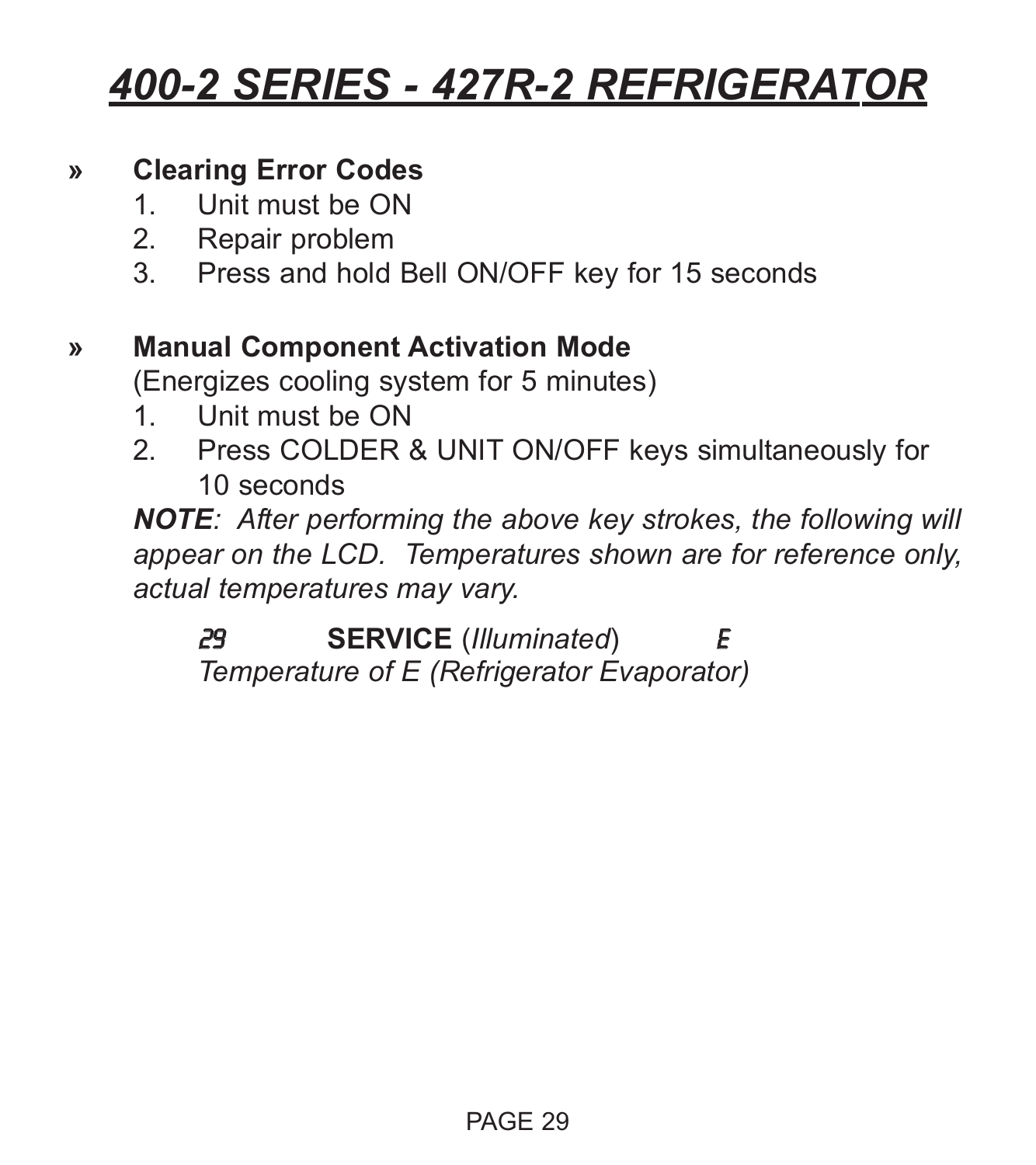#### **» Clearing Error Codes**

- 1. Unit must be ON
- 2. Repair problem
- 3. Press and hold Bell ON/OFF key for 15 seconds

#### **» Manual Component Activation Mode**

(Energizes cooling system for 5 minutes)

- 1. Unit must be ON
- 2. Press COLDER & UNIT ON/OFF keys simultaneously for 10 seconds

*NOTE: After performing the above key strokes, the following will appear on the LCD. Temperatures shown are for reference only, actual temperatures may vary.*

29 **SERVICE** (*Illuminated*) E *Temperature of E (Refrigerator Evaporator)*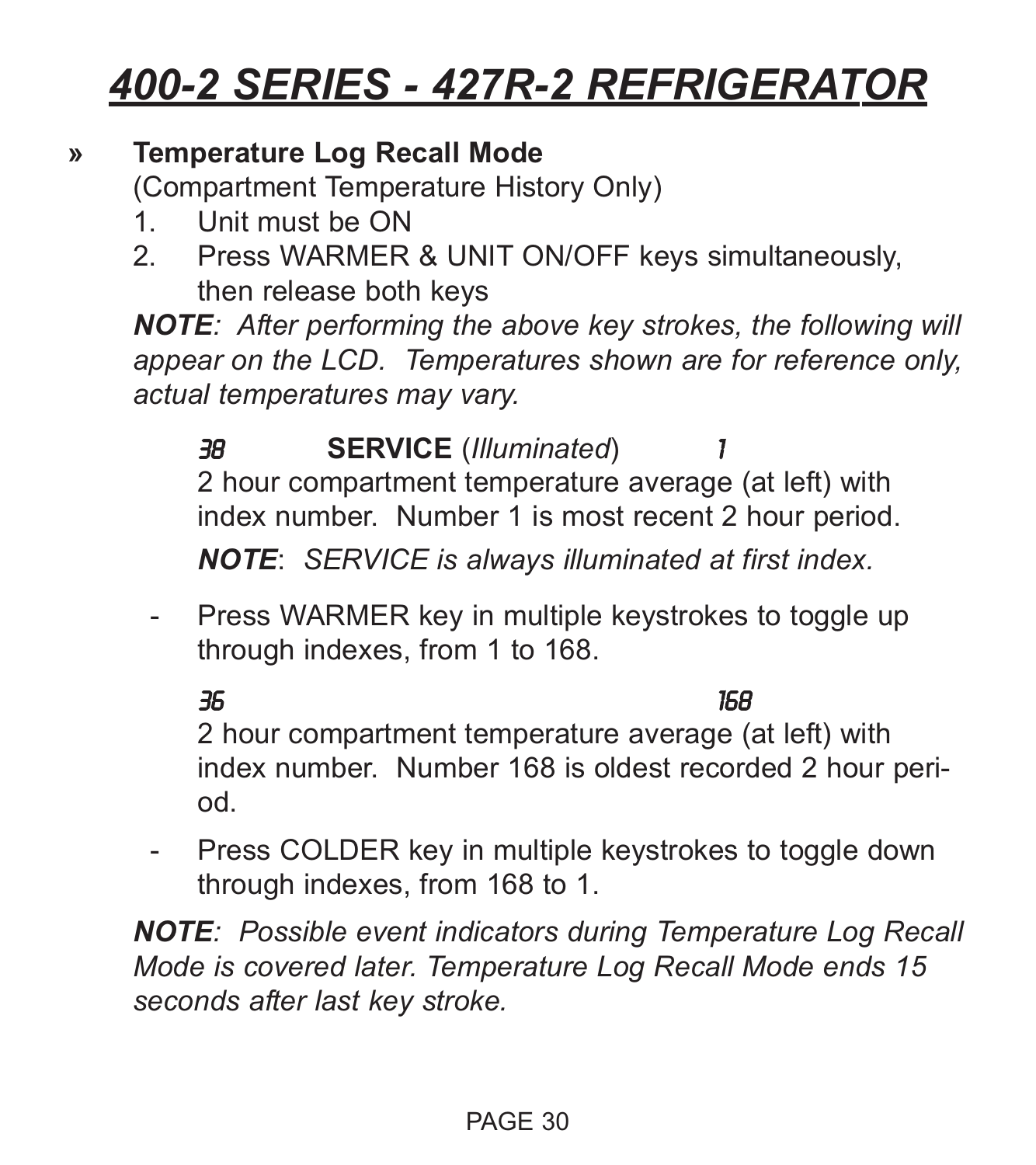#### **» Temperature Log Recall Mode**

(Compartment Temperature History Only)

- 1. Unit must be ON
- 2. Press WARMER & UNIT ON/OFF keys simultaneously, then release both keys

*NOTE: After performing the above key strokes, the following will appear on the LCD. Temperatures shown are for reference only, actual temperatures may vary.*

38 **SERVICE** (*Illuminated*) 1 2 hour compartment temperature average (at left) with index number. Number 1 is most recent 2 hour period.

*NOTE*: *SERVICE is always illuminated at first index.*

- Press WARMER key in multiple keystrokes to toggle up through indexes, from 1 to 168.

36 168 2 hour compartment temperature average (at left) with index number. Number 168 is oldest recorded 2 hour period.

- Press COLDER key in multiple keystrokes to toggle down through indexes, from 168 to 1.

*NOTE: Possible event indicators during Temperature Log Recall Mode is covered later. Temperature Log Recall Mode ends 15 seconds after last key stroke.*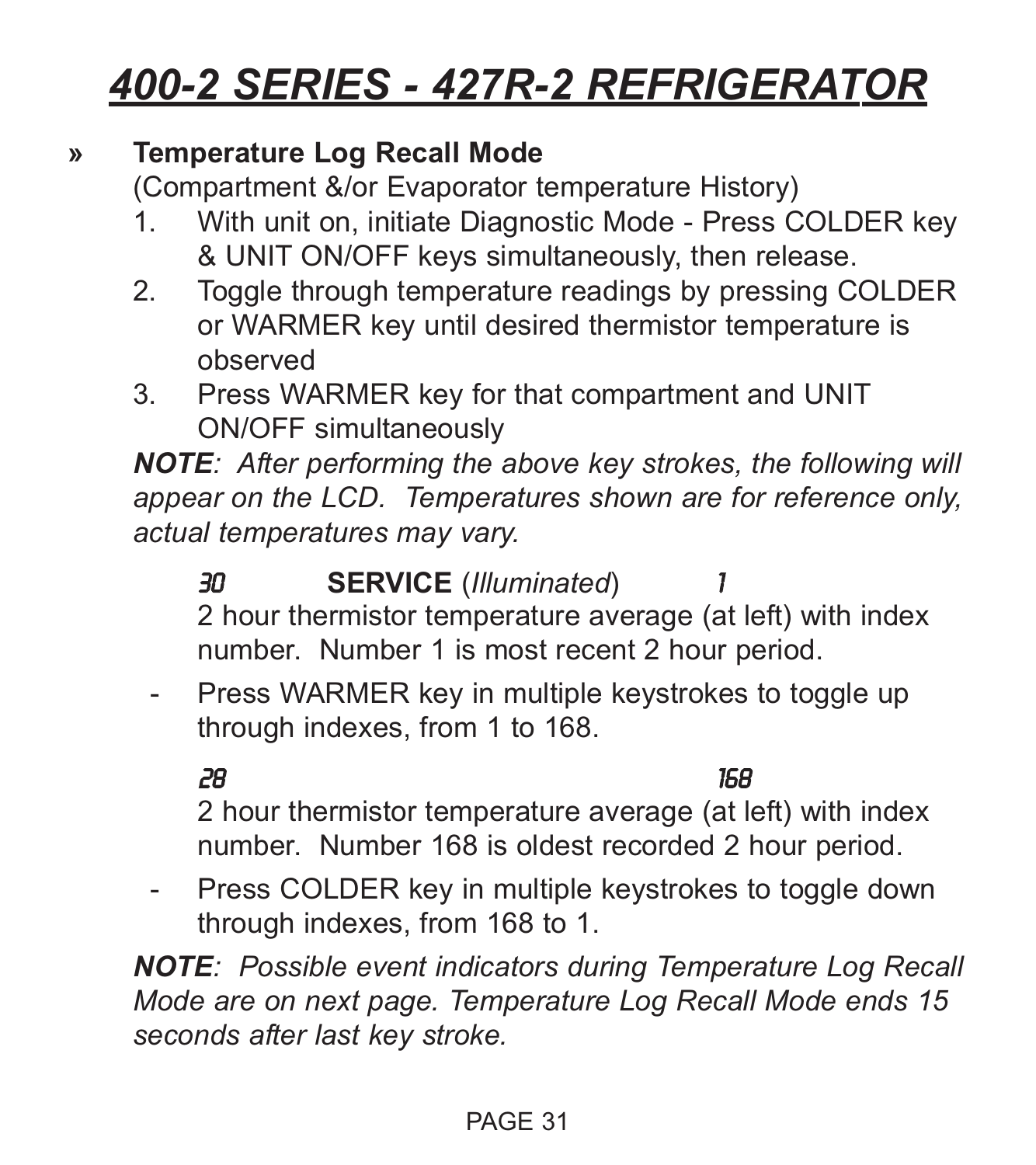#### **» Temperature Log Recall Mode**

(Compartment &/or Evaporator temperature History)

- 1. With unit on, initiate Diagnostic Mode Press COLDER key & UNIT ON/OFF keys simultaneously, then release.
- 2. Toggle through temperature readings by pressing COLDER or WARMER key until desired thermistor temperature is observed
- 3. Press WARMER key for that compartment and UNIT ON/OFF simultaneously

*NOTE: After performing the above key strokes, the following will appear on the LCD. Temperatures shown are for reference only, actual temperatures may vary.*

30 **SERVICE** (*Illuminated*) 1 2 hour thermistor temperature average (at left) with index number. Number 1 is most recent 2 hour period.

- Press WARMER key in multiple keystrokes to toggle up through indexes, from 1 to 168.

28 168

2 hour thermistor temperature average (at left) with index number. Number 168 is oldest recorded 2 hour period.

Press COLDER key in multiple keystrokes to toggle down through indexes, from 168 to 1.

*NOTE: Possible event indicators during Temperature Log Recall Mode are on next page. Temperature Log Recall Mode ends 15 seconds after last key stroke.*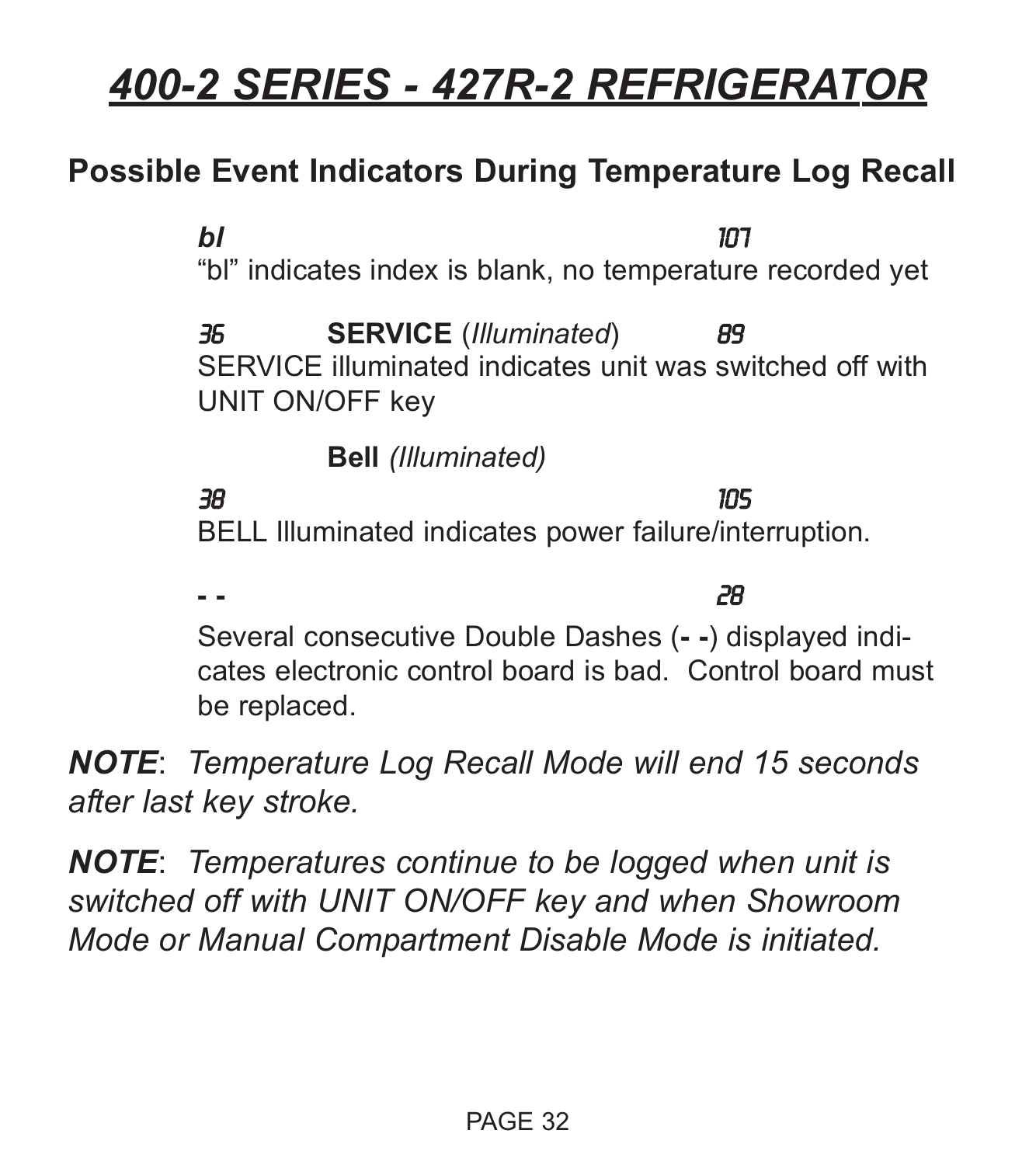### **Possible Event Indicators During Temperature Log Recall**

*bl* 107 "bl" indicates index is blank, no temperature recorded yet 36 **SERVICE** (*Illuminated*) 89 SERVICE illuminated indicates unit was switched off with UNIT ON/OFF key

**Bell** *(Illuminated)*

38 105 BELL Illuminated indicates power failure/interruption.

**- -** 28 Several consecutive Double Dashes (**- -**) displayed indicates electronic control board is bad. Control board must be replaced.

*NOTE*: *Temperature Log Recall Mode will end 15 seconds after last key stroke.*

*NOTE*: *Temperatures continue to be logged when unit is switched off with UNIT ON/OFF key and when Showroom Mode or Manual Compartment Disable Mode is initiated.*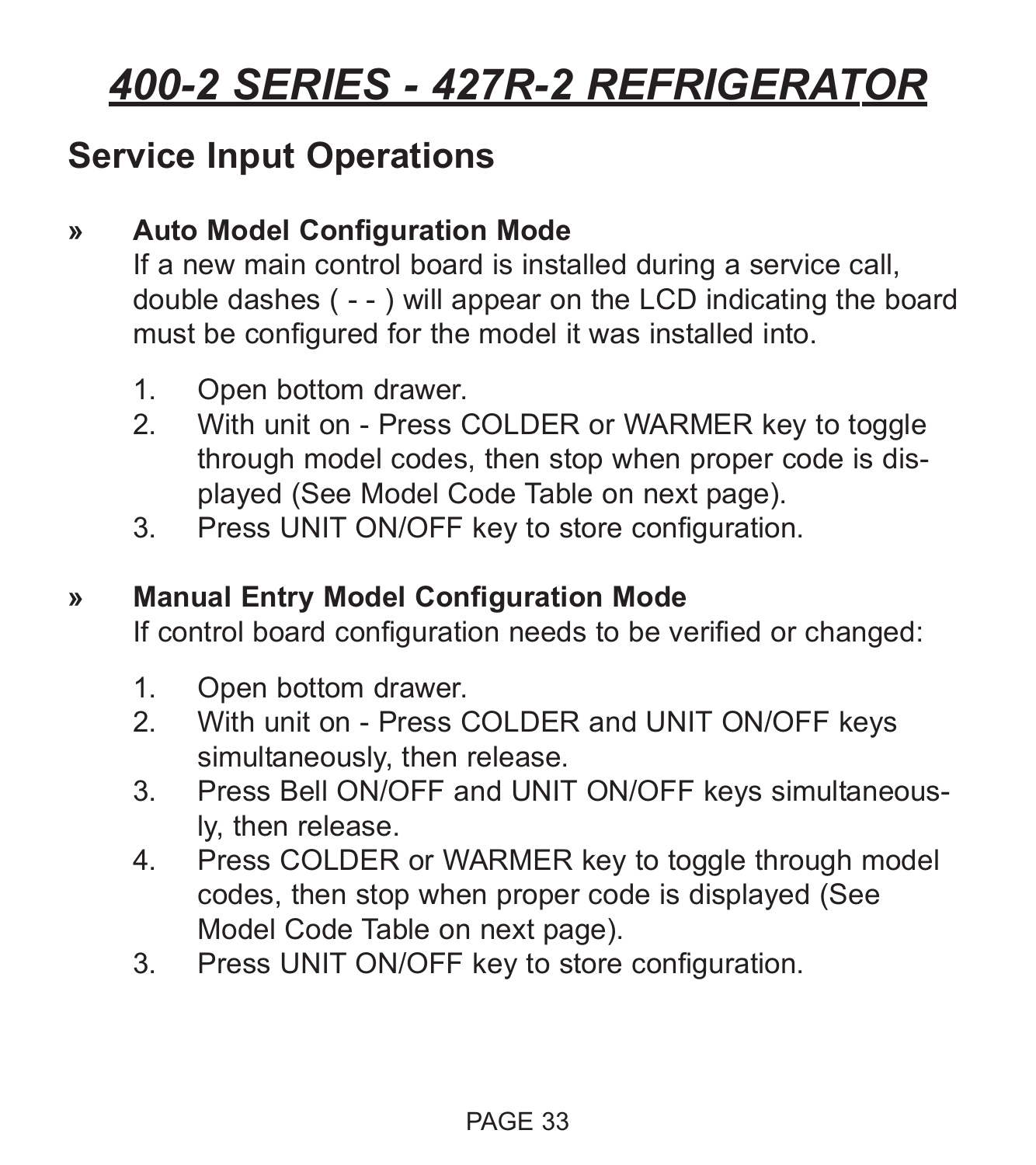### **Service Input Operations**

#### **» Auto Model Configuration Mode**

If a new main control board is installed during a service call, double dashes ( - - ) will appear on the LCD indicating the board must be configured for the model it was installed into.

- 1. Open bottom drawer.
- 2. With unit on Press COLDER or WARMER key to toggle through model codes, then stop when proper code is displayed (See Model Code Table on next page).
- 3. Press UNIT ON/OFF key to store configuration.

#### **» Manual Entry Model Configuration Mode**

If control board configuration needs to be verified or changed:

- 1. Open bottom drawer.<br>2. With unit on Press 0
- With unit on Press COLDER and UNIT ON/OFF keys simultaneously, then release.
- 3. Press Bell ON/OFF and UNIT ON/OFF keys simultaneously, then release.
- 4. Press COLDER or WARMER key to toggle through model codes, then stop when proper code is displayed (See Model Code Table on next page).
- 3. Press UNIT ON/OFF key to store configuration.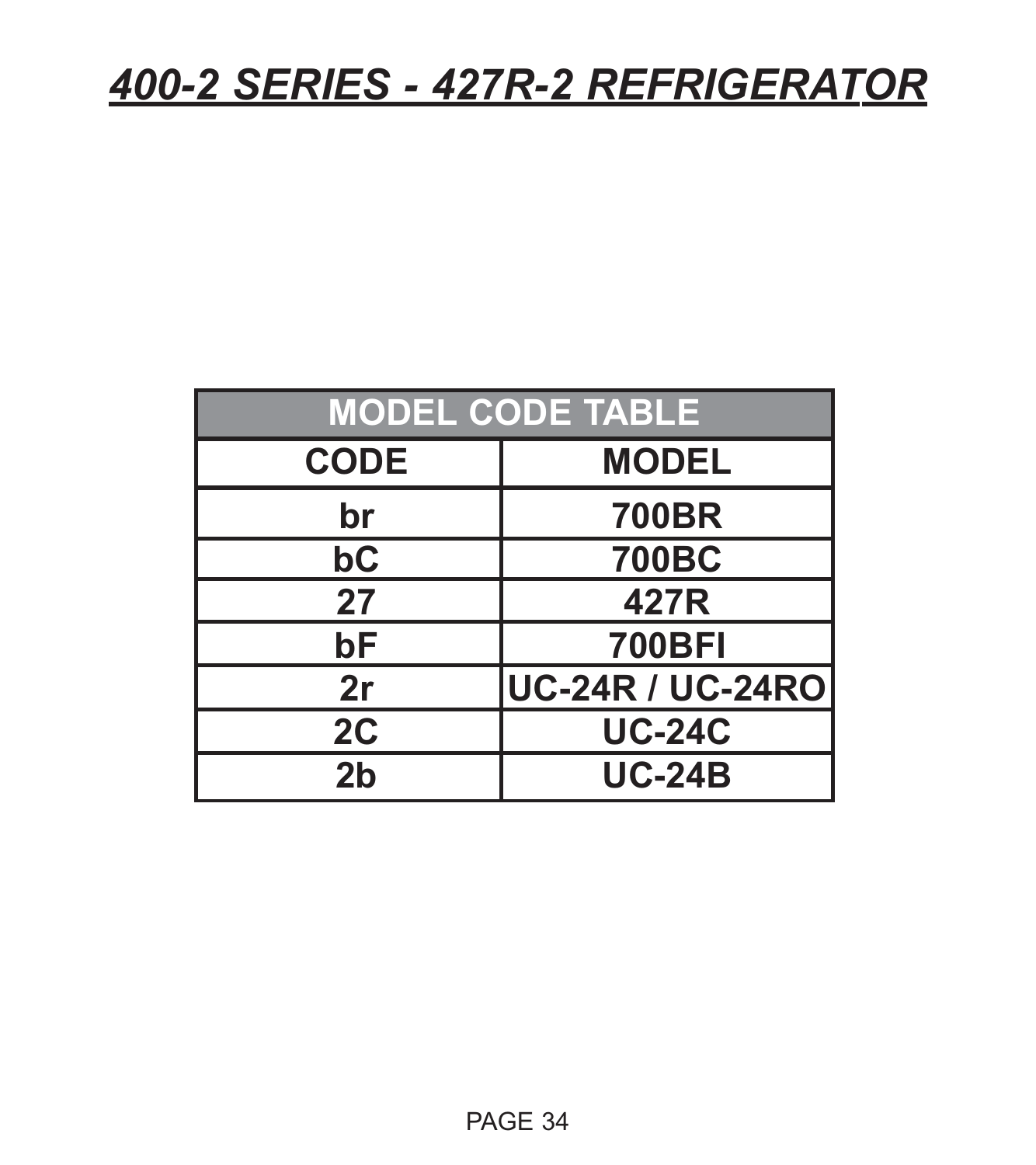| <b>MODEL CODE TABLE</b> |                         |  |  |  |
|-------------------------|-------------------------|--|--|--|
| <b>CODE</b>             | <b>MODEL</b>            |  |  |  |
| br                      | <b>700BR</b>            |  |  |  |
| bC                      | <b>700BC</b>            |  |  |  |
| 27                      | 427R                    |  |  |  |
| bF                      | <b>700BFI</b>           |  |  |  |
| 2r                      | <b>UC-24R / UC-24RO</b> |  |  |  |
| 2C                      | <b>UC-24C</b>           |  |  |  |
| 2 <sub>b</sub>          | <b>UC-24B</b>           |  |  |  |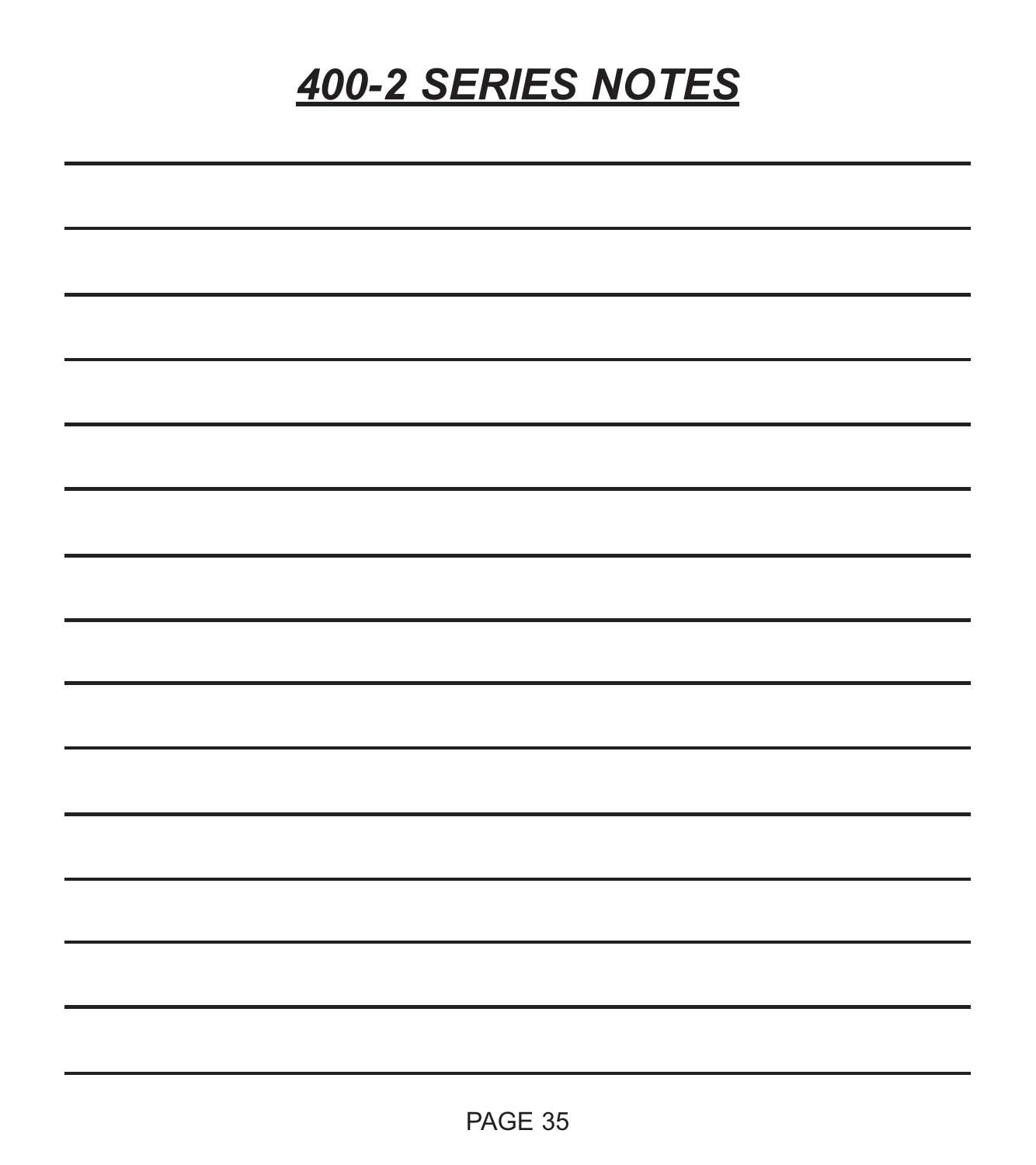### *400-2 SERIES NOTES*

| AG'<br>. . |  |
|------------|--|
|------------|--|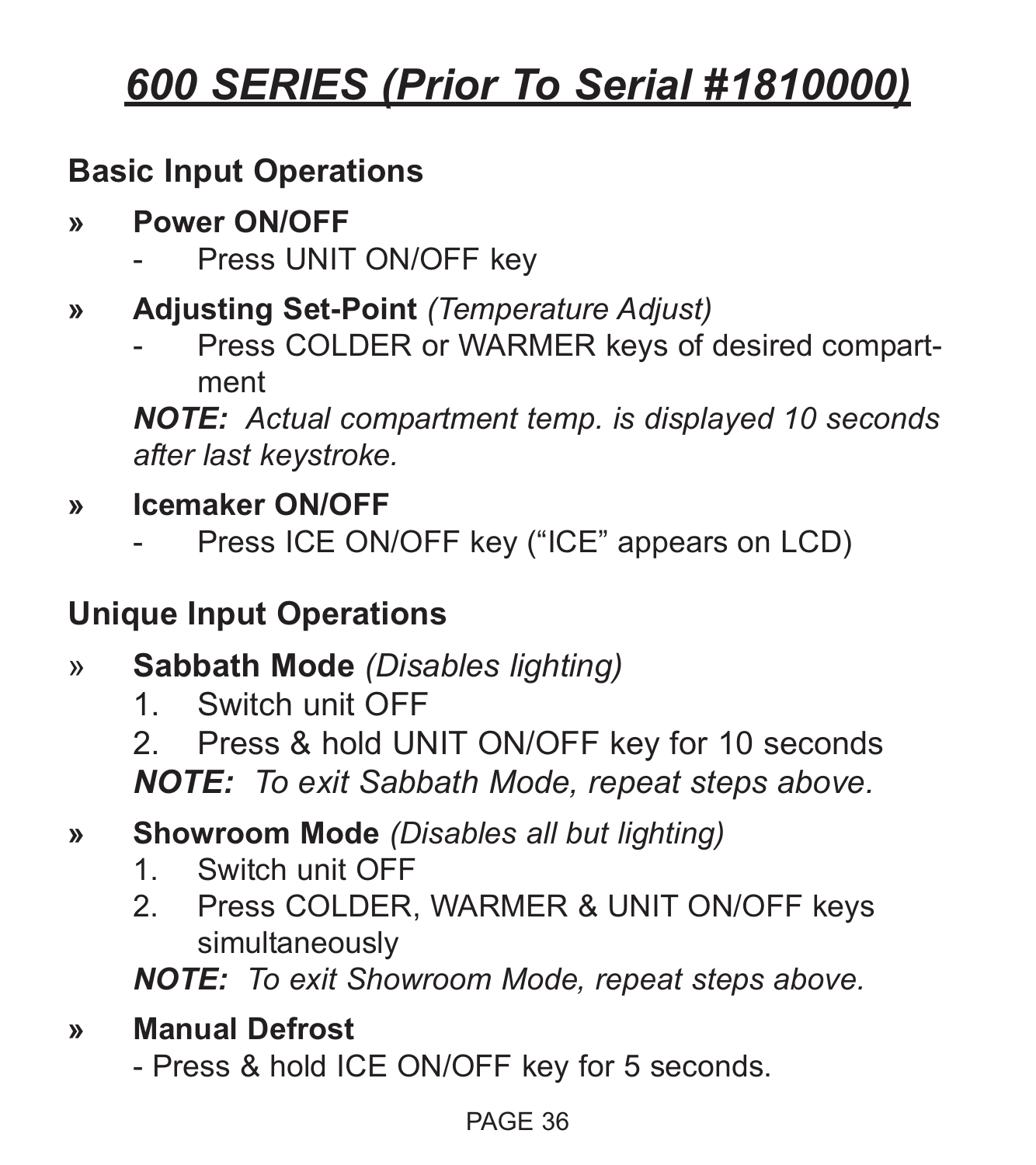## *600 SERIES (Prior To Serial #1810000)*

### **Basic Input Operations**

- **» Power ON/OFF**
	- Press UNIT ON/OFF key
- **» Adjusting Set-Point** *(Temperature Adjust)*
	- Press COLDER or WARMER keys of desired compartment

*NOTE: Actual compartment temp. is displayed 10 seconds after last keystroke.*

- **» Icemaker ON/OFF**
	- Press ICE ON/OFF key ("ICE" appears on LCD)

### **Unique Input Operations**

- » **Sabbath Mode** *(Disables lighting)*
	- 1. Switch unit OFF

2. Press & hold UNIT ON/OFF key for 10 seconds *NOTE: To exit Sabbath Mode, repeat steps above.*

- **» Showroom Mode** *(Disables all but lighting)*
	- 1. Switch unit OFF
	- 2. Press COLDER, WARMER & UNIT ON/OFF keys simultaneously

*NOTE: To exit Showroom Mode, repeat steps above.*

#### **» Manual Defrost**

- Press & hold ICE ON/OFF key for 5 seconds.

#### PAGE 36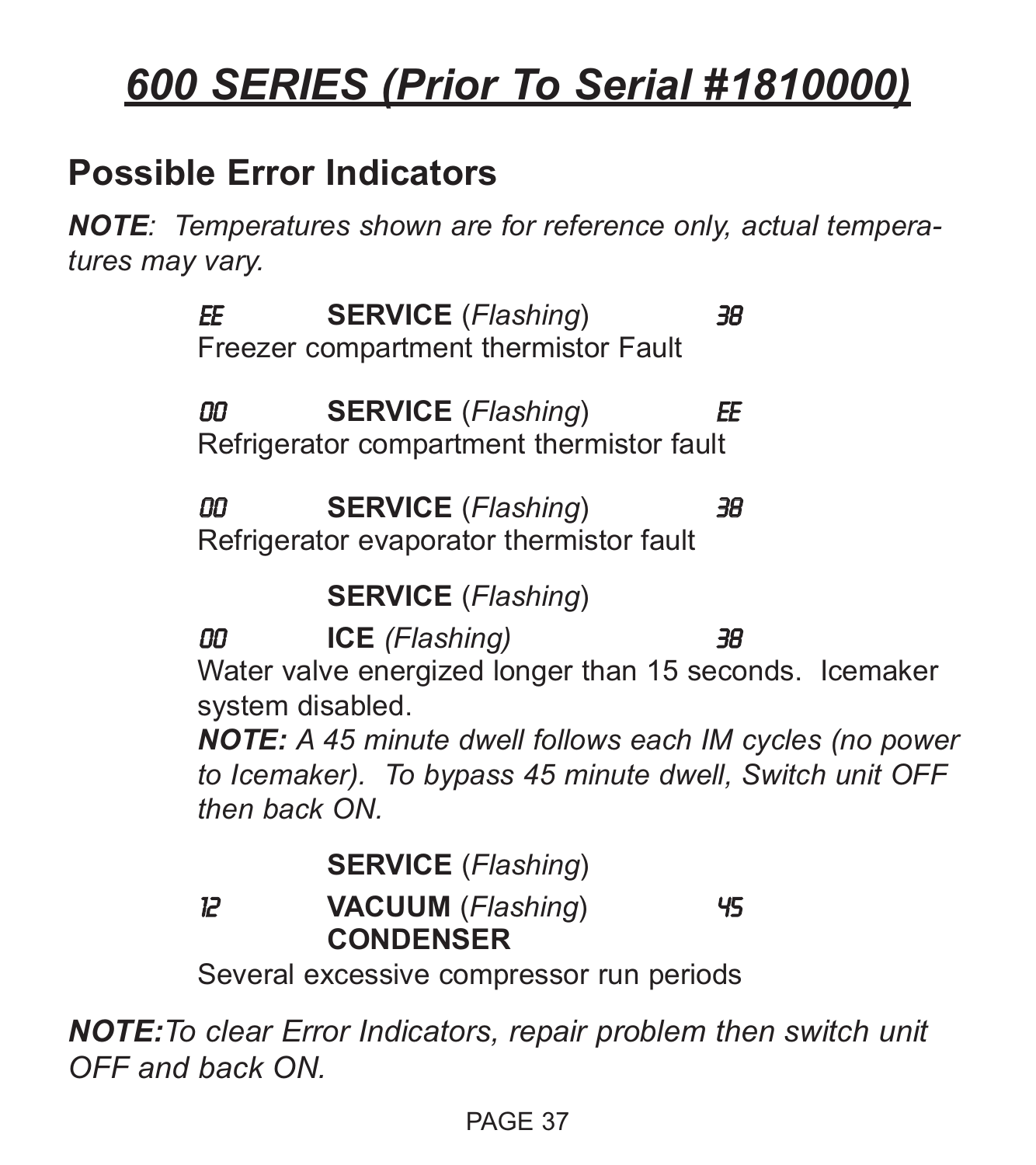# *600 SERIES (Prior To Serial #1810000)*

## **Possible Error Indicators**

*NOTE: Temperatures shown are for reference only, actual temperatures may vary.*

> EE **SERVICE** (*Flashing*) 38 Freezer compartment thermistor Fault 00 **SERVICE** (*Flashing*) EE Refrigerator compartment thermistor fault

00 **SERVICE** (*Flashing*) 38 Refrigerator evaporator thermistor fault

**SERVICE** (*Flashing*)

00 **ICE** *(Flashing)* 38

Water valve energized longer than 15 seconds. Icemaker system disabled.

*NOTE: A 45 minute dwell follows each IM cycles (no power to Icemaker). To bypass 45 minute dwell, Switch unit OFF then back ON.*

**SERVICE** (*Flashing*)

12 **VACUUM** (*Flashing*) 45 **CONDENSER**

Several excessive compressor run periods

*NOTE:To clear Error Indicators, repair problem then switch unit OFF and back ON.*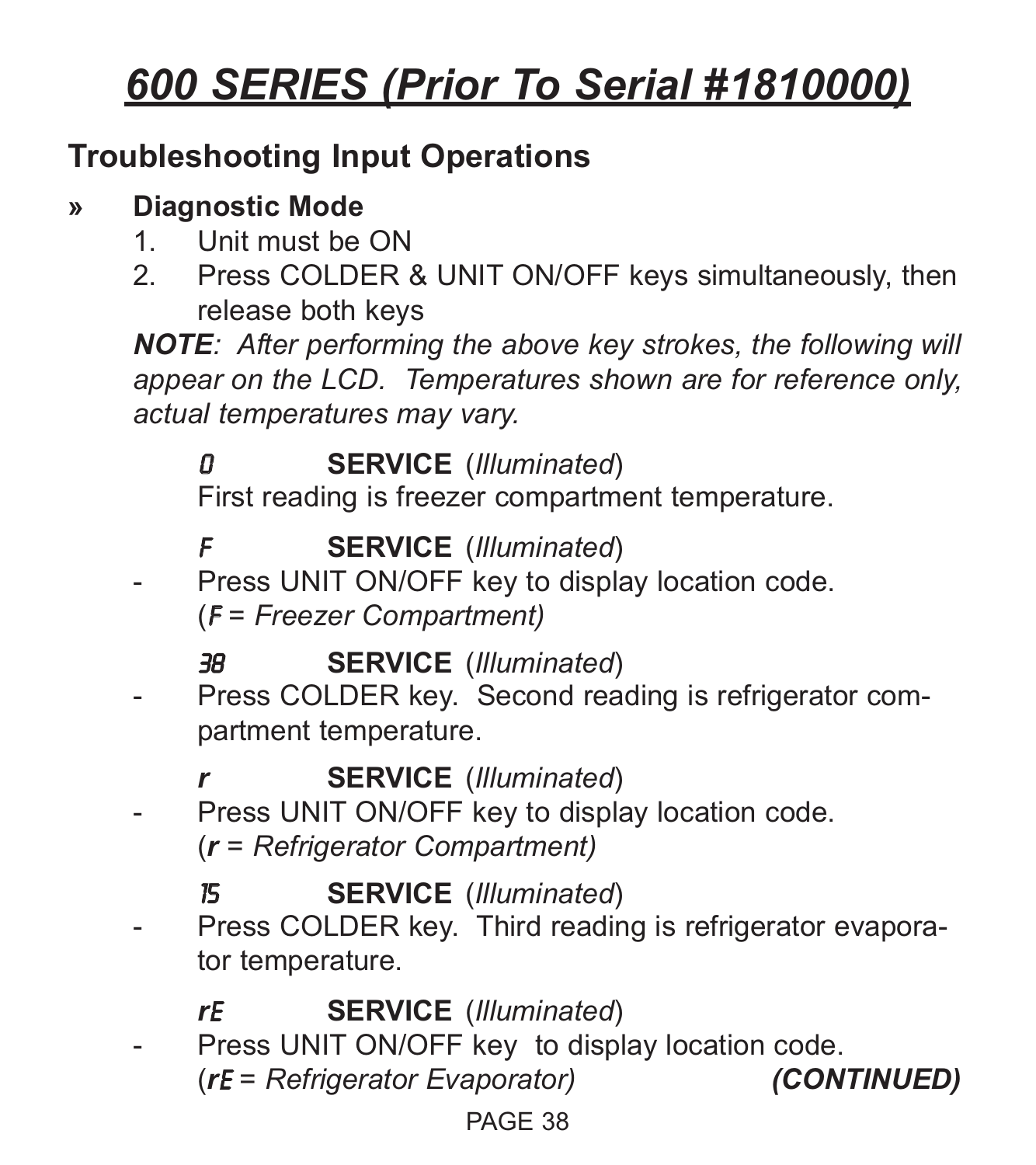# *600 SERIES (Prior To Serial #1810000)*

## **Troubleshooting Input Operations**

### **» Diagnostic Mode**

- 1. Unit must be ON
- 2. Press COLDER & UNIT ON/OFF keys simultaneously, then release both keys

*NOTE: After performing the above key strokes, the following will appear on the LCD. Temperatures shown are for reference only, actual temperatures may vary.*

## 0 **SERVICE** (*Illuminated*)

First reading is freezer compartment temperature.

## F **SERVICE** (*Illuminated*)

Press UNIT ON/OFF key to display location code. (F *= Freezer Compartment)*

## 38 **SERVICE** (*Illuminated*)

Press COLDER key. Second reading is refrigerator compartment temperature.

## *r* **SERVICE** (*Illuminated*)

Press UNIT ON/OFF key to display location code. (*r = Refrigerator Compartment)*

## 15 **SERVICE** (*Illuminated*)

Press COLDER key. Third reading is refrigerator evaporator temperature.

## *r*E **SERVICE** (*Illuminated*)

- Press UNIT ON/OFF key to display location code.
	- (*r*E *= Refrigerator Evaporator) (CONTINUED)*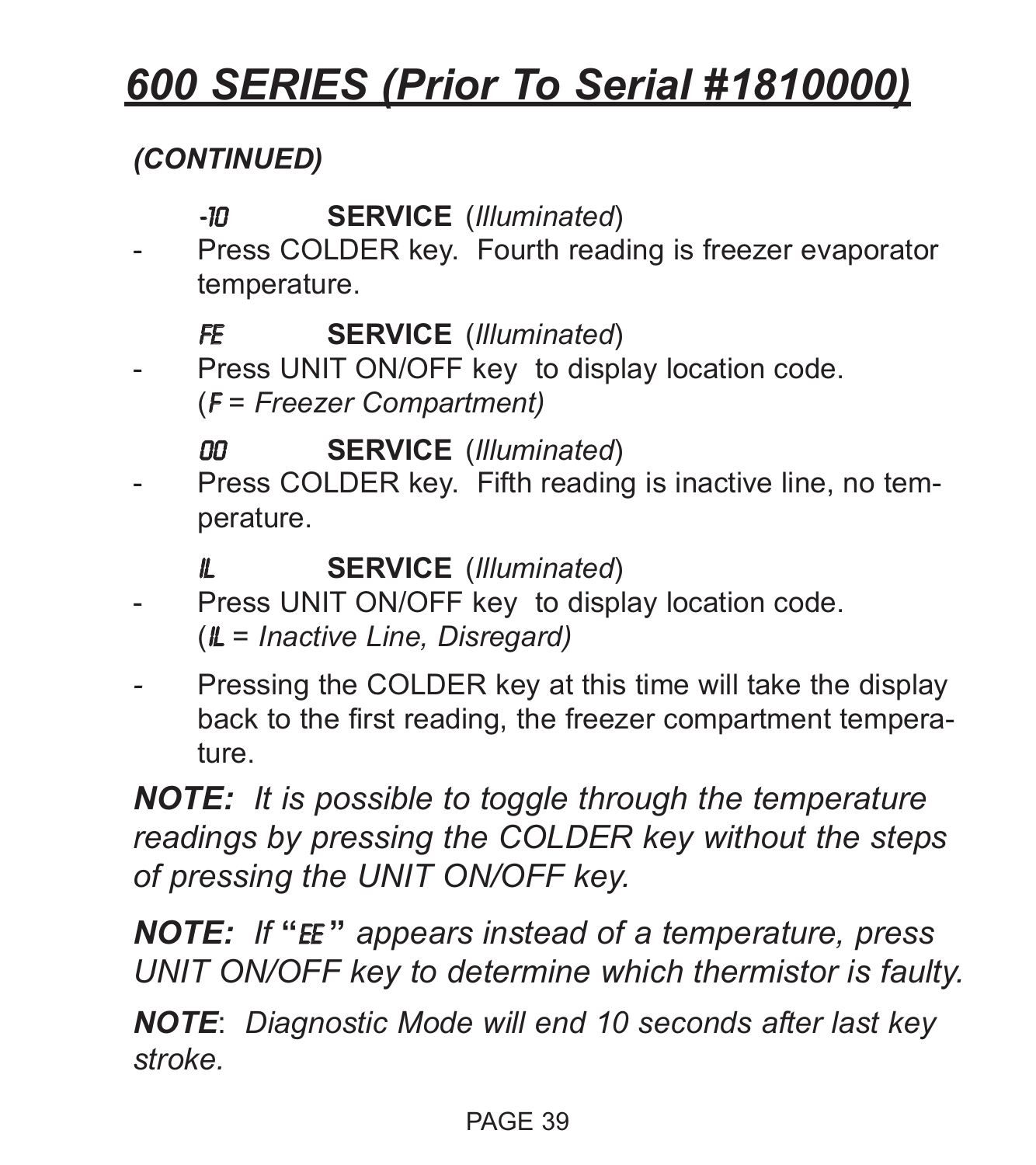# *600 SERIES (Prior To Serial #1810000)*

## *(CONTINUED)*

## -10 **SERVICE** (*Illuminated*)

Press COLDER key. Fourth reading is freezer evaporator temperature.

## FE **SERVICE** (*Illuminated*)

Press UNIT ON/OFF key to display location code. (F *= Freezer Compartment)*

## 00 **SERVICE** (*Illuminated*)

Press COLDER key. Fifth reading is inactive line, no temperature.

## iL **SERVICE** (*Illuminated*)

- Press UNIT ON/OFF key to display location code. (iL *= Inactive Line, Disregard)*
- Pressing the COLDER key at this time will take the display back to the first reading, the freezer compartment temperature.

*NOTE: It is possible to toggle through the temperature readings by pressing the COLDER key without the steps of pressing the UNIT ON/OFF key.*

*NOTE: If* **"**EE **"** *appears instead of a temperature, press UNIT ON/OFF key to determine which thermistor is faulty.*

*NOTE*: *Diagnostic Mode will end 10 seconds after last key stroke.*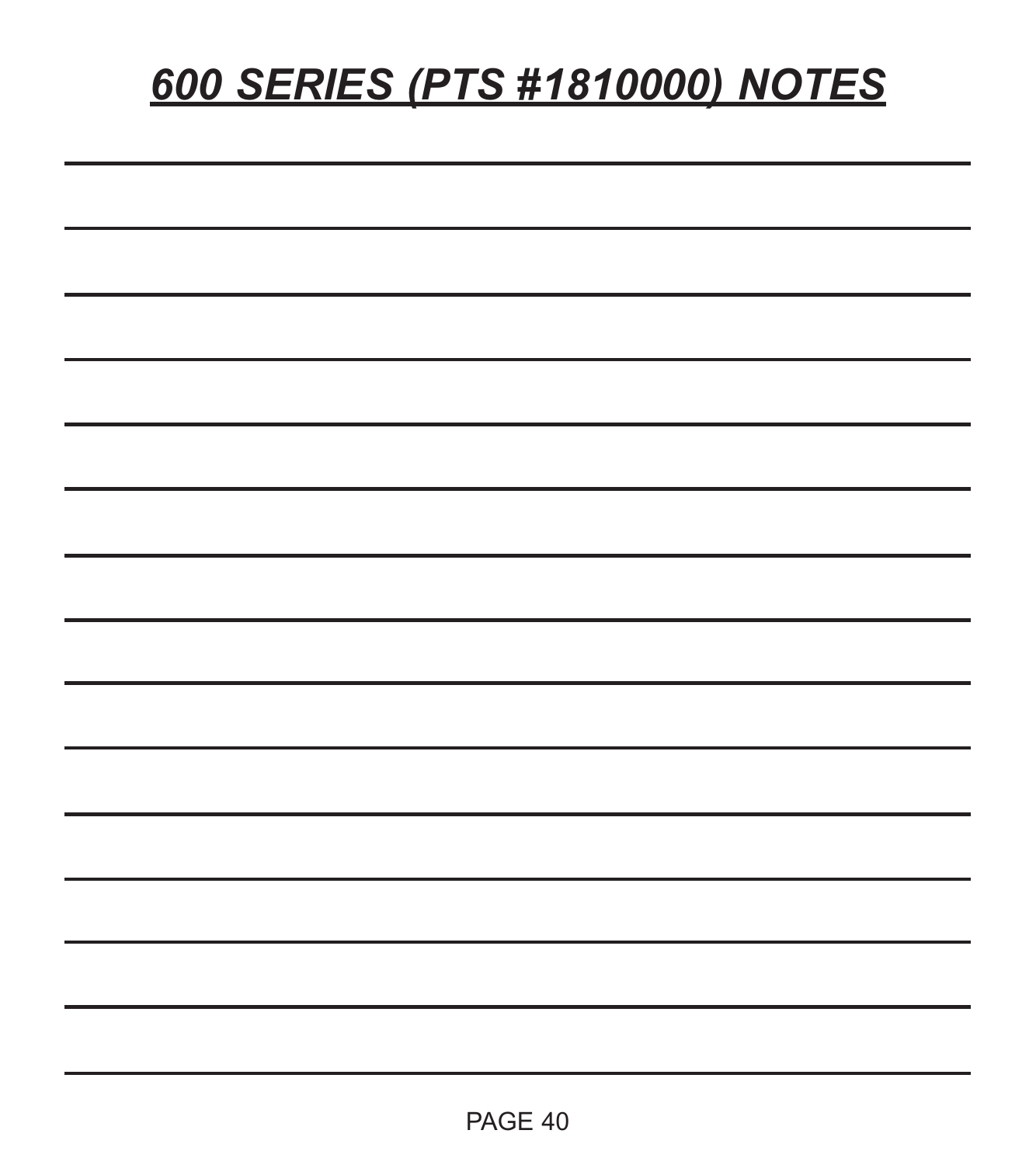# *600 SERIES (PTS #1810000) NOTES*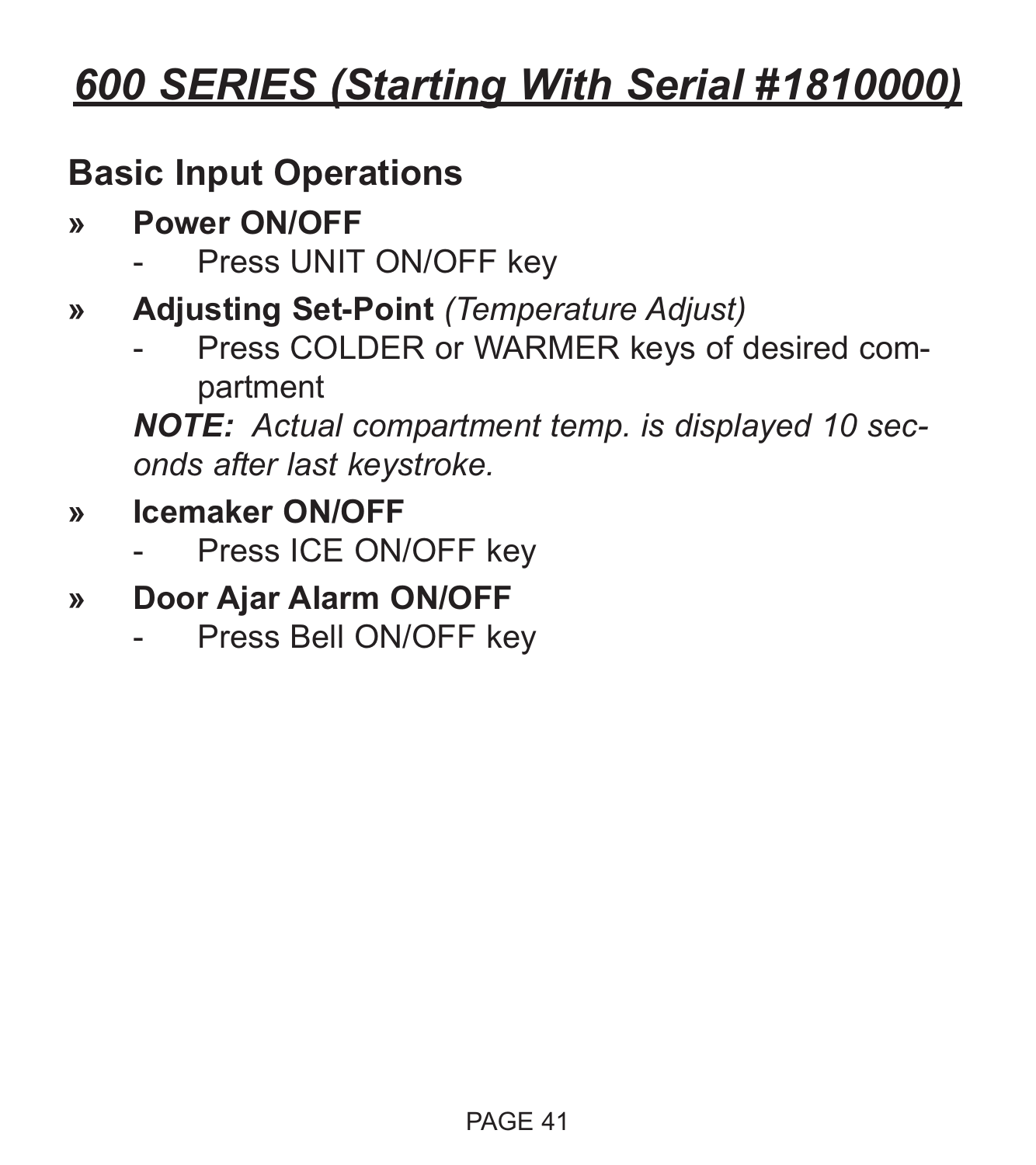## **Basic Input Operations**

- **» Power ON/OFF**
	- Press UNIT ON/OFF key
- **» Adjusting Set-Point** *(Temperature Adjust)*
	- Press COLDER or WARMER keys of desired compartment

*NOTE: Actual compartment temp. is displayed 10 seconds after last keystroke.*

- **» Icemaker ON/OFF**
	- Press ICE ON/OFF key
- **» Door Ajar Alarm ON/OFF**
	- Press Bell ON/OFF key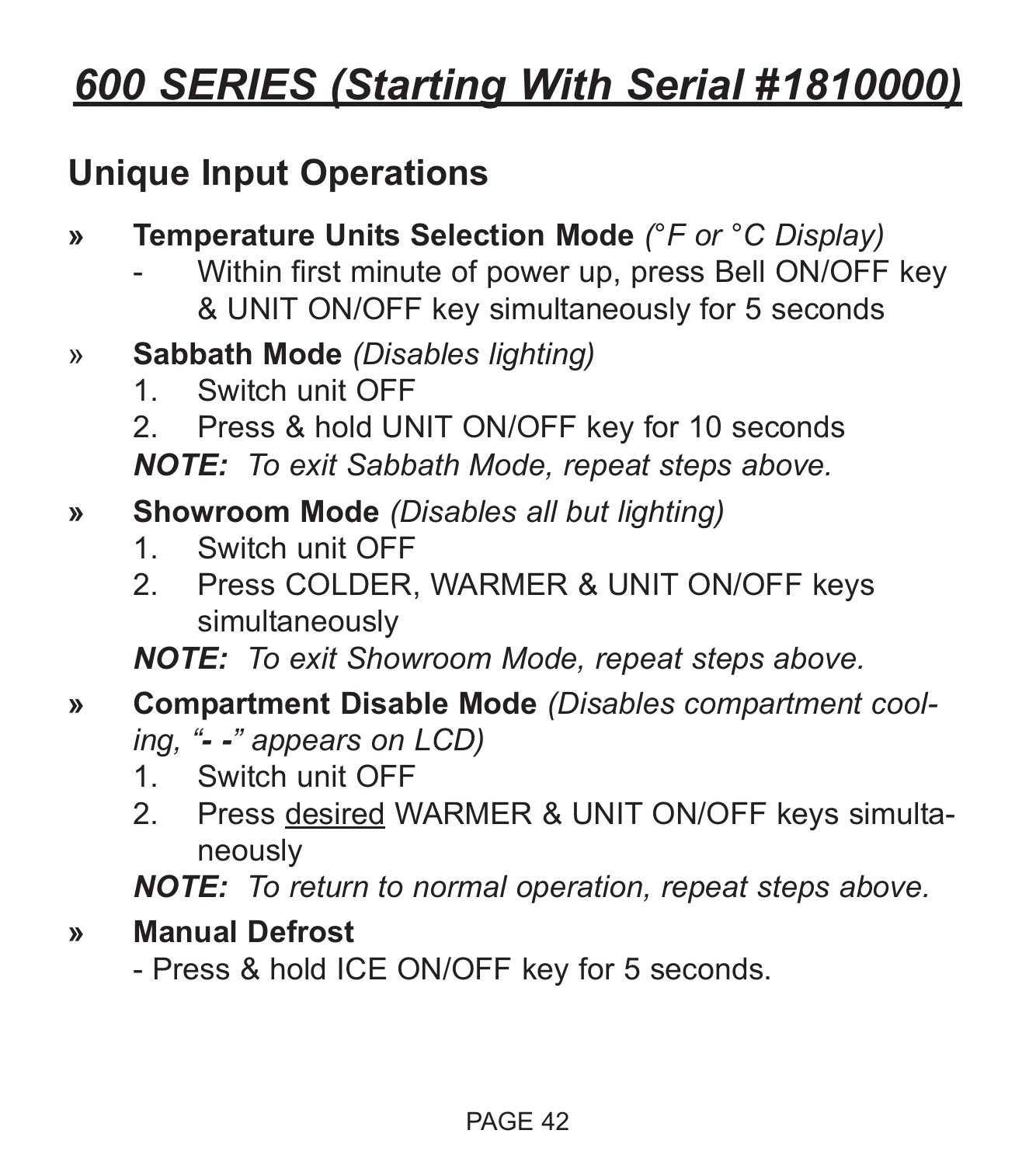## **Unique Input Operations**

- **» Temperature Units Selection Mode** *(°F or °C Display)*
	- Within first minute of power up, press Bell ON/OFF key & UNIT ON/OFF key simultaneously for 5 seconds
- » **Sabbath Mode** *(Disables lighting)*
	- 1. Switch unit OFF
	- 2. Press & hold UNIT ON/OFF key for 10 seconds

*NOTE: To exit Sabbath Mode, repeat steps above.*

- **» Showroom Mode** *(Disables all but lighting)*
	- 1. Switch unit OFF
	- 2. Press COLDER, WARMER & UNIT ON/OFF keys simultaneously

*NOTE: To exit Showroom Mode, repeat steps above.*

- **» Compartment Disable Mode** *(Disables compartment cooling, "- -" appears on LCD)*
	- 1. Switch unit OFF
	- 2. Press desired WARMER & UNIT ON/OFF keys simultaneously

*NOTE: To return to normal operation, repeat steps above.*

## **» Manual Defrost**

- Press & hold ICE ON/OFF key for 5 seconds.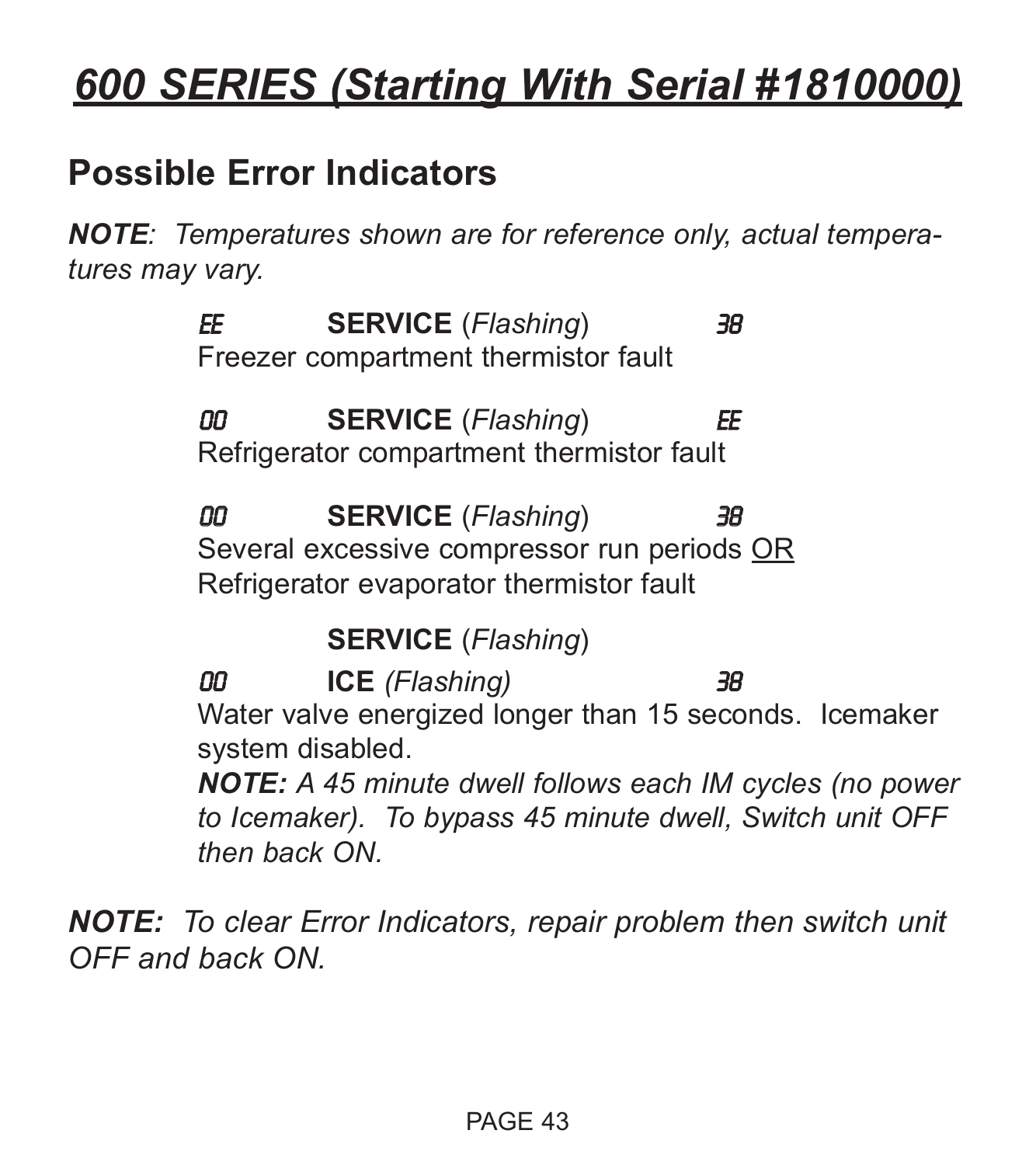## **Possible Error Indicators**

*NOTE: Temperatures shown are for reference only, actual temperatures may vary.*

> EE **SERVICE** (*Flashing*) 38 Freezer compartment thermistor fault

> 00 **SERVICE** (*Flashing*) EE Refrigerator compartment thermistor fault

00 **SERVICE** (*Flashing*) 38 Several excessive compressor run periods OR Refrigerator evaporator thermistor fault

**SERVICE** (*Flashing*)

00 **ICE** *(Flashing)* 38 Water valve energized longer than 15 seconds. Icemaker system disabled.

*NOTE: A 45 minute dwell follows each IM cycles (no power to Icemaker). To bypass 45 minute dwell, Switch unit OFF then back ON.*

*NOTE: To clear Error Indicators, repair problem then switch unit OFF and back ON.*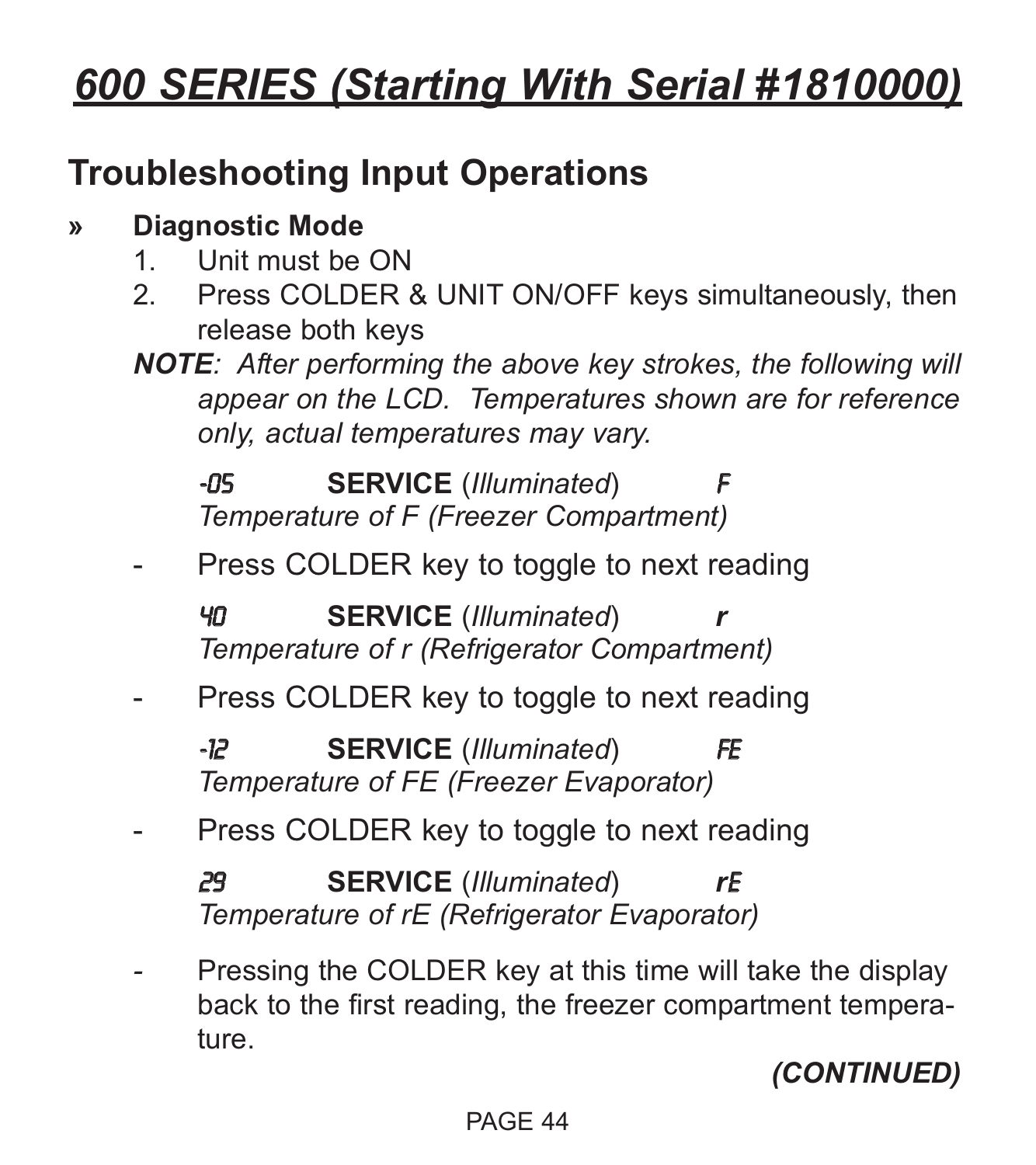## **Troubleshooting Input Operations**

## **» Diagnostic Mode**

- 1. Unit must be ON
- 2. Press COLDER & UNIT ON/OFF keys simultaneously, then release both keys
- *NOTE: After performing the above key strokes, the following will appear on the LCD. Temperatures shown are for reference only, actual temperatures may vary.*

**-05 SERVICE** (*Illuminated*) *Temperature of F (Freezer Compartment)*

Press COLDER key to toggle to next reading

40 **SERVICE** (*Illuminated*) *r Temperature of r (Refrigerator Compartment)*

Press COLDER key to toggle to next reading

-12 **SERVICE** (*Illuminated*) FE *Temperature of FE (Freezer Evaporator)*

Press COLDER key to toggle to next reading

29 **SERVICE** (*Illuminated*) *r*E *Temperature of rE (Refrigerator Evaporator)*

Pressing the COLDER key at this time will take the display back to the first reading, the freezer compartment temperature.

*(CONTINUED)*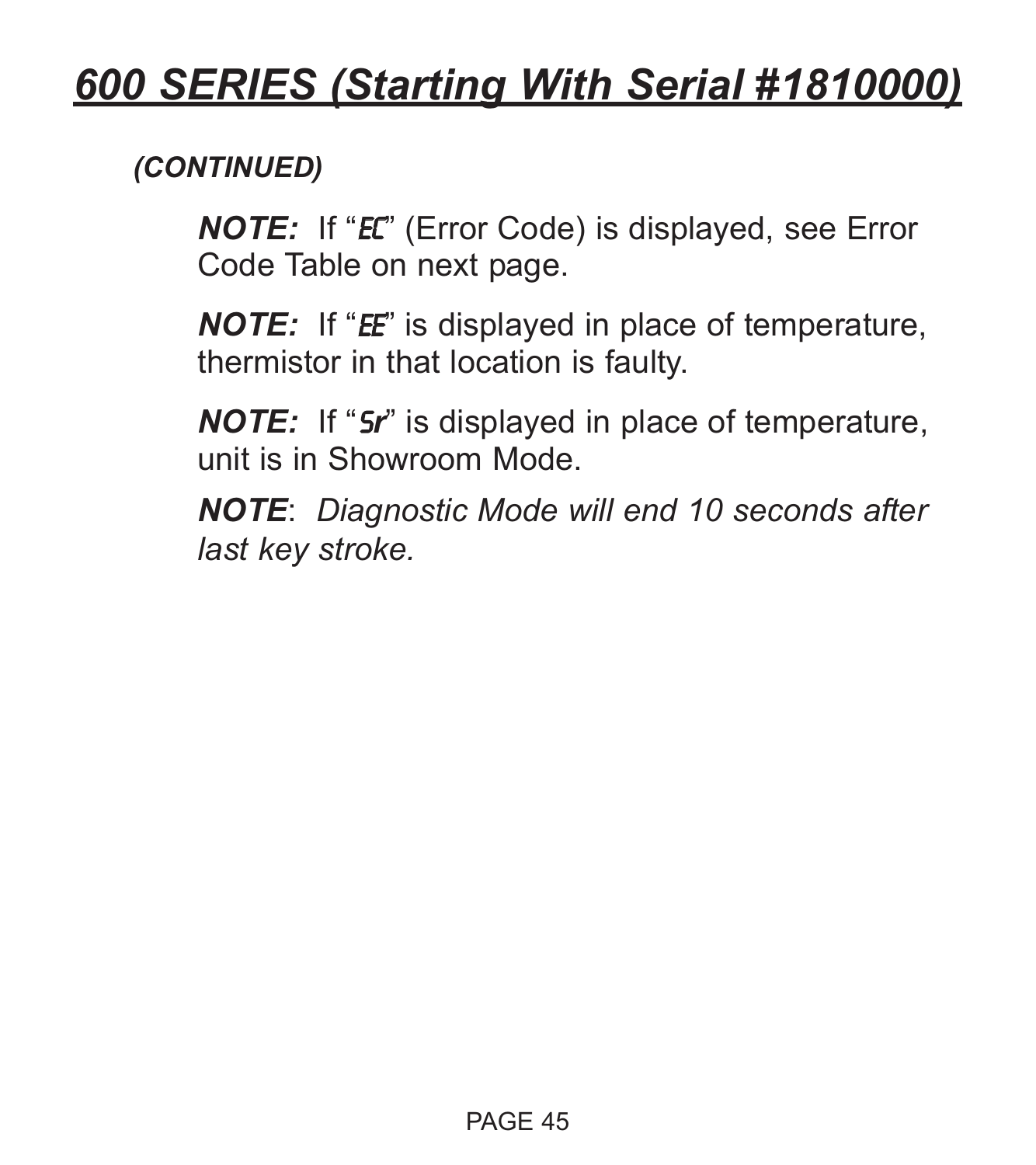## *(CONTINUED)*

*NOTE:* If "EC" (Error Code) is displayed, see Error Code Table on next page.

*NOTE:* If "*EE*" is displayed in place of temperature, thermistor in that location is faulty.

*NOTE:* If "S*r*" is displayed in place of temperature, unit is in Showroom Mode.

*NOTE*: *Diagnostic Mode will end 10 seconds after last key stroke.*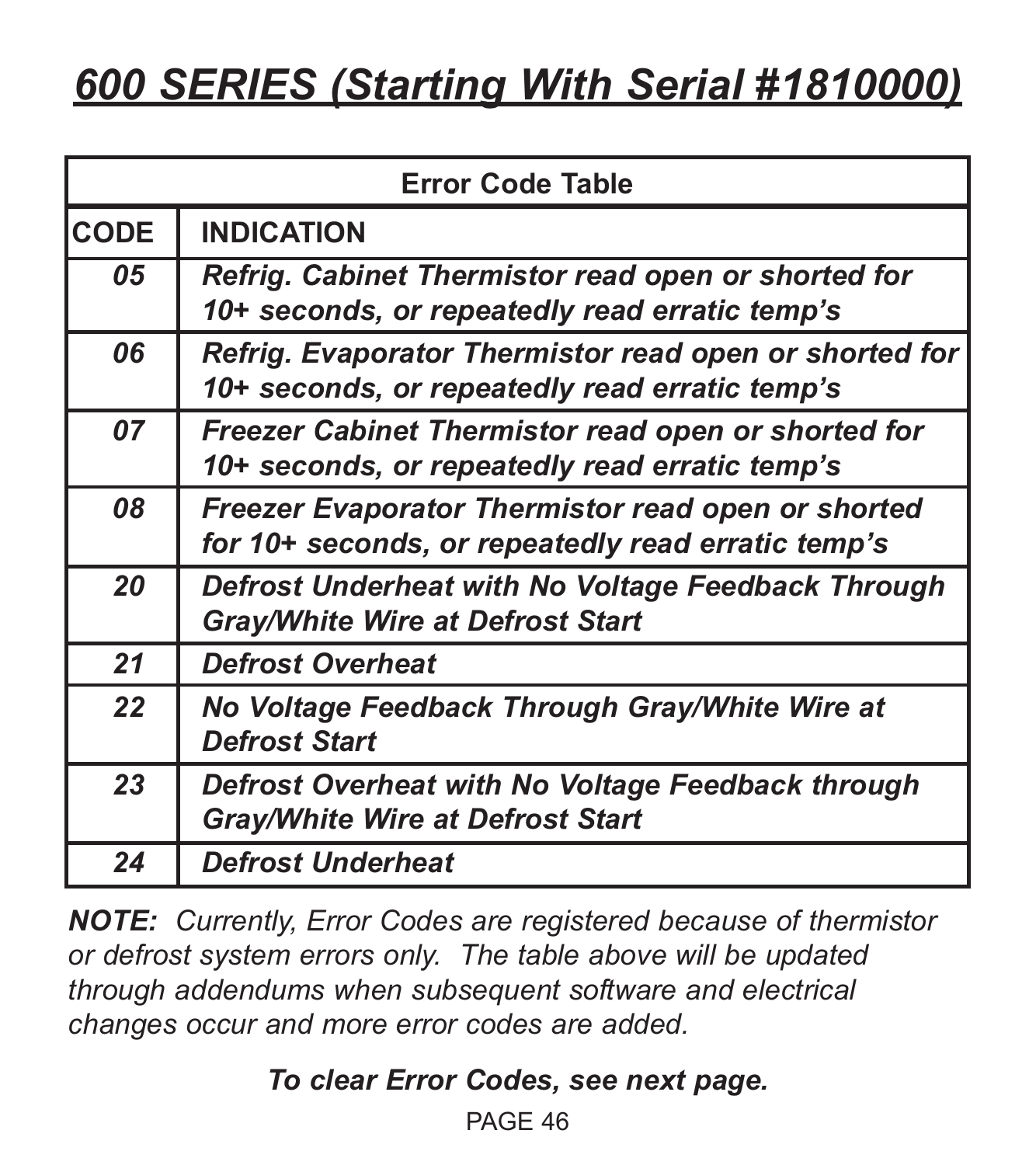| <b>Error Code Table</b> |                                                                                                          |  |
|-------------------------|----------------------------------------------------------------------------------------------------------|--|
| <b>CODE</b>             | <b>INDICATION</b>                                                                                        |  |
| 05                      | Refrig. Cabinet Thermistor read open or shorted for<br>10+ seconds, or repeatedly read erratic temp's    |  |
| 06                      | Refrig. Evaporator Thermistor read open or shorted for<br>10+ seconds, or repeatedly read erratic temp's |  |
| 07                      | Freezer Cabinet Thermistor read open or shorted for<br>10+ seconds, or repeatedly read erratic temp's    |  |
| 08                      | Freezer Evaporator Thermistor read open or shorted<br>for 10+ seconds, or repeatedly read erratic temp's |  |
| 20                      | Defrost Underheat with No Voltage Feedback Through<br><b>Gray/White Wire at Defrost Start</b>            |  |
| 21                      | <b>Defrost Overheat</b>                                                                                  |  |
| 22                      | No Voltage Feedback Through Gray/White Wire at<br><b>Defrost Start</b>                                   |  |
| 23                      | Defrost Overheat with No Voltage Feedback through<br><b>Gray/White Wire at Defrost Start</b>             |  |
| 24                      | <b>Defrost Underheat</b>                                                                                 |  |

*NOTE: Currently, Error Codes are registered because of thermistor or defrost system errors only. The table above will be updated through addendums when subsequent software and electrical changes occur and more error codes are added.*

*To clear Error Codes, see next page.*

PAGE 46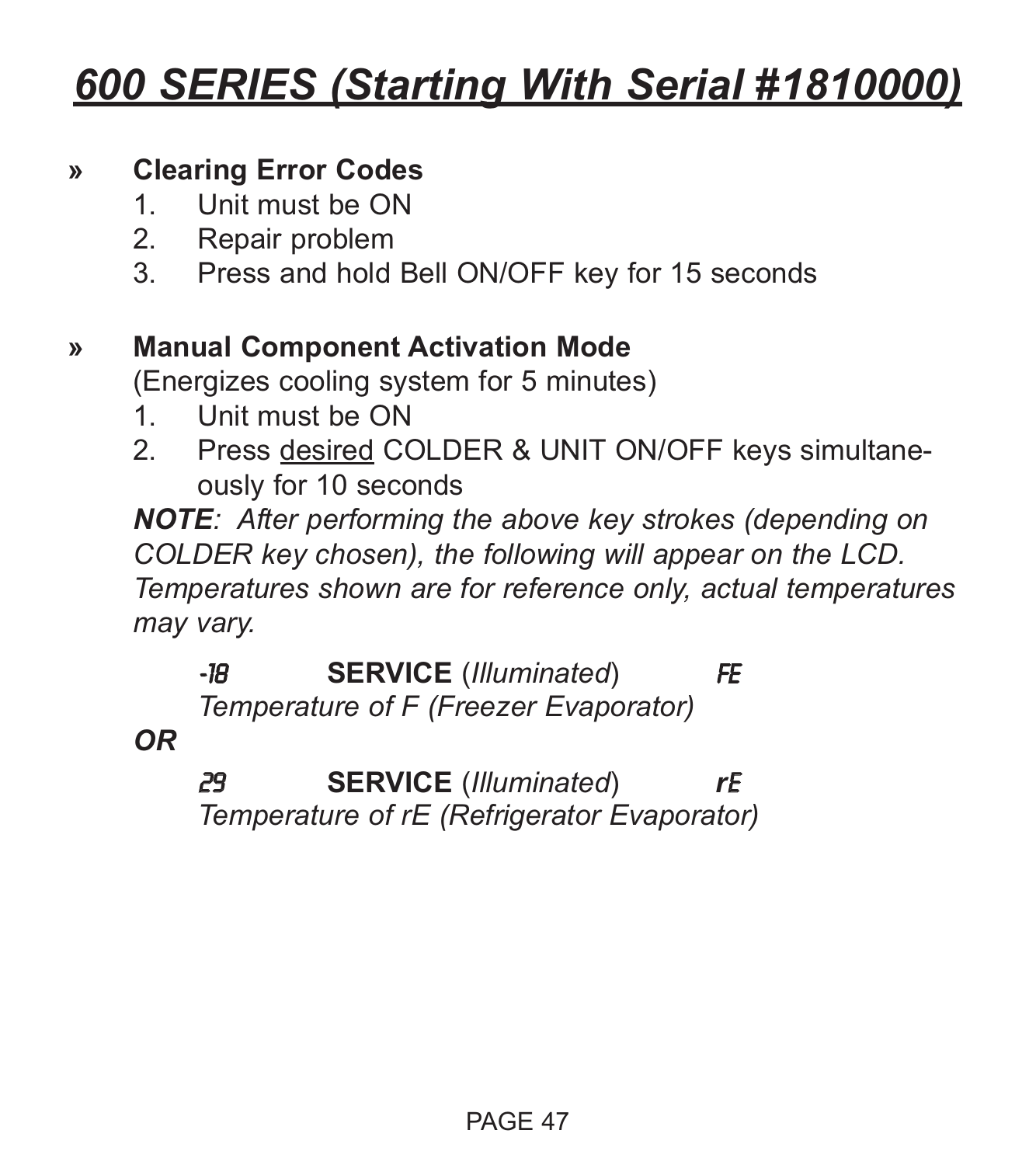#### **» Clearing Error Codes**

- 1. Unit must be ON
- 2. Repair problem
- 3. Press and hold Bell ON/OFF key for 15 seconds

#### **» Manual Component Activation Mode**

(Energizes cooling system for 5 minutes)

- 1. Unit must be ON
- 2. Press desired COLDER & UNIT ON/OFF keys simultaneously for 10 seconds

*NOTE: After performing the above key strokes (depending on COLDER key chosen), the following will appear on the LCD. Temperatures shown are for reference only, actual temperatures may vary.*

-18 **SERVICE** (*Illuminated*) FE *Temperature of F (Freezer Evaporator)*

*OR*

29 **SERVICE** (*Illuminated*) *r*E *Temperature of rE (Refrigerator Evaporator)*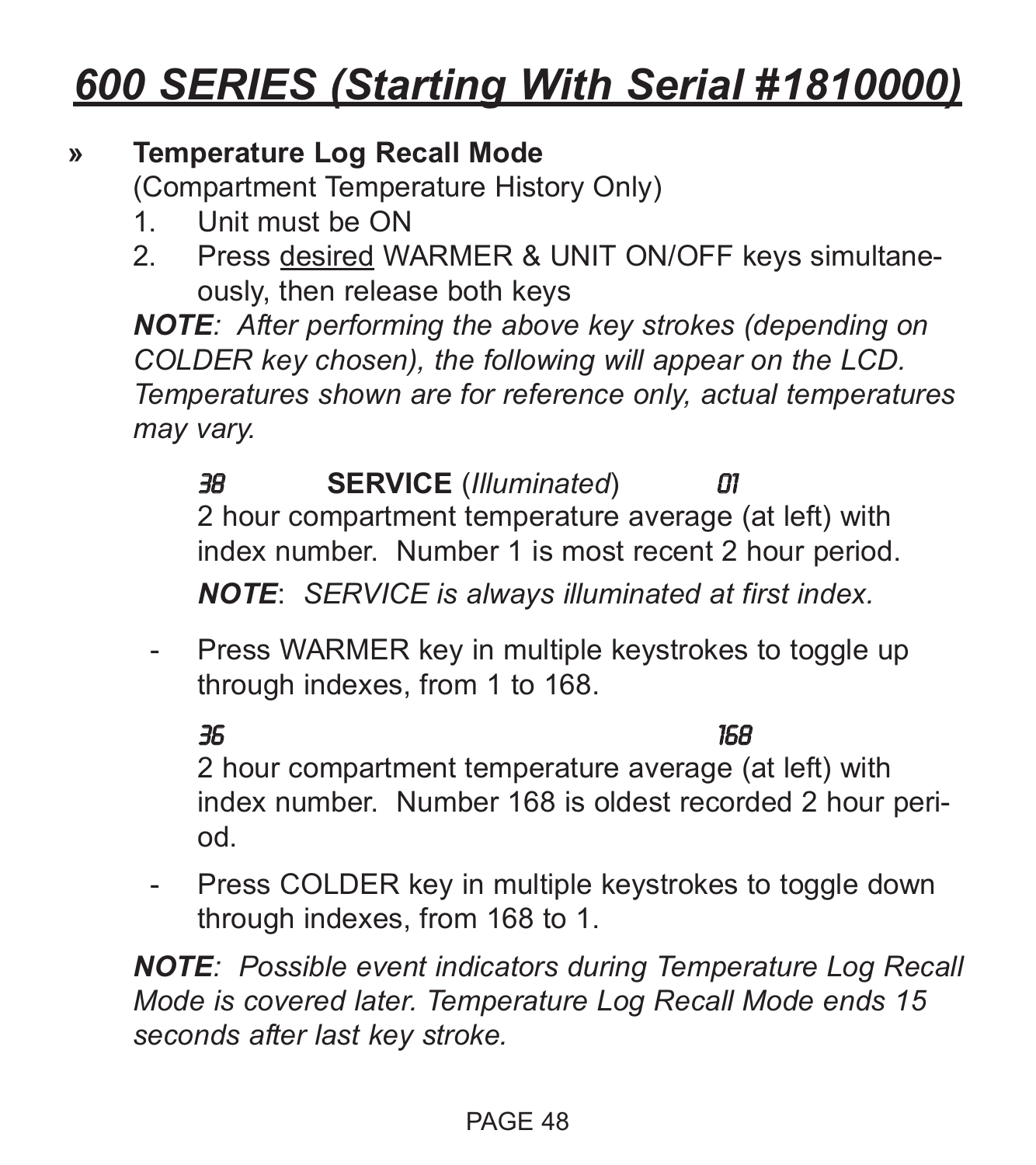#### **» Temperature Log Recall Mode**

(Compartment Temperature History Only)

- 1. Unit must be ON
- 2. Press desired WARMER & UNIT ON/OFF keys simultaneously, then release both keys

*NOTE: After performing the above key strokes (depending on COLDER key chosen), the following will appear on the LCD. Temperatures shown are for reference only, actual temperatures may vary.*

38 **SERVICE** (*Illuminated*) 01 2 hour compartment temperature average (at left) with index number. Number 1 is most recent 2 hour period. *NOTE*: *SERVICE is always illuminated at first index.*

- Press WARMER key in multiple keystrokes to toggle up through indexes, from 1 to 168.

36 168 2 hour compartment temperature average (at left) with index number. Number 168 is oldest recorded 2 hour period.

- Press COLDER key in multiple keystrokes to toggle down through indexes, from 168 to 1.

*NOTE: Possible event indicators during Temperature Log Recall Mode is covered later. Temperature Log Recall Mode ends 15 seconds after last key stroke.*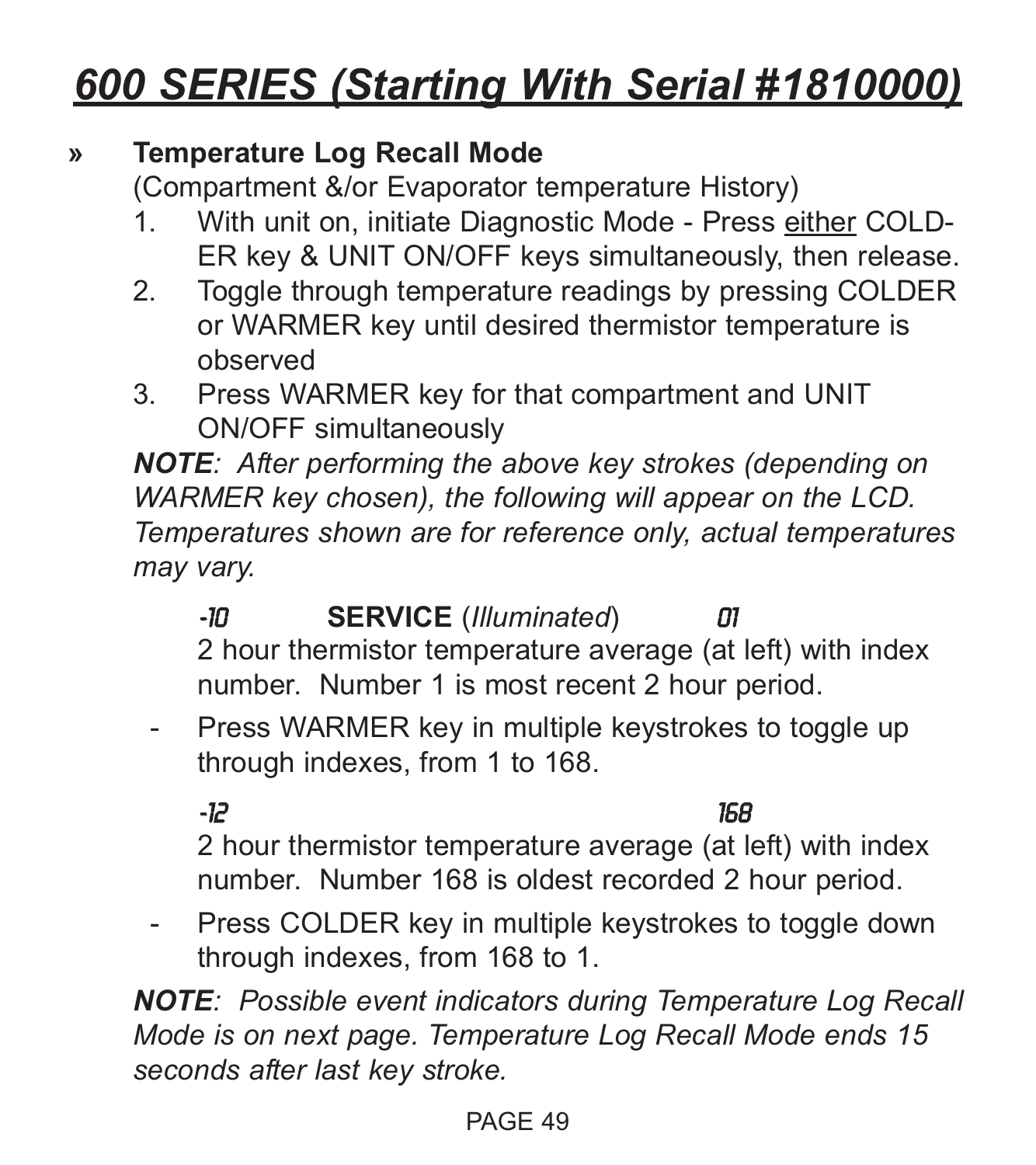#### **» Temperature Log Recall Mode**

(Compartment &/or Evaporator temperature History)

- 1. With unit on, initiate Diagnostic Mode Press either COLD-ER key & UNIT ON/OFF keys simultaneously, then release.
- 2. Toggle through temperature readings by pressing COLDER or WARMER key until desired thermistor temperature is observed
- 3. Press WARMER key for that compartment and UNIT ON/OFF simultaneously

*NOTE: After performing the above key strokes (depending on WARMER key chosen), the following will appear on the LCD. Temperatures shown are for reference only, actual temperatures may vary.*

- -10 **SERVICE** (*Illuminated*) 01 2 hour thermistor temperature average (at left) with index number. Number 1 is most recent 2 hour period.
- Press WARMER key in multiple keystrokes to toggle up through indexes, from 1 to 168.

-12 168

2 hour thermistor temperature average (at left) with index number. Number 168 is oldest recorded 2 hour period.

- Press COLDER key in multiple keystrokes to toggle down through indexes, from 168 to 1.

*NOTE: Possible event indicators during Temperature Log Recall Mode is on next page. Temperature Log Recall Mode ends 15 seconds after last key stroke.*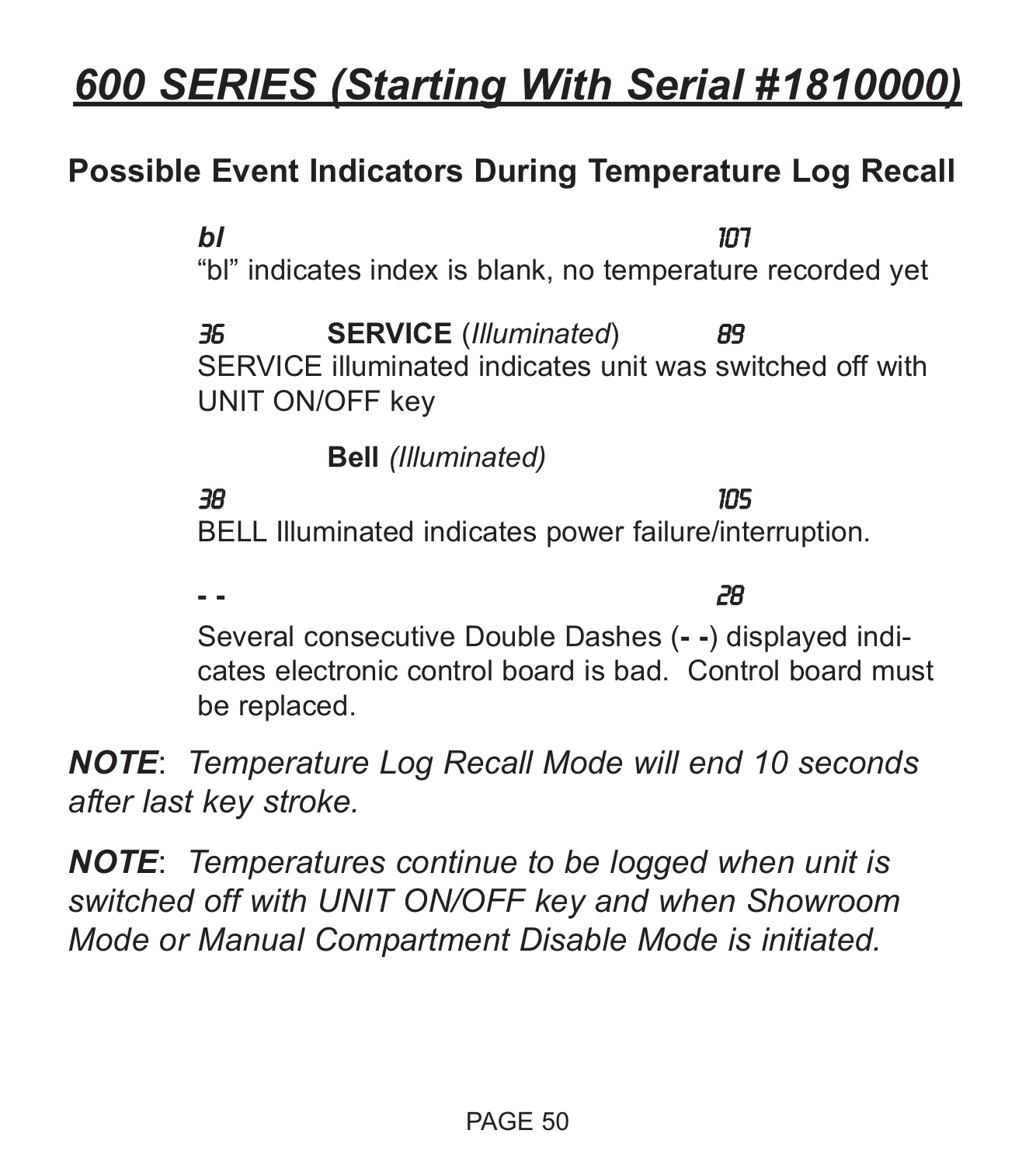## **Possible Event Indicators During Temperature Log Recall**

*bl* 107 "bl" indicates index is blank, no temperature recorded yet 36 **SERVICE** (*Illuminated*) 89 SERVICE illuminated indicates unit was switched off with UNIT ON/OFF key

**Bell** *(Illuminated)*

38 105

BELL Illuminated indicates power failure/interruption.

**- -** 28 Several consecutive Double Dashes (**- -**) displayed indicates electronic control board is bad. Control board must be replaced.

*NOTE*: *Temperature Log Recall Mode will end 10 seconds after last key stroke.*

*NOTE*: *Temperatures continue to be logged when unit is switched off with UNIT ON/OFF key and when Showroom Mode or Manual Compartment Disable Mode is initiated.*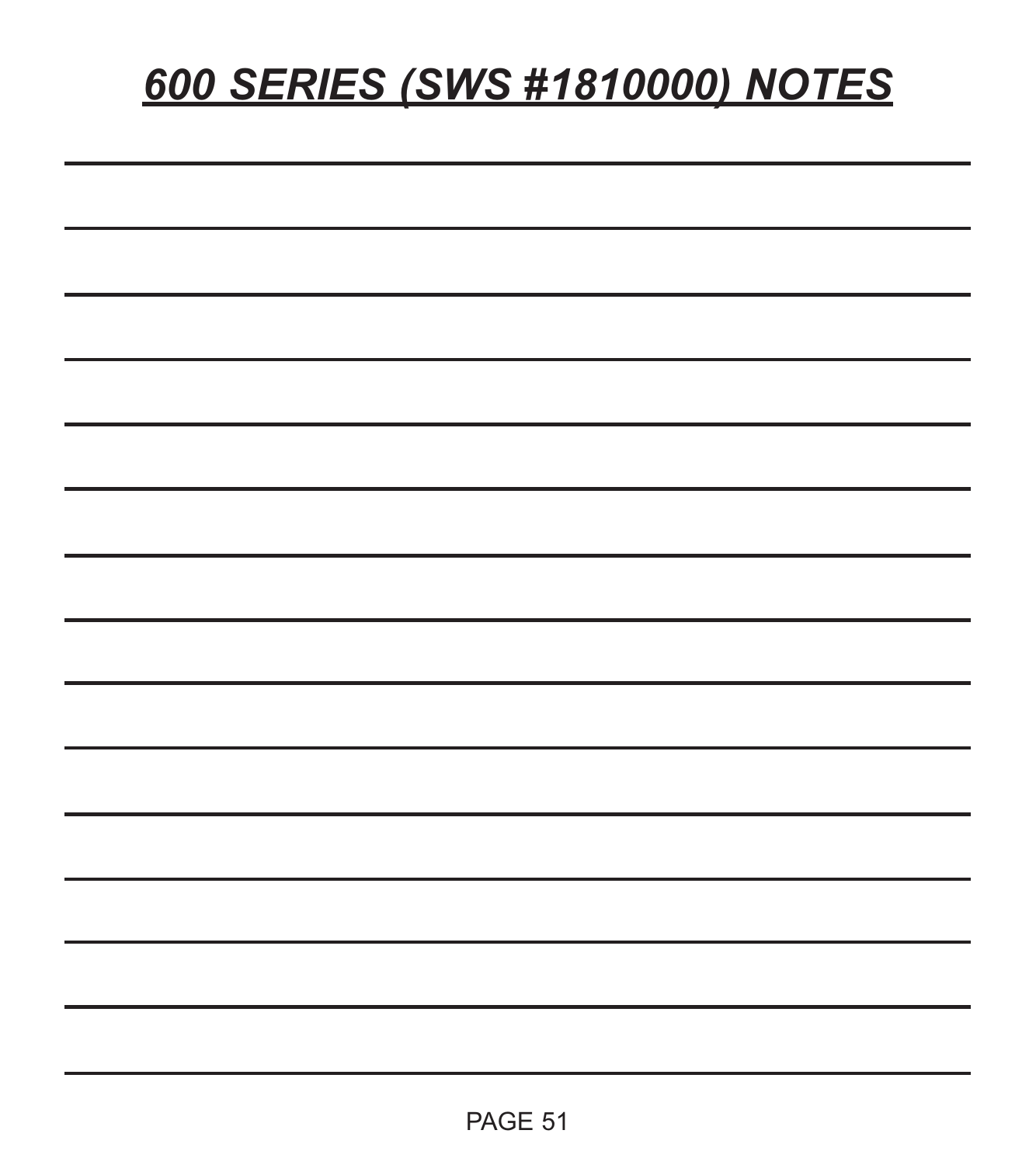# *600 SERIES (SWS #1810000) NOTES*

| --   |  |
|------|--|
|      |  |
| ____ |  |
|      |  |
|      |  |
|      |  |
|      |  |
|      |  |
|      |  |
|      |  |
|      |  |
|      |  |
|      |  |
|      |  |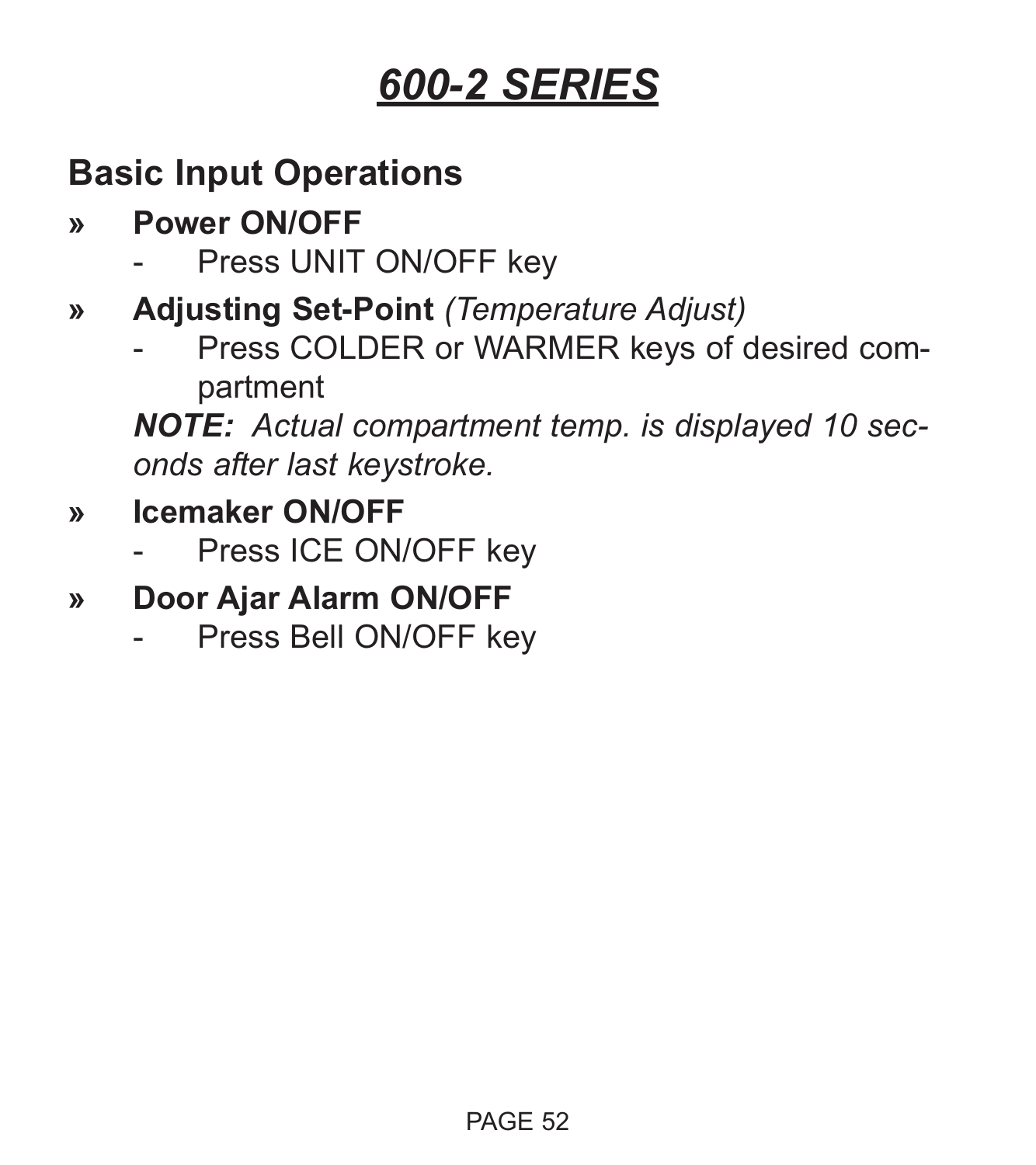## **Basic Input Operations**

- **» Power ON/OFF**
	- Press UNIT ON/OFF key
- **» Adjusting Set-Point** *(Temperature Adjust)*
	- Press COLDER or WARMER keys of desired compartment

*NOTE: Actual compartment temp. is displayed 10 seconds after last keystroke.*

- **» Icemaker ON/OFF**
	- Press ICE ON/OFF key
- **» Door Ajar Alarm ON/OFF**
	- Press Bell ON/OFF key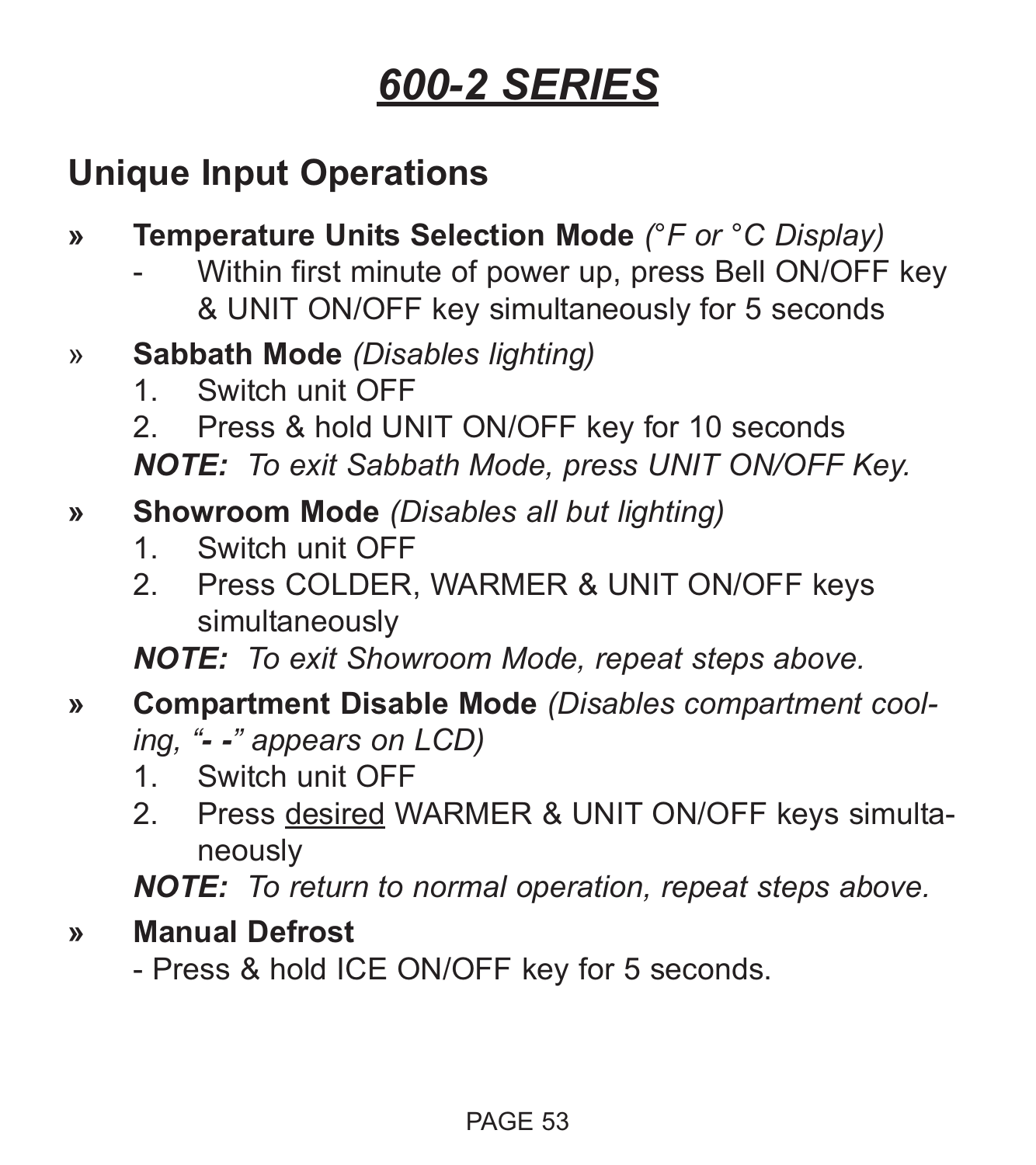## **Unique Input Operations**

- **» Temperature Units Selection Mode** *(°F or °C Display)*
	- Within first minute of power up, press Bell ON/OFF key & UNIT ON/OFF key simultaneously for 5 seconds
- » **Sabbath Mode** *(Disables lighting)*
	- 1. Switch unit OFF
	- 2. Press & hold UNIT ON/OFF key for 10 seconds

*NOTE: To exit Sabbath Mode, press UNIT ON/OFF Key.*

- **» Showroom Mode** *(Disables all but lighting)*
	- 1. Switch unit OFF
	- 2. Press COLDER, WARMER & UNIT ON/OFF keys simultaneously

*NOTE: To exit Showroom Mode, repeat steps above.*

- **» Compartment Disable Mode** *(Disables compartment cooling, "- -" appears on LCD)*
	- 1. Switch unit OFF
	- 2. Press desired WARMER & UNIT ON/OFF keys simultaneously

*NOTE: To return to normal operation, repeat steps above.*

**» Manual Defrost**

- Press & hold ICE ON/OFF key for 5 seconds.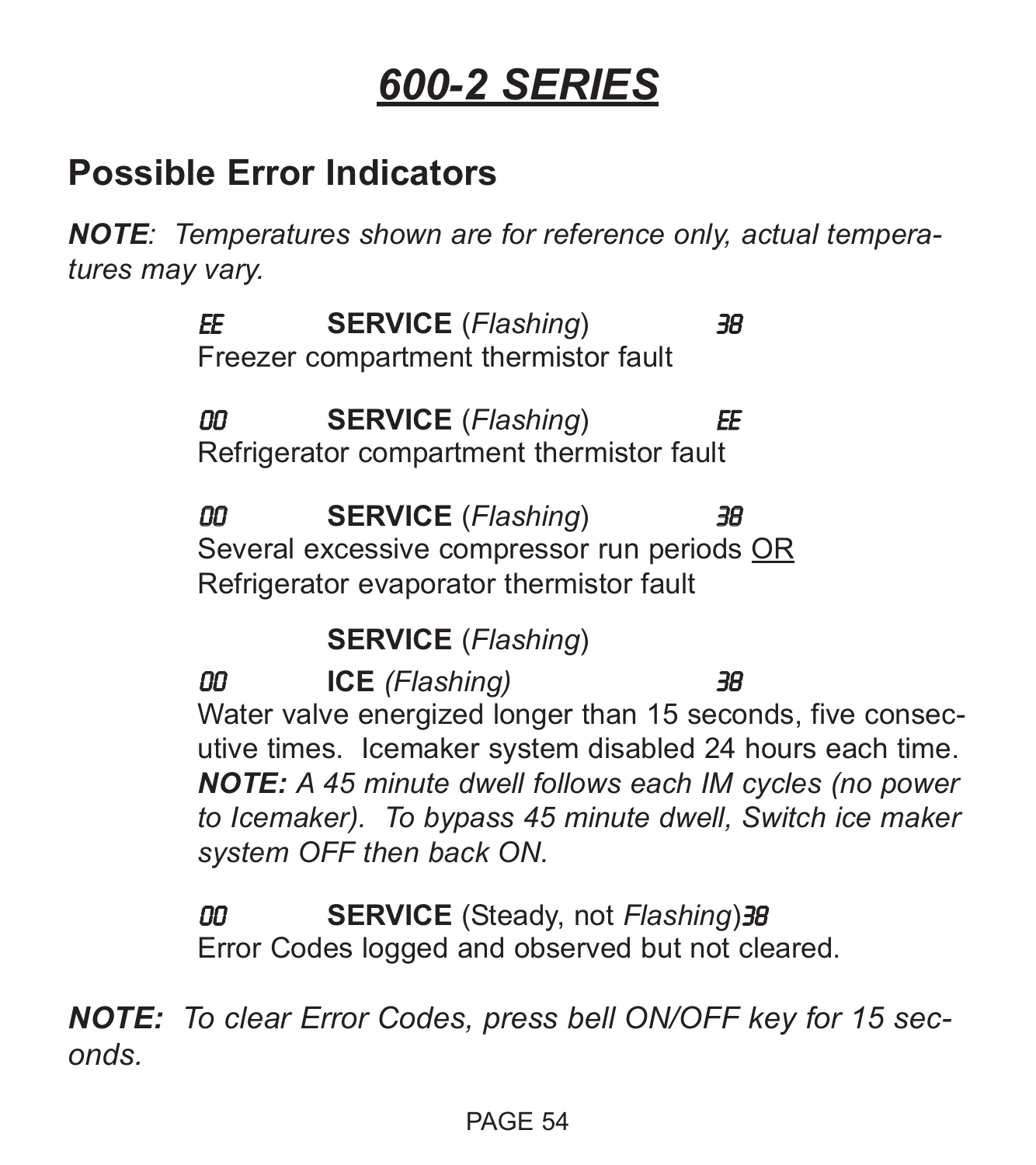## **Possible Error Indicators**

*NOTE: Temperatures shown are for reference only, actual temperatures may vary.*

> EE **SERVICE** (*Flashing*) 38 Freezer compartment thermistor fault

> 00 **SERVICE** (*Flashing*) EE Refrigerator compartment thermistor fault

00 **SERVICE** (*Flashing*) 38 Several excessive compressor run periods OR Refrigerator evaporator thermistor fault

**SERVICE** (*Flashing*)

00 **ICE** *(Flashing)* 38 Water valve energized longer than 15 seconds, five consecutive times. Icemaker system disabled 24 hours each time. *NOTE: A 45 minute dwell follows each IM cycles (no power to Icemaker). To bypass 45 minute dwell, Switch ice maker system OFF then back ON.*

00 **SERVICE** (Steady, not *Flashing*)38 Error Codes logged and observed but not cleared.

*NOTE: To clear Error Codes, press bell ON/OFF key for 15 seconds.*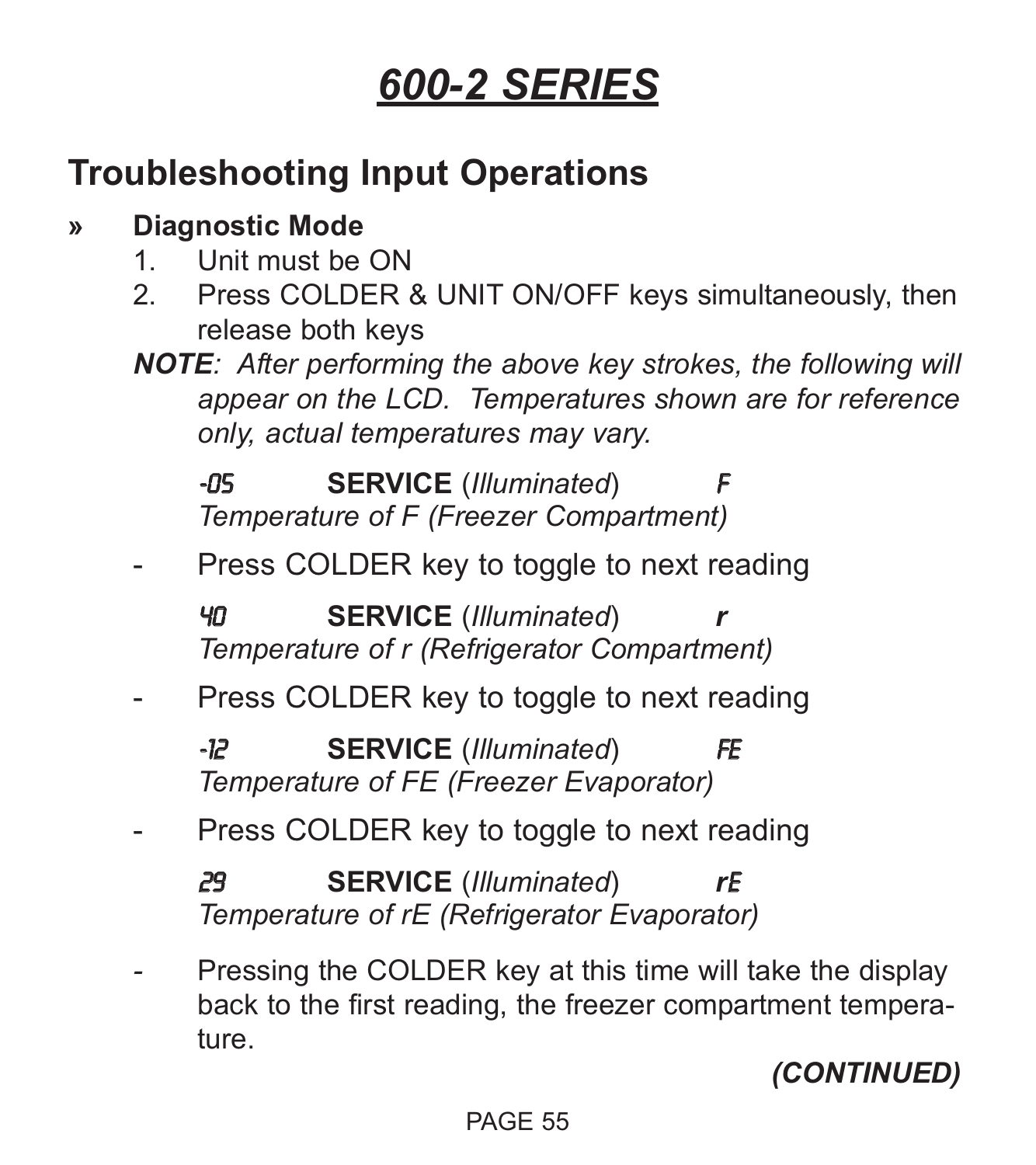## **Troubleshooting Input Operations**

## **» Diagnostic Mode**

- 1. Unit must be ON
- 2. Press COLDER & UNIT ON/OFF keys simultaneously, then release both keys
- *NOTE: After performing the above key strokes, the following will appear on the LCD. Temperatures shown are for reference only, actual temperatures may vary.*

**-05 SERVICE** (*Illuminated*) *Temperature of F (Freezer Compartment)*

Press COLDER key to toggle to next reading

40 **SERVICE** (*Illuminated*) *r Temperature of r (Refrigerator Compartment)*

Press COLDER key to toggle to next reading

-12 **SERVICE** (*Illuminated*) FE *Temperature of FE (Freezer Evaporator)*

Press COLDER key to toggle to next reading

29 **SERVICE** (*Illuminated*) *r*E *Temperature of rE (Refrigerator Evaporator)*

Pressing the COLDER key at this time will take the display back to the first reading, the freezer compartment temperature.

*(CONTINUED)*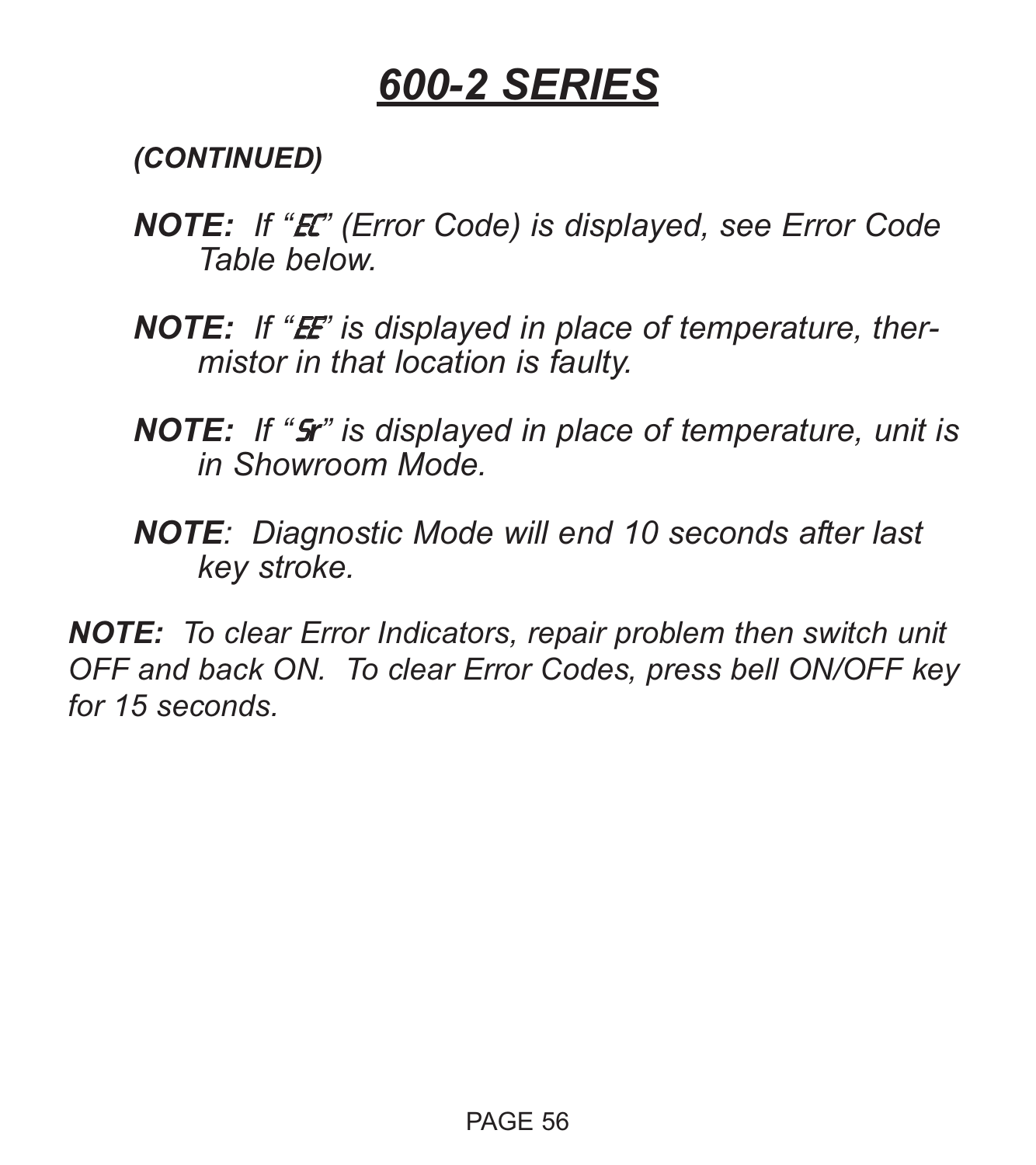*(CONTINUED)*

- *NOTE: If "*EC*" (Error Code) is displayed, see Error Code Table below.*
- **NOTE:** If "**E** is displayed in place of temperature, ther*mistor in that location is faulty.*
- *NOTE: If "*S*r" is displayed in place of temperature, unit is in Showroom Mode.*
- *NOTE: Diagnostic Mode will end 10 seconds after last key stroke.*

*NOTE: To clear Error Indicators, repair problem then switch unit OFF and back ON. To clear Error Codes, press bell ON/OFF key for 15 seconds.*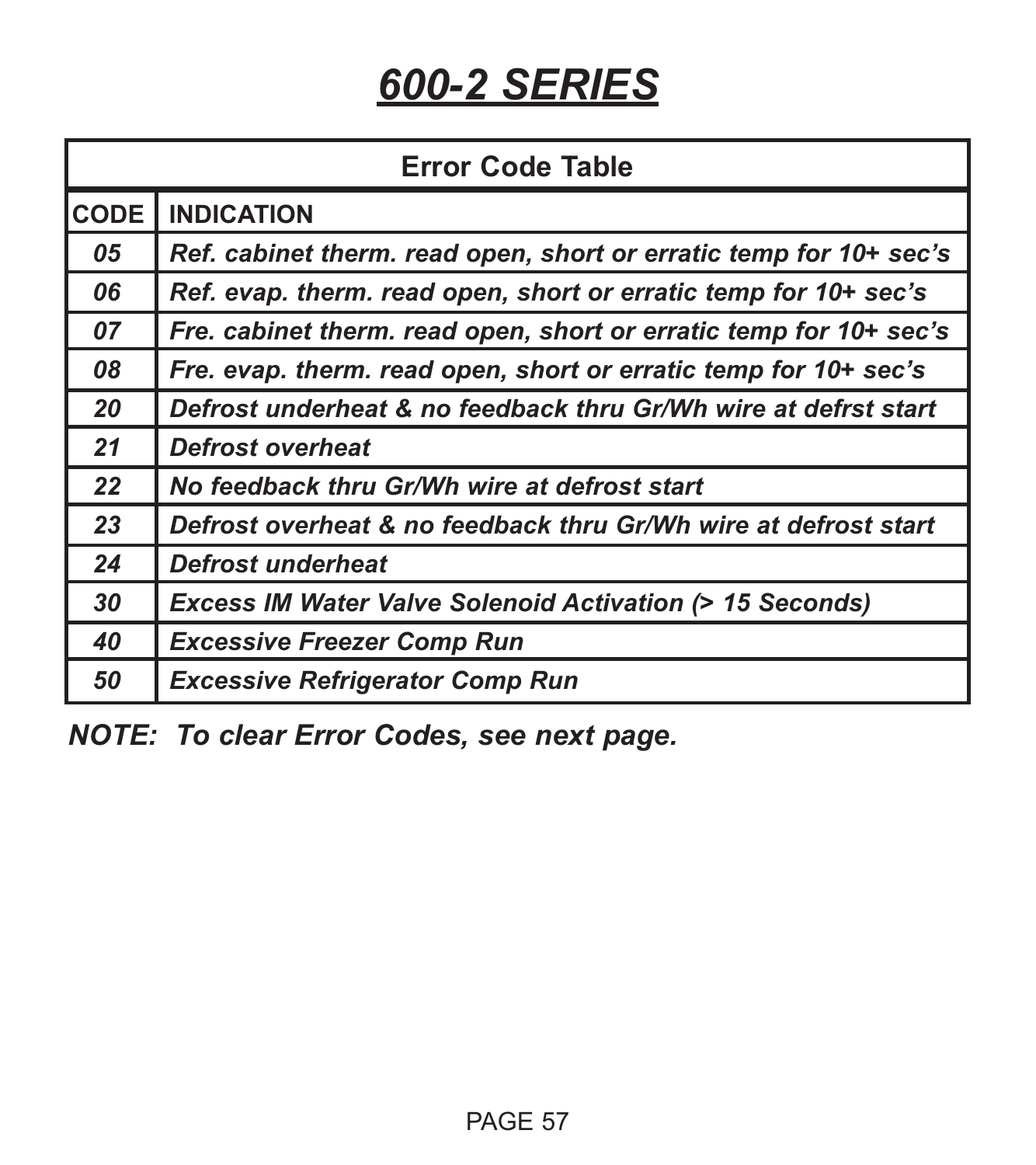| <b>Error Code Table</b> |                                                                    |  |
|-------------------------|--------------------------------------------------------------------|--|
| <b>CODE</b>             | <b>INDICATION</b>                                                  |  |
| 05                      | Ref. cabinet therm. read open, short or erratic temp for 10+ sec's |  |
| 06                      | Ref. evap. therm. read open, short or erratic temp for 10+ sec's   |  |
| 07                      | Fre. cabinet therm. read open, short or erratic temp for 10+ sec's |  |
| 08                      | Fre. evap. therm. read open, short or erratic temp for 10+ sec's   |  |
| 20                      | Defrost underheat & no feedback thru Gr/Wh wire at defrst start    |  |
| 21                      | <b>Defrost overheat</b>                                            |  |
| 22                      | No feedback thru Gr/Wh wire at defrost start                       |  |
| 23                      | Defrost overheat & no feedback thru Gr/Wh wire at defrost start    |  |
| 24                      | Defrost underheat                                                  |  |
| 30                      | <b>Excess IM Water Valve Solenoid Activation (&gt; 15 Seconds)</b> |  |
| 40                      | <b>Excessive Freezer Comp Run</b>                                  |  |
| 50                      | <b>Excessive Refrigerator Comp Run</b>                             |  |

*NOTE: To clear Error Codes, see next page.*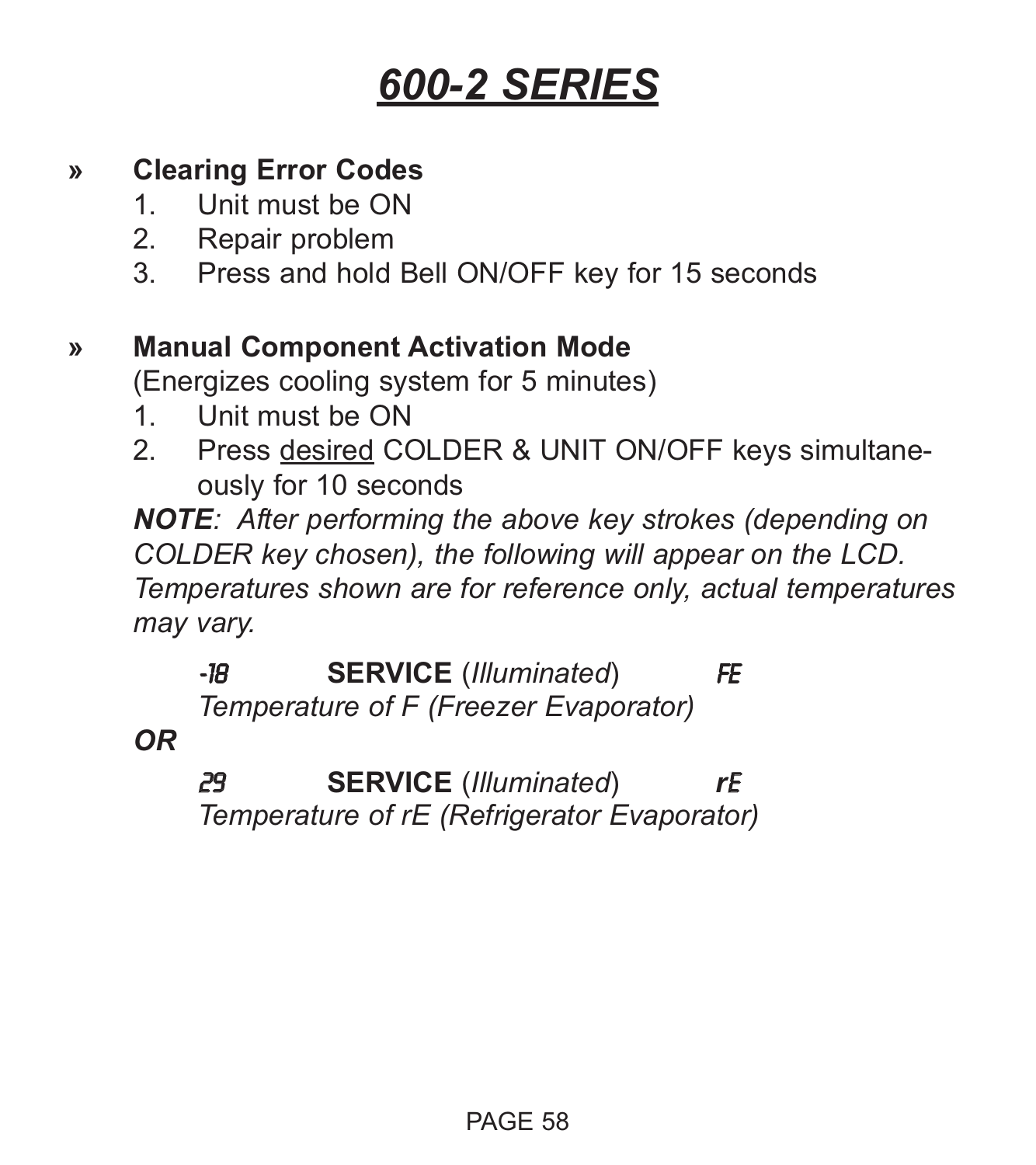#### **» Clearing Error Codes**

- 1. Unit must be ON
- 2. Repair problem
- 3. Press and hold Bell ON/OFF key for 15 seconds

#### **» Manual Component Activation Mode**

(Energizes cooling system for 5 minutes)

- 1. Unit must be ON
- 2. Press desired COLDER & UNIT ON/OFF keys simultaneously for 10 seconds

*NOTE: After performing the above key strokes (depending on COLDER key chosen), the following will appear on the LCD. Temperatures shown are for reference only, actual temperatures may vary.*

-18 **SERVICE** (*Illuminated*) FE *Temperature of F (Freezer Evaporator)*

*OR*

29 **SERVICE** (*Illuminated*) *r*E *Temperature of rE (Refrigerator Evaporator)*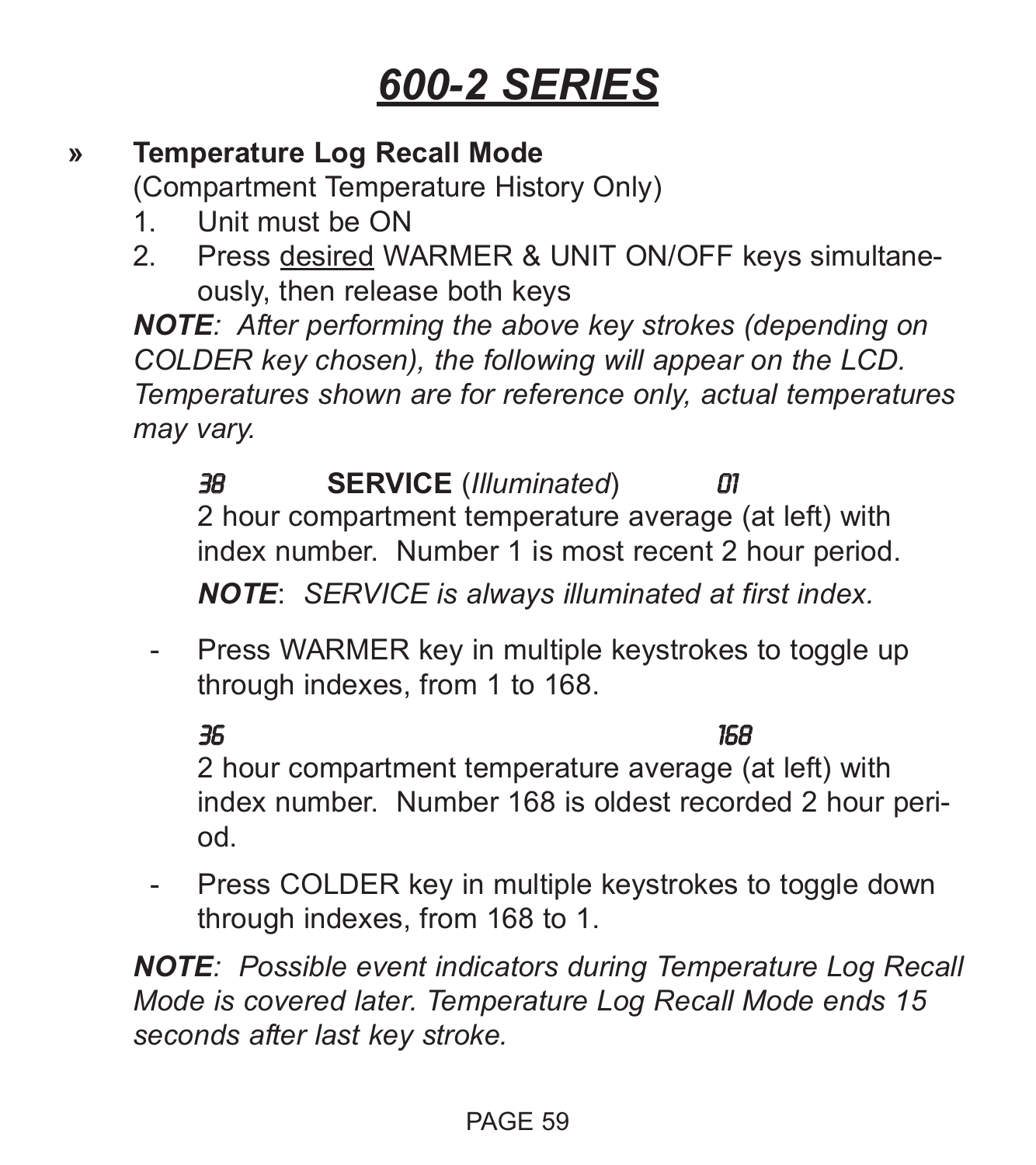#### **» Temperature Log Recall Mode**

(Compartment Temperature History Only)

- 1. Unit must be ON
- 2. Press desired WARMER & UNIT ON/OFF keys simultaneously, then release both keys

*NOTE: After performing the above key strokes (depending on COLDER key chosen), the following will appear on the LCD. Temperatures shown are for reference only, actual temperatures may vary.*

38 **SERVICE** (*Illuminated*) 01 2 hour compartment temperature average (at left) with index number. Number 1 is most recent 2 hour period. *NOTE*: *SERVICE is always illuminated at first index.*

- Press WARMER key in multiple keystrokes to toggle up through indexes, from 1 to 168.

36 168 2 hour compartment temperature average (at left) with index number. Number 168 is oldest recorded 2 hour period.

- Press COLDER key in multiple keystrokes to toggle down through indexes, from 168 to 1.

*NOTE: Possible event indicators during Temperature Log Recall Mode is covered later. Temperature Log Recall Mode ends 15 seconds after last key stroke.*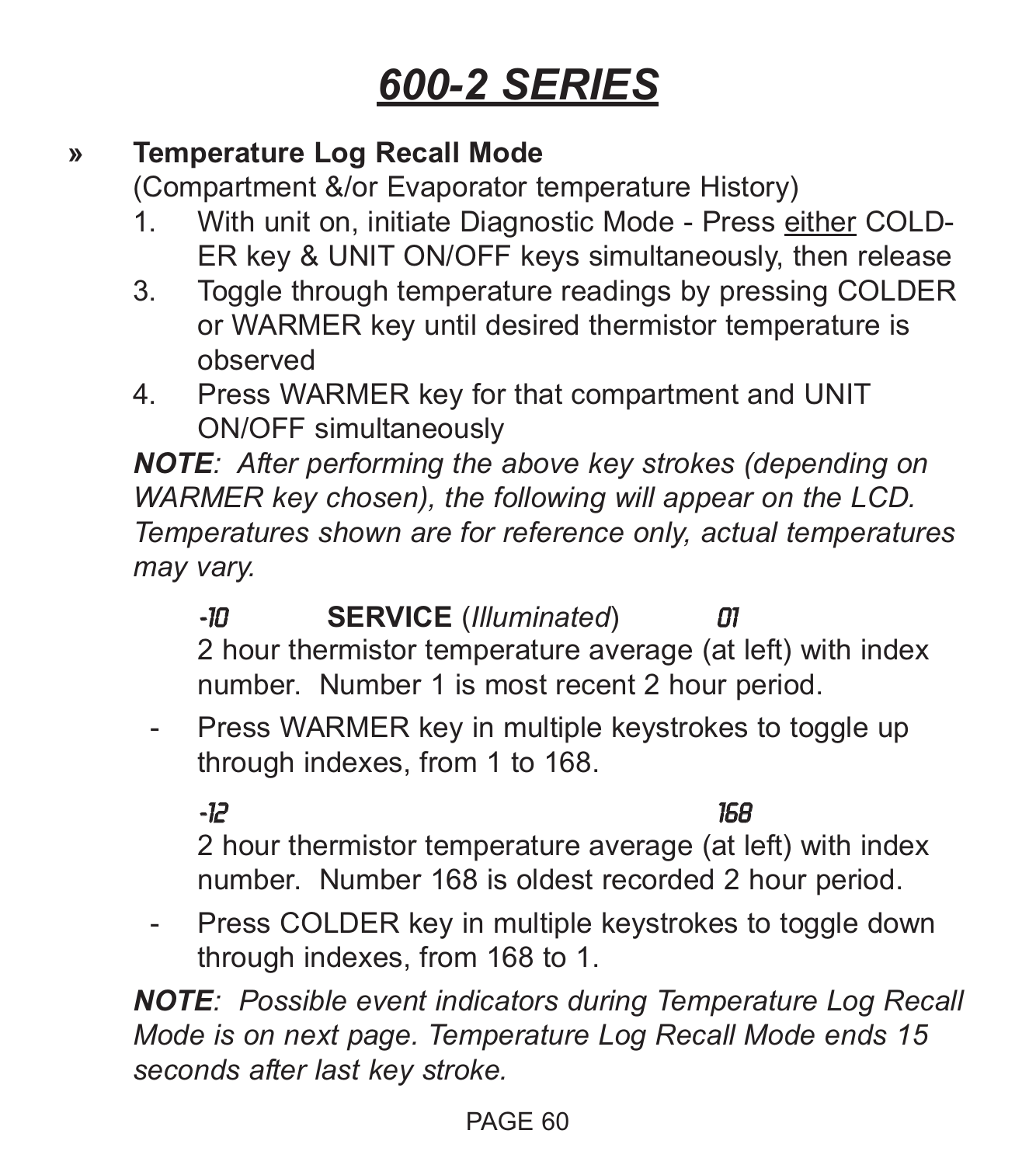#### **» Temperature Log Recall Mode**

(Compartment &/or Evaporator temperature History)

- 1. With unit on, initiate Diagnostic Mode Press either COLD-ER key & UNIT ON/OFF keys simultaneously, then release
- 3. Toggle through temperature readings by pressing COLDER or WARMER key until desired thermistor temperature is observed
- 4. Press WARMER key for that compartment and UNIT ON/OFF simultaneously

*NOTE: After performing the above key strokes (depending on WARMER key chosen), the following will appear on the LCD. Temperatures shown are for reference only, actual temperatures may vary.*

- -10 **SERVICE** (*Illuminated*) 01 2 hour thermistor temperature average (at left) with index number. Number 1 is most recent 2 hour period.
- Press WARMER key in multiple keystrokes to toggle up through indexes, from 1 to 168.

-12 168

2 hour thermistor temperature average (at left) with index number. Number 168 is oldest recorded 2 hour period.

- Press COLDER key in multiple keystrokes to toggle down through indexes, from 168 to 1.

*NOTE: Possible event indicators during Temperature Log Recall Mode is on next page. Temperature Log Recall Mode ends 15 seconds after last key stroke.*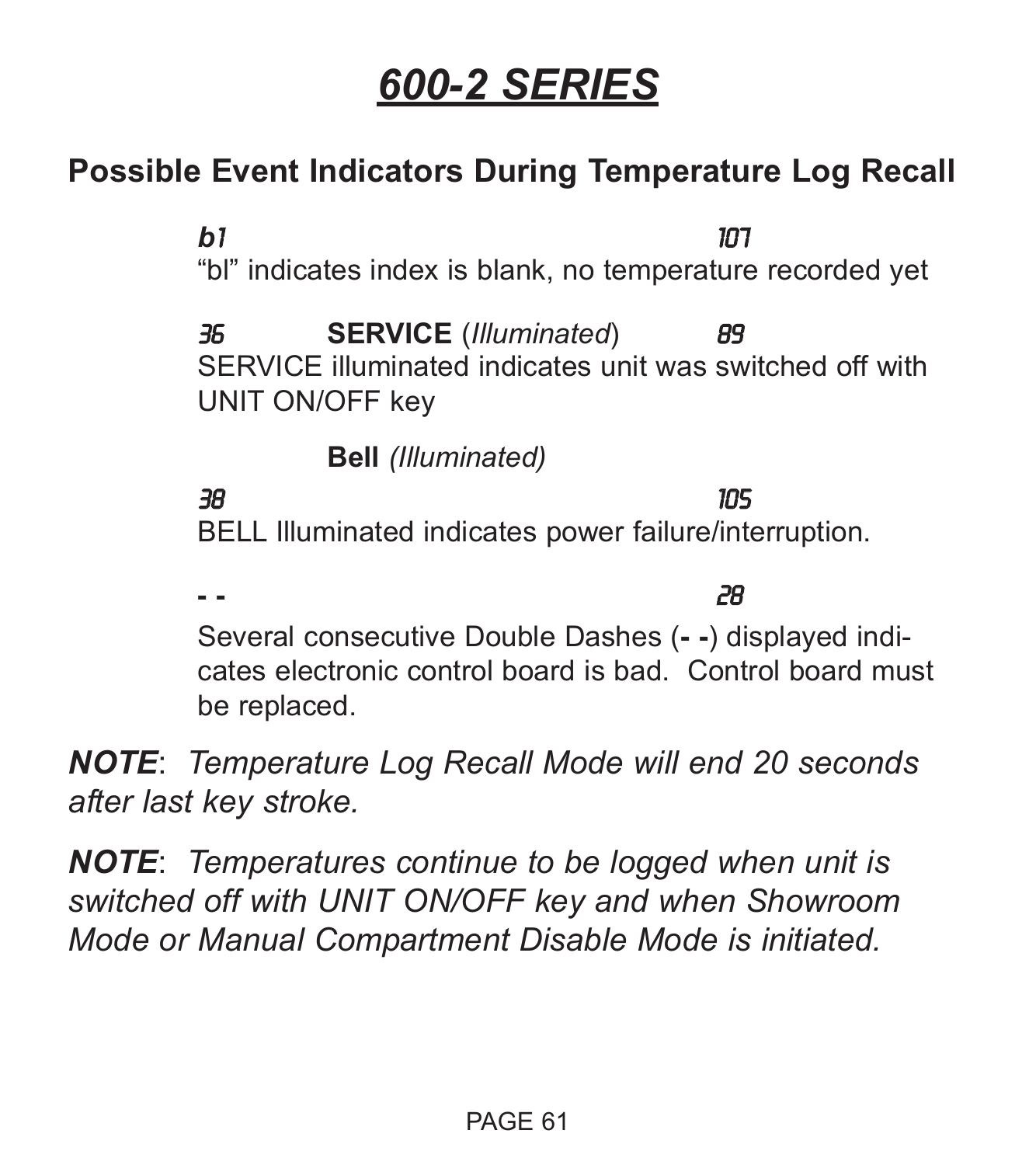## **Possible Event Indicators During Temperature Log Recall**

*b*1 107 "bl" indicates index is blank, no temperature recorded yet 36 **SERVICE** (*Illuminated*) 89 SERVICE illuminated indicates unit was switched off with UNIT ON/OFF key **Bell** *(Illuminated)* 38 105 BELL Illuminated indicates power failure/interruption. **- -** 28

Several consecutive Double Dashes (**- -**) displayed indicates electronic control board is bad. Control board must be replaced.

*NOTE*: *Temperature Log Recall Mode will end 20 seconds after last key stroke.*

*NOTE*: *Temperatures continue to be logged when unit is switched off with UNIT ON/OFF key and when Showroom Mode or Manual Compartment Disable Mode is initiated.*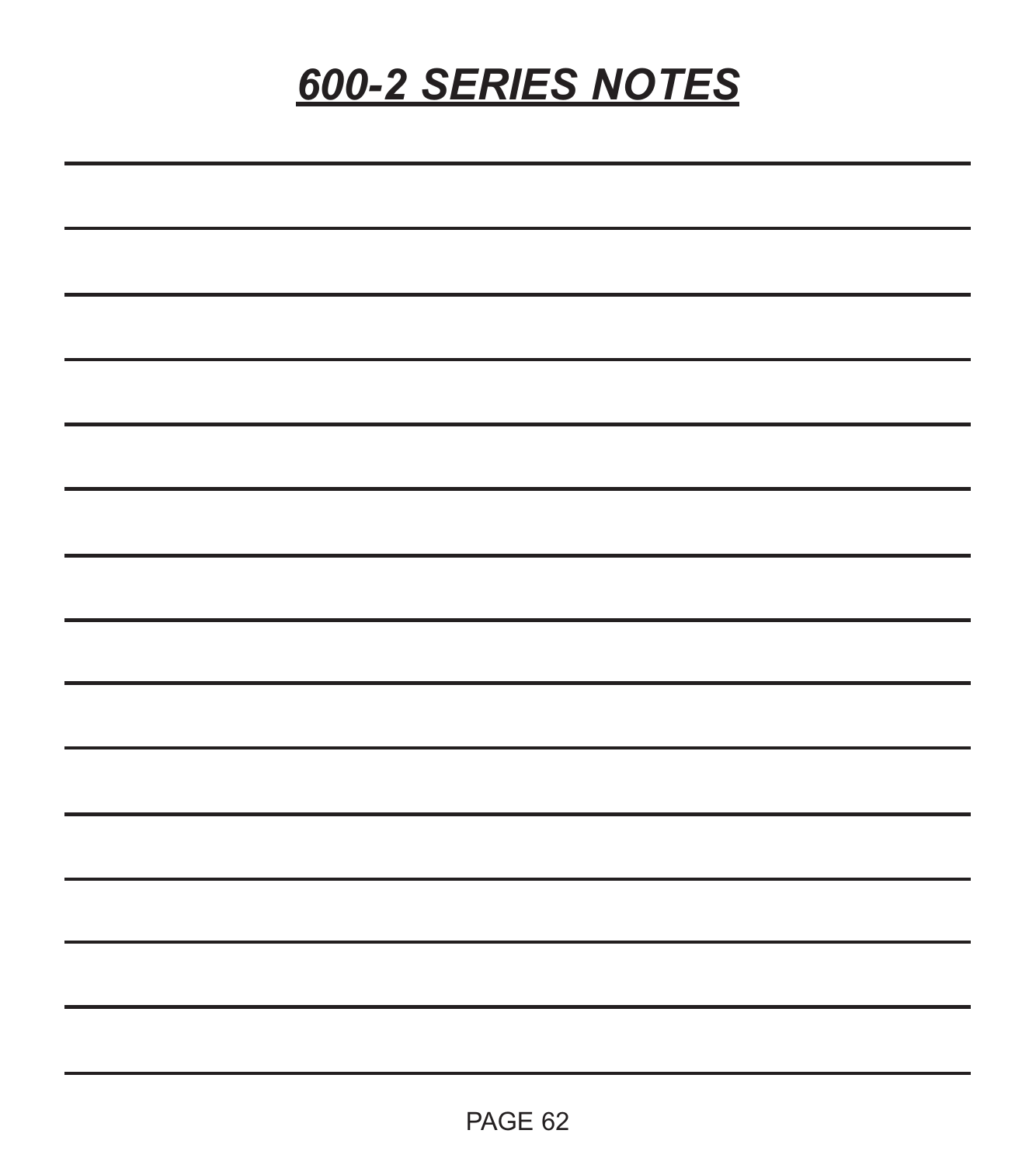# *600-2 SERIES NOTES*

| <u> 1989 - Johann Stoff, amerikansk politiker (d. 1989)</u>                                                           |  |  |
|-----------------------------------------------------------------------------------------------------------------------|--|--|
| <u> 1989 - Johann Stoff, amerikansk politiker (d. 1989)</u>                                                           |  |  |
| <u> 1989 - Johann Barn, amerikan bernama di sebagai bernama dan bernama di sebagai bernama di sebagai bernama di</u>  |  |  |
| <u> 1989 - Johann Stoff, amerikansk politiker (d. 1989)</u>                                                           |  |  |
| <u> 1989 - Andrea Andrew Maria (h. 1989).</u>                                                                         |  |  |
| <u> 1989 - Johann Stoff, amerikansk politiker (d. 1989)</u>                                                           |  |  |
| <u> 1989 - Johann Harry Harry Harry Harry Harry Harry Harry Harry Harry Harry Harry Harry Harry Harry Harry Harry</u> |  |  |
| <u> 1989 - Johann Stoff, amerikansk politiker (d. 1989)</u>                                                           |  |  |
| <u> 1989 - Andrea Andrew Maria (h. 1989).</u>                                                                         |  |  |
| <u> 1989 - Johann Stoff, amerikansk politiker (d. 1989)</u>                                                           |  |  |
|                                                                                                                       |  |  |
|                                                                                                                       |  |  |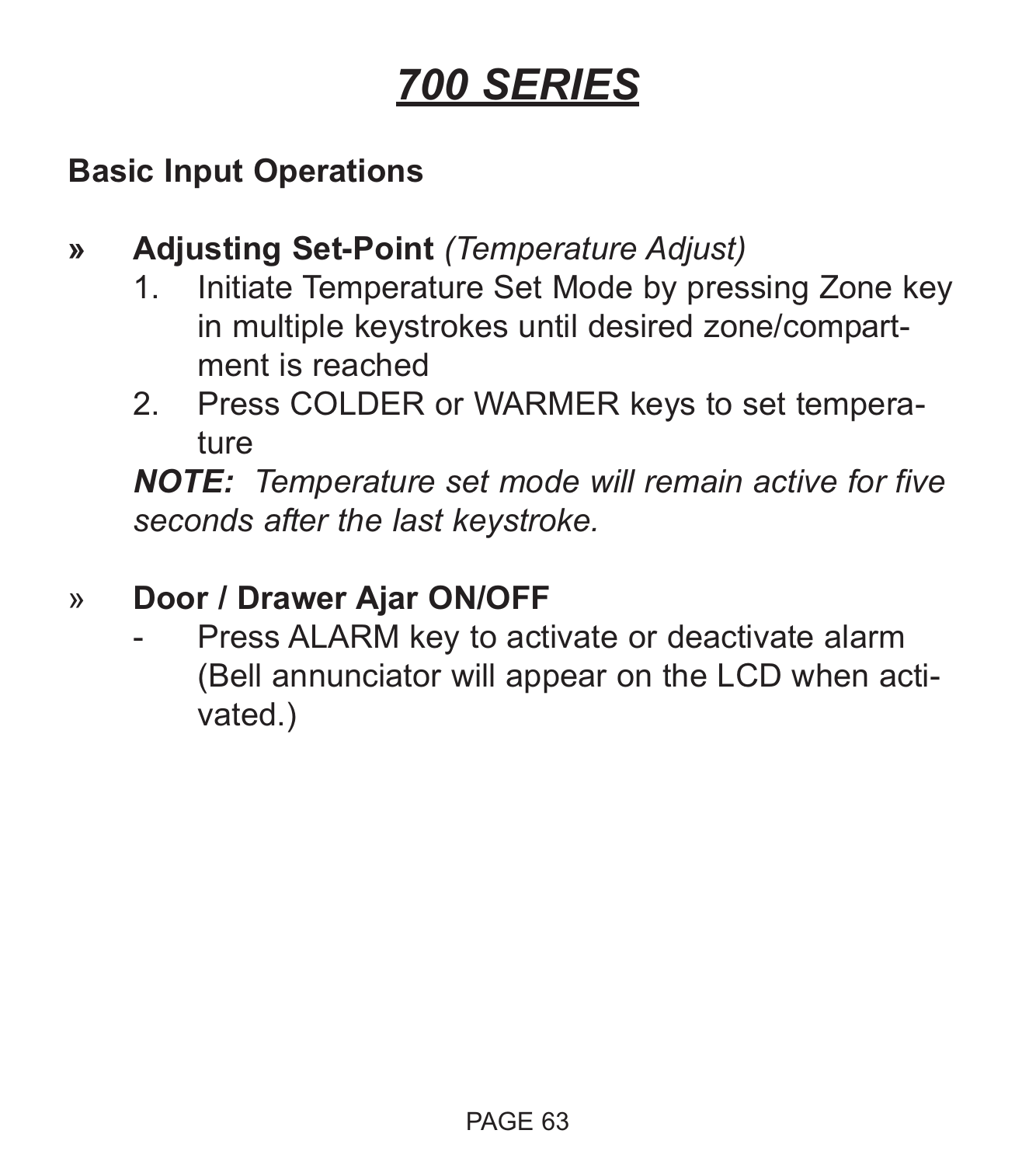# *700 SERIES*

## **Basic Input Operations**

- **» Adjusting Set-Point** *(Temperature Adjust)*
	- 1. Initiate Temperature Set Mode by pressing Zone key in multiple keystrokes until desired zone/compartment is reached
	- 2. Press COLDER or WARMER keys to set temperature

*NOTE: Temperature set mode will remain active for five seconds after the last keystroke.*

## » **Door / Drawer Ajar ON/OFF**

Press ALARM key to activate or deactivate alarm (Bell annunciator will appear on the LCD when activated.)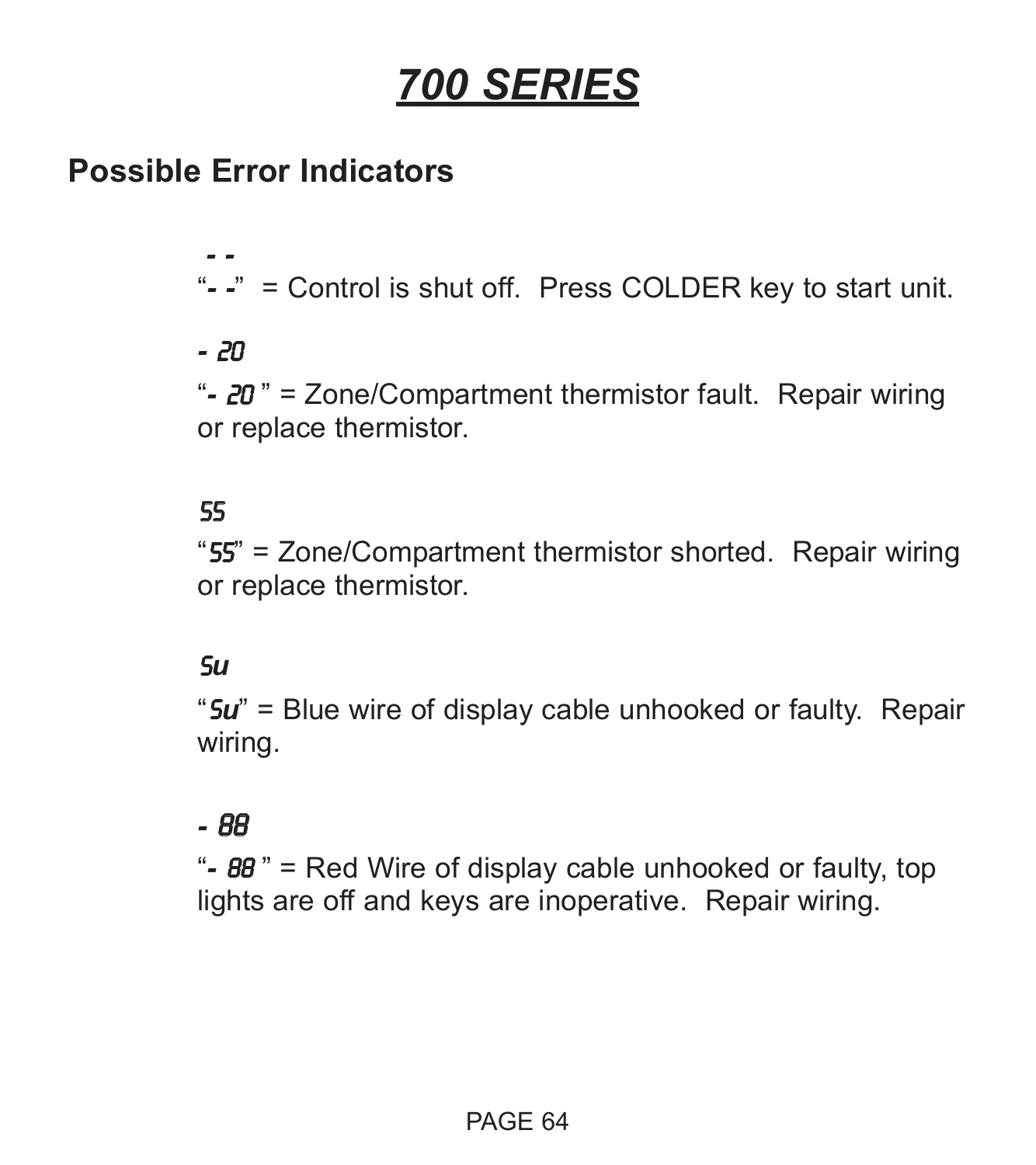# *700 SERIES*

## **Possible Error Indicators**

*- -* "*- -*" = Control is shut off. Press COLDER key to start unit.

#### *-* 20

"*-* 20 " = Zone/Compartment thermistor fault. Repair wiring or replace thermistor.

#### 55

"55" = Zone/Compartment thermistor shorted. Repair wiring or replace thermistor.

#### S*u*

"S*u*" = Blue wire of display cable unhooked or faulty. Repair wiring.

#### *-* 88

"*-* 88 " = Red Wire of display cable unhooked or faulty, top lights are off and keys are inoperative. Repair wiring.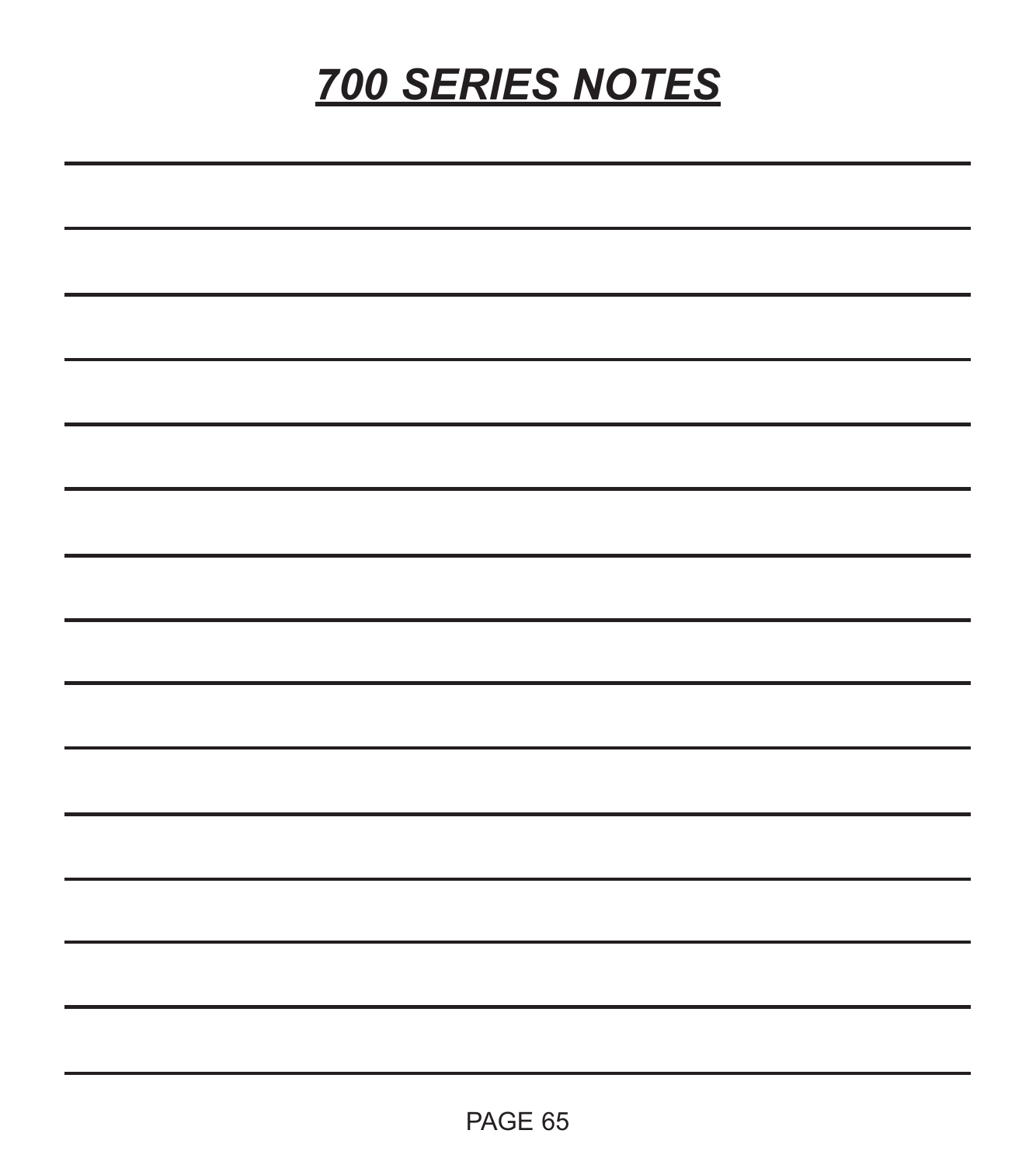# *700 SERIES NOTES*

| the contract of the contract of the contract of the contract of the contract of the contract of the contract of<br>the contract of the contract of the contract of the contract of the contract of |  |  |  |
|----------------------------------------------------------------------------------------------------------------------------------------------------------------------------------------------------|--|--|--|
|                                                                                                                                                                                                    |  |  |  |
| <u> 1989 - Johann Stoff, deutscher Stoff, der Stoff, der Stoff, der Stoff, der Stoff, der Stoff, der Stoff, der S</u>                                                                              |  |  |  |
|                                                                                                                                                                                                    |  |  |  |
| → South Control of Control of Control of Control of Control of Control of Control of Control of Control of Con                                                                                     |  |  |  |
|                                                                                                                                                                                                    |  |  |  |
|                                                                                                                                                                                                    |  |  |  |
| the contract of the contract of the contract of the contract of the contract of the contract of                                                                                                    |  |  |  |
|                                                                                                                                                                                                    |  |  |  |
|                                                                                                                                                                                                    |  |  |  |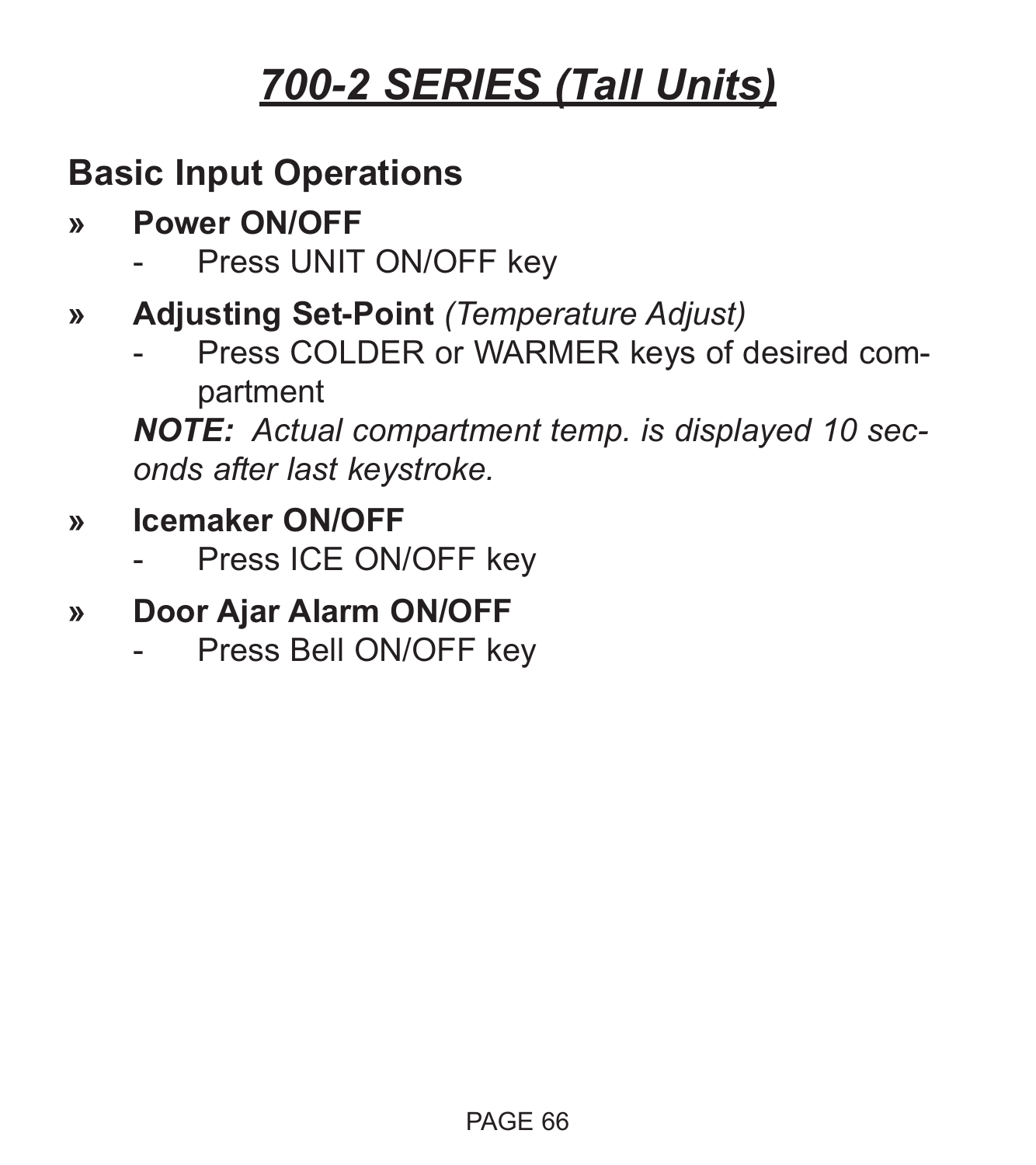## **Basic Input Operations**

- **» Power ON/OFF**
	- Press UNIT ON/OFF key
- **» Adjusting Set-Point** *(Temperature Adjust)*
	- Press COLDER or WARMER keys of desired compartment

*NOTE: Actual compartment temp. is displayed 10 seconds after last keystroke.*

- **» Icemaker ON/OFF**
	- Press ICE ON/OFF key
- **» Door Ajar Alarm ON/OFF**
	- Press Bell ON/OFF key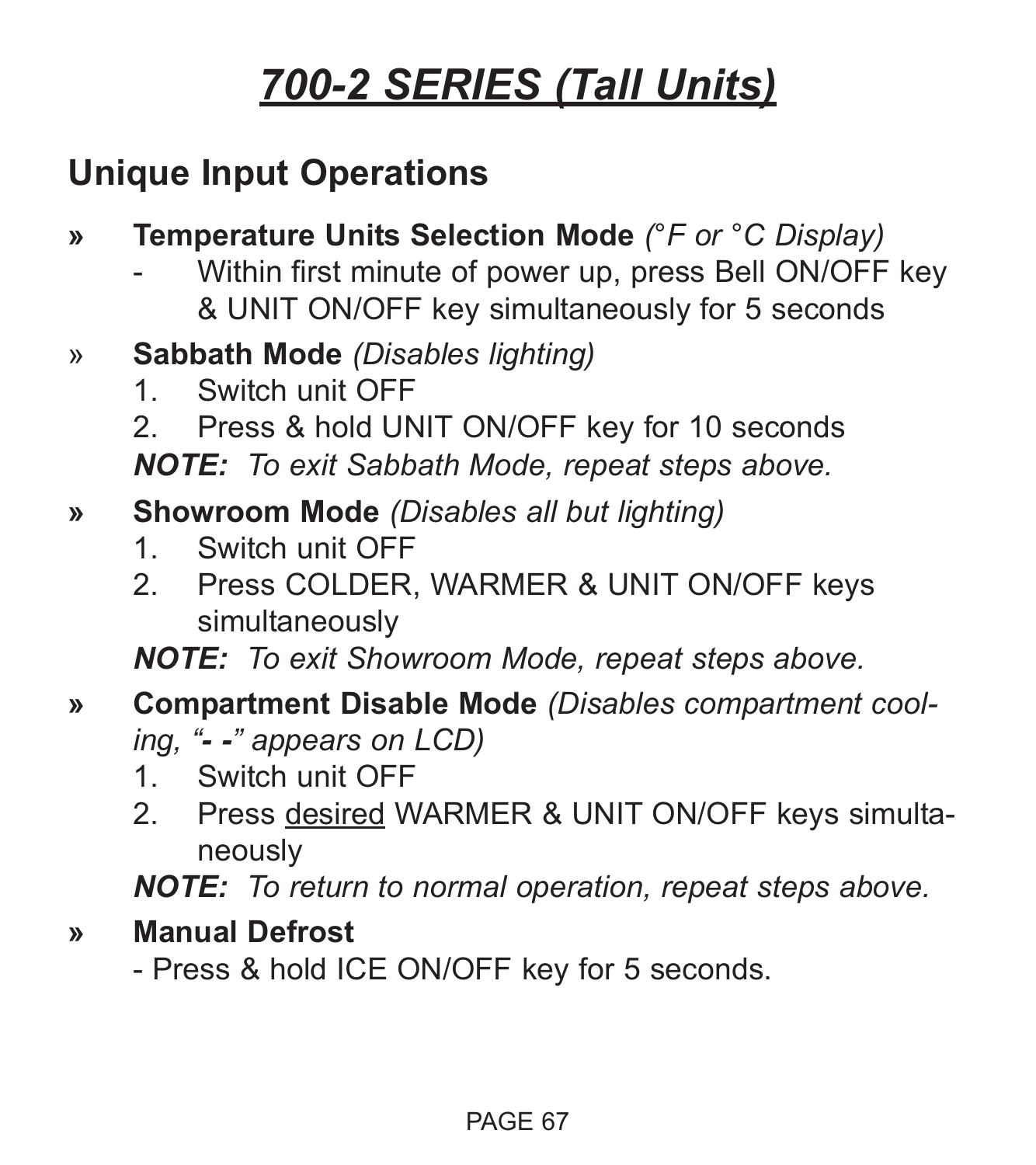## **Unique Input Operations**

- **» Temperature Units Selection Mode** *(°F or °C Display)*
	- Within first minute of power up, press Bell ON/OFF key & UNIT ON/OFF key simultaneously for 5 seconds
- » **Sabbath Mode** *(Disables lighting)*
	- 1. Switch unit OFF
	- 2. Press & hold UNIT ON/OFF key for 10 seconds

*NOTE: To exit Sabbath Mode, repeat steps above.*

- **» Showroom Mode** *(Disables all but lighting)*
	- 1. Switch unit OFF
	- 2. Press COLDER, WARMER & UNIT ON/OFF keys simultaneously

*NOTE: To exit Showroom Mode, repeat steps above.*

- **» Compartment Disable Mode** *(Disables compartment cooling, "- -" appears on LCD)*
	- 1. Switch unit OFF
	- 2. Press desired WARMER & UNIT ON/OFF keys simultaneously

*NOTE: To return to normal operation, repeat steps above.*

**» Manual Defrost**

- Press & hold ICE ON/OFF key for 5 seconds.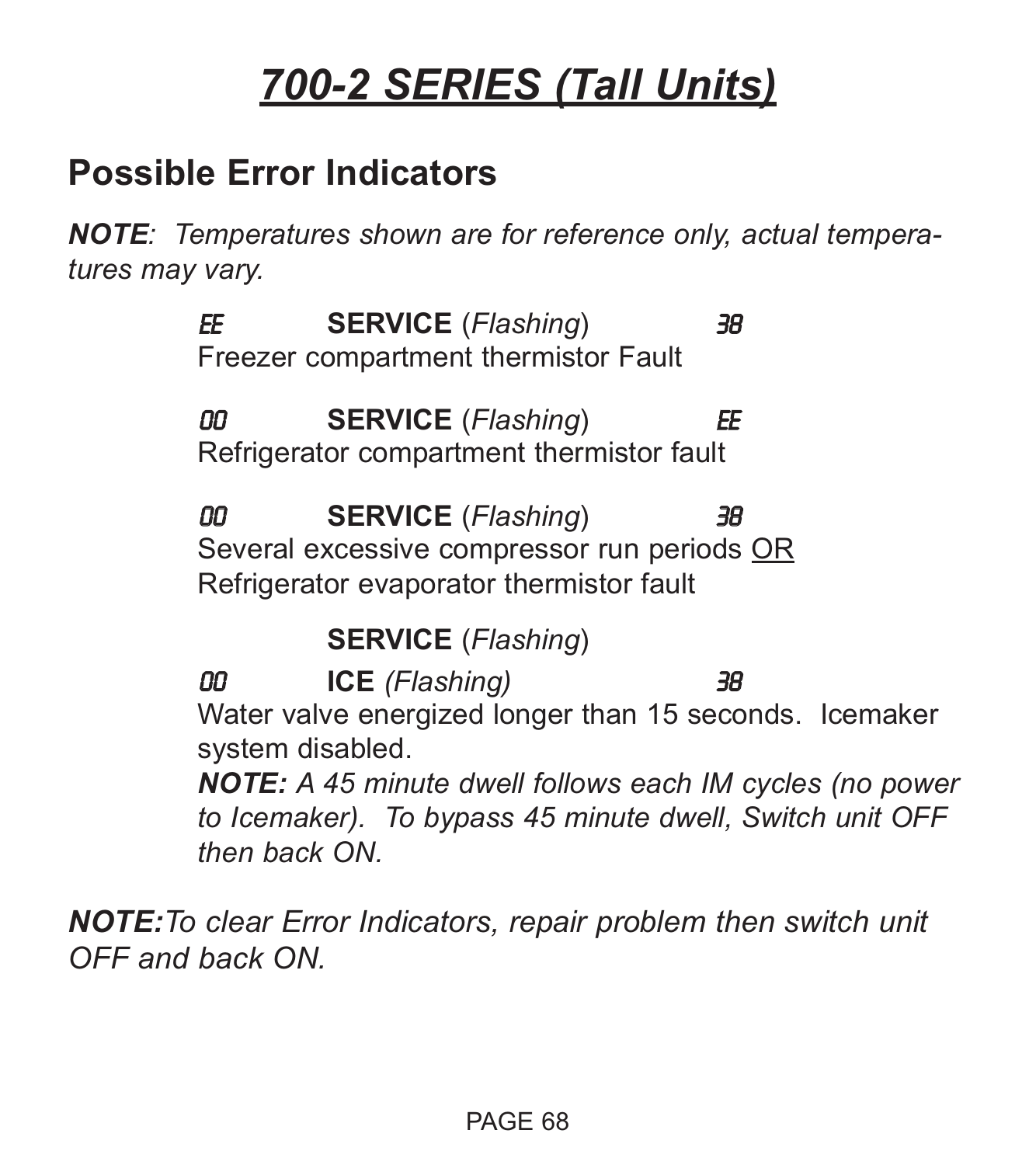## **Possible Error Indicators**

*NOTE: Temperatures shown are for reference only, actual temperatures may vary.*

> EE **SERVICE** (*Flashing*) 38 Freezer compartment thermistor Fault

> 00 **SERVICE** (*Flashing*) EE Refrigerator compartment thermistor fault

00 **SERVICE** (*Flashing*) 38 Several excessive compressor run periods OR Refrigerator evaporator thermistor fault

**SERVICE** (*Flashing*)

00 **ICE** *(Flashing)* 38 Water valve energized longer than 15 seconds. Icemaker system disabled.

*NOTE: A 45 minute dwell follows each IM cycles (no power to Icemaker). To bypass 45 minute dwell, Switch unit OFF then back ON.*

*NOTE:To clear Error Indicators, repair problem then switch unit OFF and back ON.*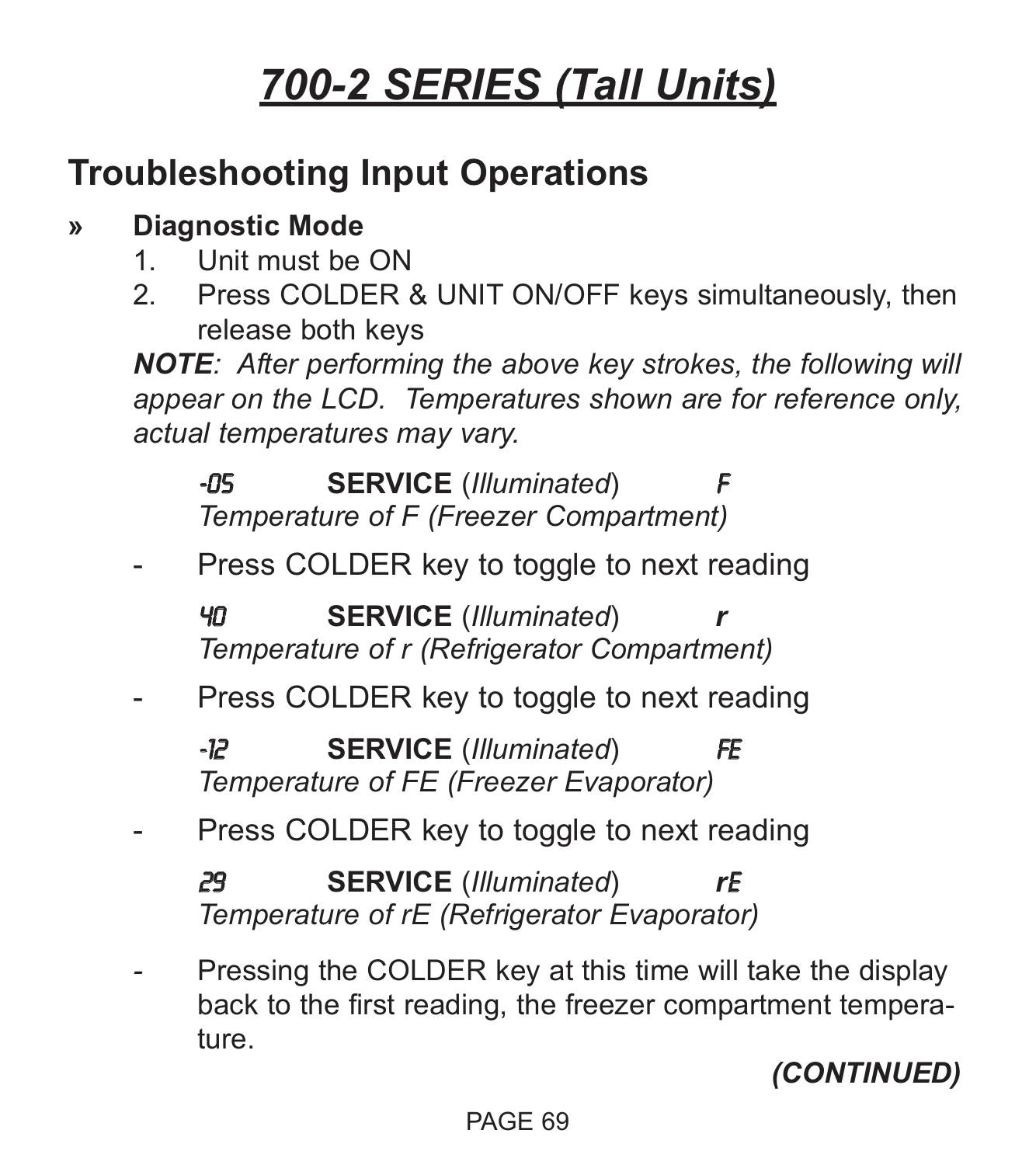## **Troubleshooting Input Operations**

## **» Diagnostic Mode**

- 1. Unit must be ON
- 2. Press COLDER & UNIT ON/OFF keys simultaneously, then release both keys

*NOTE: After performing the above key strokes, the following will appear on the LCD. Temperatures shown are for reference only, actual temperatures may vary.*

**-05 SERVICE** (*Illuminated*) *Temperature of F (Freezer Compartment)*

Press COLDER key to toggle to next reading

40 **SERVICE** (*Illuminated*) *r Temperature of r (Refrigerator Compartment)*

Press COLDER key to toggle to next reading

-12 **SERVICE** (*Illuminated*) FE *Temperature of FE (Freezer Evaporator)*

Press COLDER key to toggle to next reading

29 **SERVICE** (*Illuminated*) *r*E *Temperature of rE (Refrigerator Evaporator)*

Pressing the COLDER key at this time will take the display back to the first reading, the freezer compartment temperature.

*(CONTINUED)*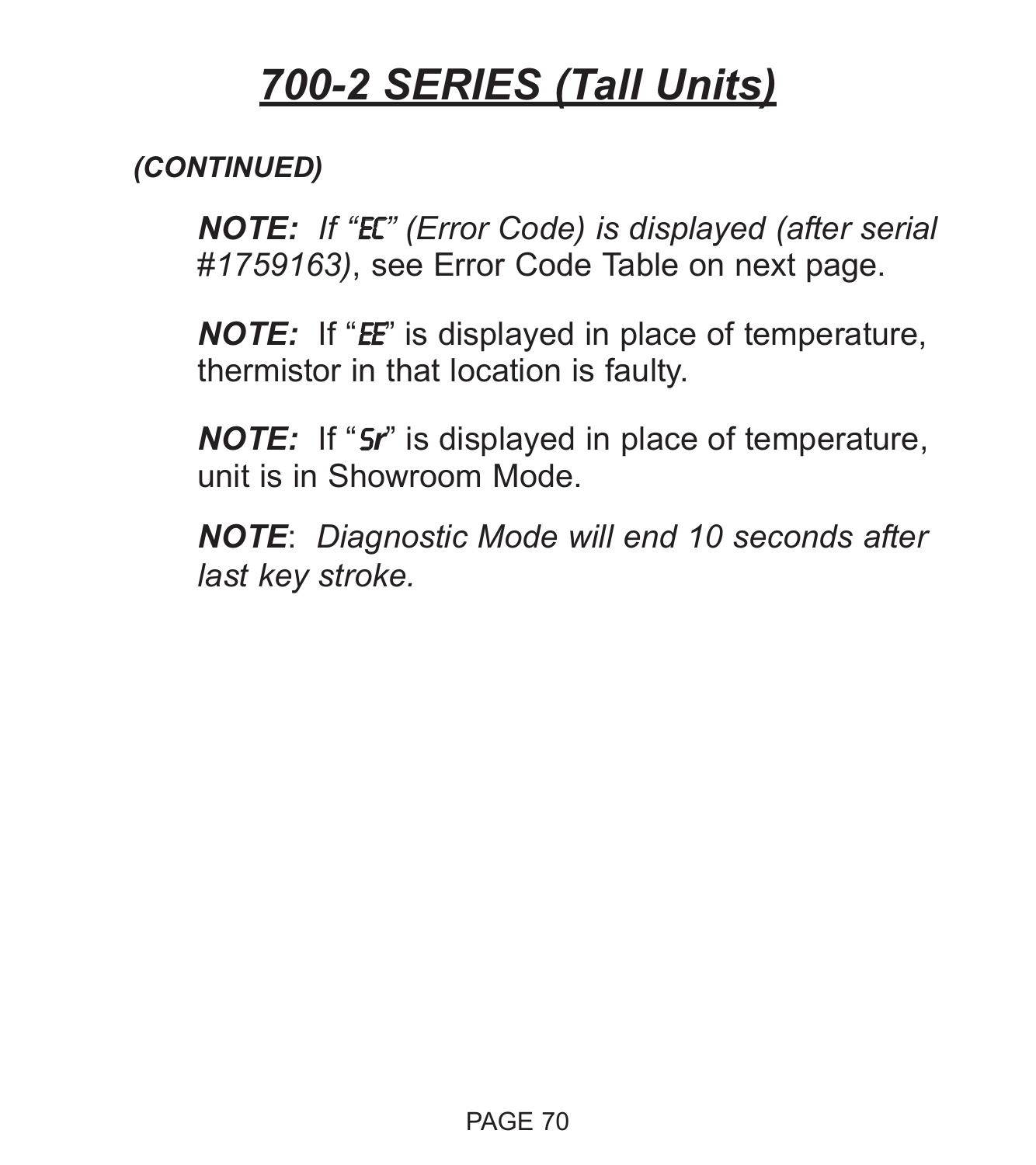### *(CONTINUED)*

*NOTE: If "*EC*" (Error Code) is displayed (after serial #1759163)*, see Error Code Table on next page.

*NOTE:* If "*EE*" is displayed in place of temperature, thermistor in that location is faulty.

*NOTE:* If "S*r*" is displayed in place of temperature, unit is in Showroom Mode.

*NOTE*: *Diagnostic Mode will end 10 seconds after last key stroke.*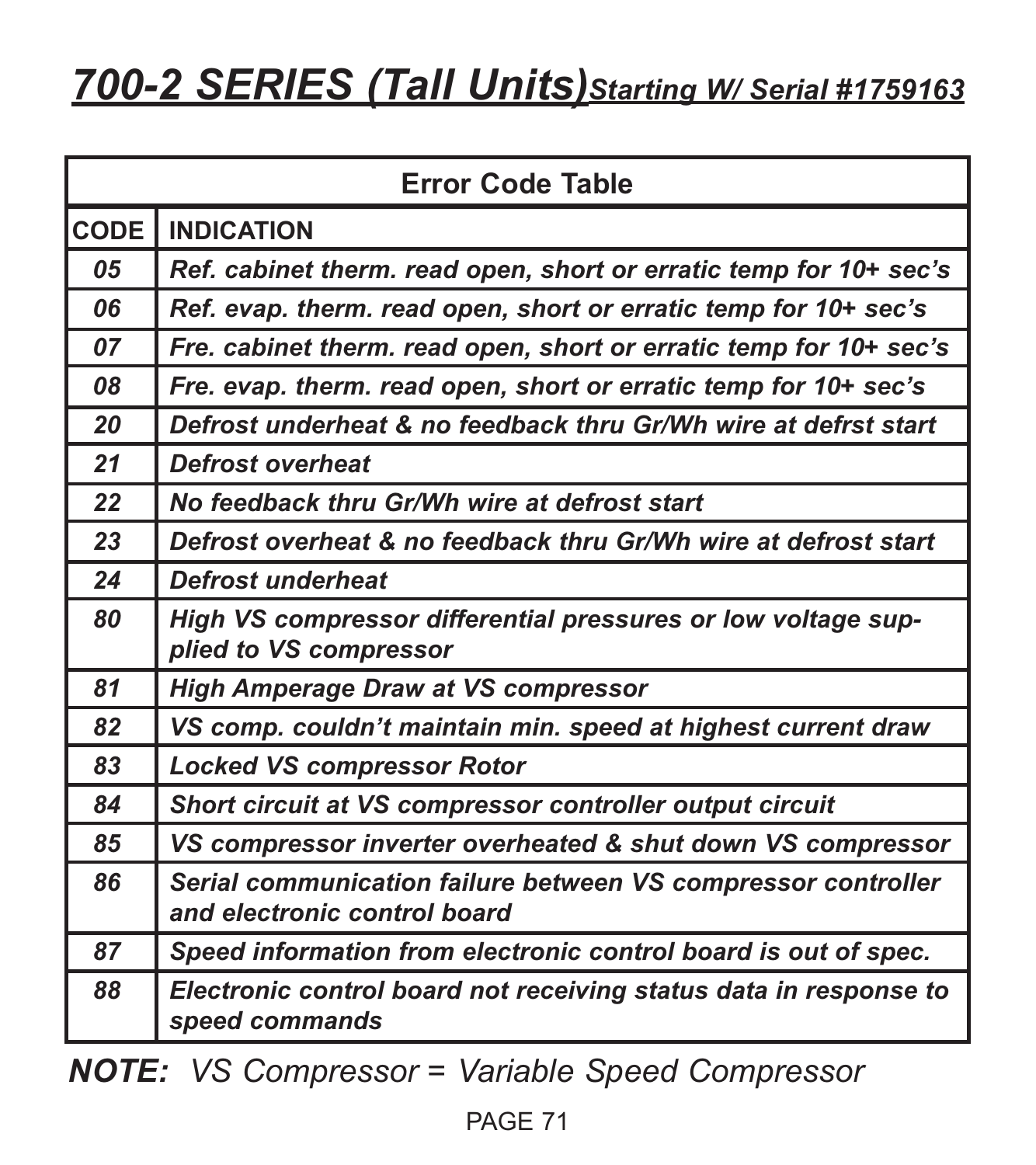# *700-2 SERIES (Tall Units)Starting W/ Serial #1759163*

|      | <b>Error Code Table</b>                                                                       |  |  |
|------|-----------------------------------------------------------------------------------------------|--|--|
| CODE | <b>INDICATION</b>                                                                             |  |  |
| 05   | Ref. cabinet therm. read open, short or erratic temp for 10+ sec's                            |  |  |
| 06   | Ref. evap. therm. read open, short or erratic temp for 10+ sec's                              |  |  |
| 07   | Fre. cabinet therm. read open, short or erratic temp for 10+ sec's                            |  |  |
| 08   | Fre. evap. therm. read open, short or erratic temp for 10+ sec's                              |  |  |
| 20   | Defrost underheat & no feedback thru Gr/Wh wire at defrst start                               |  |  |
| 21   | Defrost overheat                                                                              |  |  |
| 22   | No feedback thru Gr/Wh wire at defrost start                                                  |  |  |
| 23   | Defrost overheat & no feedback thru Gr/Wh wire at defrost start                               |  |  |
| 24   | <b>Defrost underheat</b>                                                                      |  |  |
| 80   | High VS compressor differential pressures or low voltage sup-<br>plied to VS compressor       |  |  |
| 81   | <b>High Amperage Draw at VS compressor</b>                                                    |  |  |
| 82   | VS comp. couldn't maintain min. speed at highest current draw                                 |  |  |
| 83   | <b>Locked VS compressor Rotor</b>                                                             |  |  |
| 84   | Short circuit at VS compressor controller output circuit                                      |  |  |
| 85   | VS compressor inverter overheated & shut down VS compressor                                   |  |  |
| 86   | Serial communication failure between VS compressor controller<br>and electronic control board |  |  |
| 87   | Speed information from electronic control board is out of spec.                               |  |  |
| 88   | Electronic control board not receiving status data in response to<br>speed commands           |  |  |

*NOTE: VS Compressor = Variable Speed Compressor*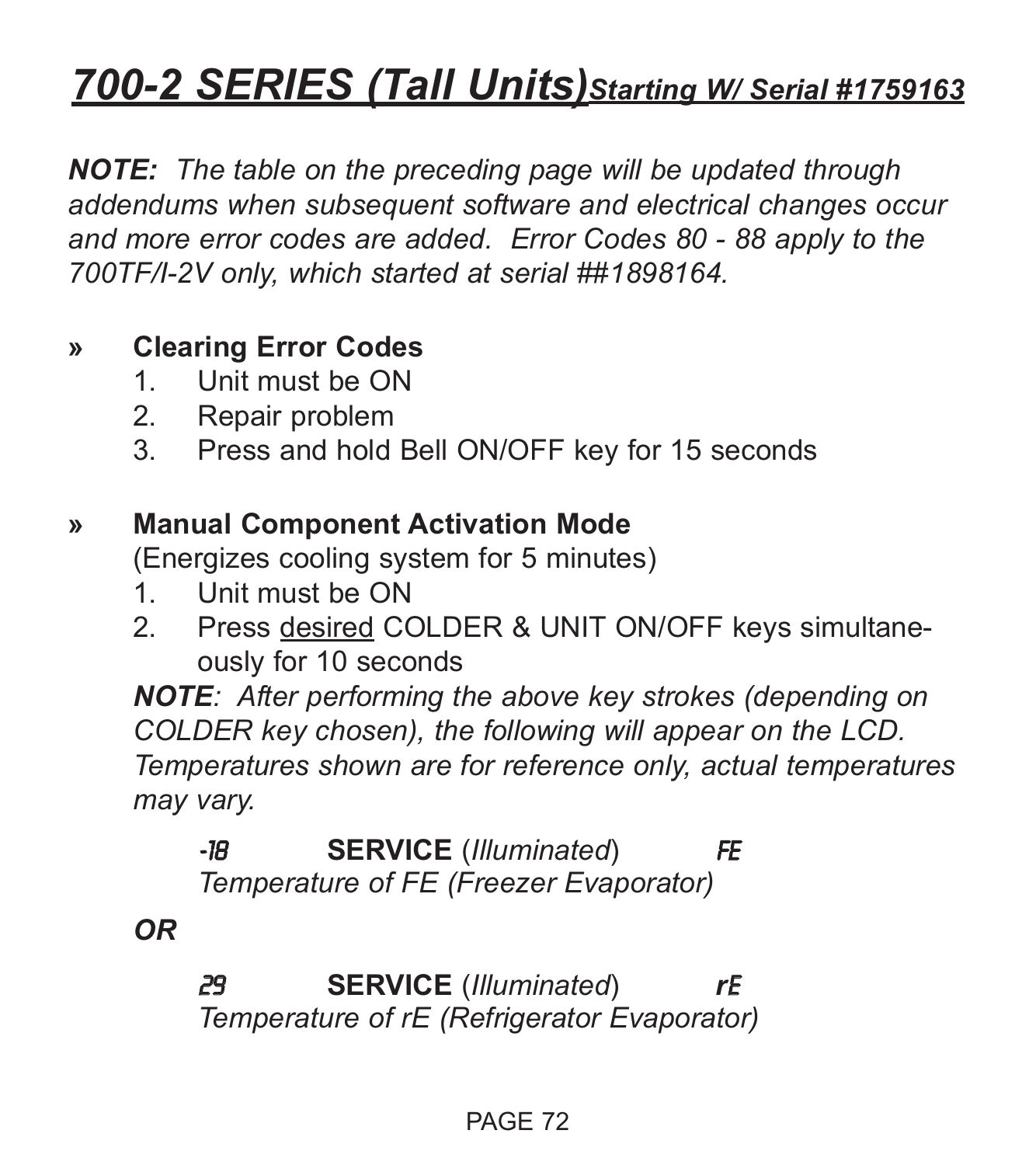# *700-2 SERIES (Tall Units)Starting W/ Serial #1759163*

*NOTE: The table on the preceding page will be updated through addendums when subsequent software and electrical changes occur and more error codes are added. Error Codes 80 - 88 apply to the 700TF/I-2V only, which started at serial ##1898164.*

#### **» Clearing Error Codes**

- 1. Unit must be ON
- 2. Repair problem
- 3. Press and hold Bell ON/OFF key for 15 seconds

#### **» Manual Component Activation Mode**

(Energizes cooling system for 5 minutes)

- 1. Unit must be ON
- 2. Press desired COLDER & UNIT ON/OFF keys simultaneously for 10 seconds

*NOTE: After performing the above key strokes (depending on COLDER key chosen), the following will appear on the LCD. Temperatures shown are for reference only, actual temperatures may vary.*

-18 **SERVICE** (*Illuminated*) FE *Temperature of FE (Freezer Evaporator)*

#### *OR*

29 **SERVICE** (*Illuminated*) *r*E *Temperature of rE (Refrigerator Evaporator)*

#### PAGE 72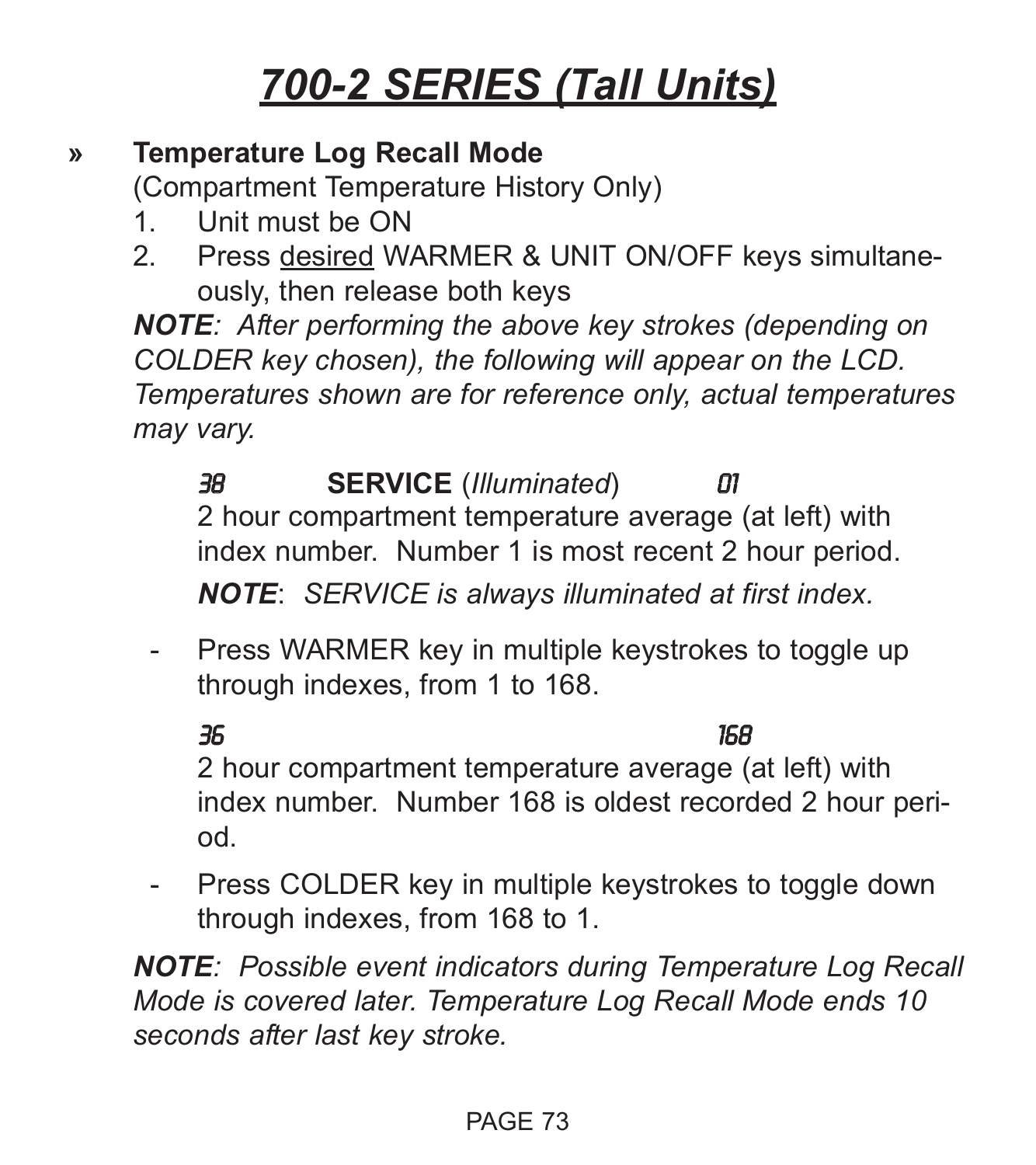# *700-2 SERIES (Tall Units)*

#### **» Temperature Log Recall Mode**

(Compartment Temperature History Only)

- 1. Unit must be ON
- 2. Press desired WARMER & UNIT ON/OFF keys simultaneously, then release both keys

*NOTE: After performing the above key strokes (depending on COLDER key chosen), the following will appear on the LCD. Temperatures shown are for reference only, actual temperatures may vary.*

38 **SERVICE** (*Illuminated*) 01 2 hour compartment temperature average (at left) with index number. Number 1 is most recent 2 hour period.

*NOTE*: *SERVICE is always illuminated at first index.*

- Press WARMER key in multiple keystrokes to toggle up through indexes, from 1 to 168.

36 168 2 hour compartment temperature average (at left) with index number. Number 168 is oldest recorded 2 hour period.

- Press COLDER key in multiple keystrokes to toggle down through indexes, from 168 to 1.

*NOTE: Possible event indicators during Temperature Log Recall Mode is covered later. Temperature Log Recall Mode ends 10 seconds after last key stroke.*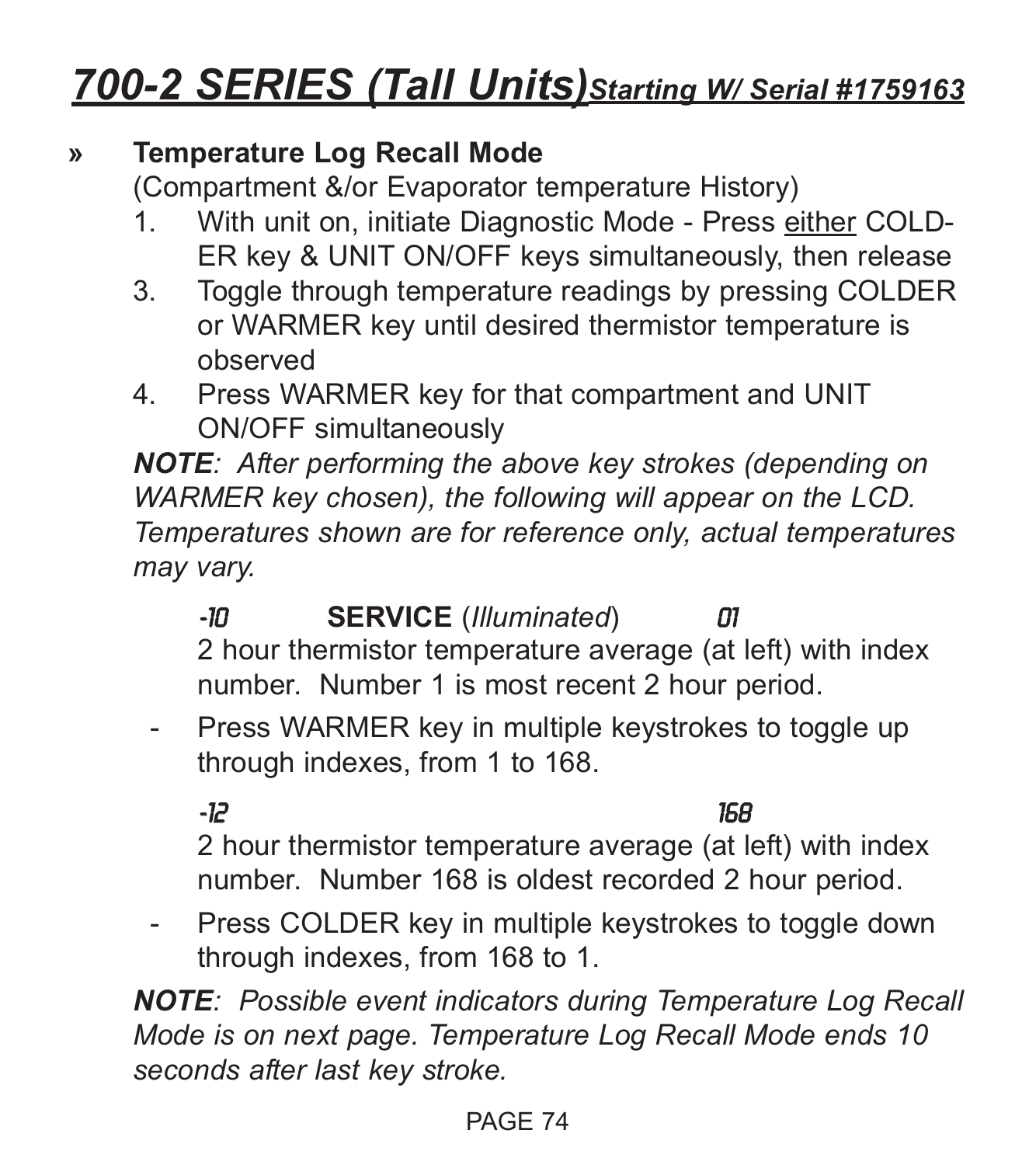## *700-2 SERIES (Tall Units)Starting W/ Serial #1759163*

#### **» Temperature Log Recall Mode**

(Compartment &/or Evaporator temperature History)

- 1. With unit on, initiate Diagnostic Mode Press either COLD-ER key & UNIT ON/OFF keys simultaneously, then release
- 3. Toggle through temperature readings by pressing COLDER or WARMER key until desired thermistor temperature is observed
- 4. Press WARMER key for that compartment and UNIT ON/OFF simultaneously

*NOTE: After performing the above key strokes (depending on WARMER key chosen), the following will appear on the LCD. Temperatures shown are for reference only, actual temperatures may vary.*

- -10 **SERVICE** (*Illuminated*) 01 2 hour thermistor temperature average (at left) with index number. Number 1 is most recent 2 hour period.
- Press WARMER key in multiple keystrokes to toggle up through indexes, from 1 to 168.

-12 168

2 hour thermistor temperature average (at left) with index number. Number 168 is oldest recorded 2 hour period.

- Press COLDER key in multiple keystrokes to toggle down through indexes, from 168 to 1.

*NOTE: Possible event indicators during Temperature Log Recall Mode is on next page. Temperature Log Recall Mode ends 10 seconds after last key stroke.*

#### PAGE 74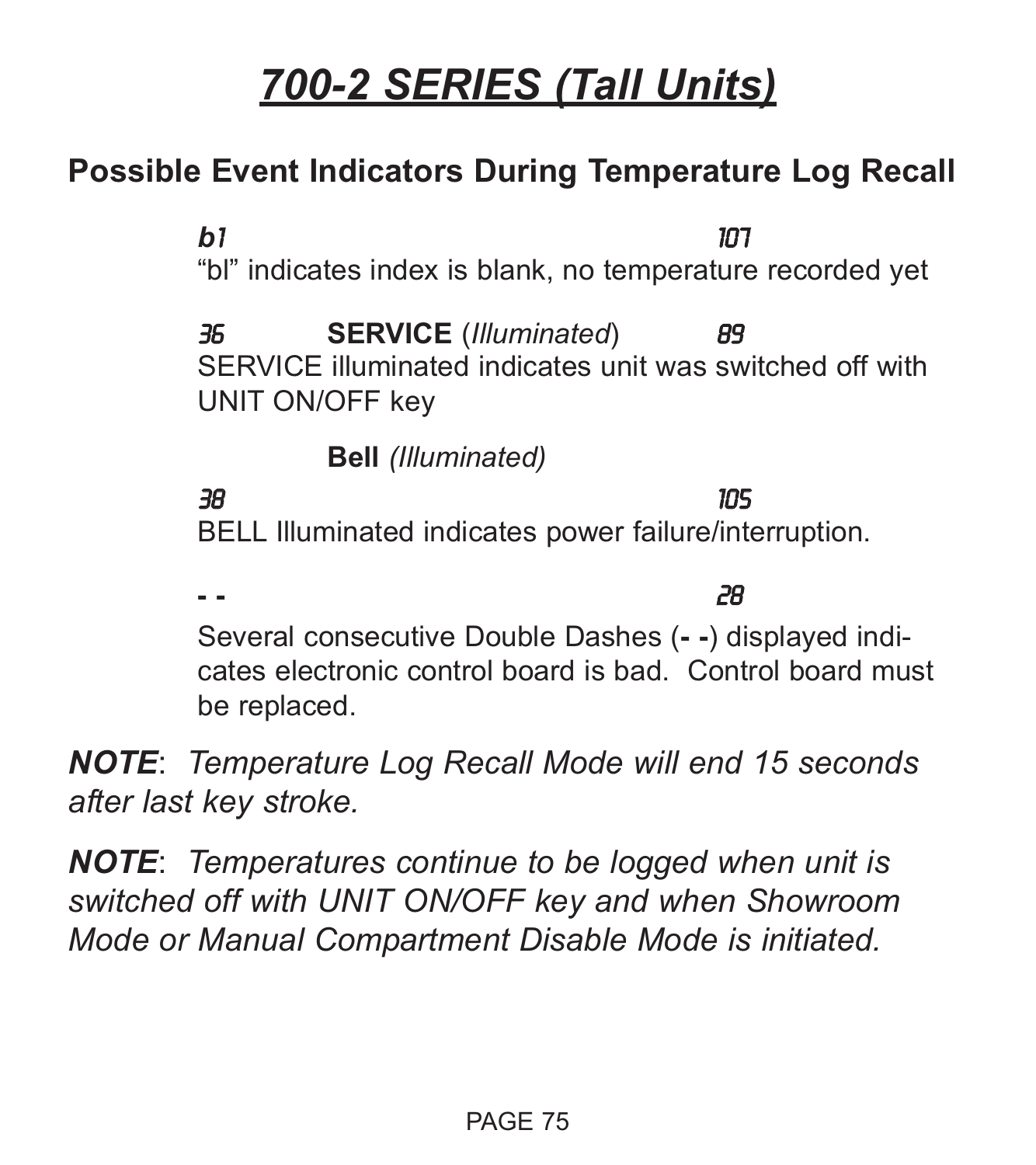# *700-2 SERIES (Tall Units)*

#### **Possible Event Indicators During Temperature Log Recall**

*b*1 107 "bl" indicates index is blank, no temperature recorded yet 36 **SERVICE** (*Illuminated*) 89 SERVICE illuminated indicates unit was switched off with UNIT ON/OFF key **Bell** *(Illuminated)* 38 105 BELL Illuminated indicates power failure/interruption. **- -** 28

Several consecutive Double Dashes (**- -**) displayed indicates electronic control board is bad. Control board must be replaced.

*NOTE*: *Temperature Log Recall Mode will end 15 seconds after last key stroke.*

*NOTE*: *Temperatures continue to be logged when unit is switched off with UNIT ON/OFF key and when Showroom Mode or Manual Compartment Disable Mode is initiated.*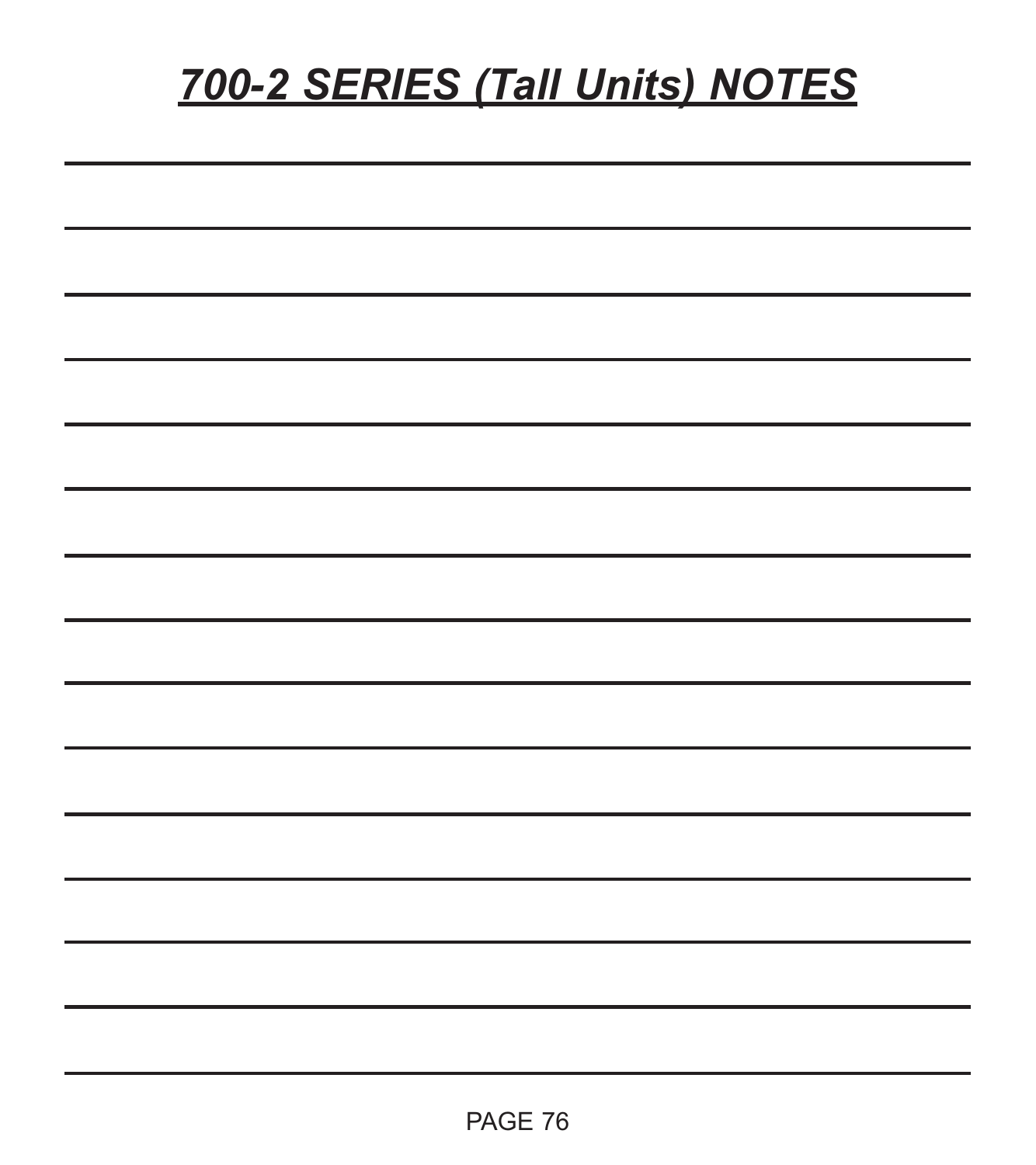# *700-2 SERIES (Tall Units) NOTES*

| <u>. In the contract of the contract of the contract of the contract of the contract of the contract of the contract of the contract of the contract of the contract of the contract of the contract of the contract of the cont</u> |  |  |
|--------------------------------------------------------------------------------------------------------------------------------------------------------------------------------------------------------------------------------------|--|--|
|                                                                                                                                                                                                                                      |  |  |
|                                                                                                                                                                                                                                      |  |  |
|                                                                                                                                                                                                                                      |  |  |
|                                                                                                                                                                                                                                      |  |  |
|                                                                                                                                                                                                                                      |  |  |
|                                                                                                                                                                                                                                      |  |  |
| <u> 1989 - Johann Barnett, fransk politiker (d. 1989)</u>                                                                                                                                                                            |  |  |
| the contract of the contract of the contract of the contract of the contract of                                                                                                                                                      |  |  |
|                                                                                                                                                                                                                                      |  |  |
| <u> 1989 - Johann Barbara, marka a shekara ta 1989 - Anna a tsarann an tsarann an tsarann an tsarann an tsarann a</u>                                                                                                                |  |  |
|                                                                                                                                                                                                                                      |  |  |
|                                                                                                                                                                                                                                      |  |  |
|                                                                                                                                                                                                                                      |  |  |
|                                                                                                                                                                                                                                      |  |  |
|                                                                                                                                                                                                                                      |  |  |
|                                                                                                                                                                                                                                      |  |  |
|                                                                                                                                                                                                                                      |  |  |
|                                                                                                                                                                                                                                      |  |  |
|                                                                                                                                                                                                                                      |  |  |
|                                                                                                                                                                                                                                      |  |  |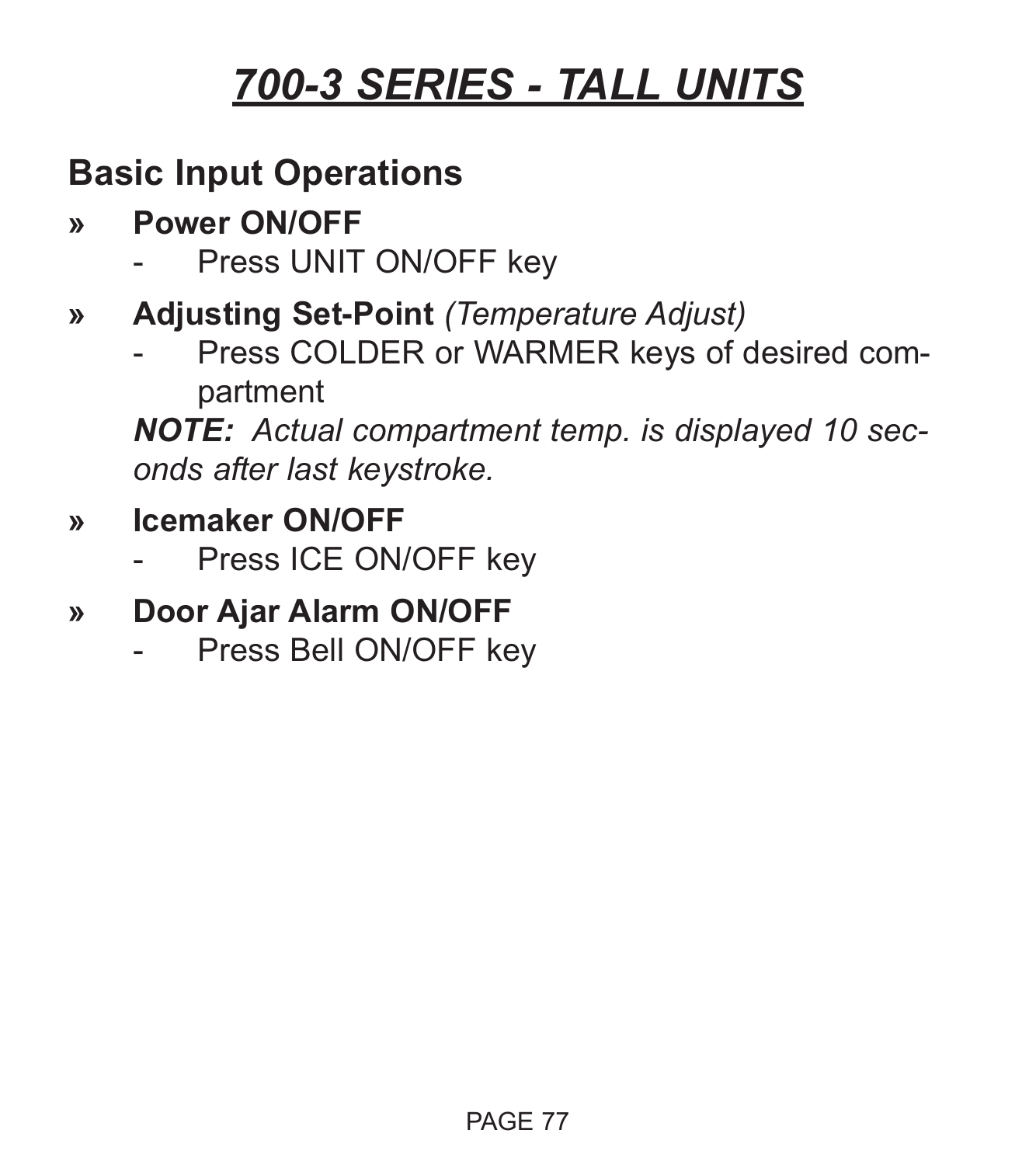### **Basic Input Operations**

- **» Power ON/OFF**
	- Press UNIT ON/OFF key
- **» Adjusting Set-Point** *(Temperature Adjust)*
	- Press COLDER or WARMER keys of desired compartment

*NOTE: Actual compartment temp. is displayed 10 seconds after last keystroke.*

- **» Icemaker ON/OFF**
	- Press ICE ON/OFF key
- **» Door Ajar Alarm ON/OFF**
	- Press Bell ON/OFF key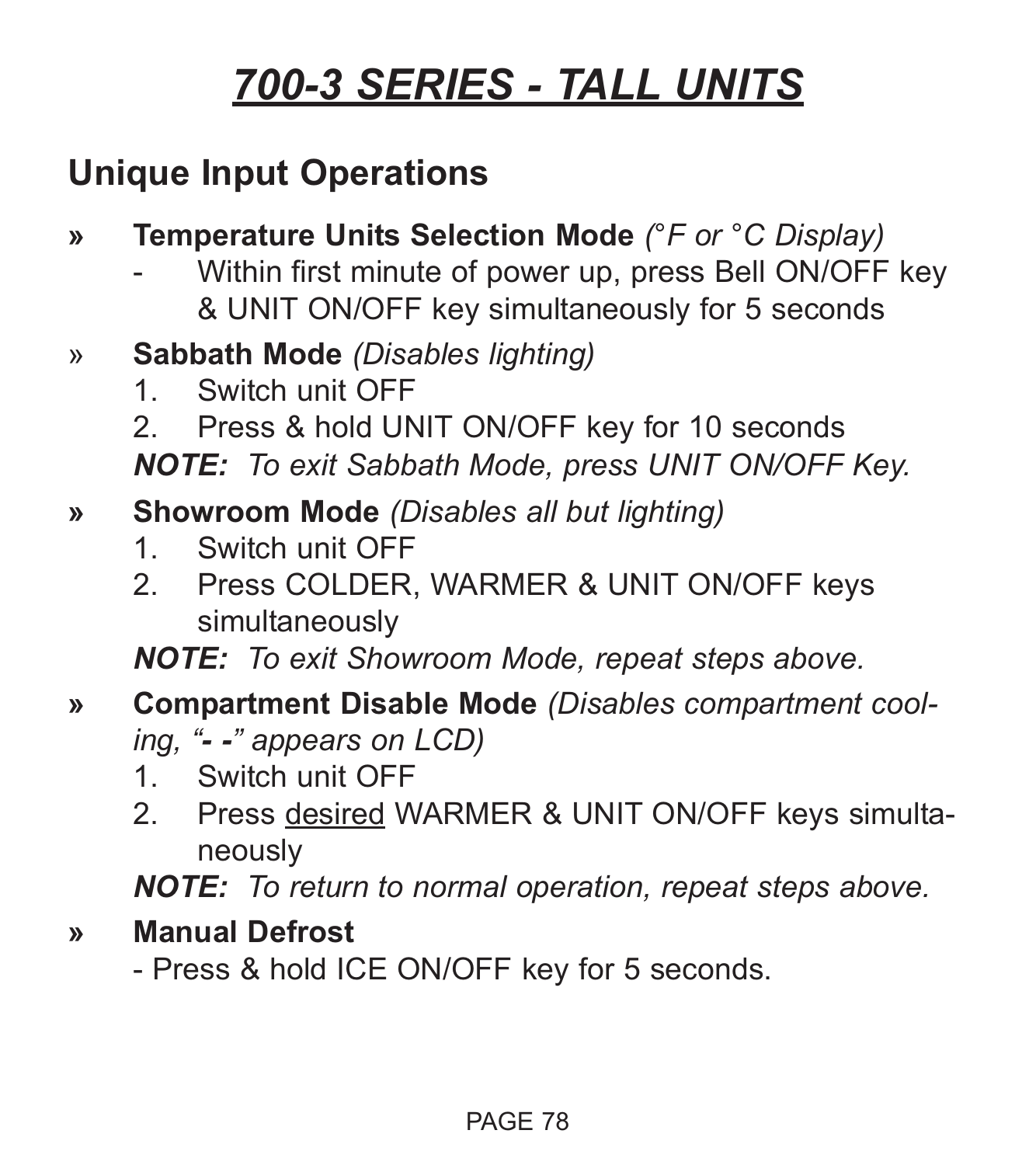### **Unique Input Operations**

- **» Temperature Units Selection Mode** *(°F or °C Display)*
	- Within first minute of power up, press Bell ON/OFF key & UNIT ON/OFF key simultaneously for 5 seconds
- » **Sabbath Mode** *(Disables lighting)*
	- 1. Switch unit OFF
	- 2. Press & hold UNIT ON/OFF key for 10 seconds

*NOTE: To exit Sabbath Mode, press UNIT ON/OFF Key.*

- **» Showroom Mode** *(Disables all but lighting)*
	- 1. Switch unit OFF
	- 2. Press COLDER, WARMER & UNIT ON/OFF keys simultaneously

*NOTE: To exit Showroom Mode, repeat steps above.*

- **» Compartment Disable Mode** *(Disables compartment cooling, "- -" appears on LCD)*
	- 1. Switch unit OFF
	- 2. Press desired WARMER & UNIT ON/OFF keys simultaneously

*NOTE: To return to normal operation, repeat steps above.*

**» Manual Defrost**

- Press & hold ICE ON/OFF key for 5 seconds.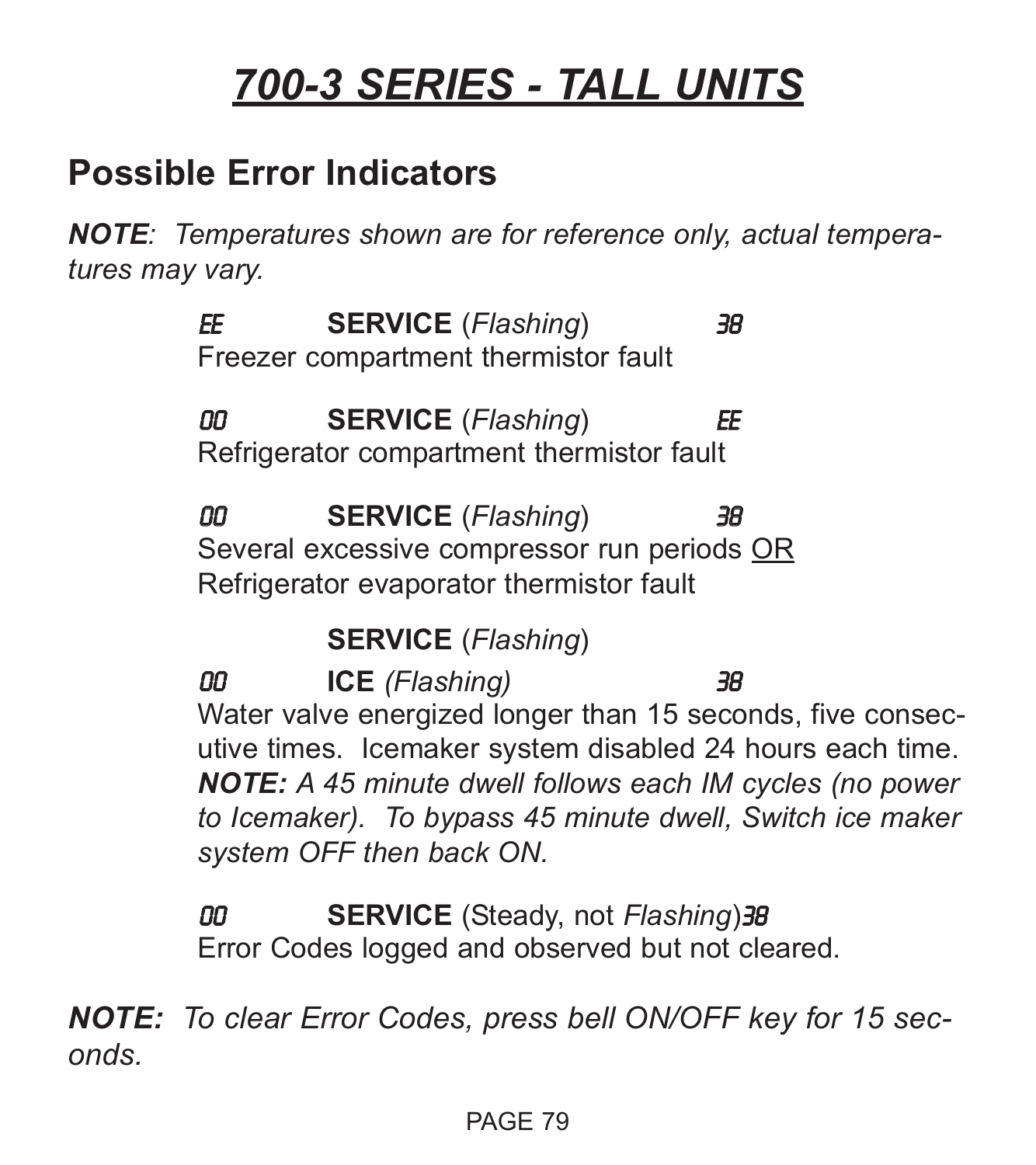#### **Possible Error Indicators**

*NOTE: Temperatures shown are for reference only, actual temperatures may vary.*

> EE **SERVICE** (*Flashing*) 38 Freezer compartment thermistor fault

> 00 **SERVICE** (*Flashing*) EE Refrigerator compartment thermistor fault

00 **SERVICE** (*Flashing*) 38 Several excessive compressor run periods OR Refrigerator evaporator thermistor fault

**SERVICE** (*Flashing*)

00 **ICE** *(Flashing)* 38 Water valve energized longer than 15 seconds, five consecutive times. Icemaker system disabled 24 hours each time. *NOTE: A 45 minute dwell follows each IM cycles (no power to Icemaker). To bypass 45 minute dwell, Switch ice maker system OFF then back ON.*

00 **SERVICE** (Steady, not *Flashing*)38 Error Codes logged and observed but not cleared.

*NOTE: To clear Error Codes, press bell ON/OFF key for 15 seconds.*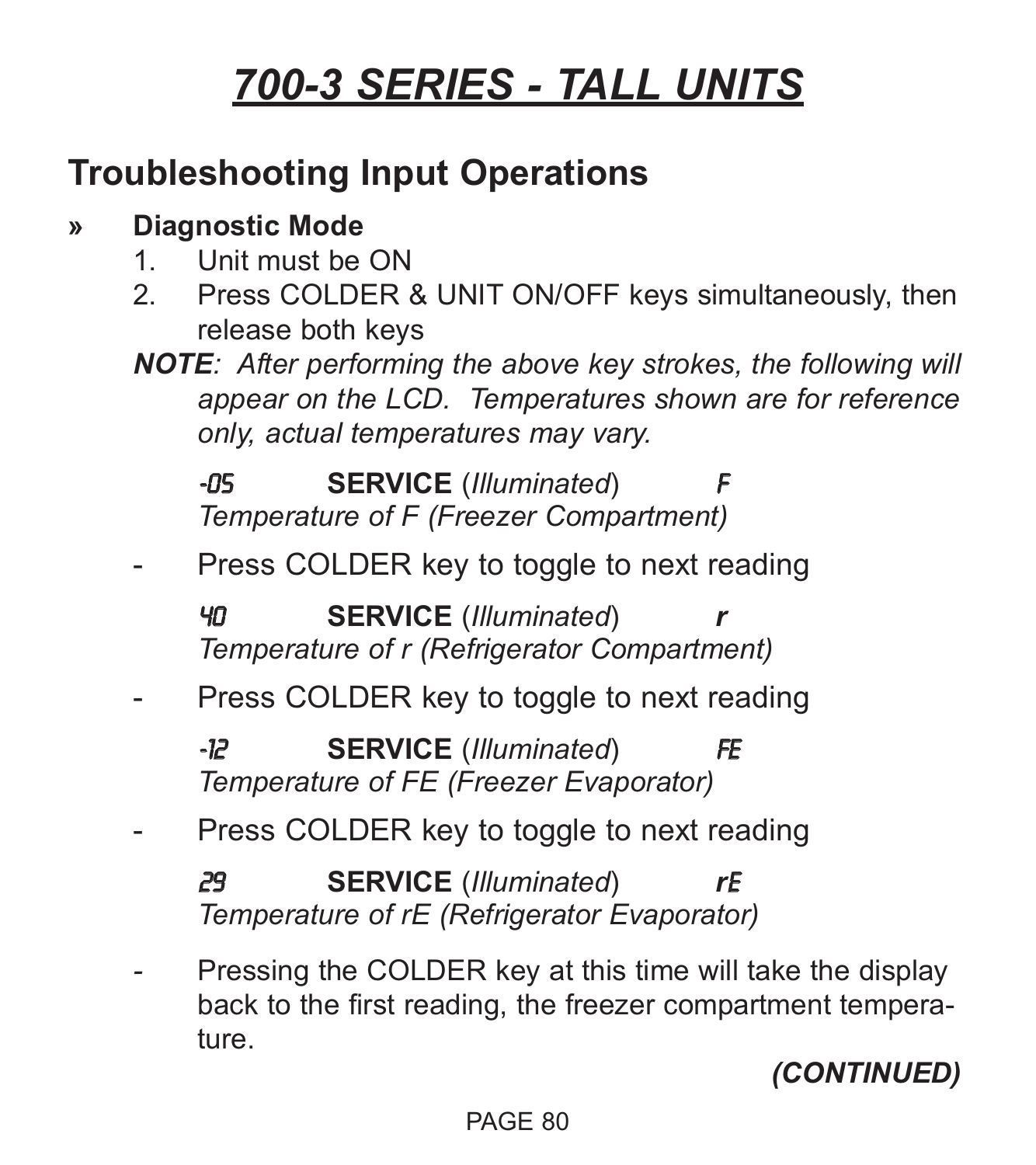### **Troubleshooting Input Operations**

#### **» Diagnostic Mode**

- 1. Unit must be ON
- 2. Press COLDER & UNIT ON/OFF keys simultaneously, then release both keys
- *NOTE: After performing the above key strokes, the following will appear on the LCD. Temperatures shown are for reference only, actual temperatures may vary.*

**-05 SERVICE** (*Illuminated*) *Temperature of F (Freezer Compartment)*

Press COLDER key to toggle to next reading

40 **SERVICE** (*Illuminated*) *r Temperature of r (Refrigerator Compartment)*

Press COLDER key to toggle to next reading

-12 **SERVICE** (*Illuminated*) FE *Temperature of FE (Freezer Evaporator)*

Press COLDER key to toggle to next reading

29 **SERVICE** (*Illuminated*) *r*E *Temperature of rE (Refrigerator Evaporator)*

Pressing the COLDER key at this time will take the display back to the first reading, the freezer compartment temperature.

*(CONTINUED)*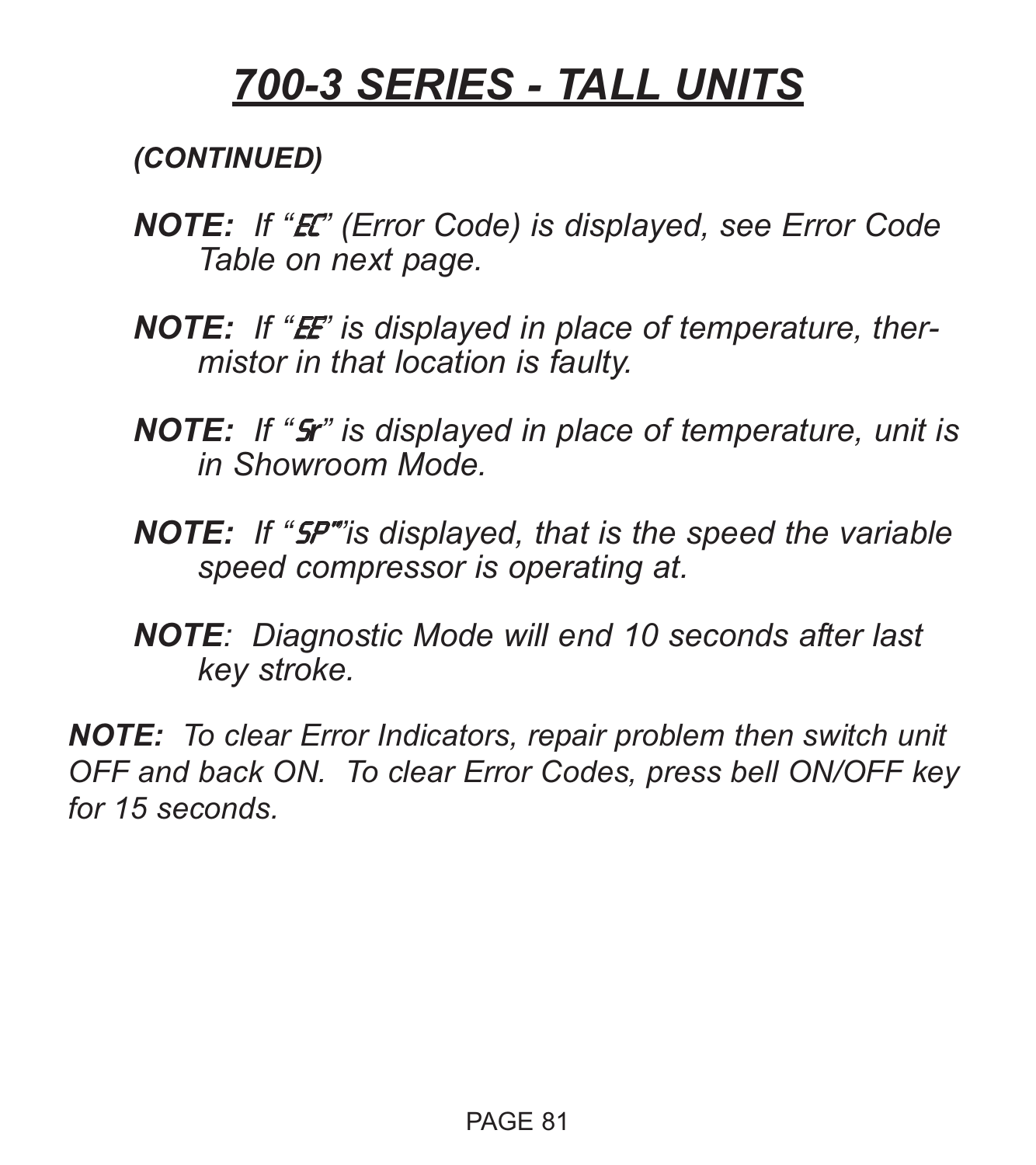*(CONTINUED)*

- *NOTE: If "*EC*" (Error Code) is displayed, see Error Code Table on next page.*
- **NOTE:** If "**E** is displayed in place of temperature, ther*mistor in that location is faulty.*
- *NOTE: If "*S*r" is displayed in place of temperature, unit is in Showroom Mode.*
- *NOTE: If "*SP"*"is displayed, that is the speed the variable speed compressor is operating at.*
- *NOTE: Diagnostic Mode will end 10 seconds after last key stroke.*

*NOTE: To clear Error Indicators, repair problem then switch unit OFF and back ON. To clear Error Codes, press bell ON/OFF key for 15 seconds.*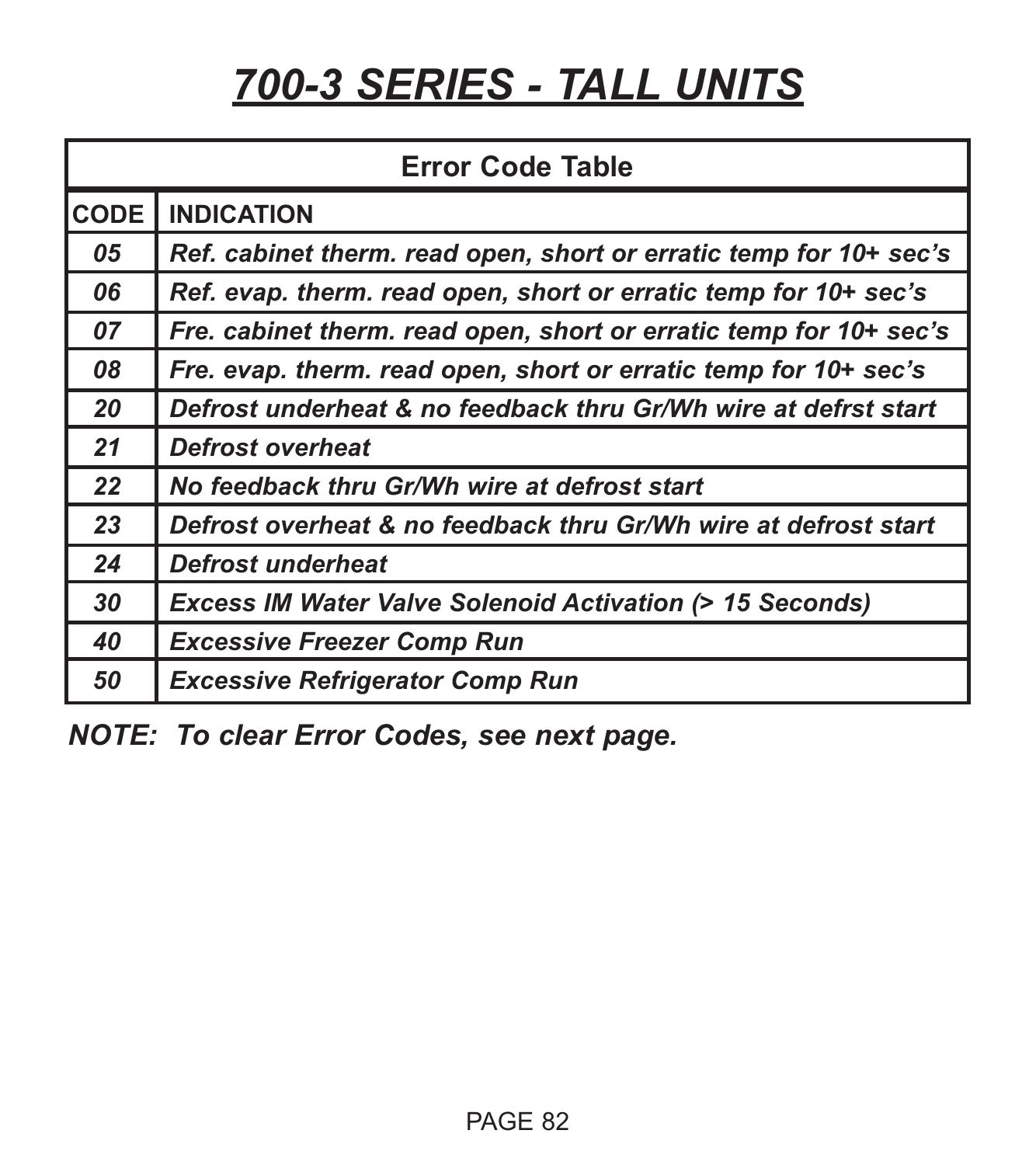| <b>Error Code Table</b> |                                                                    |  |  |  |
|-------------------------|--------------------------------------------------------------------|--|--|--|
| <b>CODE</b>             | <b>INDICATION</b>                                                  |  |  |  |
| 05                      | Ref. cabinet therm. read open, short or erratic temp for 10+ sec's |  |  |  |
| 06                      | Ref. evap. therm. read open, short or erratic temp for 10+ sec's   |  |  |  |
| 07                      | Fre. cabinet therm. read open, short or erratic temp for 10+ sec's |  |  |  |
| 08                      | Fre. evap. therm. read open, short or erratic temp for 10+ sec's   |  |  |  |
| 20                      | Defrost underheat & no feedback thru Gr/Wh wire at defrst start    |  |  |  |
| 21                      | <b>Defrost overheat</b>                                            |  |  |  |
| 22                      | No feedback thru Gr/Wh wire at defrost start                       |  |  |  |
| 23                      | Defrost overheat & no feedback thru Gr/Wh wire at defrost start    |  |  |  |
| 24                      | Defrost underheat                                                  |  |  |  |
| 30                      | <b>Excess IM Water Valve Solenoid Activation (&gt; 15 Seconds)</b> |  |  |  |
| 40                      | <b>Excessive Freezer Comp Run</b>                                  |  |  |  |
| 50                      | <b>Excessive Refrigerator Comp Run</b>                             |  |  |  |

*NOTE: To clear Error Codes, see next page.*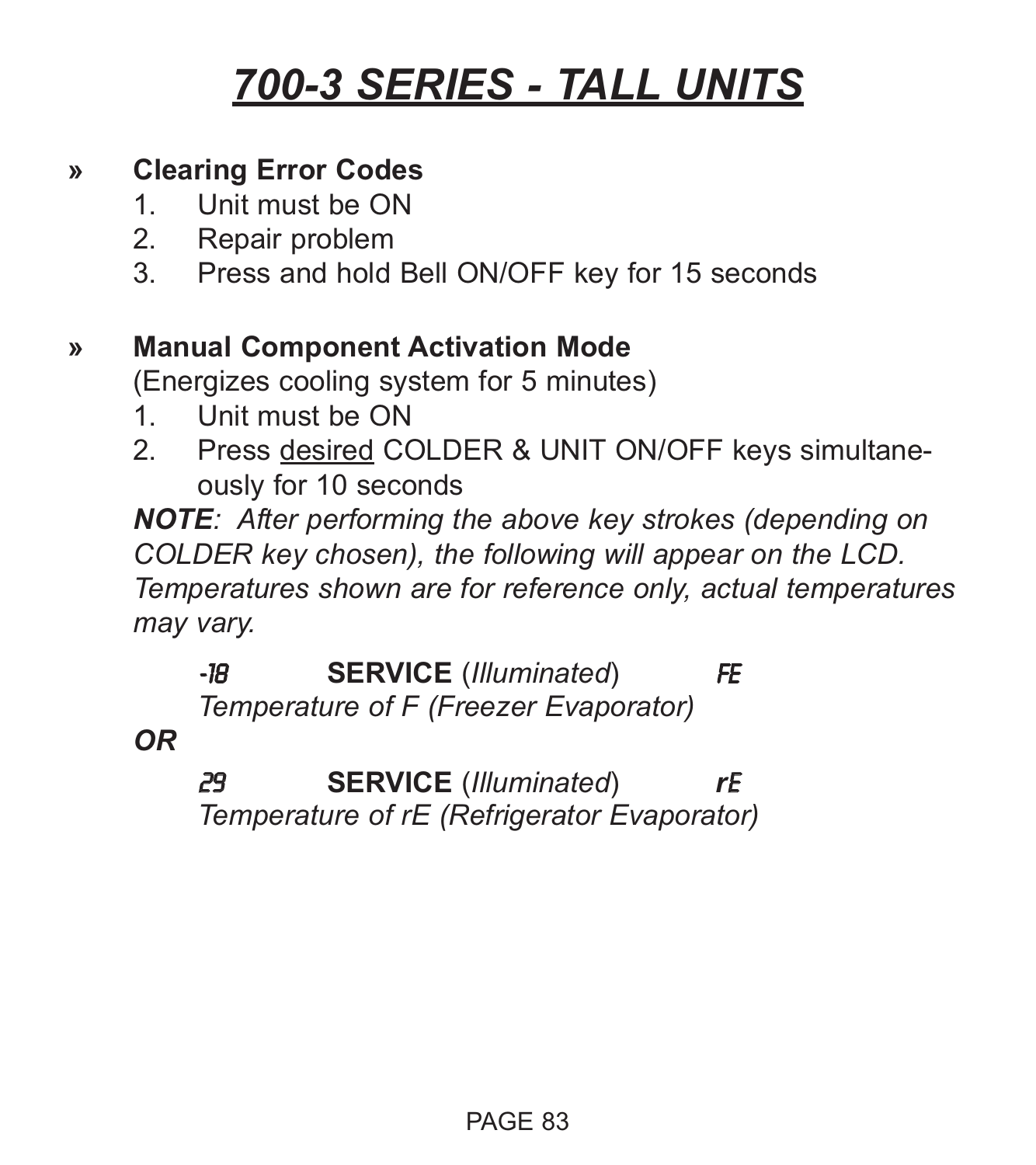#### **» Clearing Error Codes**

- 1. Unit must be ON
- 2. Repair problem
- 3. Press and hold Bell ON/OFF key for 15 seconds

#### **» Manual Component Activation Mode**

(Energizes cooling system for 5 minutes)

- 1. Unit must be ON
- 2. Press desired COLDER & UNIT ON/OFF keys simultaneously for 10 seconds

*NOTE: After performing the above key strokes (depending on COLDER key chosen), the following will appear on the LCD. Temperatures shown are for reference only, actual temperatures may vary.*

-18 **SERVICE** (*Illuminated*) FE *Temperature of F (Freezer Evaporator)*

*OR*

29 **SERVICE** (*Illuminated*) *r*E *Temperature of rE (Refrigerator Evaporator)*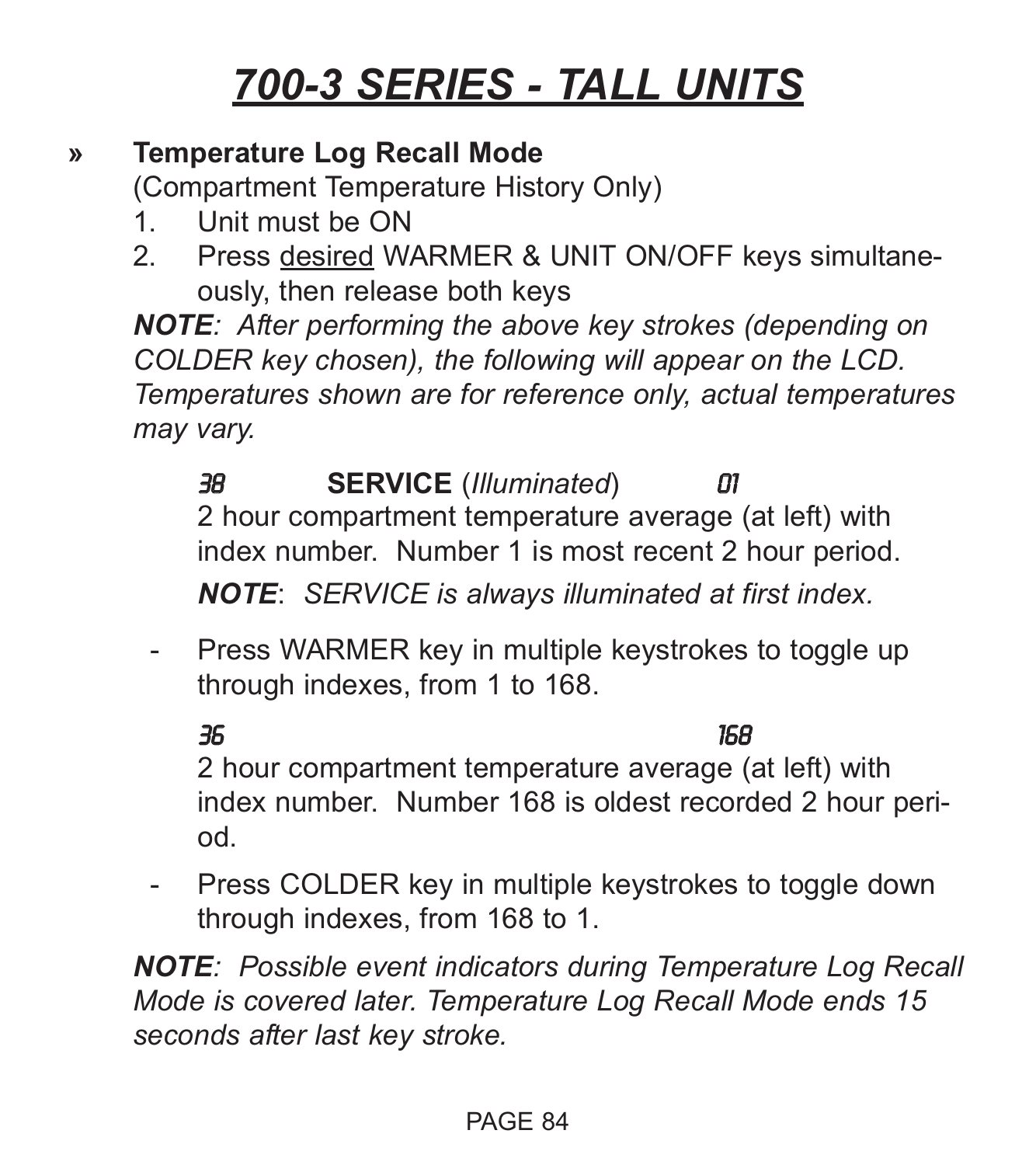#### **» Temperature Log Recall Mode**

(Compartment Temperature History Only)

- 1. Unit must be ON
- 2. Press desired WARMER & UNIT ON/OFF keys simultaneously, then release both keys

*NOTE: After performing the above key strokes (depending on COLDER key chosen), the following will appear on the LCD. Temperatures shown are for reference only, actual temperatures may vary.*

38 **SERVICE** (*Illuminated*) 01 2 hour compartment temperature average (at left) with index number. Number 1 is most recent 2 hour period.

*NOTE*: *SERVICE is always illuminated at first index.*

- Press WARMER key in multiple keystrokes to toggle up through indexes, from 1 to 168.

36 168 2 hour compartment temperature average (at left) with index number. Number 168 is oldest recorded 2 hour period.

- Press COLDER key in multiple keystrokes to toggle down through indexes, from 168 to 1.

*NOTE: Possible event indicators during Temperature Log Recall Mode is covered later. Temperature Log Recall Mode ends 15 seconds after last key stroke.*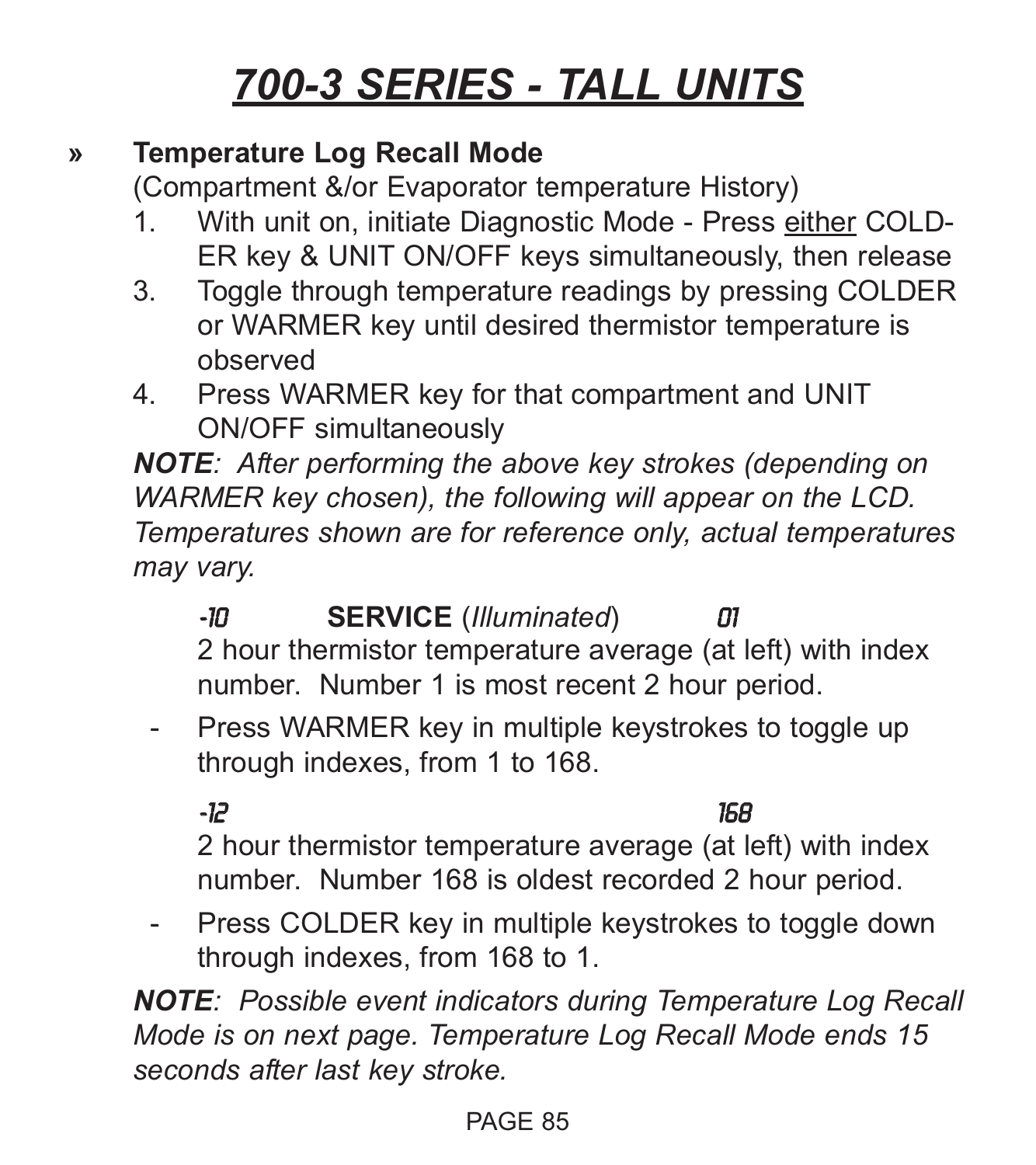#### **» Temperature Log Recall Mode**

(Compartment &/or Evaporator temperature History)

- 1. With unit on, initiate Diagnostic Mode Press either COLD-ER key & UNIT ON/OFF keys simultaneously, then release
- 3. Toggle through temperature readings by pressing COLDER or WARMER key until desired thermistor temperature is observed
- 4. Press WARMER key for that compartment and UNIT ON/OFF simultaneously

*NOTE: After performing the above key strokes (depending on WARMER key chosen), the following will appear on the LCD. Temperatures shown are for reference only, actual temperatures may vary.*

-10 **SERVICE** (*Illuminated*) 01 2 hour thermistor temperature average (at left) with index number. Number 1 is most recent 2 hour period.

- Press WARMER key in multiple keystrokes to toggle up through indexes, from 1 to 168.

-12 168

2 hour thermistor temperature average (at left) with index number. Number 168 is oldest recorded 2 hour period.

- Press COLDER key in multiple keystrokes to toggle down through indexes, from 168 to 1.

*NOTE: Possible event indicators during Temperature Log Recall Mode is on next page. Temperature Log Recall Mode ends 15 seconds after last key stroke.*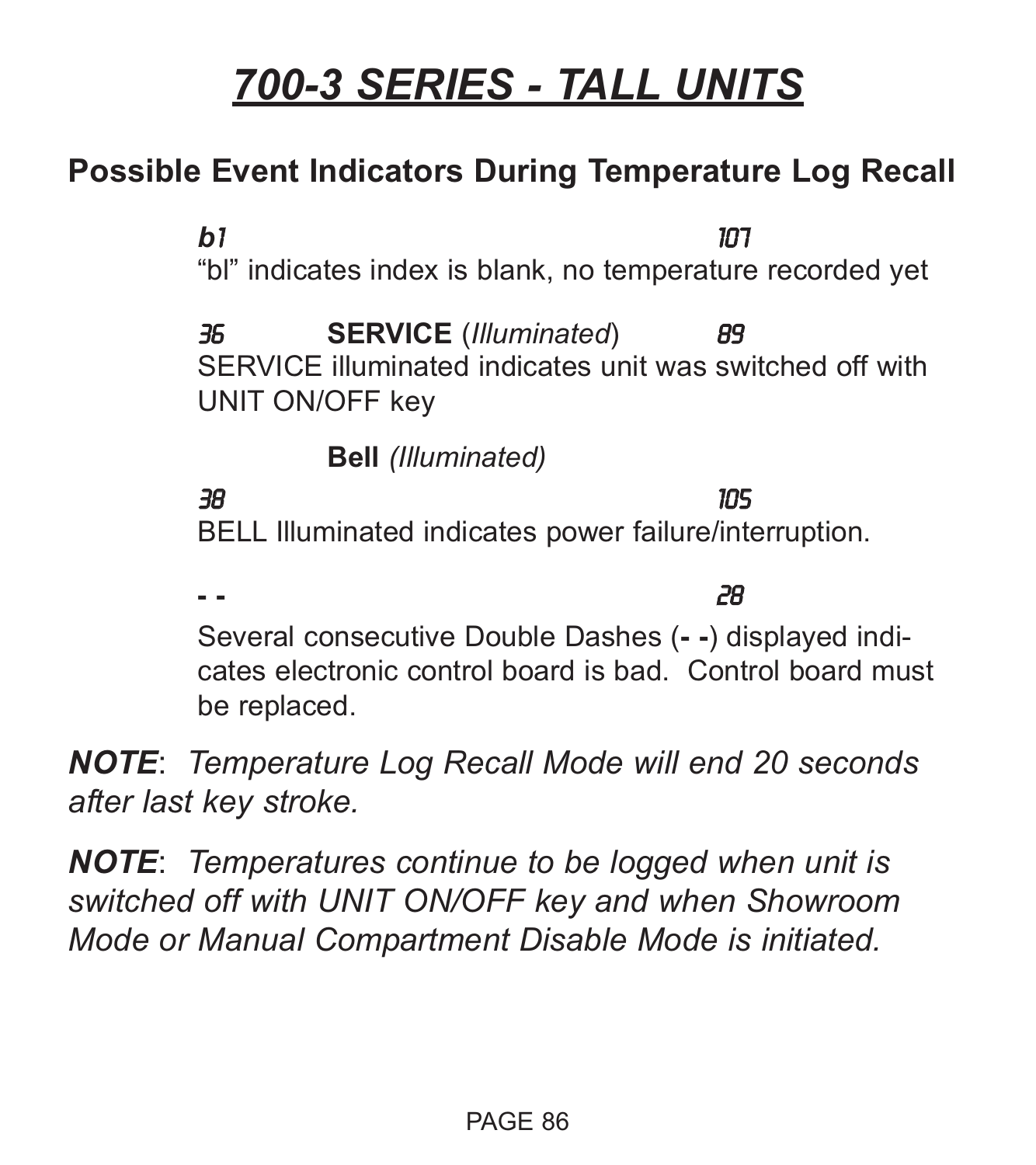#### **Possible Event Indicators During Temperature Log Recall**

*b*1 107 "bl" indicates index is blank, no temperature recorded yet 36 **SERVICE** (*Illuminated*) 89 SERVICE illuminated indicates unit was switched off with UNIT ON/OFF key **Bell** *(Illuminated)* 38 105 BELL Illuminated indicates power failure/interruption.

**- -** 28 Several consecutive Double Dashes (**- -**) displayed indicates electronic control board is bad. Control board must be replaced.

*NOTE*: *Temperature Log Recall Mode will end 20 seconds after last key stroke.*

*NOTE*: *Temperatures continue to be logged when unit is switched off with UNIT ON/OFF key and when Showroom Mode or Manual Compartment Disable Mode is initiated.*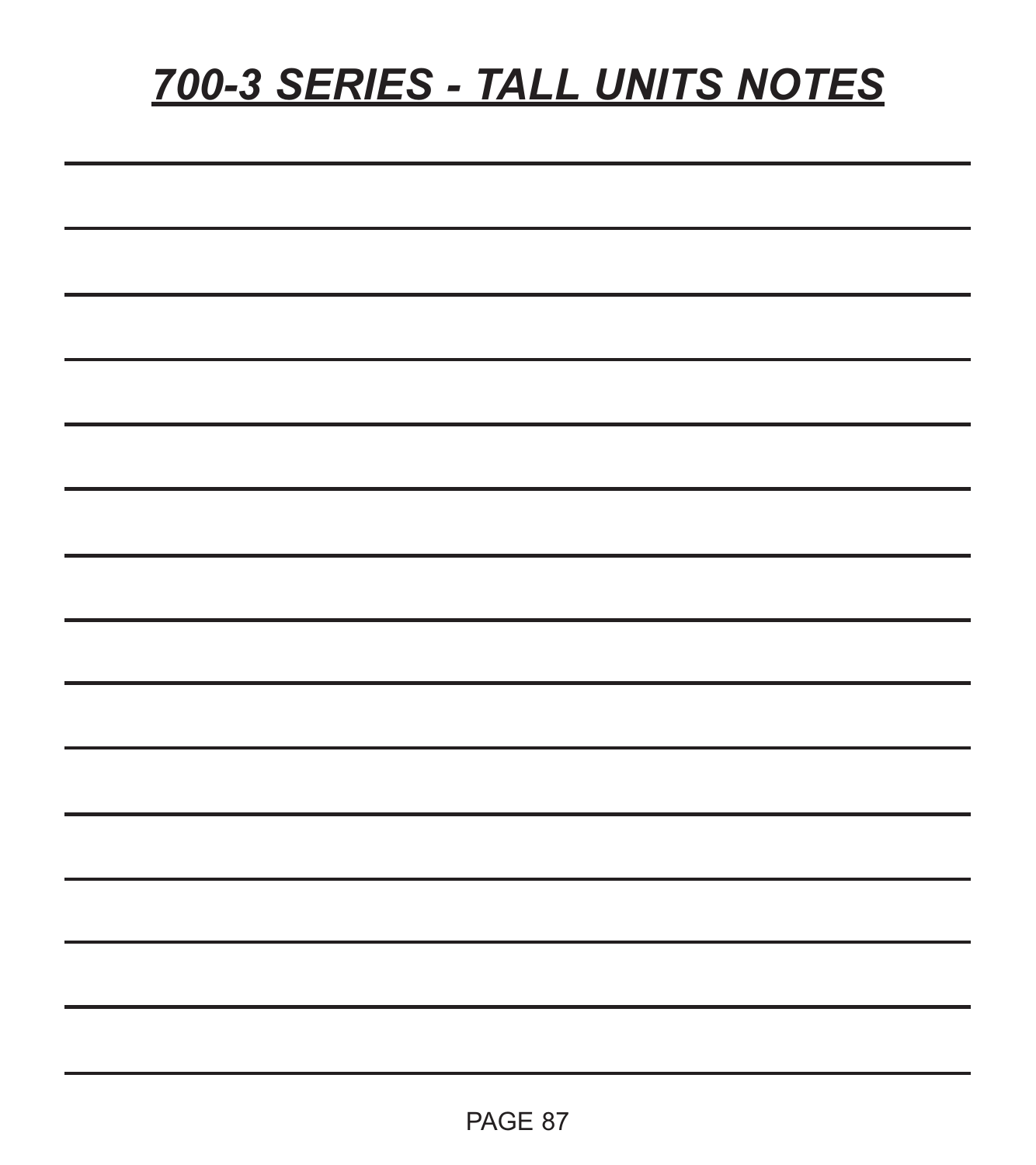# *700-3 SERIES - TALL UNITS NOTES*

| <u> 1989 - Johann Stoff, amerikansk politiker (d. 1989)</u>                                                                                                                                                                   |  |  |
|-------------------------------------------------------------------------------------------------------------------------------------------------------------------------------------------------------------------------------|--|--|
| <u> 1989 - Andrea Santa Andrea Andrea Andrea Andrea Andrea Andrea Andrea Andrea Andrea Andrea Andrea Andrea Andr</u>                                                                                                          |  |  |
| <u> 1989 - Johann Barn, amerikan bernama di sebagai bernama dan bernama di sebagai bernama di sebagai bernama di</u>                                                                                                          |  |  |
| ,我们也不能在这里的时候,我们也不能在这里的时候,我们也不能会在这里的时候,我们也不能会在这里的时候,我们也不能会在这里的时候,我们也不能会在这里的时候,我们也                                                                                                                                              |  |  |
| <u> 1989 - Andrea Santa Andrea Andrea Andrea Andrea Andrea Andrea Andrea Andrea Andrea Andrea Andrea Andrea Andr</u>                                                                                                          |  |  |
| <u> 1989 - Andrea Santa Andrea Andrea Andrea Andrea Andrea Andrea Andrea Andrea Andrea Andrea Andrea Andrea Andr</u>                                                                                                          |  |  |
|                                                                                                                                                                                                                               |  |  |
|                                                                                                                                                                                                                               |  |  |
| <u> 1989 - Johann Barn, amerikan bernama di sebagai bernama dan bernama di sebagai bernama di sebagai bernama di</u>                                                                                                          |  |  |
| <u> 1989 - Andrea Andrew Maria (h. 1989).</u>                                                                                                                                                                                 |  |  |
| <u> 1989 - Johann Stoff, deutscher Stoff, der Stoff, der Stoff, der Stoff, der Stoff, der Stoff, der Stoff, der S</u>                                                                                                         |  |  |
| the control of the control of the control of the control of the control of the control of the control of the control of the control of the control of the control of the control of the control of the control of the control |  |  |
|                                                                                                                                                                                                                               |  |  |
|                                                                                                                                                                                                                               |  |  |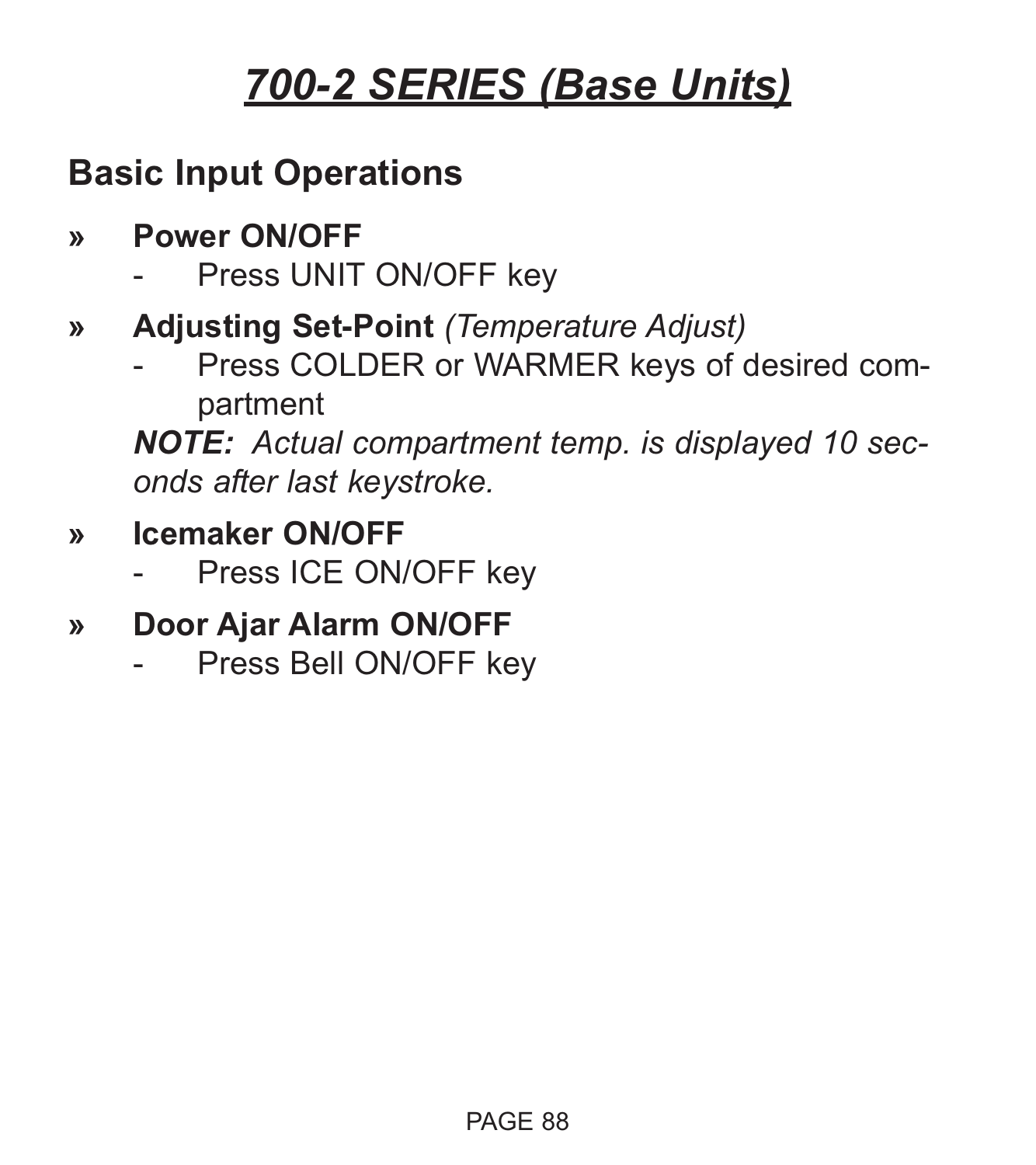### **Basic Input Operations**

- **» Power ON/OFF**
	- Press UNIT ON/OFF key
- **» Adjusting Set-Point** *(Temperature Adjust)*
	- Press COLDER or WARMER keys of desired compartment

*NOTE: Actual compartment temp. is displayed 10 seconds after last keystroke.*

- **» Icemaker ON/OFF**
	- Press ICE ON/OFF key
- **» Door Ajar Alarm ON/OFF**
	- Press Bell ON/OFF key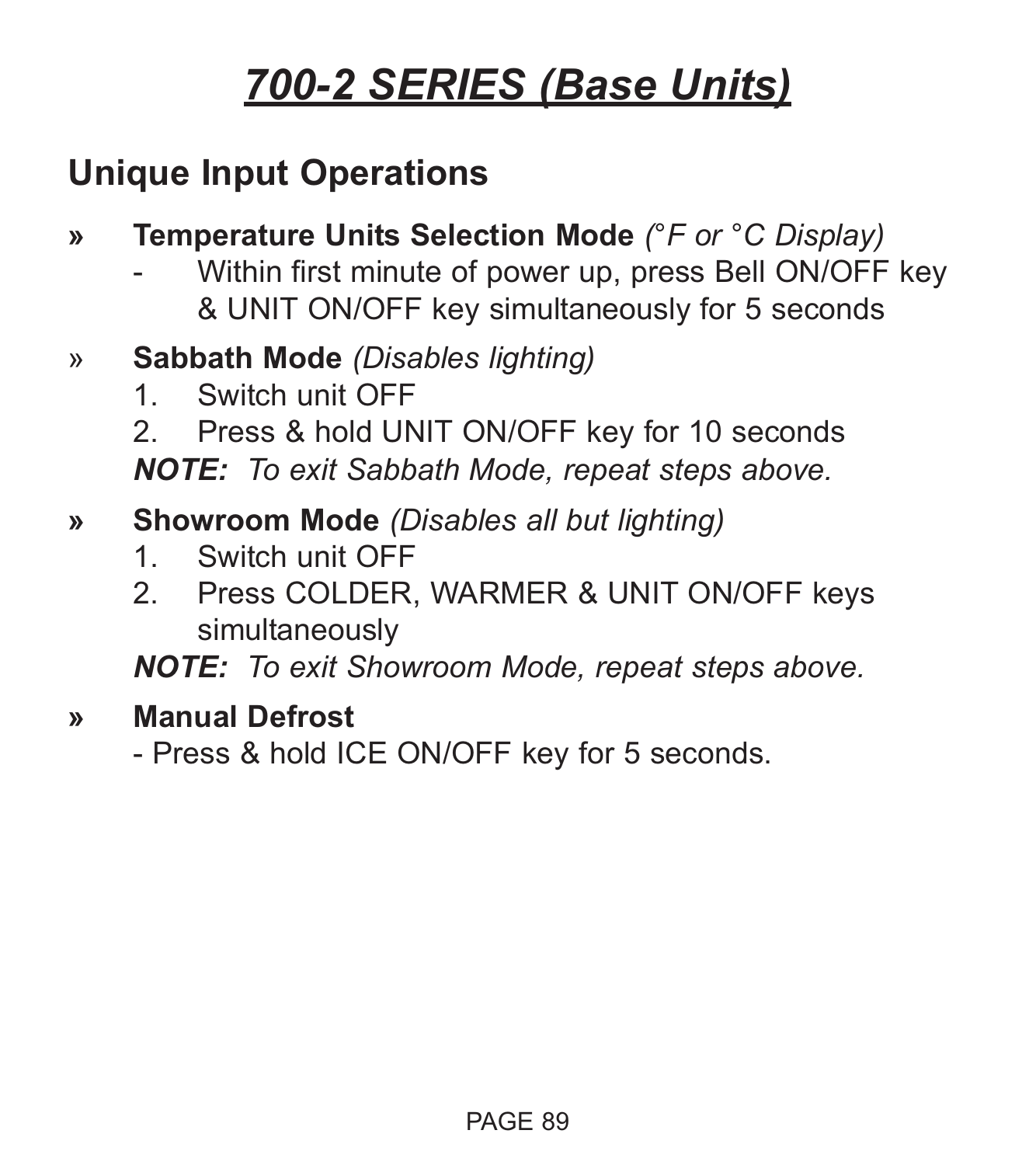### **Unique Input Operations**

- **» Temperature Units Selection Mode** *(°F or °C Display)*
	- Within first minute of power up, press Bell ON/OFF key & UNIT ON/OFF key simultaneously for 5 seconds
- » **Sabbath Mode** *(Disables lighting)*
	- 1. Switch unit OFF
	- 2. Press & hold UNIT ON/OFF key for 10 seconds

*NOTE: To exit Sabbath Mode, repeat steps above.*

#### **» Showroom Mode** *(Disables all but lighting)*

- 1. Switch unit OFF
- 2. Press COLDER, WARMER & UNIT ON/OFF keys simultaneously

*NOTE: To exit Showroom Mode, repeat steps above.*

#### **» Manual Defrost**

- Press & hold ICE ON/OFF key for 5 seconds.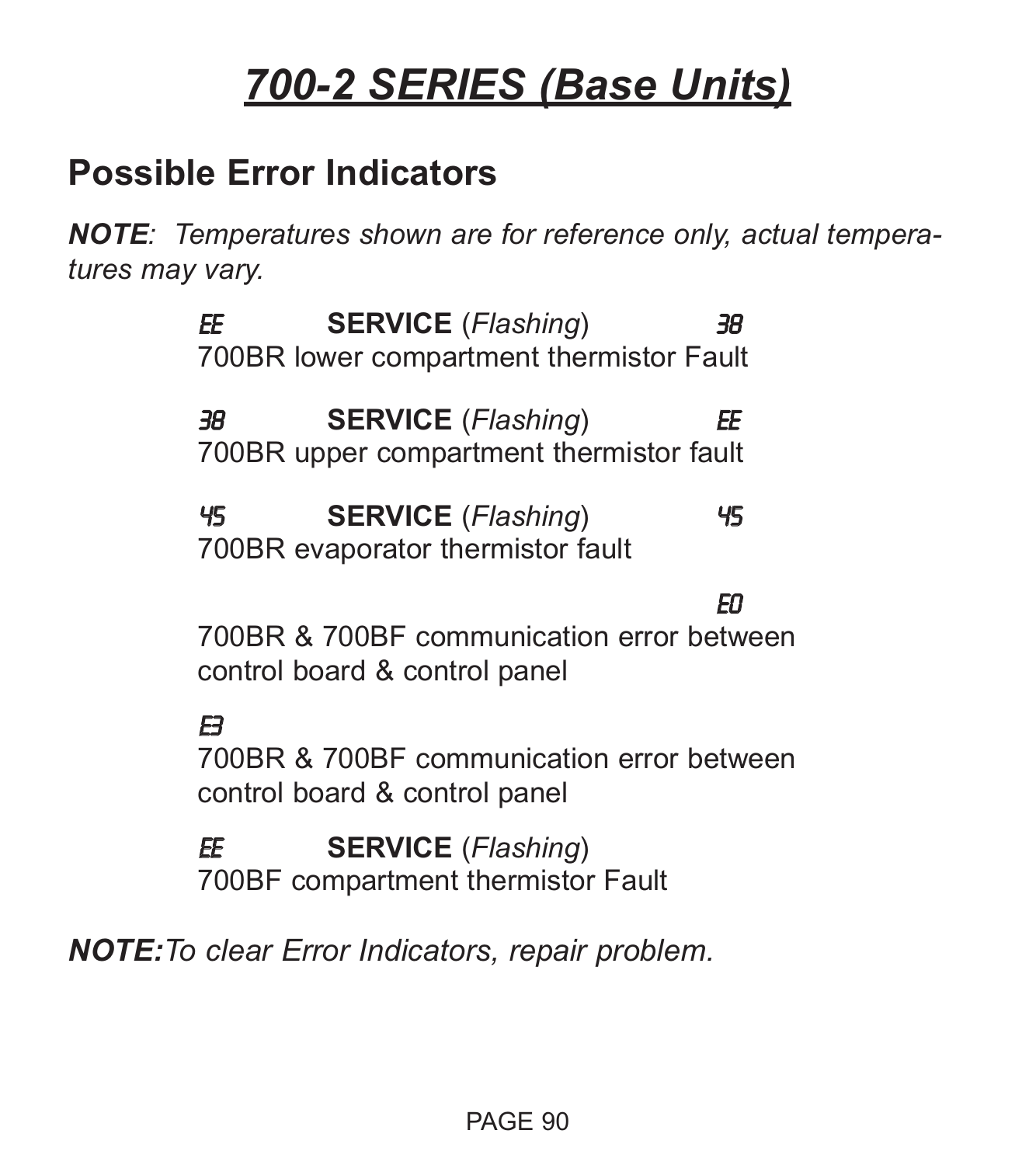#### **Possible Error Indicators**

*NOTE: Temperatures shown are for reference only, actual temperatures may vary.*

> EE **SERVICE** (*Flashing*) 38 700BR lower compartment thermistor Fault

38 **SERVICE** (*Flashing*) EE 700BR upper compartment thermistor fault

45 **SERVICE** (*Flashing*) 45 700BR evaporator thermistor fault

E0

700BR & 700BF communication error between control board & control panel

 $\mathbf{B}$ 700BR & 700BF communication error between control board & control panel

EE **SERVICE** (*Flashing*) 700BF compartment thermistor Fault

*NOTE:To clear Error Indicators, repair problem.*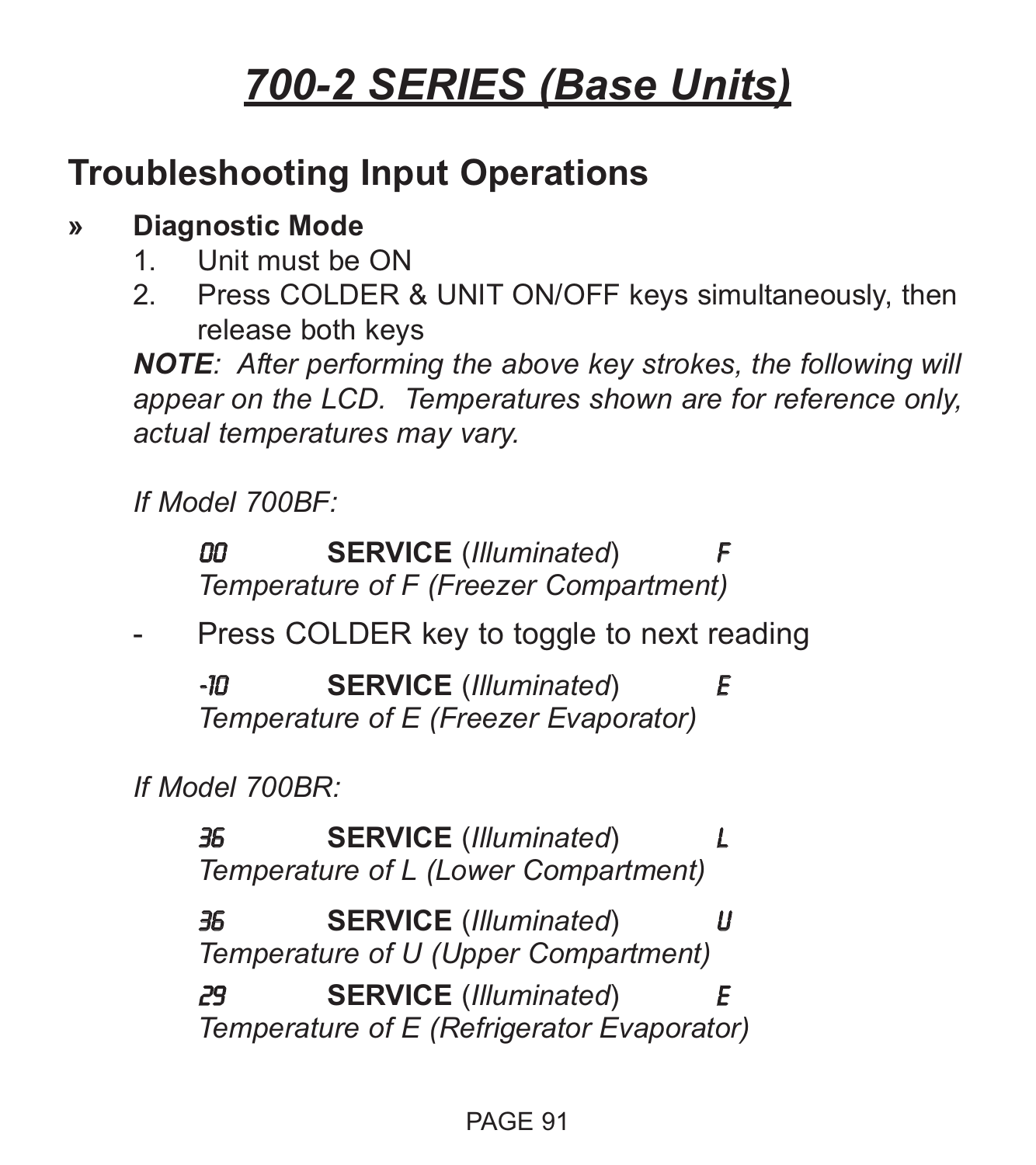### **Troubleshooting Input Operations**

#### **» Diagnostic Mode**

- 1. Unit must be ON
- 2. Press COLDER & UNIT ON/OFF keys simultaneously, then release both keys

*NOTE: After performing the above key strokes, the following will appear on the LCD. Temperatures shown are for reference only, actual temperatures may vary.*

*If Model 700BF:*

00 **SERVICE** (*Illuminated*) F *Temperature of F (Freezer Compartment)*

Press COLDER key to toggle to next reading

-10 **SERVICE** (*Illuminated*) E *Temperature of E (Freezer Evaporator)*

*If Model 700BR:*

36 **SERVICE** (*Illuminated*) L *Temperature of L (Lower Compartment)*

36 **SERVICE** (*Illuminated*) U *Temperature of U (Upper Compartment)*

29 **SERVICE** (*Illuminated*) E *Temperature of E (Refrigerator Evaporator)*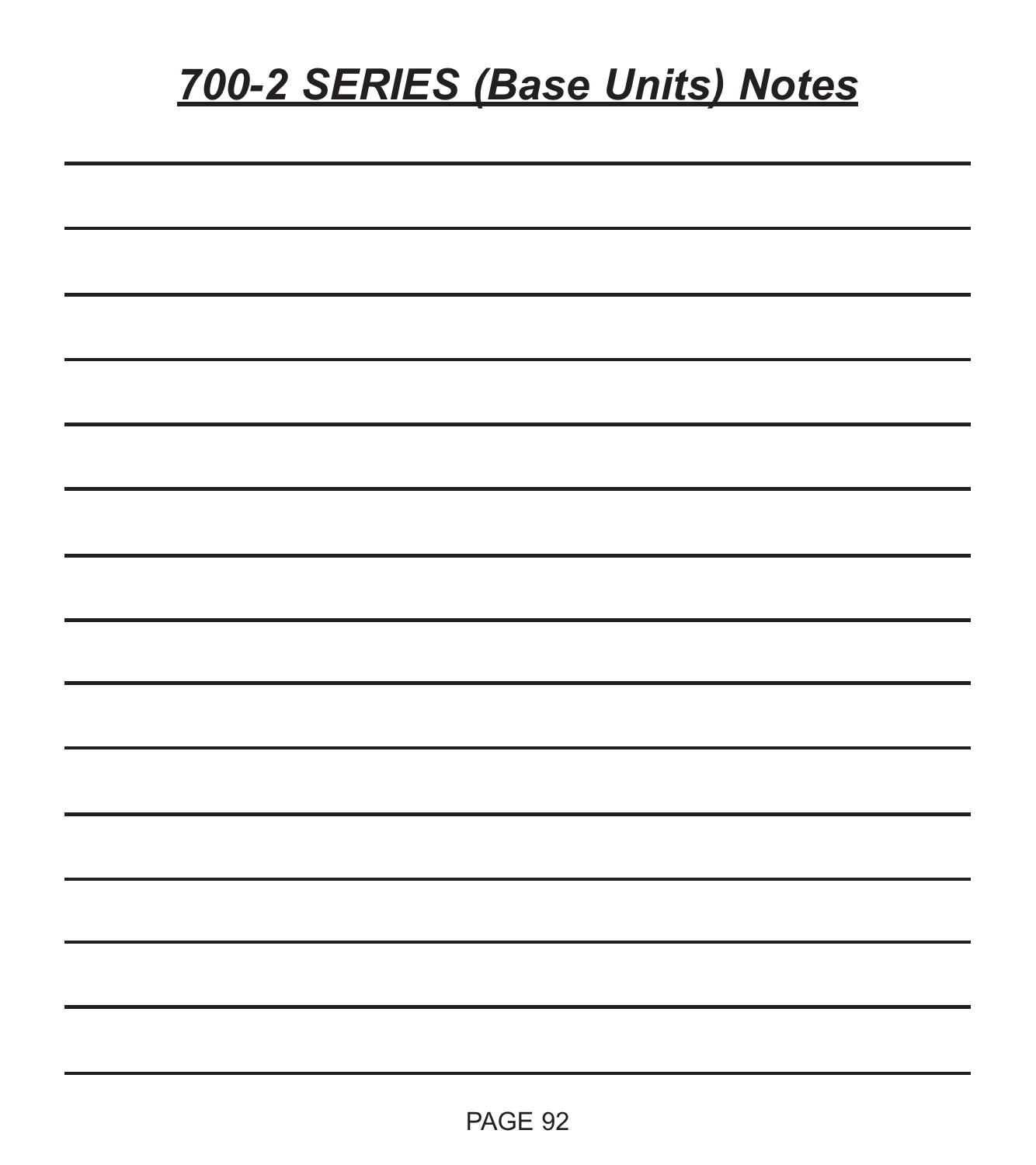# *700-2 SERIES (Base Units) Notes*

| -  |  |  |  |
|----|--|--|--|
| -  |  |  |  |
|    |  |  |  |
|    |  |  |  |
|    |  |  |  |
|    |  |  |  |
| -- |  |  |  |
| ۰  |  |  |  |
| ۰  |  |  |  |
|    |  |  |  |
|    |  |  |  |
|    |  |  |  |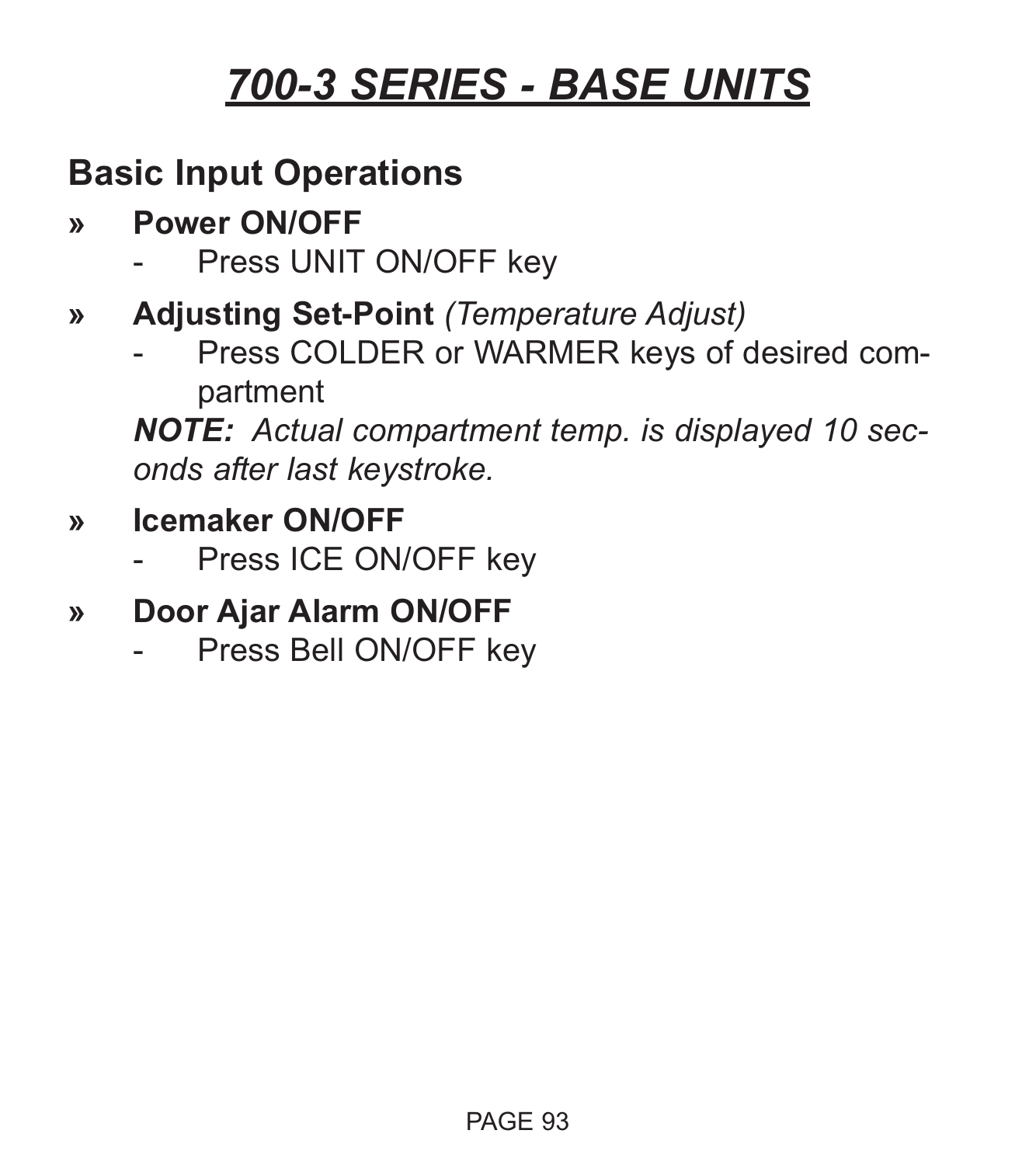### **Basic Input Operations**

- **» Power ON/OFF**
	- Press UNIT ON/OFF key
- **» Adjusting Set-Point** *(Temperature Adjust)*
	- Press COLDER or WARMER keys of desired compartment

*NOTE: Actual compartment temp. is displayed 10 seconds after last keystroke.*

- **» Icemaker ON/OFF**
	- Press ICE ON/OFF key
- **» Door Ajar Alarm ON/OFF**
	- Press Bell ON/OFF key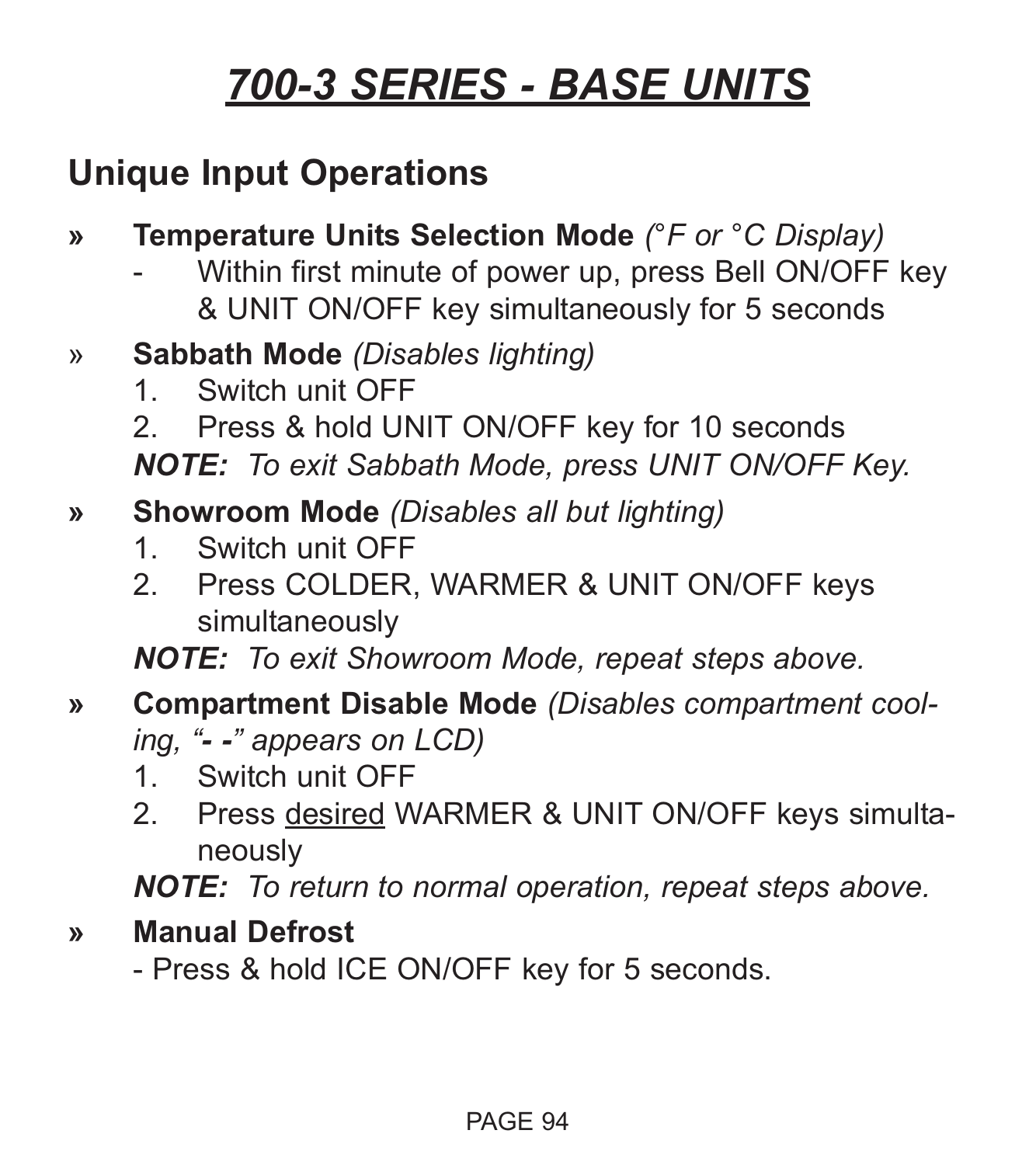### **Unique Input Operations**

- **» Temperature Units Selection Mode** *(°F or °C Display)*
	- Within first minute of power up, press Bell ON/OFF key & UNIT ON/OFF key simultaneously for 5 seconds
- » **Sabbath Mode** *(Disables lighting)*
	- 1. Switch unit OFF
	- 2. Press & hold UNIT ON/OFF key for 10 seconds

*NOTE: To exit Sabbath Mode, press UNIT ON/OFF Key.*

- **» Showroom Mode** *(Disables all but lighting)*
	- 1. Switch unit OFF
	- 2. Press COLDER, WARMER & UNIT ON/OFF keys simultaneously

*NOTE: To exit Showroom Mode, repeat steps above.*

- **» Compartment Disable Mode** *(Disables compartment cooling, "- -" appears on LCD)*
	- 1. Switch unit OFF
	- 2. Press desired WARMER & UNIT ON/OFF keys simultaneously

*NOTE: To return to normal operation, repeat steps above.*

**» Manual Defrost**

- Press & hold ICE ON/OFF key for 5 seconds.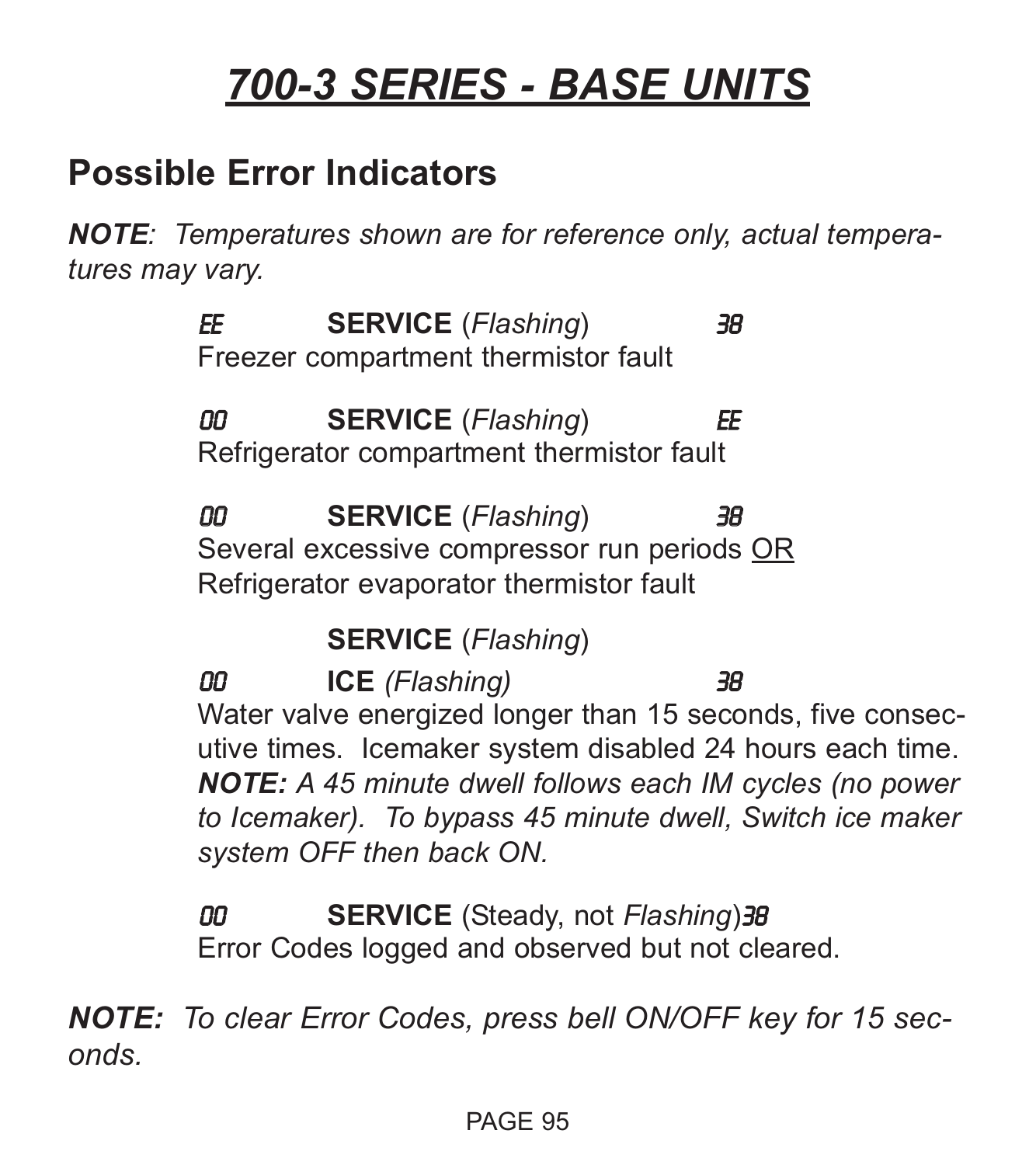#### **Possible Error Indicators**

*NOTE: Temperatures shown are for reference only, actual temperatures may vary.*

> EE **SERVICE** (*Flashing*) 38 Freezer compartment thermistor fault

> 00 **SERVICE** (*Flashing*) EE Refrigerator compartment thermistor fault

00 **SERVICE** (*Flashing*) 38 Several excessive compressor run periods OR Refrigerator evaporator thermistor fault

**SERVICE** (*Flashing*)

00 **ICE** *(Flashing)* 38 Water valve energized longer than 15 seconds, five consecutive times. Icemaker system disabled 24 hours each time. *NOTE: A 45 minute dwell follows each IM cycles (no power to Icemaker). To bypass 45 minute dwell, Switch ice maker system OFF then back ON.*

00 **SERVICE** (Steady, not *Flashing*)38 Error Codes logged and observed but not cleared.

*NOTE: To clear Error Codes, press bell ON/OFF key for 15 seconds.*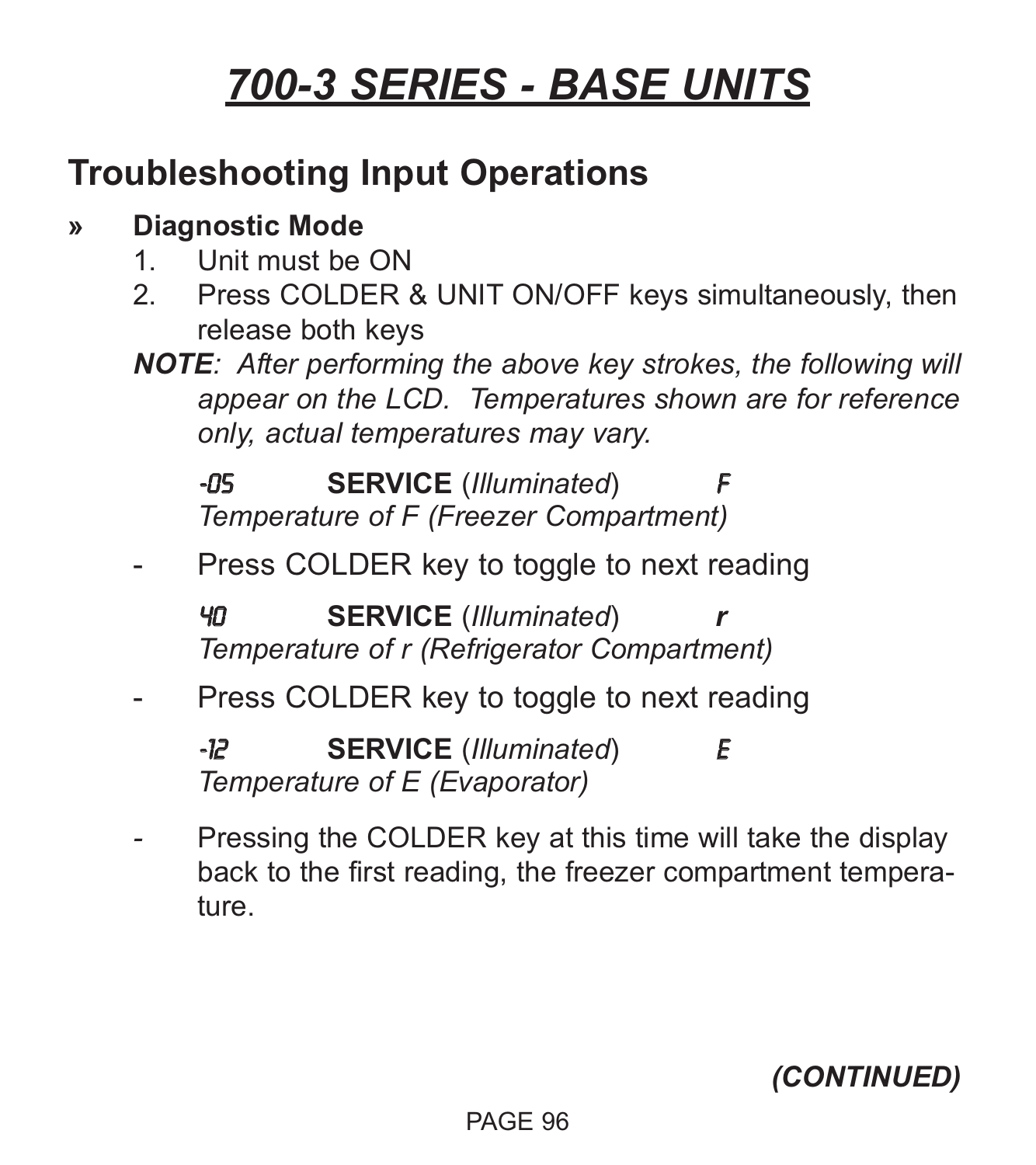### **Troubleshooting Input Operations**

#### **» Diagnostic Mode**

- 1. Unit must be ON
- 2. Press COLDER & UNIT ON/OFF keys simultaneously, then release both keys
- *NOTE: After performing the above key strokes, the following will appear on the LCD. Temperatures shown are for reference only, actual temperatures may vary.*

**-05 SERVICE** (*Illuminated*) *Temperature of F (Freezer Compartment)*

Press COLDER key to toggle to next reading

40 **SERVICE** (*Illuminated*) *r Temperature of r (Refrigerator Compartment)*

Press COLDER key to toggle to next reading

-12 **SERVICE** (*Illuminated*) E *Temperature of E (Evaporator)*

Pressing the COLDER key at this time will take the display back to the first reading, the freezer compartment temperature.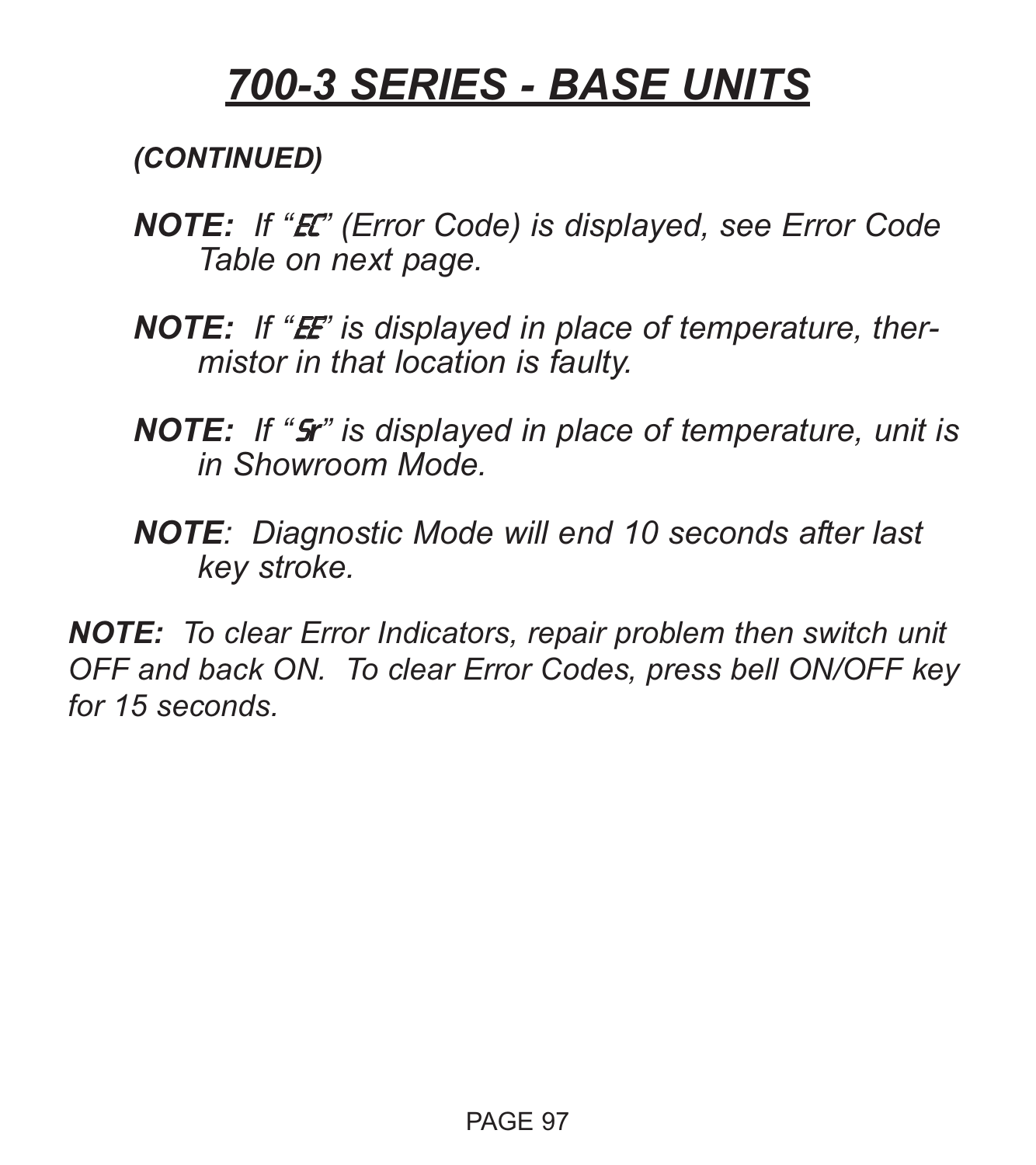*(CONTINUED)*

- *NOTE: If "*EC*" (Error Code) is displayed, see Error Code Table on next page.*
- **NOTE:** If "**E** is displayed in place of temperature, ther*mistor in that location is faulty.*
- *NOTE: If "*S*r" is displayed in place of temperature, unit is in Showroom Mode.*
- *NOTE: Diagnostic Mode will end 10 seconds after last key stroke.*

*NOTE: To clear Error Indicators, repair problem then switch unit OFF and back ON. To clear Error Codes, press bell ON/OFF key for 15 seconds.*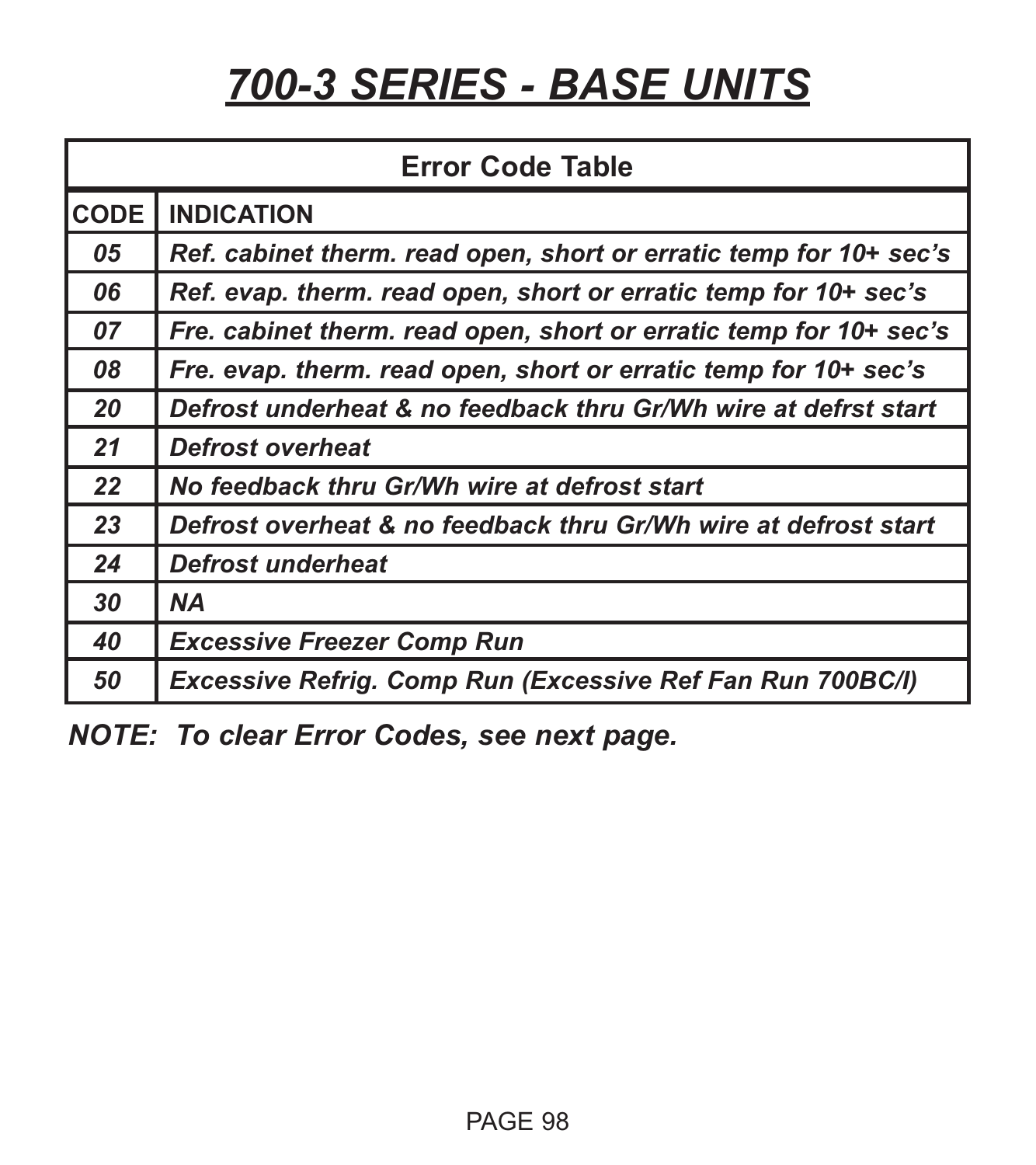| <b>Error Code Table</b> |                                                                    |  |  |  |
|-------------------------|--------------------------------------------------------------------|--|--|--|
| CODE                    | <b>INDICATION</b>                                                  |  |  |  |
| 05                      | Ref. cabinet therm. read open, short or erratic temp for 10+ sec's |  |  |  |
| 06                      | Ref. evap. therm. read open, short or erratic temp for 10+ sec's   |  |  |  |
| 07                      | Fre. cabinet therm. read open, short or erratic temp for 10+ sec's |  |  |  |
| 08                      | Fre. evap. therm. read open, short or erratic temp for 10+ sec's   |  |  |  |
| 20                      | Defrost underheat & no feedback thru Gr/Wh wire at defrst start    |  |  |  |
| 21                      | <b>Defrost overheat</b>                                            |  |  |  |
| 22                      | No feedback thru Gr/Wh wire at defrost start                       |  |  |  |
| 23                      | Defrost overheat & no feedback thru Gr/Wh wire at defrost start    |  |  |  |
| 24                      | Defrost underheat                                                  |  |  |  |
| 30                      | <b>NA</b>                                                          |  |  |  |
| 40                      | <b>Excessive Freezer Comp Run</b>                                  |  |  |  |
| 50                      | Excessive Refrig. Comp Run (Excessive Ref Fan Run 700BC/I)         |  |  |  |

*NOTE: To clear Error Codes, see next page.*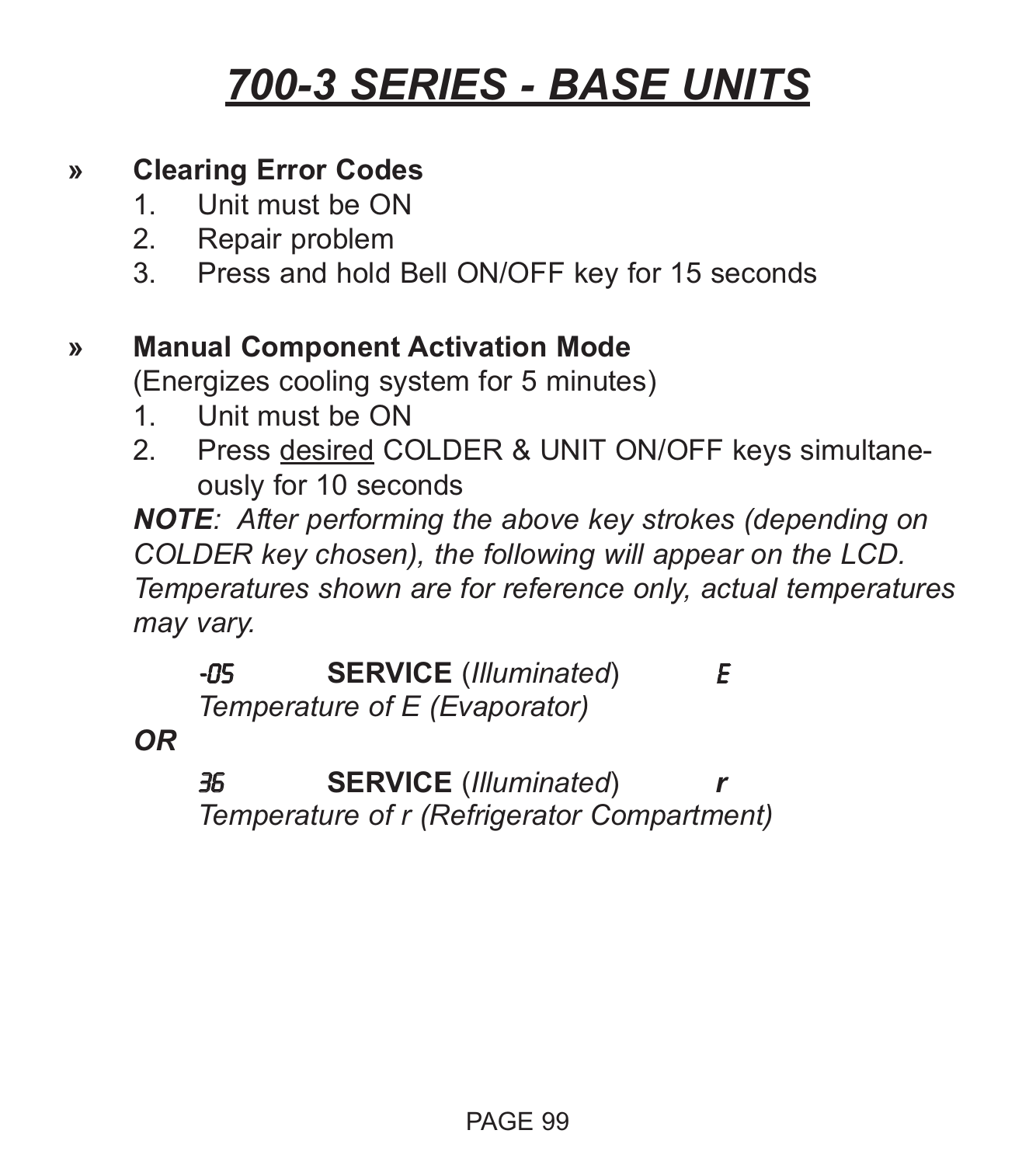#### **» Clearing Error Codes**

- 1. Unit must be ON
- 2. Repair problem
- 3. Press and hold Bell ON/OFF key for 15 seconds

#### **» Manual Component Activation Mode**

(Energizes cooling system for 5 minutes)

- 1. Unit must be ON
- 2. Press desired COLDER & UNIT ON/OFF keys simultaneously for 10 seconds

*NOTE: After performing the above key strokes (depending on COLDER key chosen), the following will appear on the LCD. Temperatures shown are for reference only, actual temperatures may vary.*

-05 **SERVICE** (*Illuminated*) E *Temperature of E (Evaporator)*

*OR*

36 **SERVICE** (*Illuminated*) *Temperature of r (Refrigerator Compartment)*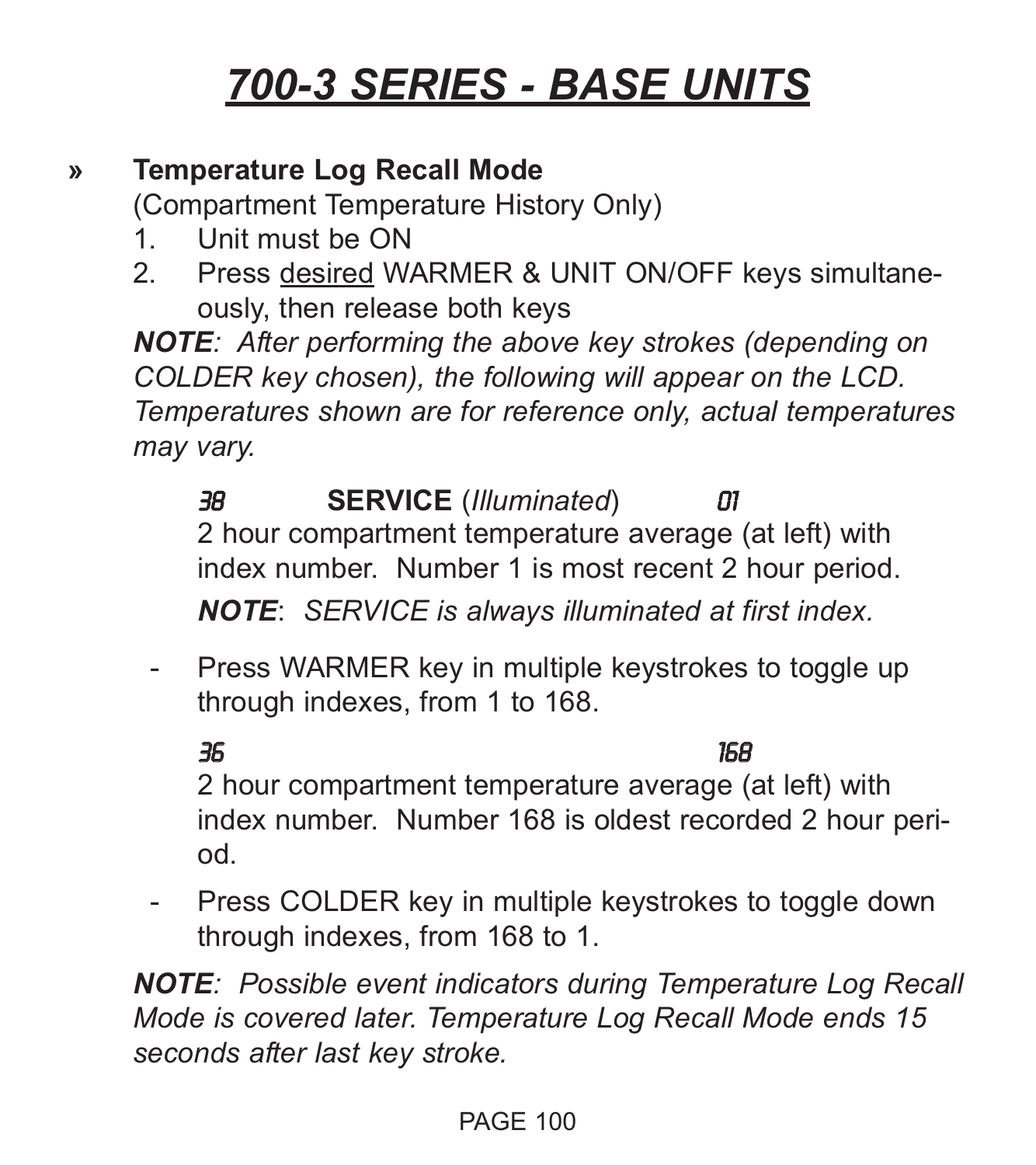#### **» Temperature Log Recall Mode**

(Compartment Temperature History Only)

- 1. Unit must be ON
- 2. Press desired WARMER & UNIT ON/OFF keys simultaneously, then release both keys

*NOTE: After performing the above key strokes (depending on COLDER key chosen), the following will appear on the LCD. Temperatures shown are for reference only, actual temperatures may vary.*

38 **SERVICE** (*Illuminated*) 01 2 hour compartment temperature average (at left) with index number. Number 1 is most recent 2 hour period.

*NOTE*: *SERVICE is always illuminated at first index.*

- Press WARMER key in multiple keystrokes to toggle up through indexes, from 1 to 168.

#### 36 168

2 hour compartment temperature average (at left) with index number. Number 168 is oldest recorded 2 hour period.

- Press COLDER key in multiple keystrokes to toggle down through indexes, from 168 to 1.

*NOTE: Possible event indicators during Temperature Log Recall Mode is covered later. Temperature Log Recall Mode ends 15 seconds after last key stroke.*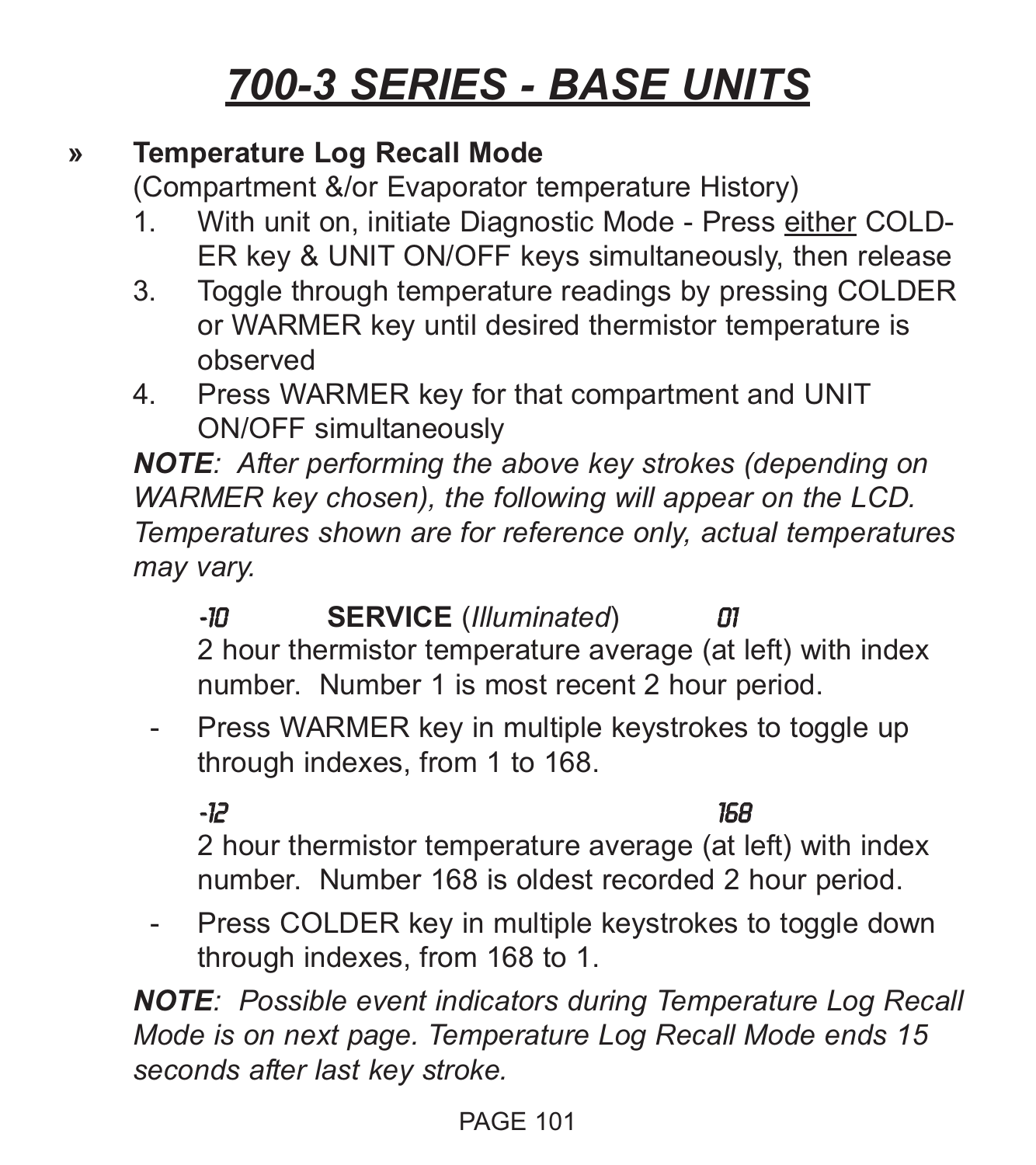#### **» Temperature Log Recall Mode**

(Compartment &/or Evaporator temperature History)

- 1. With unit on, initiate Diagnostic Mode Press either COLD-ER key & UNIT ON/OFF keys simultaneously, then release
- 3. Toggle through temperature readings by pressing COLDER or WARMER key until desired thermistor temperature is observed
- 4. Press WARMER key for that compartment and UNIT ON/OFF simultaneously

*NOTE: After performing the above key strokes (depending on WARMER key chosen), the following will appear on the LCD. Temperatures shown are for reference only, actual temperatures may vary.*

-10 **SERVICE** (*Illuminated*) 01 2 hour thermistor temperature average (at left) with index number. Number 1 is most recent 2 hour period.

- Press WARMER key in multiple keystrokes to toggle up through indexes, from 1 to 168.

-12 168

2 hour thermistor temperature average (at left) with index number. Number 168 is oldest recorded 2 hour period.

- Press COLDER key in multiple keystrokes to toggle down through indexes, from 168 to 1.

*NOTE: Possible event indicators during Temperature Log Recall Mode is on next page. Temperature Log Recall Mode ends 15 seconds after last key stroke.*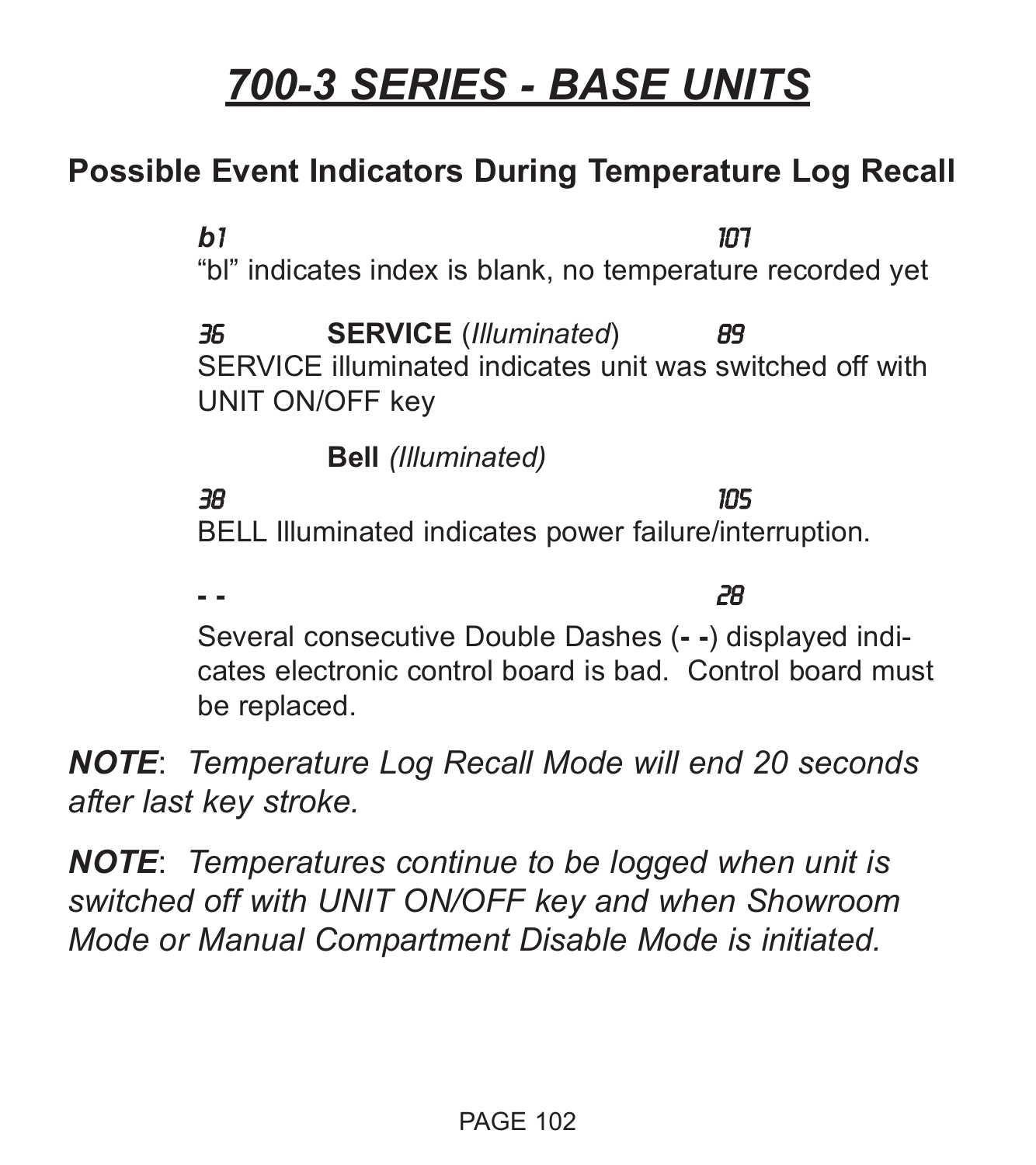#### **Possible Event Indicators During Temperature Log Recall**

*b*1 107 "bl" indicates index is blank, no temperature recorded yet 36 **SERVICE** (*Illuminated*) 89 SERVICE illuminated indicates unit was switched off with UNIT ON/OFF key **Bell** *(Illuminated)* 38 105 BELL Illuminated indicates power failure/interruption.

**- -** 28 Several consecutive Double Dashes (**- -**) displayed indicates electronic control board is bad. Control board must be replaced.

*NOTE*: *Temperature Log Recall Mode will end 20 seconds after last key stroke.*

*NOTE*: *Temperatures continue to be logged when unit is switched off with UNIT ON/OFF key and when Showroom Mode or Manual Compartment Disable Mode is initiated.*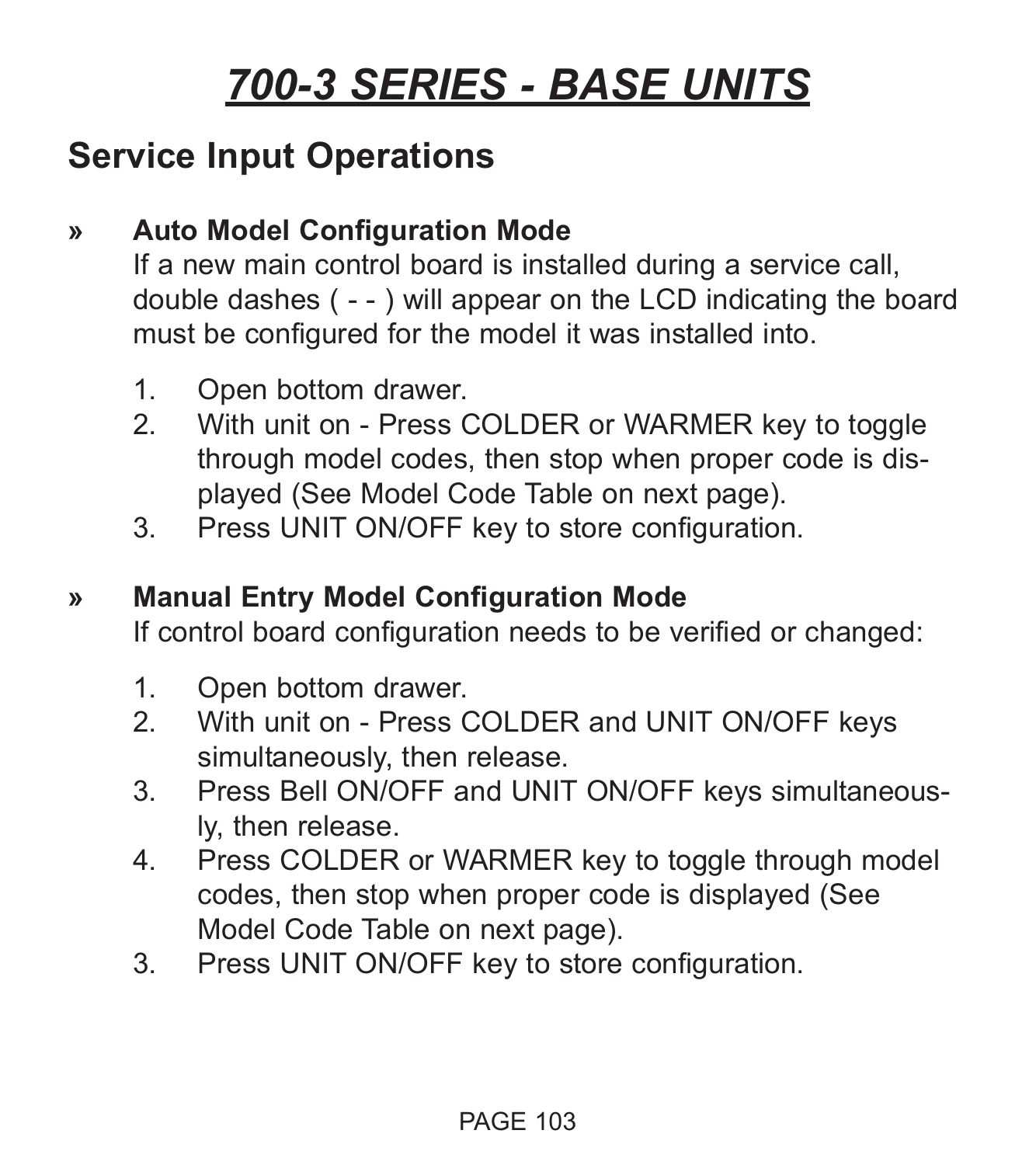#### **Service Input Operations**

#### **» Auto Model Configuration Mode**

If a new main control board is installed during a service call, double dashes ( - - ) will appear on the LCD indicating the board must be configured for the model it was installed into.

- 1. Open bottom drawer.
- 2. With unit on Press COLDER or WARMER key to toggle through model codes, then stop when proper code is displayed (See Model Code Table on next page).
- 3. Press UNIT ON/OFF key to store configuration.

#### **» Manual Entry Model Configuration Mode**

If control board configuration needs to be verified or changed:

- 1. Open bottom drawer.<br>2. With unit on Press 0
- With unit on Press COLDER and UNIT ON/OFF keys simultaneously, then release.
- 3. Press Bell ON/OFF and UNIT ON/OFF keys simultaneously, then release.
- 4. Press COLDER or WARMER key to toggle through model codes, then stop when proper code is displayed (See Model Code Table on next page).
- 3. Press UNIT ON/OFF key to store configuration.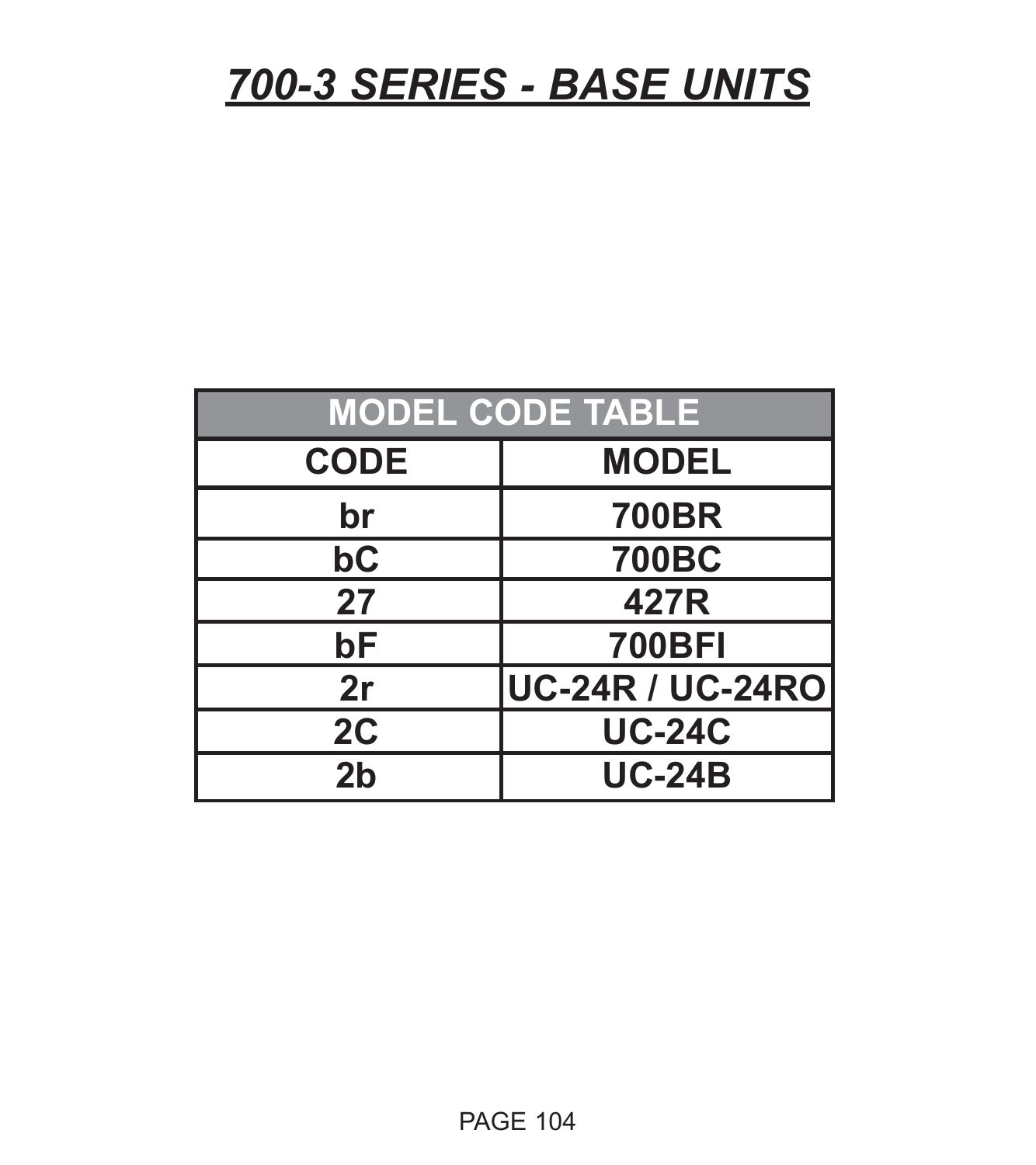| <b>MODEL CODE TABLE</b> |                         |  |  |  |
|-------------------------|-------------------------|--|--|--|
| <b>CODE</b>             | <b>MODEL</b>            |  |  |  |
| br                      | <b>700BR</b>            |  |  |  |
| bC                      | <b>700BC</b>            |  |  |  |
| 27                      | 427R                    |  |  |  |
| bF                      | <b>700BFI</b>           |  |  |  |
| 2r                      | <b>UC-24R / UC-24RO</b> |  |  |  |
| 2C                      | <b>UC-24C</b>           |  |  |  |
| 2 <sub>b</sub>          | <b>UC-24B</b>           |  |  |  |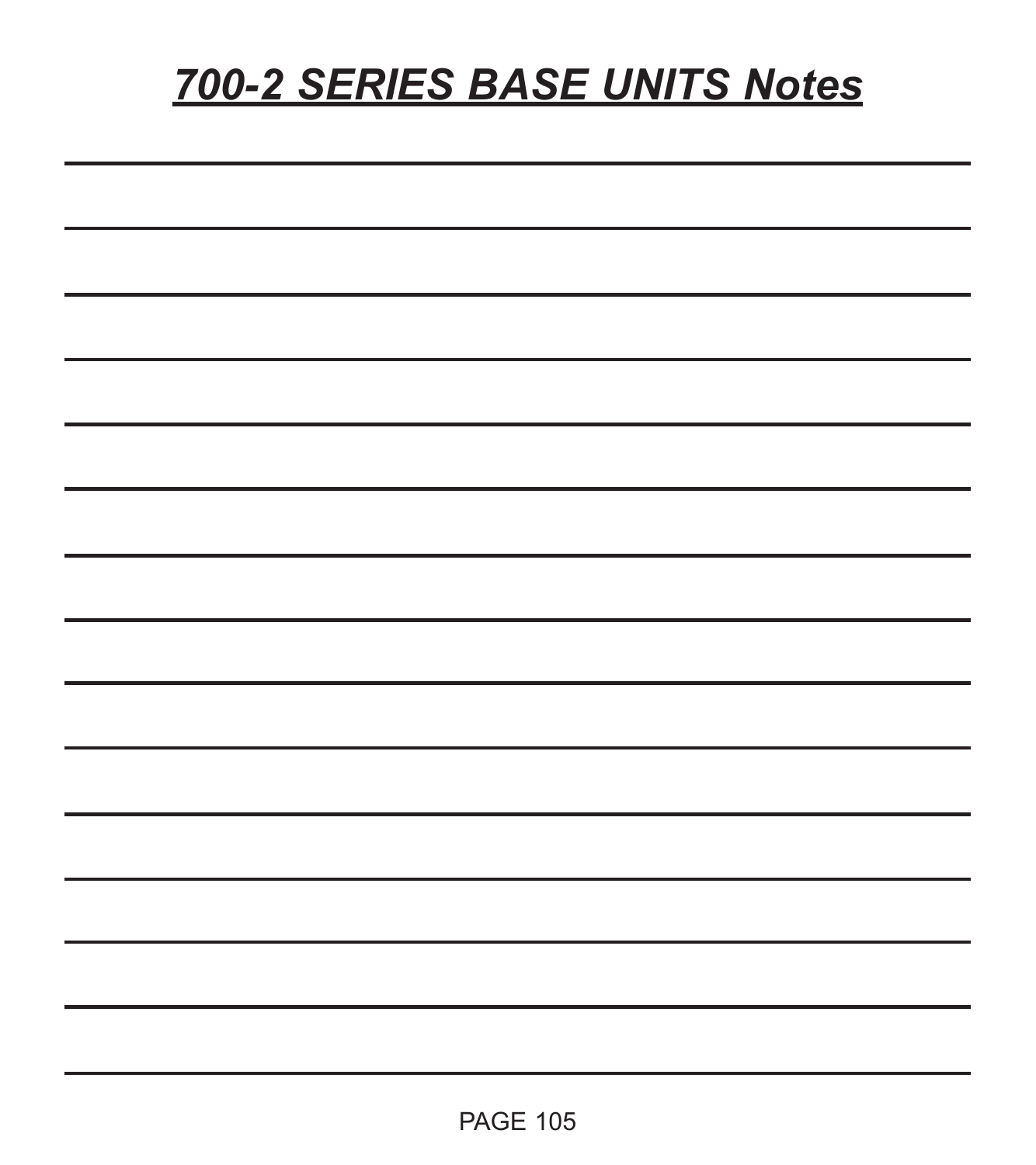# *700-2 SERIES BASE UNITS Notes*

| ۰ |  |  |
|---|--|--|
|   |  |  |
|   |  |  |
|   |  |  |
|   |  |  |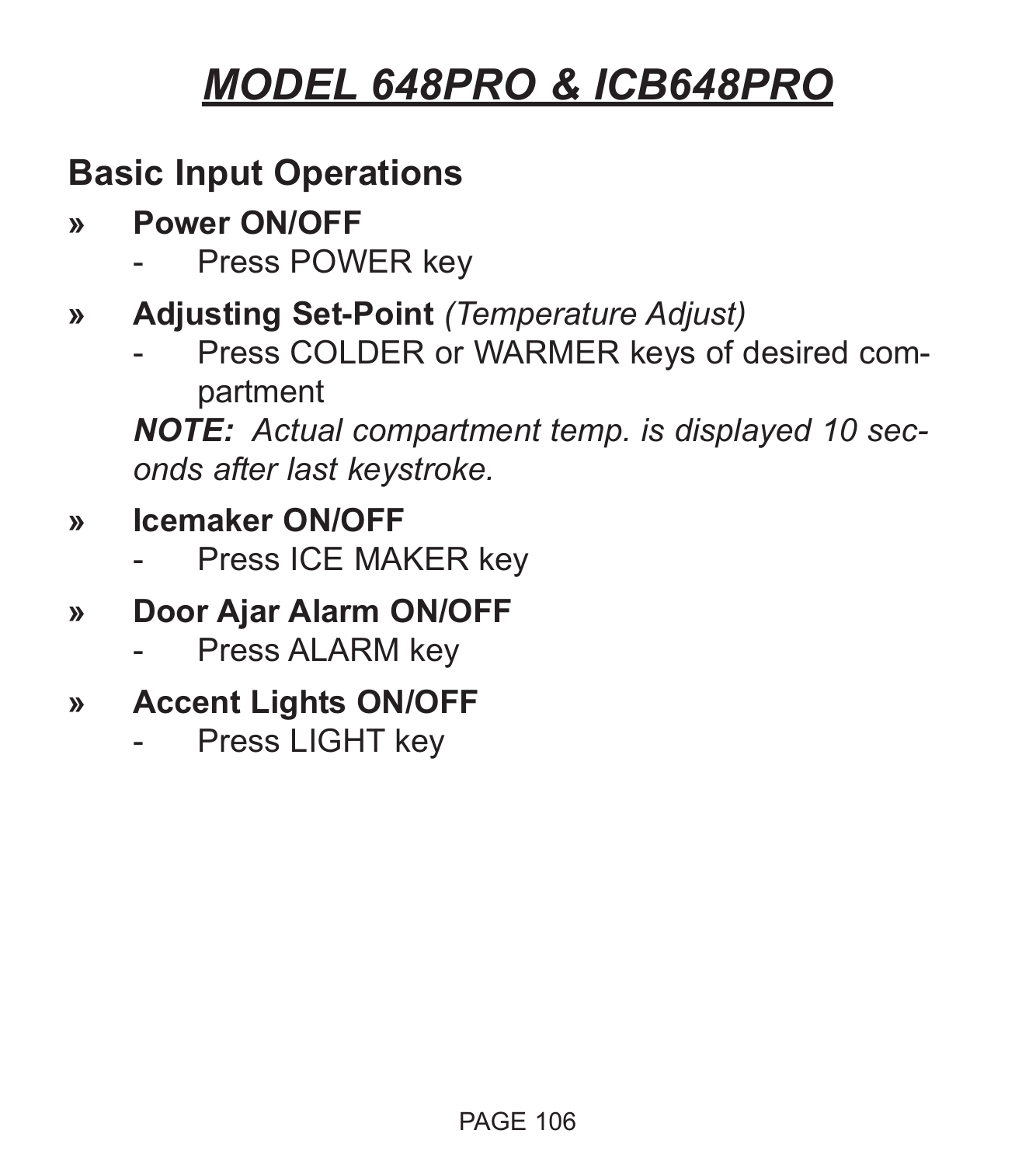# *MODEL 648PRO & ICB648PRO*

### **Basic Input Operations**

- **» Power ON/OFF**
	- Press POWER key
- **» Adjusting Set-Point** *(Temperature Adjust)*
	- Press COLDER or WARMER keys of desired compartment

*NOTE: Actual compartment temp. is displayed 10 seconds after last keystroke.*

- **» Icemaker ON/OFF**
	- Press ICE MAKER key
- **» Door Ajar Alarm ON/OFF**
	- Press ALARM key
- **» Accent Lights ON/OFF**
	- Press LIGHT key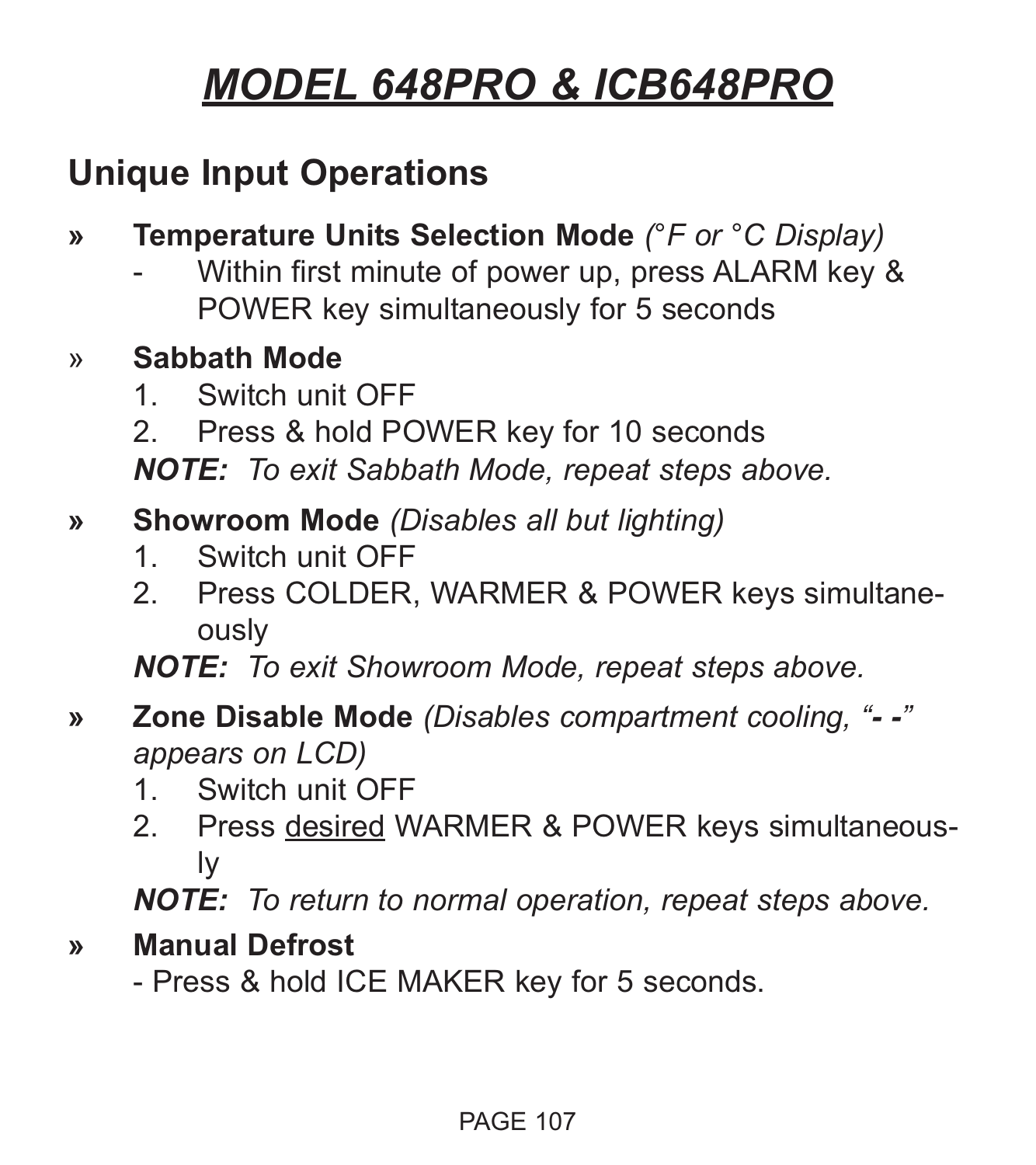# *MODEL 648PRO & ICB648PRO*

### **Unique Input Operations**

- **» Temperature Units Selection Mode** *(°F or °C Display)*
	- Within first minute of power up, press ALARM key & POWER key simultaneously for 5 seconds

#### » **Sabbath Mode**

- 1. Switch unit OFF
- 2. Press & hold POWER key for 10 seconds

*NOTE: To exit Sabbath Mode, repeat steps above.*

#### **» Showroom Mode** *(Disables all but lighting)*

- 1. Switch unit OFF
- 2. Press COLDER, WARMER & POWER keys simultaneously

*NOTE: To exit Showroom Mode, repeat steps above.*

#### **» Zone Disable Mode** *(Disables compartment cooling, "- -" appears on LCD)*

- 1. Switch unit OFF
- 2. Press desired WARMER & POWER keys simultaneously

*NOTE: To return to normal operation, repeat steps above.*

#### **» Manual Defrost**

- Press & hold ICE MAKER key for 5 seconds.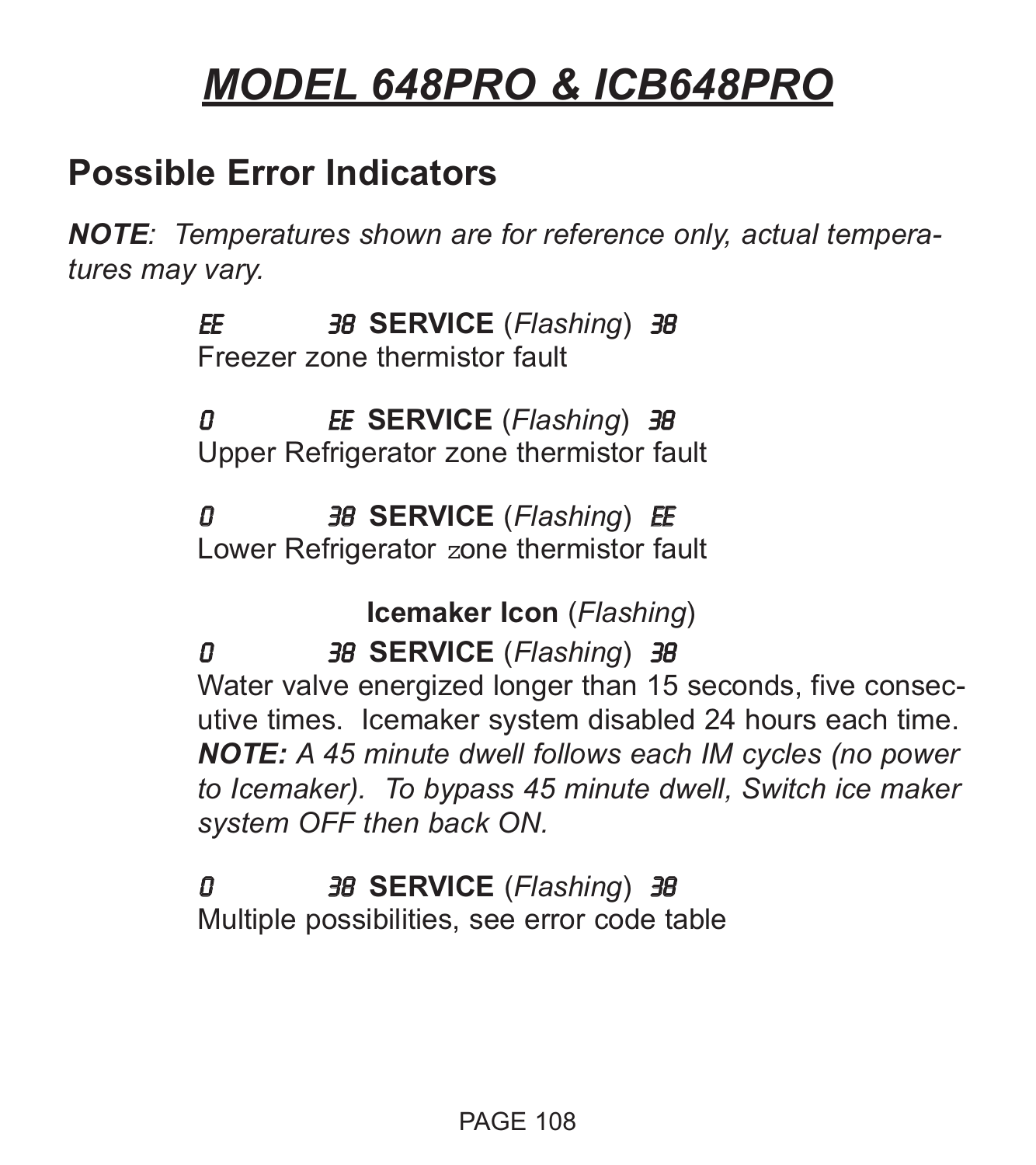### *MODEL 648PRO & ICB648PRO*

#### **Possible Error Indicators**

*NOTE: Temperatures shown are for reference only, actual temperatures may vary.*

> EE 38 **SERVICE** (*Flashing*) 38 Freezer zone thermistor fault

0 EE **SERVICE** (*Flashing*) 38 Upper Refrigerator zone thermistor fault

0 38 **SERVICE** (*Flashing*) EE Lower Refrigerator zone thermistor fault

**Icemaker Icon** (*Flashing*)

0 38 **SERVICE** (*Flashing*) 38 Water valve energized longer than 15 seconds, five consecutive times. Icemaker system disabled 24 hours each time. *NOTE: A 45 minute dwell follows each IM cycles (no power to Icemaker). To bypass 45 minute dwell, Switch ice maker system OFF then back ON.*

# 0 38 **SERVICE** (*Flashing*) 38

Multiple possibilities, see error code table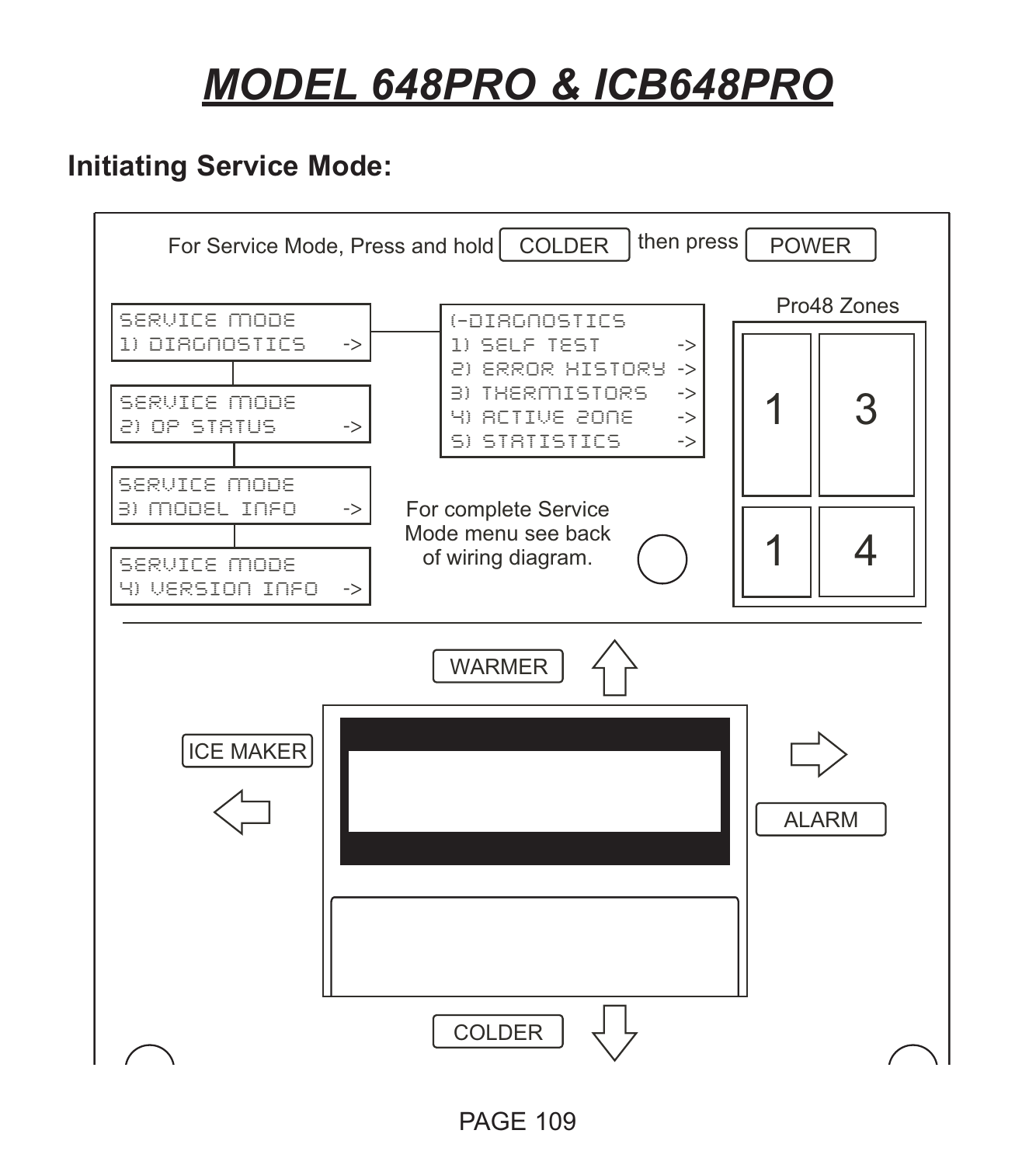# *MODEL 648PRO & ICB648PRO*

## **Initiating Service Mode:**

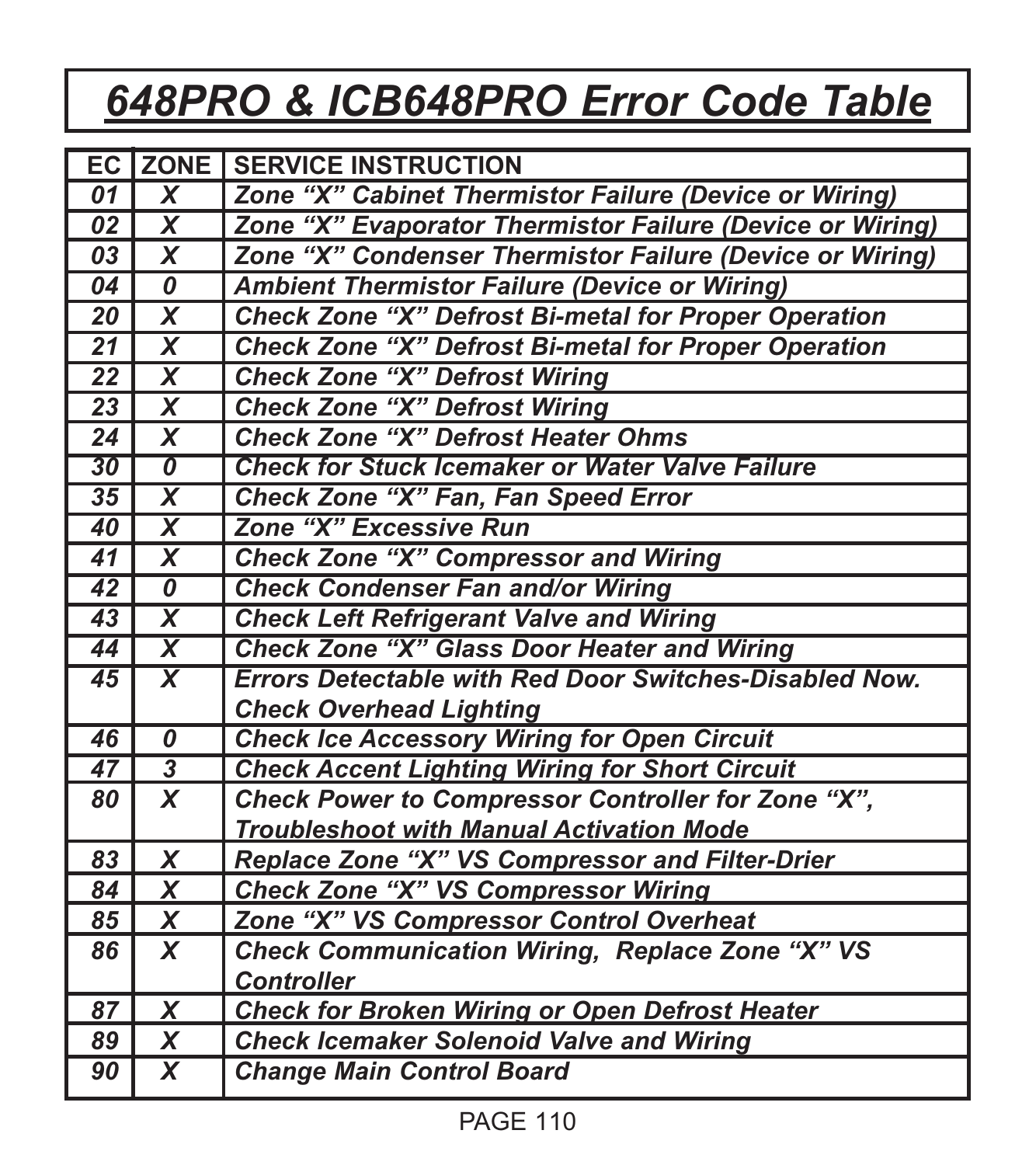# *648PRO & ICB648PRO Error Code Table*

|                 | EC ZONE                                | <b>SERVICE INSTRUCTION</b>                                    |  |  |
|-----------------|----------------------------------------|---------------------------------------------------------------|--|--|
| 01              | $\overline{\mathsf{x}}$                | Zone "X" Cabinet Thermistor Failure (Device or Wiring)        |  |  |
| 02              | $\overline{\mathsf{x}}$                | Zone "X" Evaporator Thermistor Failure (Device or Wiring)     |  |  |
| 03              | $\overline{\mathsf{x}}$                | Zone "X" Condenser Thermistor Failure (Device or Wiring)      |  |  |
| 04              | 0                                      | <b>Ambient Thermistor Failure (Device or Wiring)</b>          |  |  |
| 20              | $\overline{\textsf{x}}$                | Check Zone "X" Defrost Bi-metal for Proper Operation          |  |  |
| $\overline{21}$ | $\overline{\mathbf{x}}$                | Check Zone "X" Defrost Bi-metal for Proper Operation          |  |  |
| 22              | $\overline{\mathsf{x}}$                | <b>Check Zone "X" Defrost Wiring</b>                          |  |  |
| $\overline{23}$ | $\overline{\mathsf{x}}$                | <b>Check Zone "X" Defrost Wiring</b>                          |  |  |
| 24              | $\boldsymbol{x}$                       | <b>Check Zone "X" Defrost Heater Ohms</b>                     |  |  |
| 30              | $\overline{\mathfrak{o}}$              | Check for Stuck Icemaker or Water Valve Failure               |  |  |
| 35              | $\overline{\textsf{x}}$                | Check Zone "X" Fan, Fan Speed Error                           |  |  |
| 40              | $\overline{\textsf{x}}$                | Zone "X" Excessive Run                                        |  |  |
| $\overline{41}$ | $\overline{\mathsf{x}}$                | <b>Check Zone "X" Compressor and Wiring</b>                   |  |  |
| $\overline{42}$ | $\overline{\boldsymbol{\mathfrak{o}}}$ | <b>Check Condenser Fan and/or Wiring</b>                      |  |  |
| $\overline{43}$ | $\overline{\textsf{x}}$                | <b>Check Left Refrigerant Valve and Wiring</b>                |  |  |
| 44              | $\overline{\textsf{x}}$                | <b>Check Zone "X" Glass Door Heater and Wiring</b>            |  |  |
| 45              | $\overline{\mathsf{x}}$                | <b>Errors Detectable with Red Door Switches-Disabled Now.</b> |  |  |
|                 |                                        | <b>Check Overhead Lighting</b>                                |  |  |
| 46              | 0                                      | <b>Check Ice Accessory Wiring for Open Circuit</b>            |  |  |
| 47              | $\overline{\mathbf{3}}$                | <b>Check Accent Lighting Wiring for Short Circuit</b>         |  |  |
| 80              | X                                      | Check Power to Compressor Controller for Zone "X",            |  |  |
|                 |                                        | <b>Troubleshoot with Manual Activation Mode</b>               |  |  |
| 83              | x                                      | Replace Zone "X" VS Compressor and Filter-Drier               |  |  |
| 84              | x                                      | Check Zone "X" VS Compressor Wiring                           |  |  |
| 85              | x                                      | Zone "X" VS Compressor Control Overheat                       |  |  |
| 86              | X                                      | Check Communication Wiring, Replace Zone "X" VS               |  |  |
|                 |                                        | <b>Controller</b>                                             |  |  |
| 87              | x                                      | <b>Check for Broken Wiring or Open Defrost Heater</b>         |  |  |
| 89              | x                                      | <b>Check Icemaker Solenoid Valve and Wiring</b>               |  |  |
| 90              | $\boldsymbol{x}$                       | <b>Change Main Control Board</b>                              |  |  |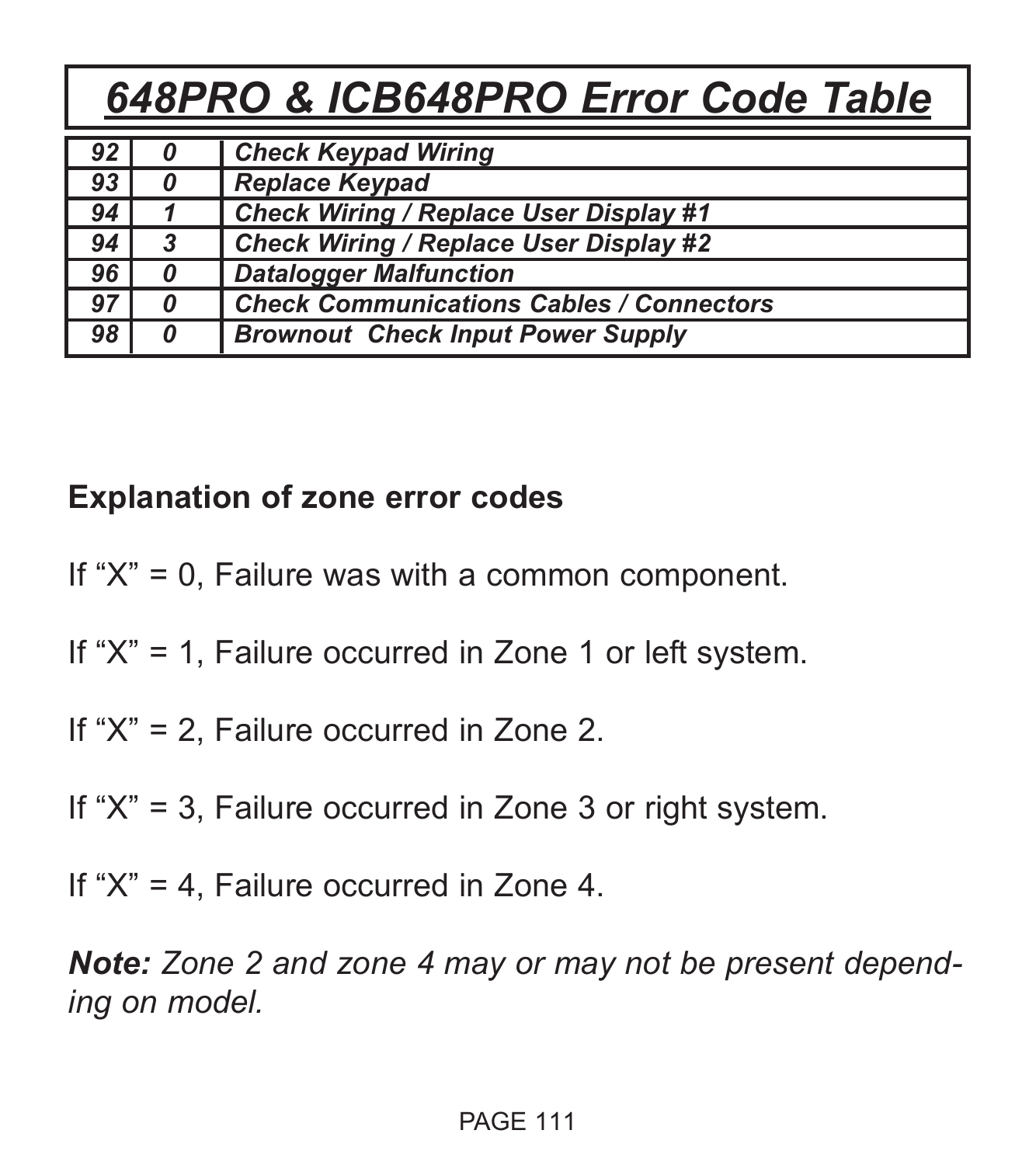# *648PRO & ICB648PRO Error Code Table*

| 92 | 0 | <b>Check Keypad Wiring</b>                      |
|----|---|-------------------------------------------------|
| 93 | 0 | <b>Replace Keypad</b>                           |
| 94 |   | Check Wiring / Replace User Display #1          |
| 94 | 3 | Check Wiring / Replace User Display #2          |
| 96 | 0 | <b>Datalogger Malfunction</b>                   |
| 97 | 0 | <b>Check Communications Cables / Connectors</b> |
| 98 | 0 | <b>Brownout Check Input Power Supply</b>        |

## **Explanation of zone error codes**

If "X" = 0, Failure was with a common component.

If "X" = 1, Failure occurred in Zone 1 or left system.

If "X" = 2, Failure occurred in Zone 2.

If "X" = 3, Failure occurred in Zone 3 or right system.

If "X" = 4, Failure occurred in Zone 4.

*Note: Zone 2 and zone 4 may or may not be present depending on model.*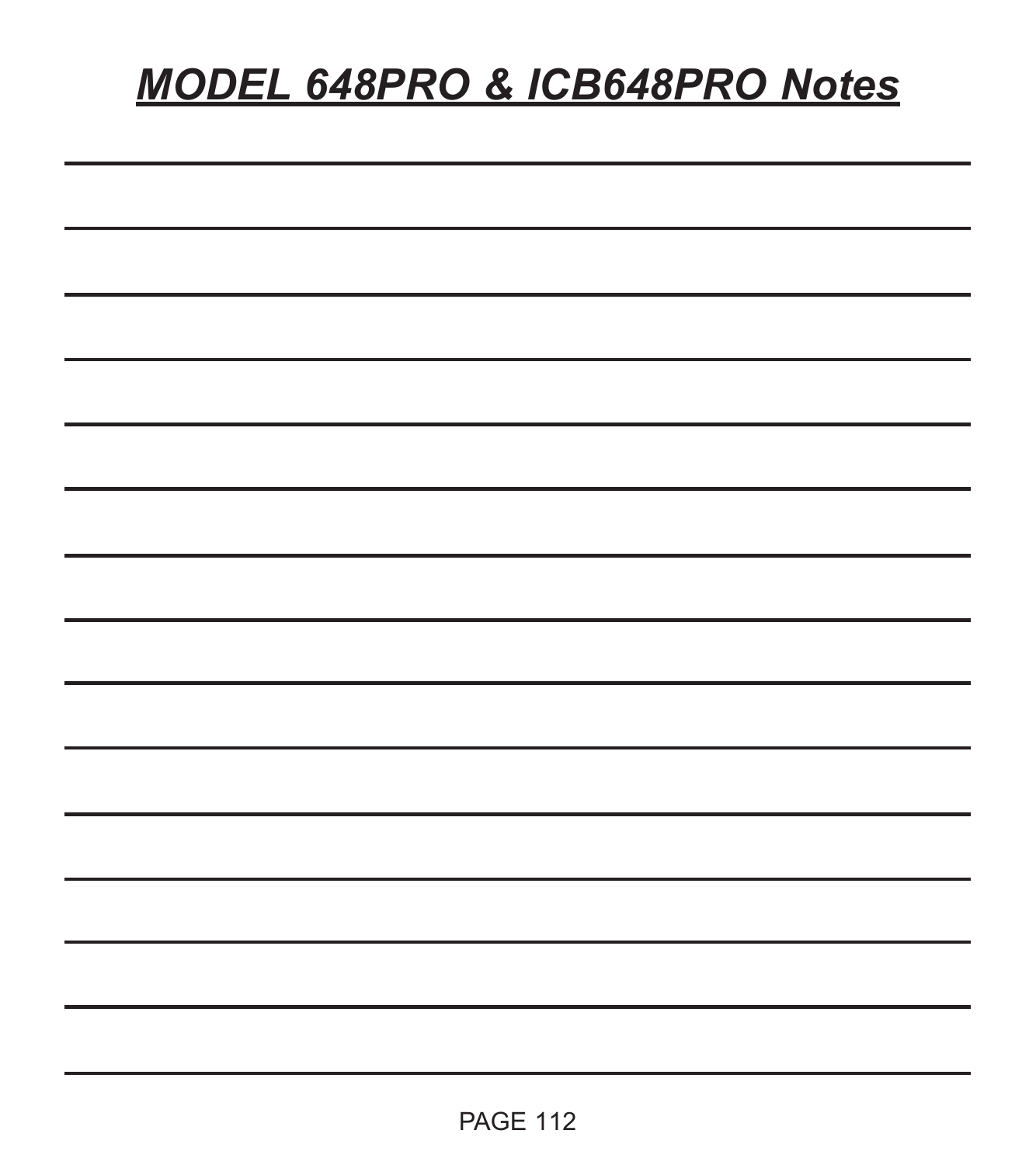# *MODEL 648PRO & ICB648PRO Notes*

| ۰  |  |  |  |
|----|--|--|--|
|    |  |  |  |
| -- |  |  |  |
|    |  |  |  |
|    |  |  |  |
| ۰  |  |  |  |
| ۰  |  |  |  |
| ۰  |  |  |  |
|    |  |  |  |
|    |  |  |  |
|    |  |  |  |
|    |  |  |  |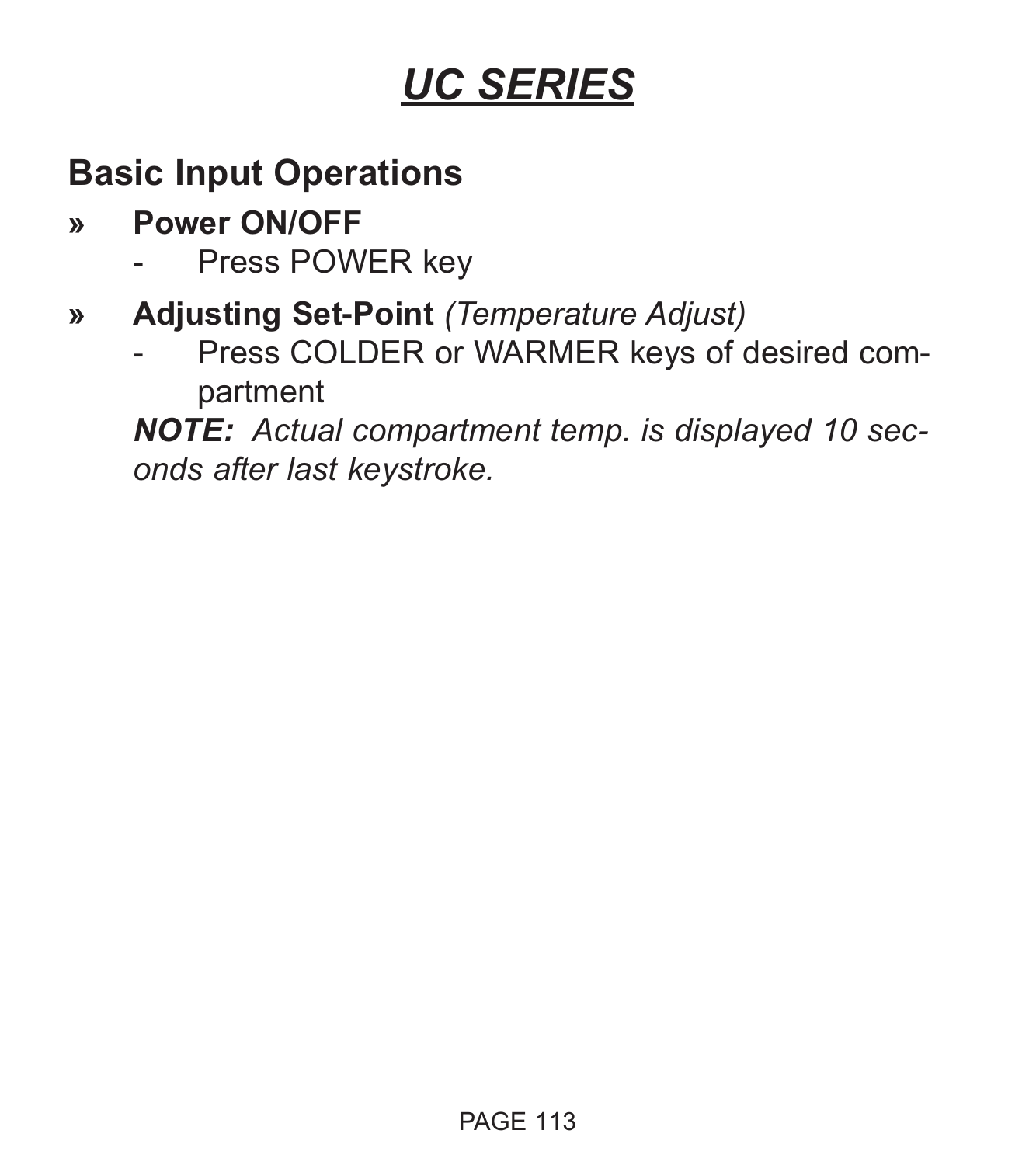# **Basic Input Operations**

- **» Power ON/OFF**
	- Press POWER key
- **» Adjusting Set-Point** *(Temperature Adjust)*
	- Press COLDER or WARMER keys of desired compartment

*NOTE: Actual compartment temp. is displayed 10 seconds after last keystroke.*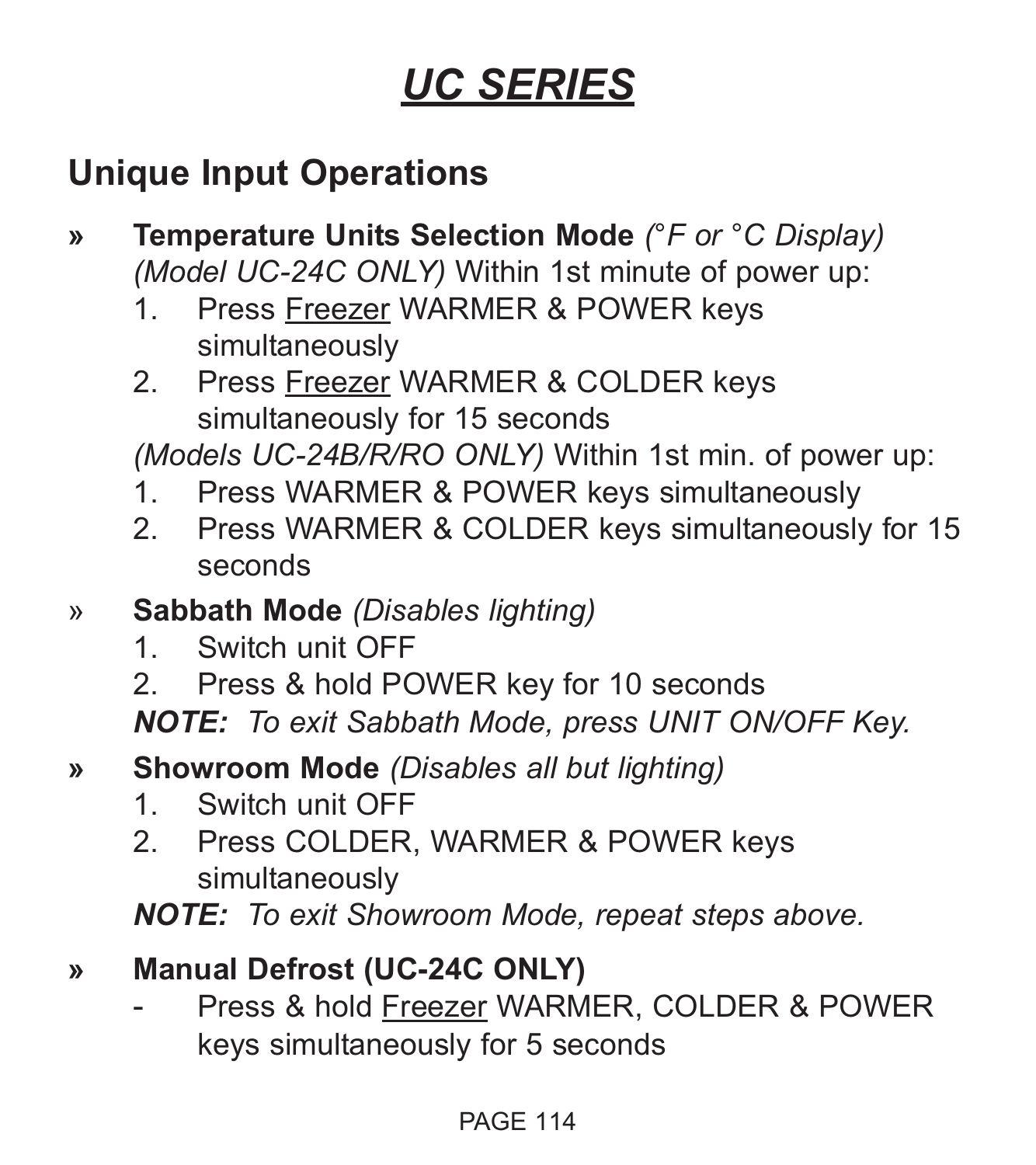## **Unique Input Operations**

- **» Temperature Units Selection Mode** *(°F or °C Display) (Model UC-24C ONLY)* Within 1st minute of power up:
	- 1. Press Freezer WARMER & POWER keys simultaneously
	- 2. Press Freezer WARMER & COLDER keys simultaneously for 15 seconds

*(Models UC-24B/R/RO ONLY)* Within 1st min. of power up:

- 1. Press WARMER & POWER keys simultaneously
- 2. Press WARMER & COLDER keys simultaneously for 15 seconds
- » **Sabbath Mode** *(Disables lighting)*
	- 1. Switch unit OFF
	- 2. Press & hold POWER key for 10 seconds

*NOTE: To exit Sabbath Mode, press UNIT ON/OFF Key.*

- **» Showroom Mode** *(Disables all but lighting)*
	- 1. Switch unit OFF
	- 2. Press COLDER, WARMER & POWER keys simultaneously

*NOTE: To exit Showroom Mode, repeat steps above.*

- **» Manual Defrost (UC-24C ONLY)**
	- Press & hold Freezer WARMER, COLDER & POWER keys simultaneously for 5 seconds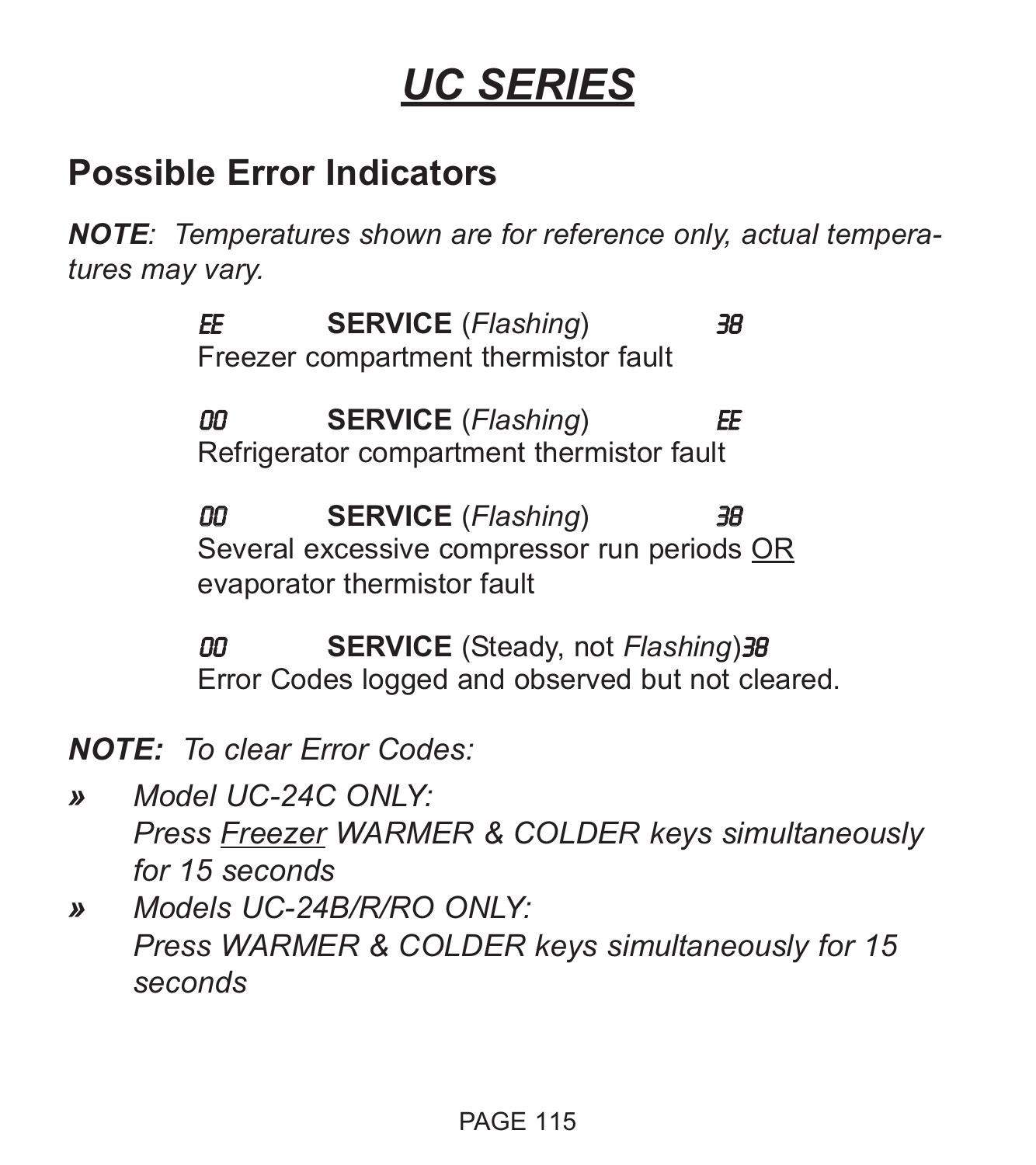## **Possible Error Indicators**

*NOTE: Temperatures shown are for reference only, actual temperatures may vary.*

> EE **SERVICE** (*Flashing*) 38 Freezer compartment thermistor fault

> 00 **SERVICE** (*Flashing*) EE Refrigerator compartment thermistor fault

00 **SERVICE** (*Flashing*) 38 Several excessive compressor run periods OR evaporator thermistor fault

00 **SERVICE** (Steady, not *Flashing*)38 Error Codes logged and observed but not cleared.

*NOTE: To clear Error Codes:*

- *» Model UC-24C ONLY: Press Freezer WARMER & COLDER keys simultaneously for 15 seconds*
- *» Models UC-24B/R/RO ONLY: Press WARMER & COLDER keys simultaneously for 15 seconds*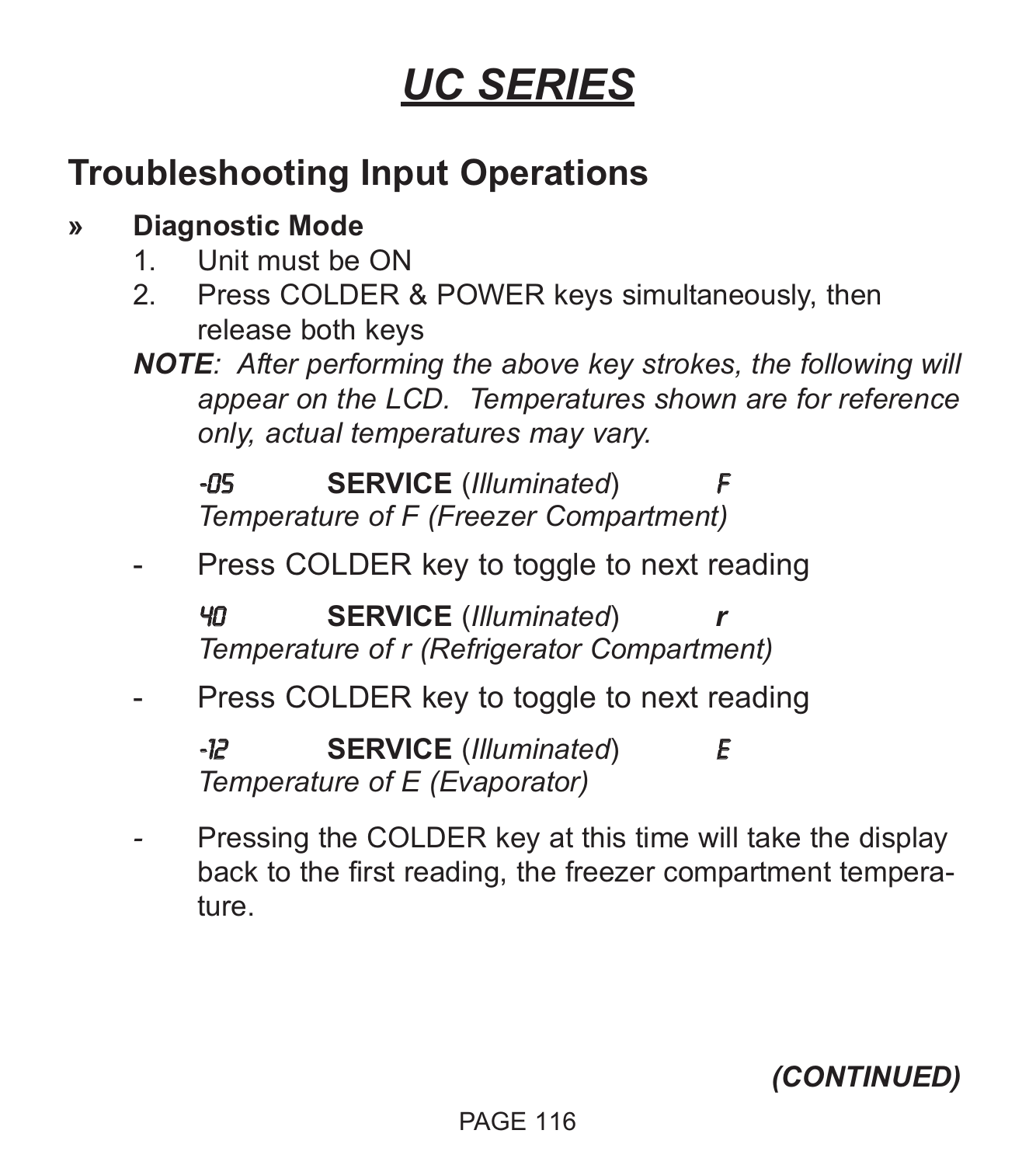# **Troubleshooting Input Operations**

## **» Diagnostic Mode**

- 1. Unit must be ON
- 2. Press COLDER & POWER keys simultaneously, then release both keys
- *NOTE: After performing the above key strokes, the following will appear on the LCD. Temperatures shown are for reference only, actual temperatures may vary.*

**-05 SERVICE** (*Illuminated*) *Temperature of F (Freezer Compartment)*

Press COLDER key to toggle to next reading

40 **SERVICE** (*Illuminated*) *r Temperature of r (Refrigerator Compartment)*

Press COLDER key to toggle to next reading

-12 **SERVICE** (*Illuminated*) E *Temperature of E (Evaporator)*

Pressing the COLDER key at this time will take the display back to the first reading, the freezer compartment temperature.

*(CONTINUED)*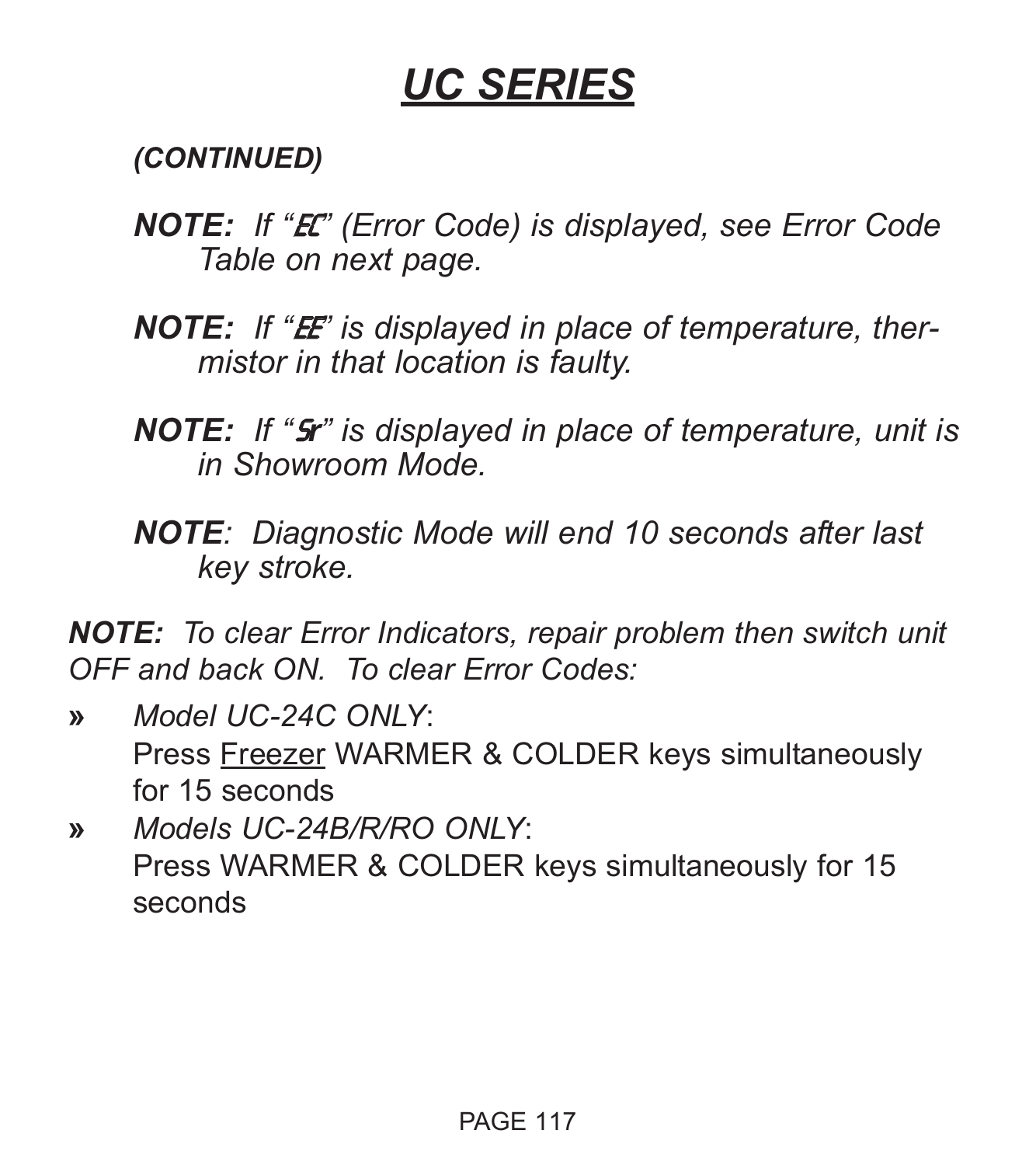*(CONTINUED)*

- *NOTE: If "*EC*" (Error Code) is displayed, see Error Code Table on next page.*
- **NOTE:** If "**E** is displayed in place of temperature, ther*mistor in that location is faulty.*
- *NOTE: If "*S*r" is displayed in place of temperature, unit is in Showroom Mode.*
- *NOTE: Diagnostic Mode will end 10 seconds after last key stroke.*

*NOTE: To clear Error Indicators, repair problem then switch unit OFF and back ON. To clear Error Codes:*

- **»** *Model UC-24C ONLY*: Press Freezer WARMER & COLDER keys simultaneously for 15 seconds
- **»** *Models UC-24B/R/RO ONLY*: Press WARMER & COLDER keys simultaneously for 15 seconds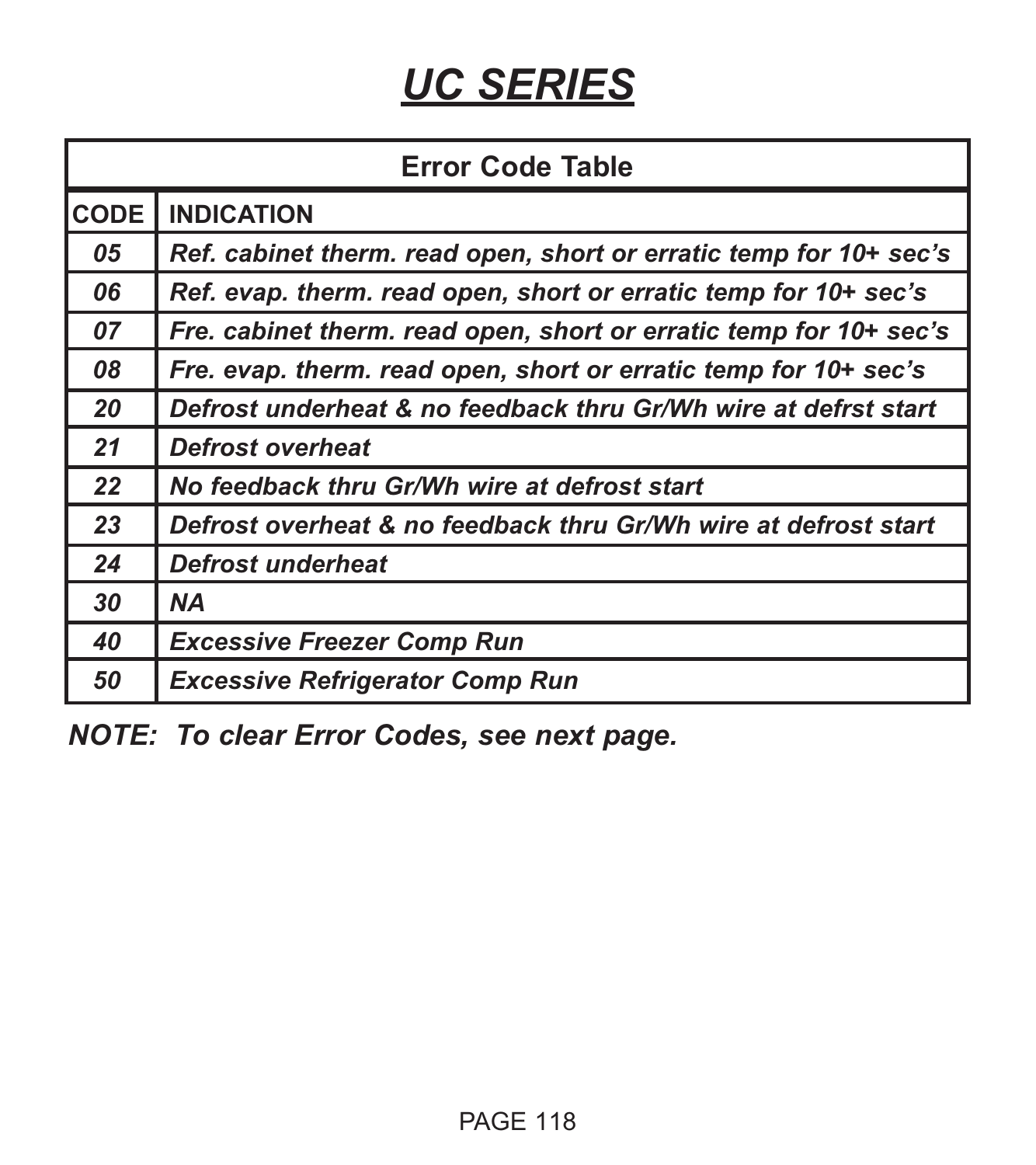| <b>Error Code Table</b> |                                                                    |  |  |
|-------------------------|--------------------------------------------------------------------|--|--|
| <b>CODE</b>             | <b>INDICATION</b>                                                  |  |  |
| 05                      | Ref. cabinet therm. read open, short or erratic temp for 10+ sec's |  |  |
| 06                      | Ref. evap. therm. read open, short or erratic temp for 10+ sec's   |  |  |
| 07                      | Fre. cabinet therm. read open, short or erratic temp for 10+ sec's |  |  |
| 08                      | Fre. evap. therm. read open, short or erratic temp for 10+ sec's   |  |  |
| 20                      | Defrost underheat & no feedback thru Gr/Wh wire at defrst start    |  |  |
| 21                      | <b>Defrost overheat</b>                                            |  |  |
| 22                      | No feedback thru Gr/Wh wire at defrost start                       |  |  |
| 23                      | Defrost overheat & no feedback thru Gr/Wh wire at defrost start    |  |  |
| 24                      | Defrost underheat                                                  |  |  |
| 30                      | ΝA                                                                 |  |  |
| 40                      | <b>Excessive Freezer Comp Run</b>                                  |  |  |
| 50                      | <b>Excessive Refrigerator Comp Run</b>                             |  |  |

*NOTE: To clear Error Codes, see next page.*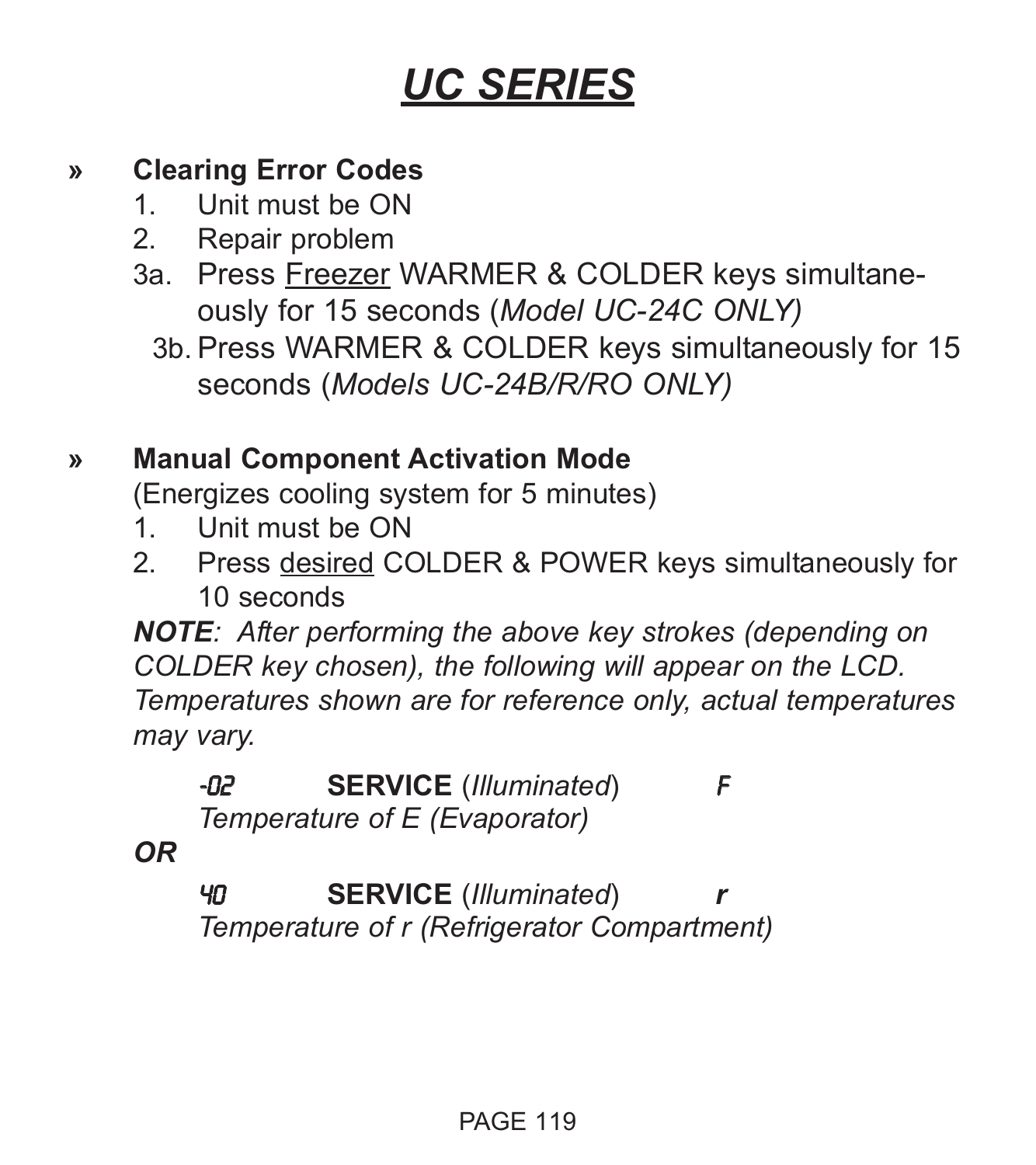## **» Clearing Error Codes**

- 1. Unit must be ON
- 2. Repair problem
- 3a. Press Freezer WARMER & COLDER keys simultaneously for 15 seconds (*Model UC-24C ONLY)*
	- 3b. Press WARMER & COLDER keys simultaneously for 15 seconds (*Models UC-24B/R/RO ONLY)*

## **» Manual Component Activation Mode**

(Energizes cooling system for 5 minutes)

- 1. Unit must be ON
- 2. Press desired COLDER & POWER keys simultaneously for 10 seconds

*NOTE: After performing the above key strokes (depending on COLDER key chosen), the following will appear on the LCD. Temperatures shown are for reference only, actual temperatures may vary.*

# -02 **SERVICE** (*Illuminated*) F

*Temperature of E (Evaporator)*

*OR*

40 **SERVICE** (*Illuminated*) *r Temperature of r (Refrigerator Compartment)*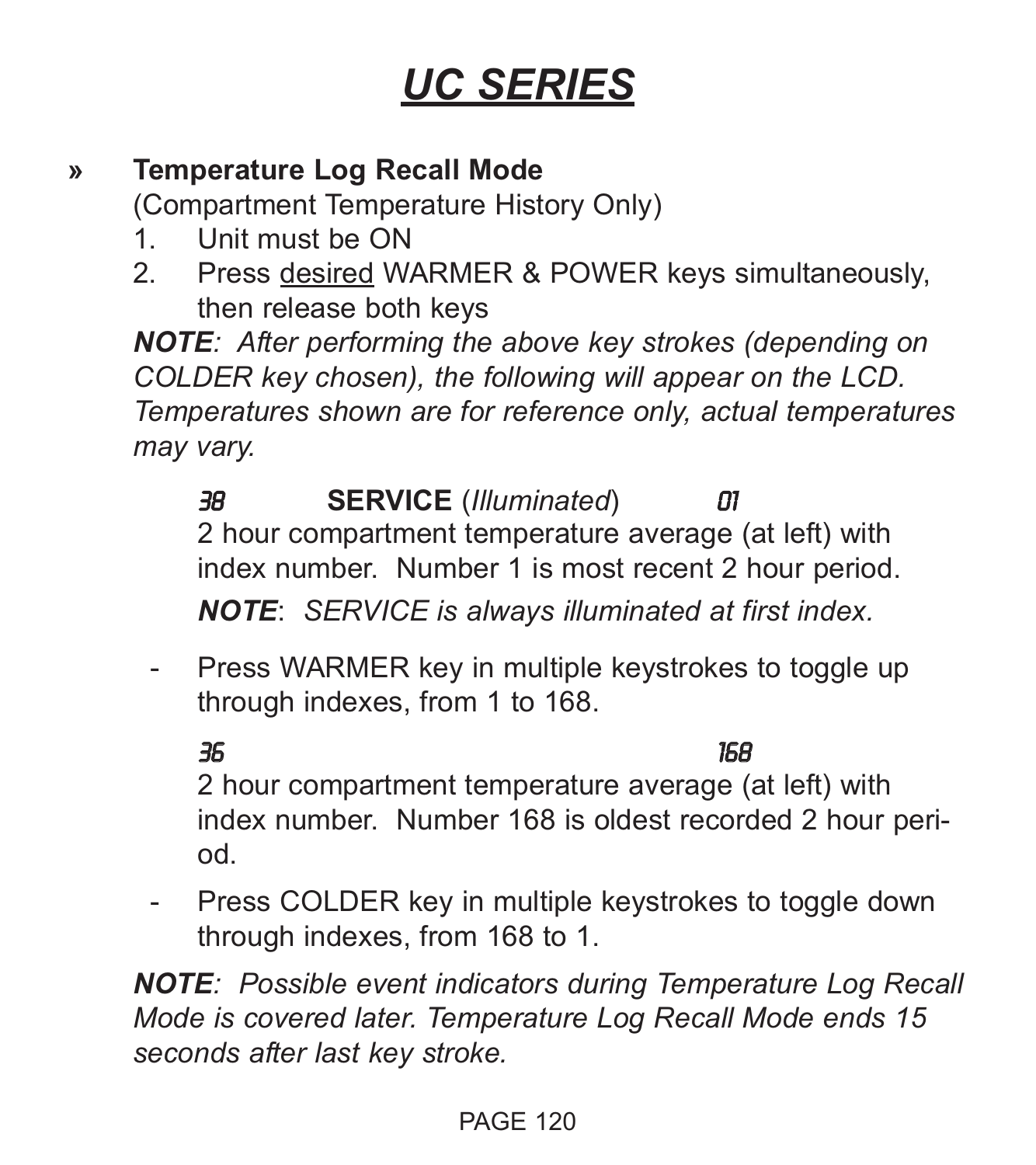## **» Temperature Log Recall Mode**

(Compartment Temperature History Only)

- 1. Unit must be ON
- 2. Press desired WARMER & POWER keys simultaneously, then release both keys

*NOTE: After performing the above key strokes (depending on COLDER key chosen), the following will appear on the LCD. Temperatures shown are for reference only, actual temperatures may vary.*

38 **SERVICE** (*Illuminated*) 01 2 hour compartment temperature average (at left) with index number. Number 1 is most recent 2 hour period.

*NOTE*: *SERVICE is always illuminated at first index.*

- Press WARMER key in multiple keystrokes to toggle up through indexes, from 1 to 168.

## 36 168

2 hour compartment temperature average (at left) with index number. Number 168 is oldest recorded 2 hour period.

- Press COLDER key in multiple keystrokes to toggle down through indexes, from 168 to 1.

*NOTE: Possible event indicators during Temperature Log Recall Mode is covered later. Temperature Log Recall Mode ends 15 seconds after last key stroke.*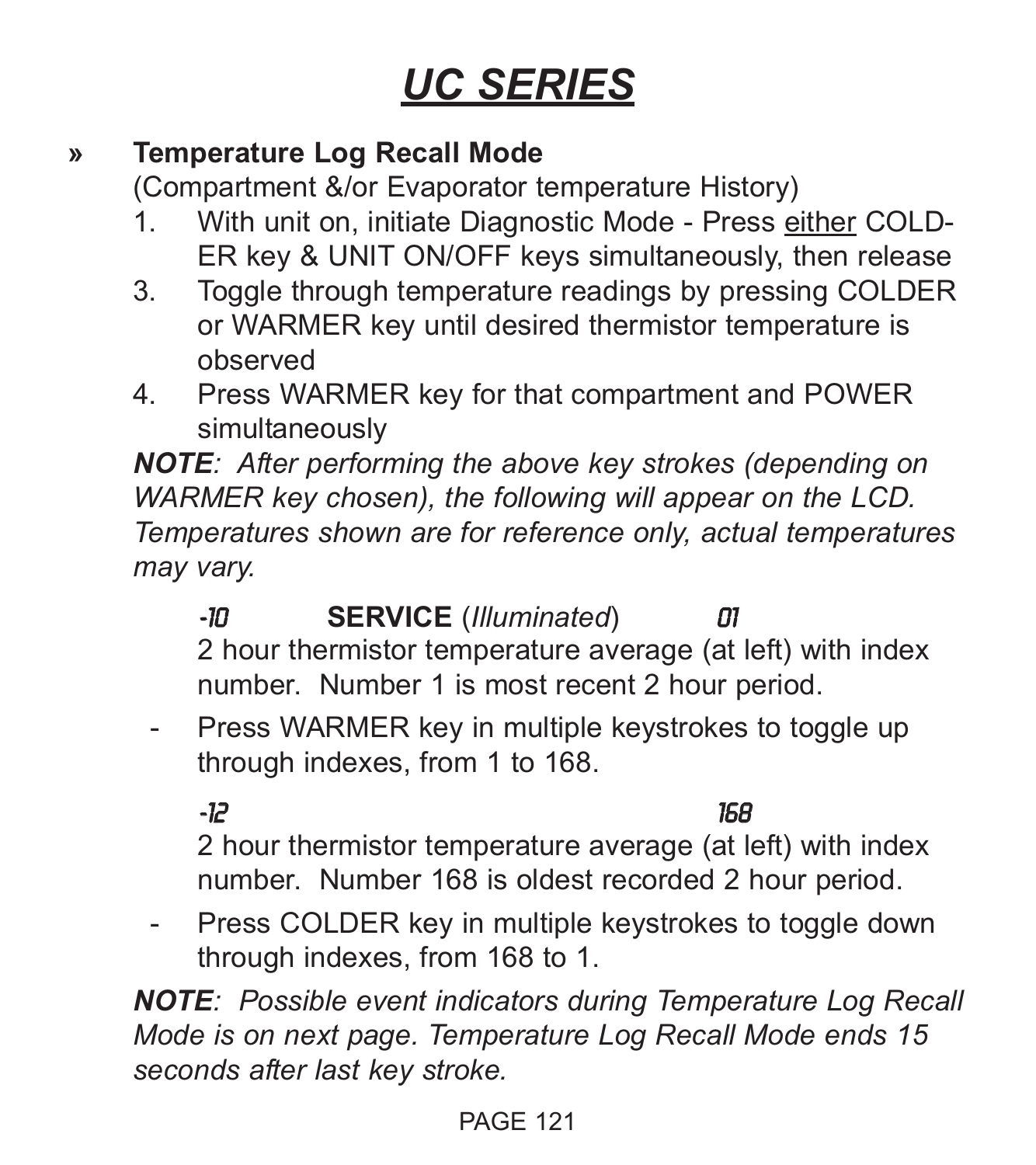## **» Temperature Log Recall Mode**

(Compartment &/or Evaporator temperature History)

- 1. With unit on, initiate Diagnostic Mode Press either COLD-ER key & UNIT ON/OFF keys simultaneously, then release
- 3. Toggle through temperature readings by pressing COLDER or WARMER key until desired thermistor temperature is observed
- 4. Press WARMER key for that compartment and POWER simultaneously

*NOTE: After performing the above key strokes (depending on WARMER key chosen), the following will appear on the LCD. Temperatures shown are for reference only, actual temperatures may vary.*

-10 **SERVICE** (*Illuminated*) 01 2 hour thermistor temperature average (at left) with index number. Number 1 is most recent 2 hour period.

- Press WARMER key in multiple keystrokes to toggle up through indexes, from 1 to 168.

-12 168

2 hour thermistor temperature average (at left) with index number. Number 168 is oldest recorded 2 hour period.

- Press COLDER key in multiple keystrokes to toggle down through indexes, from 168 to 1.

*NOTE: Possible event indicators during Temperature Log Recall Mode is on next page. Temperature Log Recall Mode ends 15 seconds after last key stroke.*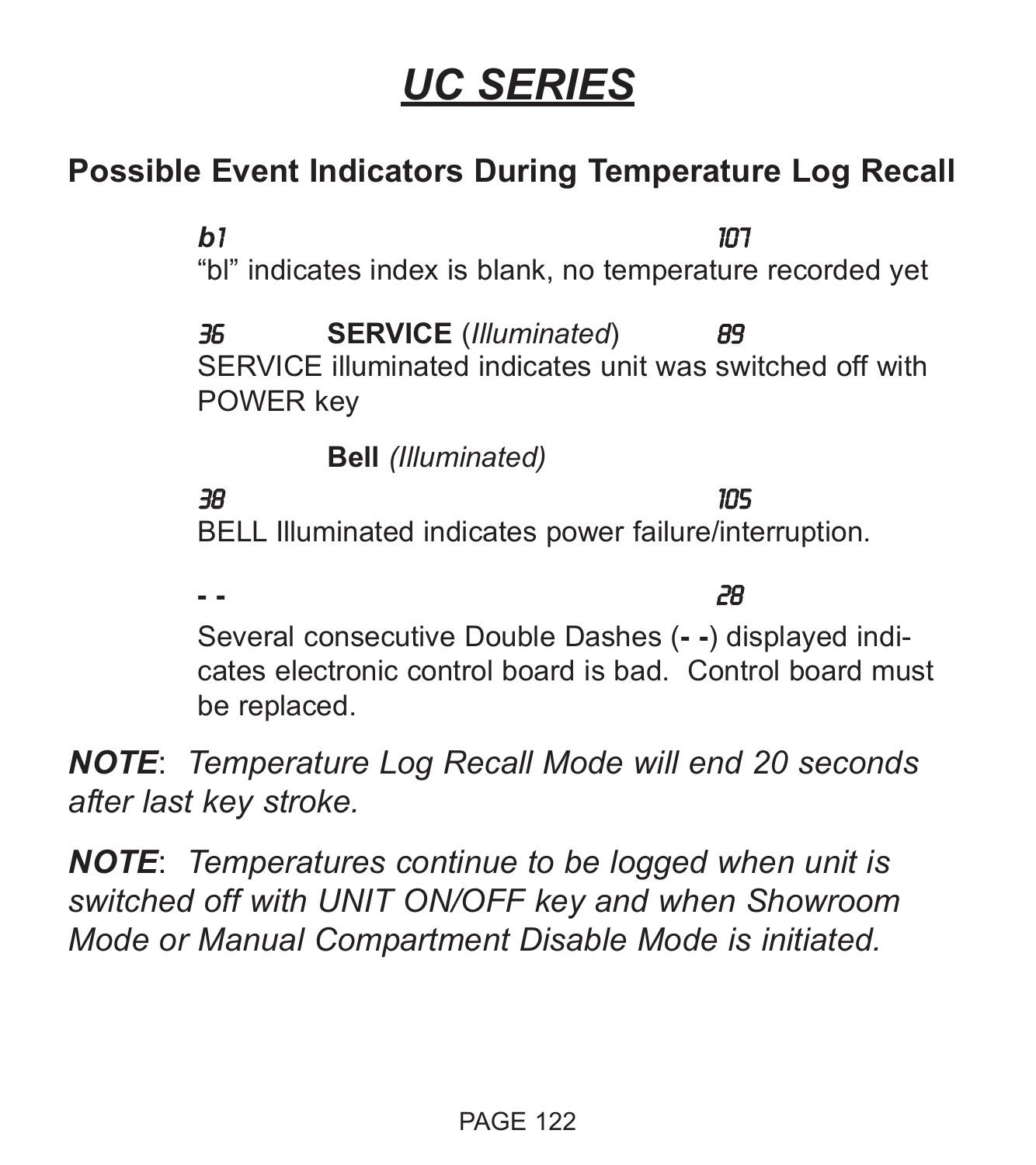## **Possible Event Indicators During Temperature Log Recall**

*b*1 107 "bl" indicates index is blank, no temperature recorded yet 36 **SERVICE** (*Illuminated*) 89

SERVICE illuminated indicates unit was switched off with POWER key

**Bell** *(Illuminated)*

## 38 105

BELL Illuminated indicates power failure/interruption.

**- -** 28 Several consecutive Double Dashes (**- -**) displayed indicates electronic control board is bad. Control board must be replaced.

*NOTE*: *Temperature Log Recall Mode will end 20 seconds after last key stroke.*

*NOTE*: *Temperatures continue to be logged when unit is switched off with UNIT ON/OFF key and when Showroom Mode or Manual Compartment Disable Mode is initiated.*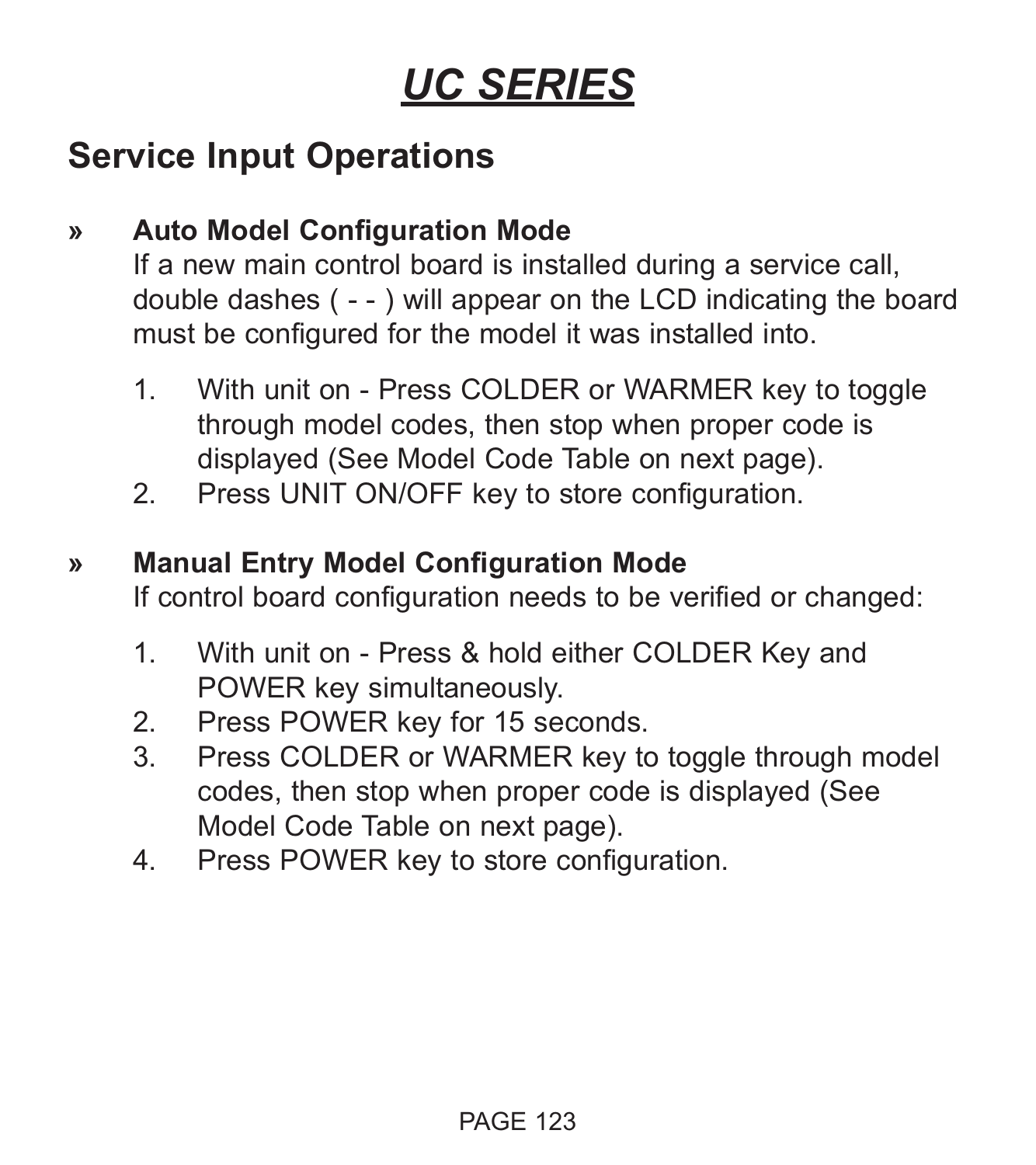## **Service Input Operations**

## **» Auto Model Configuration Mode**

If a new main control board is installed during a service call, double dashes ( - - ) will appear on the LCD indicating the board must be configured for the model it was installed into.

- 1. With unit on Press COLDER or WARMER key to toggle through model codes, then stop when proper code is displayed (See Model Code Table on next page).
- 2. Press UNIT ON/OFF key to store configuration.

### **» Manual Entry Model Configuration Mode**

If control board configuration needs to be verified or changed:

- 1. With unit on Press & hold either COLDER Key and POWER key simultaneously.
- 2. Press POWER key for 15 seconds.
- 3. Press COLDER or WARMER key to toggle through model codes, then stop when proper code is displayed (See Model Code Table on next page).
- 4. Press POWER key to store configuration.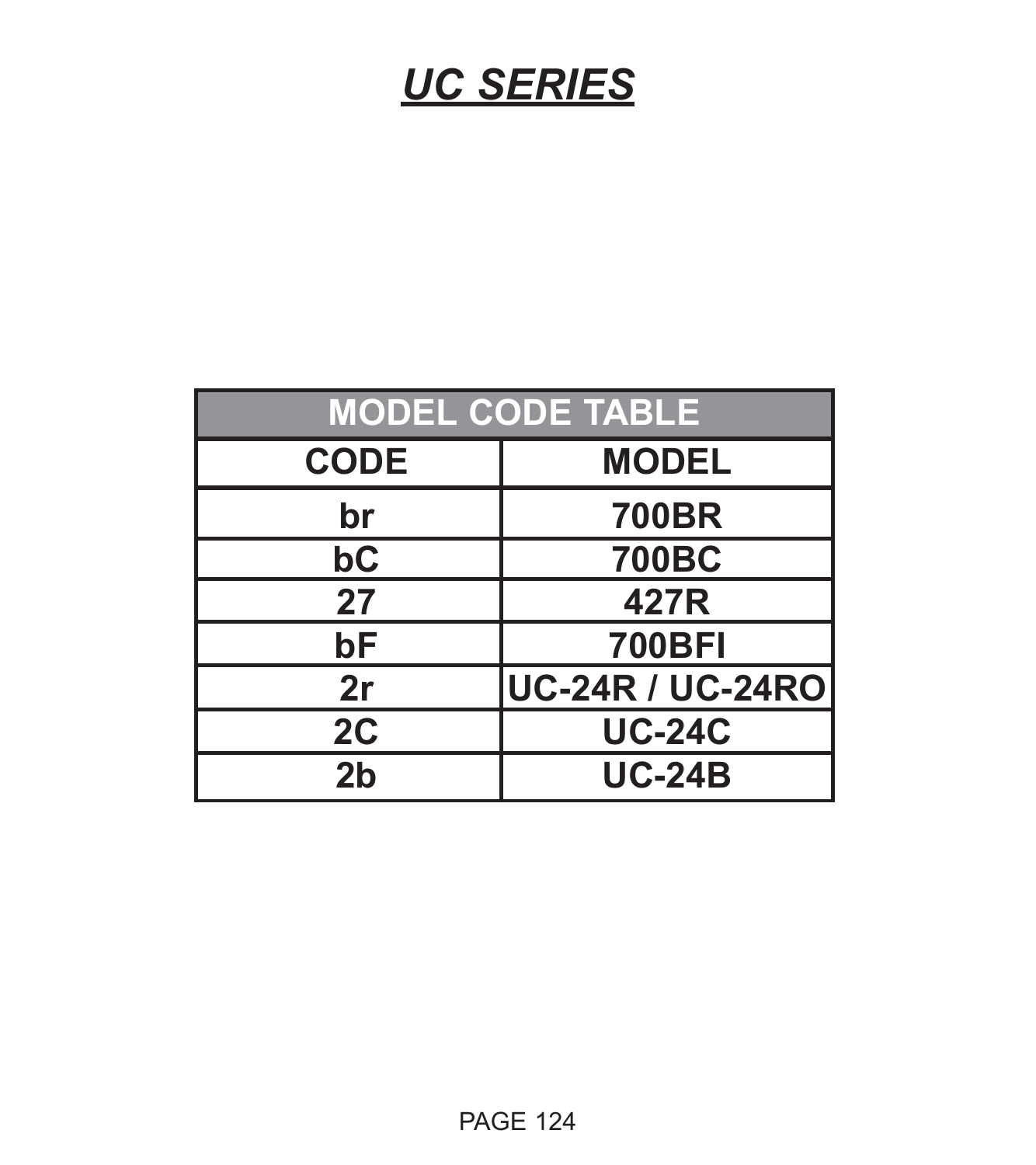| <b>MODEL CODE TABLE</b> |                         |  |  |
|-------------------------|-------------------------|--|--|
| <b>CODE</b>             | <b>MODEL</b>            |  |  |
| br                      | <b>700BR</b>            |  |  |
| bC                      | <b>700BC</b>            |  |  |
| 27                      | 427R                    |  |  |
| bF                      | <b>700BFI</b>           |  |  |
| 2r                      | <b>UC-24R / UC-24RO</b> |  |  |
| 2C                      | <b>UC-24C</b>           |  |  |
| 2 <sub>b</sub>          | <b>UC-24B</b>           |  |  |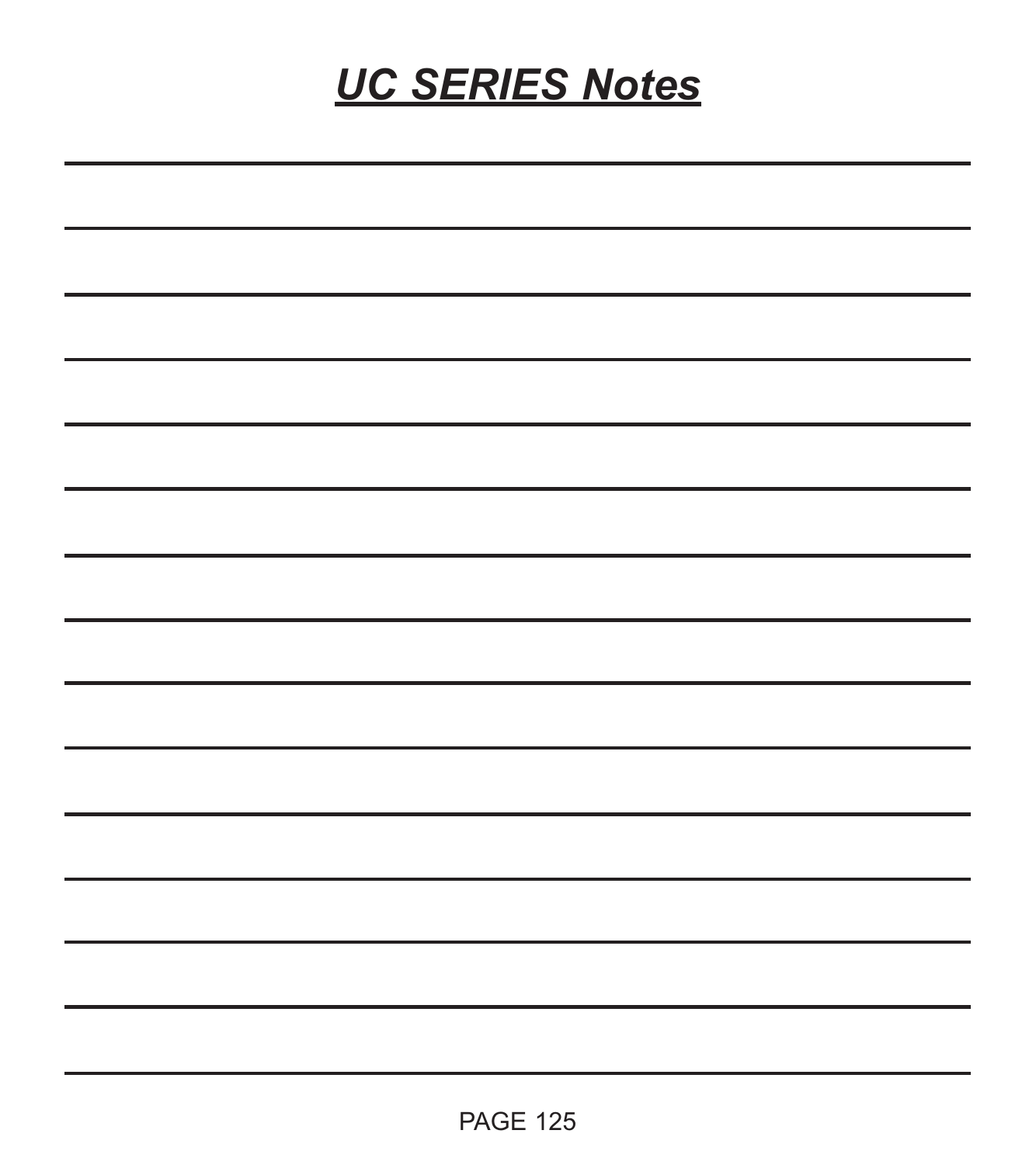# *UC SERIES Notes*

| ,一个人的人都是一个人的人,但是我们的人,我们也不会不会不会。""我们的人,我们也不会不会不会。""我们的人,我们也不会不会不会。""我们的人,我们也不会不会不 |  |  |
|----------------------------------------------------------------------------------|--|--|
|                                                                                  |  |  |
|                                                                                  |  |  |
|                                                                                  |  |  |
|                                                                                  |  |  |
|                                                                                  |  |  |
|                                                                                  |  |  |